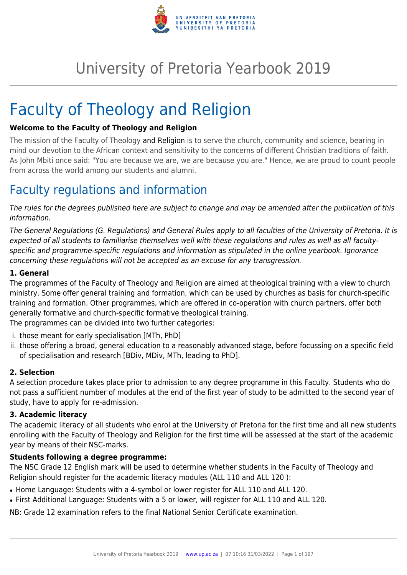

# University of Pretoria Yearbook 2019

# Faculty of Theology and Religion

## **Welcome to the Faculty of Theology and Religion**

The mission of the Faculty of Theology and Religion is to serve the church, community and science, bearing in mind our devotion to the African context and sensitivity to the concerns of different Christian traditions of faith. As John Mbiti once said: "You are because we are, we are because you are." Hence, we are proud to count people from across the world among our students and alumni.

## Faculty regulations and information

The rules for the degrees published here are subject to change and may be amended after the publication of this information.

The General Regulations (G. Regulations) and General Rules apply to all faculties of the University of Pretoria. It is expected of all students to familiarise themselves well with these regulations and rules as well as all facultyspecific and programme-specific regulations and information as stipulated in the online yearbook. Ignorance concerning these regulations will not be accepted as an excuse for any transgression.

## **1. General**

The programmes of the Faculty of Theology and Religion are aimed at theological training with a view to church ministry. Some offer general training and formation, which can be used by churches as basis for church-specific training and formation. Other programmes, which are offered in co-operation with church partners, offer both generally formative and church-specific formative theological training.

The programmes can be divided into two further categories:

- i. those meant for early specialisation [MTh, PhD]
- ii. those offering a broad, general education to a reasonably advanced stage, before focussing on a specific field of specialisation and research [BDiv, MDiv, MTh, leading to PhD].

## **2. Selection**

A selection procedure takes place prior to admission to any degree programme in this Faculty. Students who do not pass a sufficient number of modules at the end of the first year of study to be admitted to the second year of study, have to apply for re-admission.

## **3. Academic literacy**

The academic literacy of all students who enrol at the University of Pretoria for the first time and all new students enrolling with the Faculty of Theology and Religion for the first time will be assessed at the start of the academic year by means of their NSC-marks.

## **Students following a degree programme:**

The NSC Grade 12 English mark will be used to determine whether students in the Faculty of Theology and Religion should register for the academic literacy modules (ALL 110 and ALL 120 ):

- Home Language: Students with a 4-symbol or lower register for ALL 110 and ALL 120.
- First Additional Language: Students with a 5 or lower, will register for ALL 110 and ALL 120.

NB: Grade 12 examination refers to the final National Senior Certificate examination.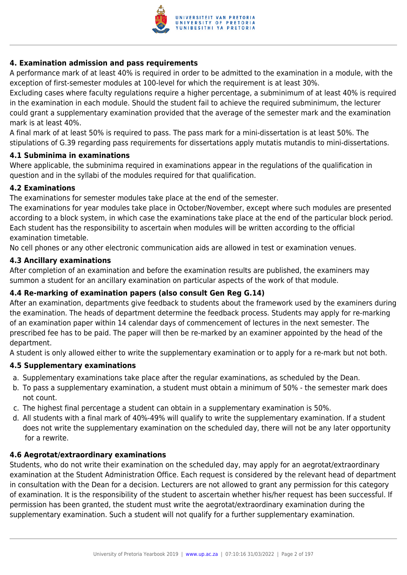

## **4. Examination admission and pass requirements**

A performance mark of at least 40% is required in order to be admitted to the examination in a module, with the exception of first-semester modules at 100-level for which the requirement is at least 30%.

Excluding cases where faculty regulations require a higher percentage, a subminimum of at least 40% is required in the examination in each module. Should the student fail to achieve the required subminimum, the lecturer could grant a supplementary examination provided that the average of the semester mark and the examination mark is at least 40%.

A final mark of at least 50% is required to pass. The pass mark for a mini-dissertation is at least 50%. The stipulations of G.39 regarding pass requirements for dissertations apply mutatis mutandis to mini-dissertations.

## **4.1 Subminima in examinations**

Where applicable, the subminima required in examinations appear in the regulations of the qualification in question and in the syllabi of the modules required for that qualification.

## **4.2 Examinations**

The examinations for semester modules take place at the end of the semester.

The examinations for year modules take place in October/November, except where such modules are presented according to a block system, in which case the examinations take place at the end of the particular block period. Each student has the responsibility to ascertain when modules will be written according to the official examination timetable.

No cell phones or any other electronic communication aids are allowed in test or examination venues.

#### **4.3 Ancillary examinations**

After completion of an examination and before the examination results are published, the examiners may summon a student for an ancillary examination on particular aspects of the work of that module.

## **4.4 Re-marking of examination papers (also consult Gen Reg G.14)**

After an examination, departments give feedback to students about the framework used by the examiners during the examination. The heads of department determine the feedback process. Students may apply for re-marking of an examination paper within 14 calendar days of commencement of lectures in the next semester. The prescribed fee has to be paid. The paper will then be re-marked by an examiner appointed by the head of the department.

A student is only allowed either to write the supplementary examination or to apply for a re-mark but not both.

## **4.5 Supplementary examinations**

- a. Supplementary examinations take place after the regular examinations, as scheduled by the Dean.
- b. To pass a supplementary examination, a student must obtain a minimum of 50% the semester mark does not count.
- c. The highest final percentage a student can obtain in a supplementary examination is 50%.
- d. All students with a final mark of 40%-49% will qualify to write the supplementary examination. If a student does not write the supplementary examination on the scheduled day, there will not be any later opportunity for a rewrite.

## **4.6 Aegrotat/extraordinary examinations**

Students, who do not write their examination on the scheduled day, may apply for an aegrotat/extraordinary examination at the Student Administration Office. Each request is considered by the relevant head of department in consultation with the Dean for a decision. Lecturers are not allowed to grant any permission for this category of examination. It is the responsibility of the student to ascertain whether his/her request has been successful. If permission has been granted, the student must write the aegrotat/extraordinary examination during the supplementary examination. Such a student will not qualify for a further supplementary examination.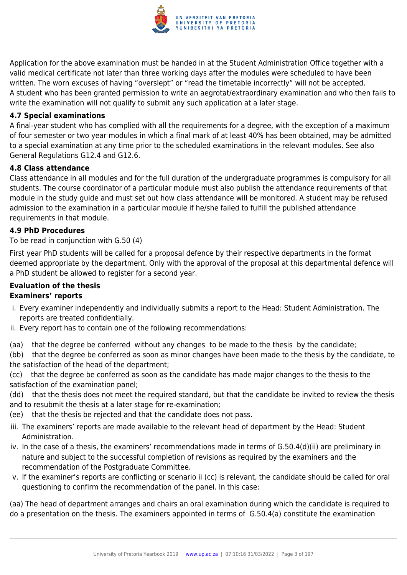

Application for the above examination must be handed in at the Student Administration Office together with a valid medical certificate not later than three working days after the modules were scheduled to have been written. The worn excuses of having "overslept" or "read the timetable incorrectly" will not be accepted. A student who has been granted permission to write an aegrotat/extraordinary examination and who then fails to write the examination will not qualify to submit any such application at a later stage.

## **4.7 Special examinations**

A final-year student who has complied with all the requirements for a degree, with the exception of a maximum of four semester or two year modules in which a final mark of at least 40% has been obtained, may be admitted to a special examination at any time prior to the scheduled examinations in the relevant modules. See also General Regulations G12.4 and G12.6.

## **4.8 Class attendance**

Class attendance in all modules and for the full duration of the undergraduate programmes is compulsory for all students. The course coordinator of a particular module must also publish the attendance requirements of that module in the study guide and must set out how class attendance will be monitored. A student may be refused admission to the examination in a particular module if he/she failed to fulfill the published attendance requirements in that module.

## **4.9 PhD Procedures**

## To be read in conjunction with G.50 (4)

First year PhD students will be called for a proposal defence by their respective departments in the format deemed appropriate by the department. Only with the approval of the proposal at this departmental defence will a PhD student be allowed to register for a second year.

## **Evaluation of the thesis Examiners' reports**

- i. Every examiner independently and individually submits a report to the Head: Student Administration. The reports are treated confidentially.
- ii. Every report has to contain one of the following recommendations:
- (aa) that the degree be conferred without any changes to be made to the thesis by the candidate;

(bb) that the degree be conferred as soon as minor changes have been made to the thesis by the candidate, to the satisfaction of the head of the department;

(cc) that the degree be conferred as soon as the candidate has made major changes to the thesis to the satisfaction of the examination panel;

(dd) that the thesis does not meet the required standard, but that the candidate be invited to review the thesis and to resubmit the thesis at a later stage for re-examination;

- (ee) that the thesis be rejected and that the candidate does not pass.
- iii. The examiners' reports are made available to the relevant head of department by the Head: Student Administration.
- iv. In the case of a thesis, the examiners' recommendations made in terms of G.50.4(d)(ii) are preliminary in nature and subject to the successful completion of revisions as required by the examiners and the recommendation of the Postgraduate Committee.
- v. If the examiner's reports are conflicting or scenario ii (cc) is relevant, the candidate should be called for oral questioning to confirm the recommendation of the panel. In this case:

(aa) The head of department arranges and chairs an oral examination during which the candidate is required to do a presentation on the thesis. The examiners appointed in terms of G.50.4(a) constitute the examination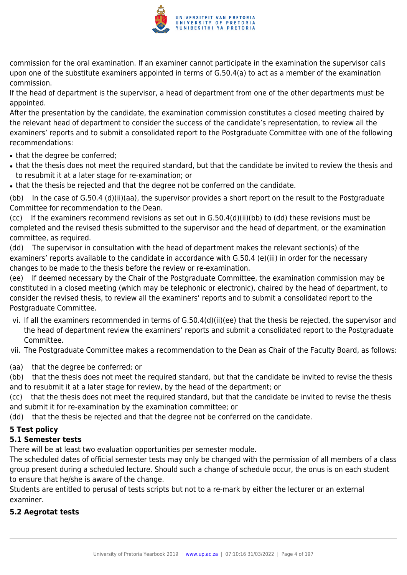

commission for the oral examination. If an examiner cannot participate in the examination the supervisor calls upon one of the substitute examiners appointed in terms of G.50.4(a) to act as a member of the examination commission.

If the head of department is the supervisor, a head of department from one of the other departments must be appointed.

After the presentation by the candidate, the examination commission constitutes a closed meeting chaired by the relevant head of department to consider the success of the candidate's representation, to review all the examiners' reports and to submit a consolidated report to the Postgraduate Committee with one of the following recommendations:

- that the degree be conferred;
- that the thesis does not meet the required standard, but that the candidate be invited to review the thesis and to resubmit it at a later stage for re-examination; or
- that the thesis be rejected and that the degree not be conferred on the candidate.

(bb) In the case of G.50.4 (d)(ii)(aa), the supervisor provides a short report on the result to the Postgraduate Committee for recommendation to the Dean.

(cc) If the examiners recommend revisions as set out in G.50.4(d)(ii)(bb) to (dd) these revisions must be completed and the revised thesis submitted to the supervisor and the head of department, or the examination committee, as required.

(dd) The supervisor in consultation with the head of department makes the relevant section(s) of the examiners' reports available to the candidate in accordance with G.50.4 (e)(iii) in order for the necessary changes to be made to the thesis before the review or re-examination.

(ee) If deemed necessary by the Chair of the Postgraduate Committee, the examination commission may be constituted in a closed meeting (which may be telephonic or electronic), chaired by the head of department, to consider the revised thesis, to review all the examiners' reports and to submit a consolidated report to the Postgraduate Committee.

vi. If all the examiners recommended in terms of G.50.4(d)(ii)(ee) that the thesis be rejected, the supervisor and the head of department review the examiners' reports and submit a consolidated report to the Postgraduate Committee.

vii. The Postgraduate Committee makes a recommendation to the Dean as Chair of the Faculty Board, as follows:

(aa) that the degree be conferred; or

(bb) that the thesis does not meet the required standard, but that the candidate be invited to revise the thesis and to resubmit it at a later stage for review, by the head of the department; or

(cc) that the thesis does not meet the required standard, but that the candidate be invited to revise the thesis and submit it for re-examination by the examination committee; or

(dd) that the thesis be rejected and that the degree not be conferred on the candidate.

## **5 Test policy**

## **5.1 Semester tests**

There will be at least two evaluation opportunities per semester module.

The scheduled dates of official semester tests may only be changed with the permission of all members of a class group present during a scheduled lecture. Should such a change of schedule occur, the onus is on each student to ensure that he/she is aware of the change.

Students are entitled to perusal of tests scripts but not to a re-mark by either the lecturer or an external examiner.

## **5.2 Aegrotat tests**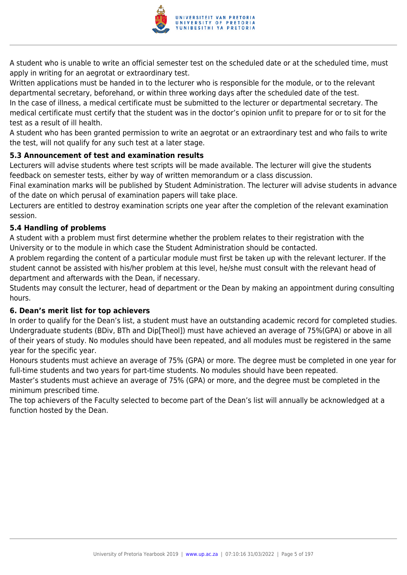

A student who is unable to write an official semester test on the scheduled date or at the scheduled time, must apply in writing for an aegrotat or extraordinary test.

Written applications must be handed in to the lecturer who is responsible for the module, or to the relevant departmental secretary, beforehand, or within three working days after the scheduled date of the test. In the case of illness, a medical certificate must be submitted to the lecturer or departmental secretary. The medical certificate must certify that the student was in the doctor's opinion unfit to prepare for or to sit for the test as a result of ill health.

A student who has been granted permission to write an aegrotat or an extraordinary test and who fails to write the test, will not qualify for any such test at a later stage.

## **5.3 Announcement of test and examination results**

Lecturers will advise students where test scripts will be made available. The lecturer will give the students feedback on semester tests, either by way of written memorandum or a class discussion.

Final examination marks will be published by Student Administration. The lecturer will advise students in advance of the date on which perusal of examination papers will take place.

Lecturers are entitled to destroy examination scripts one year after the completion of the relevant examination session.

## **5.4 Handling of problems**

A student with a problem must first determine whether the problem relates to their registration with the University or to the module in which case the Student Administration should be contacted.

A problem regarding the content of a particular module must first be taken up with the relevant lecturer. If the student cannot be assisted with his/her problem at this level, he/she must consult with the relevant head of department and afterwards with the Dean, if necessary.

Students may consult the lecturer, head of department or the Dean by making an appointment during consulting hours.

## **6. Dean's merit list for top achievers**

In order to qualify for the Dean's list, a student must have an outstanding academic record for completed studies. Undergraduate students (BDiv, BTh and Dip[Theol]) must have achieved an average of 75%(GPA) or above in all of their years of study. No modules should have been repeated, and all modules must be registered in the same year for the specific year.

Honours students must achieve an average of 75% (GPA) or more. The degree must be completed in one year for full-time students and two years for part-time students. No modules should have been repeated.

Master's students must achieve an average of 75% (GPA) or more, and the degree must be completed in the minimum prescribed time.

The top achievers of the Faculty selected to become part of the Dean's list will annually be acknowledged at a function hosted by the Dean.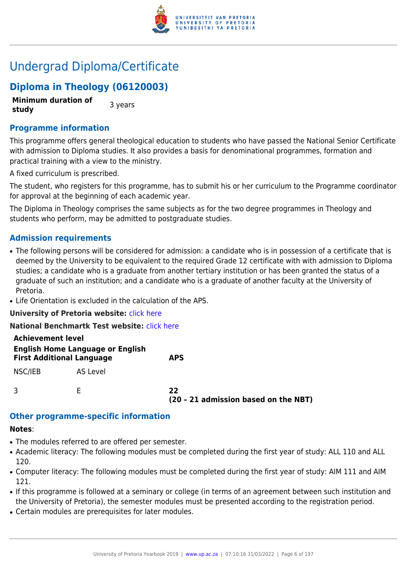

## Undergrad Diploma/Certificate

## **Diploma in Theology (06120003)**

**Minimum duration of study 3** years

## **Programme information**

This programme offers general theological education to students who have passed the National Senior Certificate with admission to Diploma studies. It also provides a basis for denominational programmes, formation and practical training with a view to the ministry.

A fixed curriculum is prescribed.

The student, who registers for this programme, has to submit his or her curriculum to the Programme coordinator for approval at the beginning of each academic year.

The Diploma in Theology comprises the same subjects as for the two degree programmes in Theology and students who perform, may be admitted to postgraduate studies.

## **Admission requirements**

- The following persons will be considered for admission: a candidate who is in possession of a certificate that is deemed by the University to be equivalent to the required Grade 12 certificate with with admission to Diploma studies; a candidate who is a graduate from another tertiary institution or has been granted the status of a graduate of such an institution; and a candidate who is a graduate of another faculty at the University of Pretoria.
- Life Orientation is excluded in the calculation of the APS.

**University of Pretoria website:** [click here](http://www.up.ac.za/theology)

**National Benchmartk Test website:** [click here](http://www.nbt.ac.za)

| <b>Achievement level</b><br><b>English Home Language or English</b><br><b>First Additional Language</b> |          | <b>APS</b>                                 |
|---------------------------------------------------------------------------------------------------------|----------|--------------------------------------------|
| NSC/IEB                                                                                                 | AS Level |                                            |
|                                                                                                         |          | 22<br>(20 - 21 admission based on the NBT) |

## **Other programme-specific information**

#### **Notes**:

- The modules referred to are offered per semester.
- Academic literacy: The following modules must be completed during the first year of study: ALL 110 and ALL 120.
- Computer literacy: The following modules must be completed during the first year of study: AIM 111 and AIM 121.
- If this programme is followed at a seminary or college (in terms of an agreement between such institution and the University of Pretoria), the semester modules must be presented according to the registration period.
- Certain modules are prerequisites for later modules.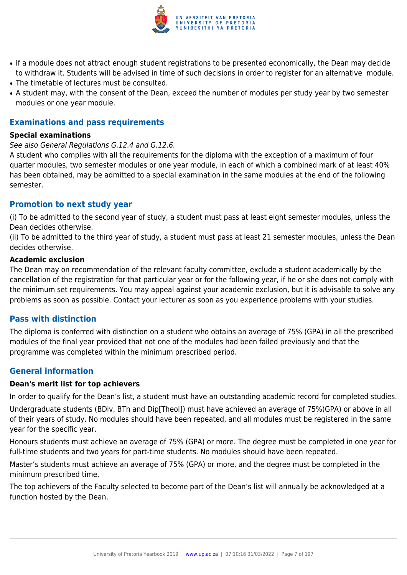

- If a module does not attract enough student registrations to be presented economically, the Dean may decide to withdraw it. Students will be advised in time of such decisions in order to register for an alternative module.
- The timetable of lectures must be consulted.
- A student may, with the consent of the Dean, exceed the number of modules per study year by two semester modules or one year module.

## **Examinations and pass requirements**

#### **Special examinations**

#### See also General Regulations G.12.4 and G.12.6.

A student who complies with all the requirements for the diploma with the exception of a maximum of four quarter modules, two semester modules or one year module, in each of which a combined mark of at least 40% has been obtained, may be admitted to a special examination in the same modules at the end of the following semester.

## **Promotion to next study year**

(i) To be admitted to the second year of study, a student must pass at least eight semester modules, unless the Dean decides otherwise.

(ii) To be admitted to the third year of study, a student must pass at least 21 semester modules, unless the Dean decides otherwise.

#### **Academic exclusion**

The Dean may on recommendation of the relevant faculty committee, exclude a student academically by the cancellation of the registration for that particular year or for the following year, if he or she does not comply with the minimum set requirements. You may appeal against your academic exclusion, but it is advisable to solve any problems as soon as possible. Contact your lecturer as soon as you experience problems with your studies.

## **Pass with distinction**

The diploma is conferred with distinction on a student who obtains an average of 75% (GPA) in all the prescribed modules of the final year provided that not one of the modules had been failed previously and that the programme was completed within the minimum prescribed period.

## **General information**

## **Dean's merit list for top achievers**

In order to qualify for the Dean's list, a student must have an outstanding academic record for completed studies. Undergraduate students (BDiv, BTh and Dip[Theol]) must have achieved an average of 75%(GPA) or above in all of their years of study. No modules should have been repeated, and all modules must be registered in the same year for the specific year.

Honours students must achieve an average of 75% (GPA) or more. The degree must be completed in one year for full-time students and two years for part-time students. No modules should have been repeated.

Master's students must achieve an average of 75% (GPA) or more, and the degree must be completed in the minimum prescribed time.

The top achievers of the Faculty selected to become part of the Dean's list will annually be acknowledged at a function hosted by the Dean.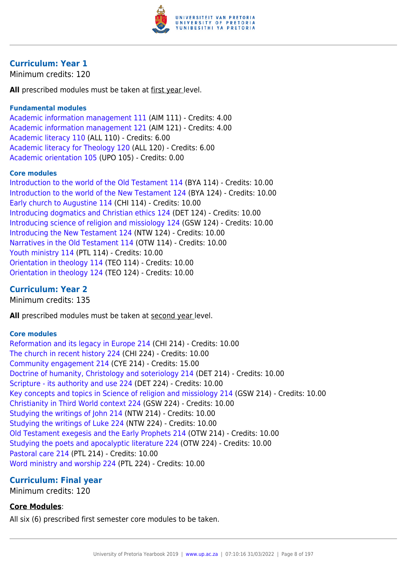

## **Curriculum: Year 1**

Minimum credits: 120

**All** prescribed modules must be taken at first year level.

## **Fundamental modules**

[Academic information management 111](https://www.up.ac.za/faculty-of-education/yearbooks/2019/modules/view/AIM 111) (AIM 111) - Credits: 4.00 [Academic information management 121](https://www.up.ac.za/faculty-of-education/yearbooks/2019/modules/view/AIM 121) (AIM 121) - Credits: 4.00 [Academic literacy 110](https://www.up.ac.za/faculty-of-education/yearbooks/2019/modules/view/ALL 110) (ALL 110) - Credits: 6.00 [Academic literacy for Theology 120](https://www.up.ac.za/faculty-of-education/yearbooks/2019/modules/view/ALL 120) (ALL 120) - Credits: 6.00 [Academic orientation 105](https://www.up.ac.za/faculty-of-education/yearbooks/2019/modules/view/UPO 105) (UPO 105) - Credits: 0.00

## **Core modules**

[Introduction to the world of the Old Testament 114](https://www.up.ac.za/faculty-of-education/yearbooks/2019/modules/view/BYA 114) (BYA 114) - Credits: 10.00 [Introduction to the world of the New Testament 124](https://www.up.ac.za/faculty-of-education/yearbooks/2019/modules/view/BYA 124) (BYA 124) - Credits: 10.00 [Early church to Augustine 114](https://www.up.ac.za/faculty-of-education/yearbooks/2019/modules/view/CHI 114) (CHI 114) - Credits: 10.00 [Introducing dogmatics and Christian ethics 124](https://www.up.ac.za/faculty-of-education/yearbooks/2019/modules/view/DET 124) (DET 124) - Credits: 10.00 [Introducing science of religion and missiology 124](https://www.up.ac.za/faculty-of-education/yearbooks/2019/modules/view/GSW 124) (GSW 124) - Credits: 10.00 [Introducing the New Testament 124](https://www.up.ac.za/faculty-of-education/yearbooks/2019/modules/view/NTW 124) (NTW 124) - Credits: 10.00 [Narratives in the Old Testament 114](https://www.up.ac.za/faculty-of-education/yearbooks/2019/modules/view/OTW 114) (OTW 114) - Credits: 10.00 [Youth ministry 114](https://www.up.ac.za/faculty-of-education/yearbooks/2019/modules/view/PTL 114) (PTL 114) - Credits: 10.00 [Orientation in theology 114](https://www.up.ac.za/faculty-of-education/yearbooks/2019/modules/view/TEO 114) (TEO 114) - Credits: 10.00 [Orientation in theology 124](https://www.up.ac.za/faculty-of-education/yearbooks/2019/modules/view/TEO 124) (TEO 124) - Credits: 10.00

## **Curriculum: Year 2**

Minimum credits: 135

All prescribed modules must be taken at second year level.

## **Core modules**

[Reformation and its legacy in Europe 214](https://www.up.ac.za/faculty-of-education/yearbooks/2019/modules/view/CHI 214) (CHI 214) - Credits: 10.00 [The church in recent history 224](https://www.up.ac.za/faculty-of-education/yearbooks/2019/modules/view/CHI 224) (CHI 224) - Credits: 10.00 [Community engagement 214](https://www.up.ac.za/faculty-of-education/yearbooks/2019/modules/view/CYE 214) (CYE 214) - Credits: 15.00 [Doctrine of humanity, Christology and soteriology 214](https://www.up.ac.za/faculty-of-education/yearbooks/2019/modules/view/DET 214) (DET 214) - Credits: 10.00 [Scripture - its authority and use 224](https://www.up.ac.za/faculty-of-education/yearbooks/2019/modules/view/DET 224) (DET 224) - Credits: 10.00 [Key concepts and topics in Science of religion and missiology 214](https://www.up.ac.za/faculty-of-education/yearbooks/2019/modules/view/GSW 214) (GSW 214) - Credits: 10.00 [Christianity in Third World context 224](https://www.up.ac.za/faculty-of-education/yearbooks/2019/modules/view/GSW 224) (GSW 224) - Credits: 10.00 [Studying the writings of John 214](https://www.up.ac.za/faculty-of-education/yearbooks/2019/modules/view/NTW 214) (NTW 214) - Credits: 10.00 [Studying the writings of Luke 224](https://www.up.ac.za/faculty-of-education/yearbooks/2019/modules/view/NTW 224) (NTW 224) - Credits: 10.00 [Old Testament exegesis and the Early Prophets 214](https://www.up.ac.za/faculty-of-education/yearbooks/2019/modules/view/OTW 214) (OTW 214) - Credits: 10.00 [Studying the poets and apocalyptic literature 224](https://www.up.ac.za/faculty-of-education/yearbooks/2019/modules/view/OTW 224) (OTW 224) - Credits: 10.00 [Pastoral care 214](https://www.up.ac.za/faculty-of-education/yearbooks/2019/modules/view/PTL 214) (PTL 214) - Credits: 10.00 [Word ministry and worship 224](https://www.up.ac.za/faculty-of-education/yearbooks/2019/modules/view/PTL 224) (PTL 224) - Credits: 10.00

## **Curriculum: Final year**

Minimum credits: 120

## **Core Modules**:

All six (6) prescribed first semester core modules to be taken.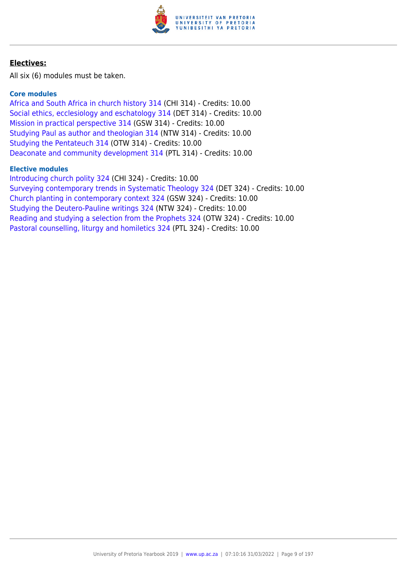

## **Electives:**

All six (6) modules must be taken.

## **Core modules**

[Africa and South Africa in church history 314](https://www.up.ac.za/faculty-of-education/yearbooks/2019/modules/view/CHI 314) (CHI 314) - Credits: 10.00 [Social ethics, ecclesiology and eschatology 314](https://www.up.ac.za/faculty-of-education/yearbooks/2019/modules/view/DET 314) (DET 314) - Credits: 10.00 [Mission in practical perspective 314](https://www.up.ac.za/faculty-of-education/yearbooks/2019/modules/view/GSW 314) (GSW 314) - Credits: 10.00 [Studying Paul as author and theologian 314](https://www.up.ac.za/faculty-of-education/yearbooks/2019/modules/view/NTW 314) (NTW 314) - Credits: 10.00 [Studying the Pentateuch 314](https://www.up.ac.za/faculty-of-education/yearbooks/2019/modules/view/OTW 314) (OTW 314) - Credits: 10.00 [Deaconate and community development 314](https://www.up.ac.za/faculty-of-education/yearbooks/2019/modules/view/PTL 314) (PTL 314) - Credits: 10.00

## **Elective modules**

[Introducing church polity 324](https://www.up.ac.za/faculty-of-education/yearbooks/2019/modules/view/CHI 324) (CHI 324) - Credits: 10.00 [Surveying contemporary trends in Systematic Theology 324](https://www.up.ac.za/faculty-of-education/yearbooks/2019/modules/view/DET 324) (DET 324) - Credits: 10.00 [Church planting in contemporary context 324](https://www.up.ac.za/faculty-of-education/yearbooks/2019/modules/view/GSW 324) (GSW 324) - Credits: 10.00 [Studying the Deutero-Pauline writings 324](https://www.up.ac.za/faculty-of-education/yearbooks/2019/modules/view/NTW 324) (NTW 324) - Credits: 10.00 [Reading and studying a selection from the Prophets 324](https://www.up.ac.za/faculty-of-education/yearbooks/2019/modules/view/OTW 324) (OTW 324) - Credits: 10.00 [Pastoral counselling, liturgy and homiletics 324](https://www.up.ac.za/faculty-of-education/yearbooks/2019/modules/view/PTL 324) (PTL 324) - Credits: 10.00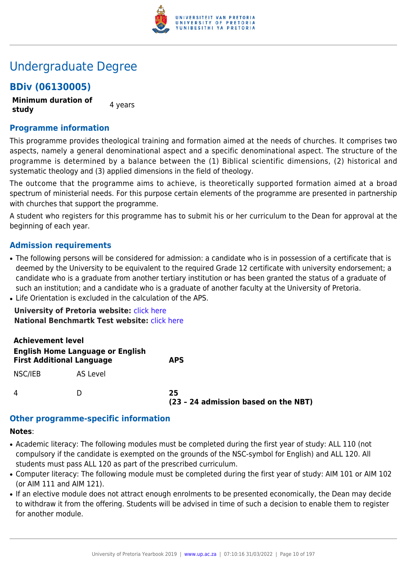

## Undergraduate Degree

## **BDiv (06130005)**

**Minimum duration of study** 4 years

**Programme information**

This programme provides theological training and formation aimed at the needs of churches. It comprises two aspects, namely a general denominational aspect and a specific denominational aspect. The structure of the programme is determined by a balance between the (1) Biblical scientific dimensions, (2) historical and systematic theology and (3) applied dimensions in the field of theology.

The outcome that the programme aims to achieve, is theoretically supported formation aimed at a broad spectrum of ministerial needs. For this purpose certain elements of the programme are presented in partnership with churches that support the programme.

A student who registers for this programme has to submit his or her curriculum to the Dean for approval at the beginning of each year.

## **Admission requirements**

- The following persons will be considered for admission: a candidate who is in possession of a certificate that is deemed by the University to be equivalent to the required Grade 12 certificate with university endorsement; a candidate who is a graduate from another tertiary institution or has been granted the status of a graduate of such an institution; and a candidate who is a graduate of another faculty at the University of Pretoria.
- Life Orientation is excluded in the calculation of the APS.

**University of Pretoria website:** [click here](http://www.up.ac.za/theology) **National Benchmartk Test website:** [click here](http://www.nbt.ac.za)

| <b>Achievement level</b>                                                    |          |                                            |
|-----------------------------------------------------------------------------|----------|--------------------------------------------|
| <b>English Home Language or English</b><br><b>First Additional Language</b> |          | <b>APS</b>                                 |
| NSC/IEB                                                                     | AS Level |                                            |
| 4                                                                           | D        | 25<br>(23 - 24 admission based on the NBT) |

## **Other programme-specific information**

#### **Notes**:

- Academic literacy: The following modules must be completed during the first year of study: ALL 110 (not compulsory if the candidate is exempted on the grounds of the NSC-symbol for English) and ALL 120. All students must pass ALL 120 as part of the prescribed curriculum.
- Computer literacy: The following module must be completed during the first year of study: AIM 101 or AIM 102 (or AIM 111 and AIM 121).
- If an elective module does not attract enough enrolments to be presented economically, the Dean may decide to withdraw it from the offering. Students will be advised in time of such a decision to enable them to register for another module.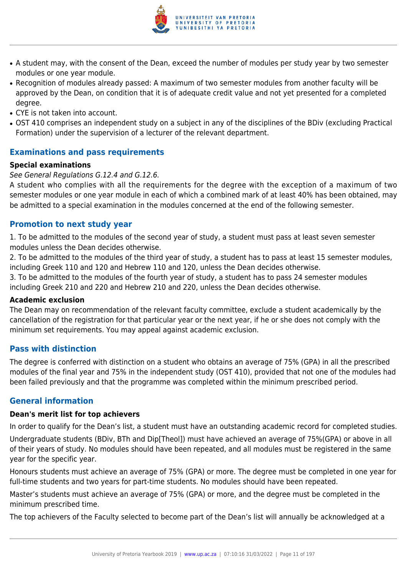

- A student may, with the consent of the Dean, exceed the number of modules per study year by two semester modules or one year module.
- Recognition of modules already passed: A maximum of two semester modules from another faculty will be approved by the Dean, on condition that it is of adequate credit value and not yet presented for a completed degree.
- CYE is not taken into account.
- OST 410 comprises an independent study on a subject in any of the disciplines of the BDiv (excluding Practical Formation) under the supervision of a lecturer of the relevant department.

## **Examinations and pass requirements**

#### **Special examinations**

#### See General Regulations G.12.4 and G.12.6.

A student who complies with all the requirements for the degree with the exception of a maximum of two semester modules or one year module in each of which a combined mark of at least 40% has been obtained, may be admitted to a special examination in the modules concerned at the end of the following semester.

## **Promotion to next study year**

1. To be admitted to the modules of the second year of study, a student must pass at least seven semester modules unless the Dean decides otherwise.

2. To be admitted to the modules of the third year of study, a student has to pass at least 15 semester modules, including Greek 110 and 120 and Hebrew 110 and 120, unless the Dean decides otherwise.

3. To be admitted to the modules of the fourth year of study, a student has to pass 24 semester modules including Greek 210 and 220 and Hebrew 210 and 220, unless the Dean decides otherwise.

#### **Academic exclusion**

The Dean may on recommendation of the relevant faculty committee, exclude a student academically by the cancellation of the registration for that particular year or the next year, if he or she does not comply with the minimum set requirements. You may appeal against academic exclusion.

## **Pass with distinction**

The degree is conferred with distinction on a student who obtains an average of 75% (GPA) in all the prescribed modules of the final year and 75% in the independent study (OST 410), provided that not one of the modules had been failed previously and that the programme was completed within the minimum prescribed period.

## **General information**

#### **Dean's merit list for top achievers**

In order to qualify for the Dean's list, a student must have an outstanding academic record for completed studies.

Undergraduate students (BDiv, BTh and Dip[Theol]) must have achieved an average of 75%(GPA) or above in all of their years of study. No modules should have been repeated, and all modules must be registered in the same year for the specific year.

Honours students must achieve an average of 75% (GPA) or more. The degree must be completed in one year for full-time students and two years for part-time students. No modules should have been repeated.

Master's students must achieve an average of 75% (GPA) or more, and the degree must be completed in the minimum prescribed time.

The top achievers of the Faculty selected to become part of the Dean's list will annually be acknowledged at a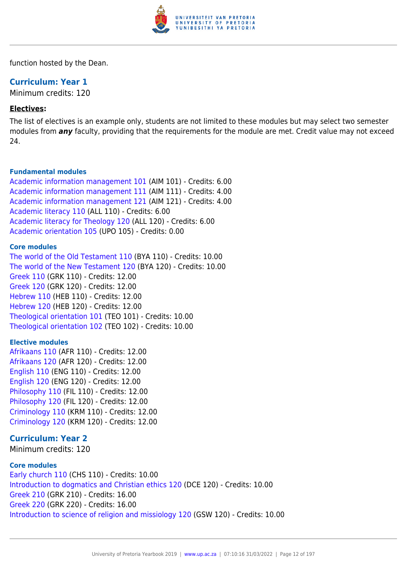

function hosted by the Dean.

## **Curriculum: Year 1**

Minimum credits: 120

#### **Electives:**

The list of electives is an example only, students are not limited to these modules but may select two semester modules from *any* faculty, providing that the requirements for the module are met. Credit value may not exceed 24.

#### **Fundamental modules**

[Academic information management 101](https://www.up.ac.za/faculty-of-education/yearbooks/2019/modules/view/AIM 101) (AIM 101) - Credits: 6.00 [Academic information management 111](https://www.up.ac.za/faculty-of-education/yearbooks/2019/modules/view/AIM 111) (AIM 111) - Credits: 4.00 [Academic information management 121](https://www.up.ac.za/faculty-of-education/yearbooks/2019/modules/view/AIM 121) (AIM 121) - Credits: 4.00 [Academic literacy 110](https://www.up.ac.za/faculty-of-education/yearbooks/2019/modules/view/ALL 110) (ALL 110) - Credits: 6.00 [Academic literacy for Theology 120](https://www.up.ac.za/faculty-of-education/yearbooks/2019/modules/view/ALL 120) (ALL 120) - Credits: 6.00 [Academic orientation 105](https://www.up.ac.za/faculty-of-education/yearbooks/2019/modules/view/UPO 105) (UPO 105) - Credits: 0.00

#### **Core modules**

[The world of the Old Testament 110](https://www.up.ac.za/faculty-of-education/yearbooks/2019/modules/view/BYA 110) (BYA 110) - Credits: 10.00 [The world of the New Testament 120](https://www.up.ac.za/faculty-of-education/yearbooks/2019/modules/view/BYA 120) (BYA 120) - Credits: 10.00 [Greek 110](https://www.up.ac.za/faculty-of-education/yearbooks/2019/modules/view/GRK 110) (GRK 110) - Credits: 12.00 [Greek 120](https://www.up.ac.za/faculty-of-education/yearbooks/2019/modules/view/GRK 120) (GRK 120) - Credits: 12.00 [Hebrew 110](https://www.up.ac.za/faculty-of-education/yearbooks/2019/modules/view/HEB 110) (HEB 110) - Credits: 12.00 [Hebrew 120](https://www.up.ac.za/faculty-of-education/yearbooks/2019/modules/view/HEB 120) (HEB 120) - Credits: 12.00 [Theological orientation 101](https://www.up.ac.za/faculty-of-education/yearbooks/2019/modules/view/TEO 101) (TEO 101) - Credits: 10.00 [Theological orientation 102](https://www.up.ac.za/faculty-of-education/yearbooks/2019/modules/view/TEO 102) (TEO 102) - Credits: 10.00

#### **Elective modules**

[Afrikaans 110](https://www.up.ac.za/faculty-of-education/yearbooks/2019/modules/view/AFR 110) (AFR 110) - Credits: 12.00 [Afrikaans 120](https://www.up.ac.za/faculty-of-education/yearbooks/2019/modules/view/AFR 120) (AFR 120) - Credits: 12.00 [English 110](https://www.up.ac.za/faculty-of-education/yearbooks/2019/modules/view/ENG 110) (ENG 110) - Credits: 12.00 [English 120](https://www.up.ac.za/faculty-of-education/yearbooks/2019/modules/view/ENG 120) (ENG 120) - Credits: 12.00 [Philosophy 110](https://www.up.ac.za/faculty-of-education/yearbooks/2019/modules/view/FIL 110) (FIL 110) - Credits: 12.00 [Philosophy 120](https://www.up.ac.za/faculty-of-education/yearbooks/2019/modules/view/FIL 120) (FIL 120) - Credits: 12.00 [Criminology 110](https://www.up.ac.za/faculty-of-education/yearbooks/2019/modules/view/KRM 110) (KRM 110) - Credits: 12.00 [Criminology 120](https://www.up.ac.za/faculty-of-education/yearbooks/2019/modules/view/KRM 120) (KRM 120) - Credits: 12.00

## **Curriculum: Year 2**

Minimum credits: 120

#### **Core modules**

[Early church 110](https://www.up.ac.za/faculty-of-education/yearbooks/2019/modules/view/CHS 110) (CHS 110) - Credits: 10.00 [Introduction to dogmatics and Christian ethics 120](https://www.up.ac.za/faculty-of-education/yearbooks/2019/modules/view/DCE 120) (DCE 120) - Credits: 10.00 [Greek 210](https://www.up.ac.za/faculty-of-education/yearbooks/2019/modules/view/GRK 210) (GRK 210) - Credits: 16.00 [Greek 220](https://www.up.ac.za/faculty-of-education/yearbooks/2019/modules/view/GRK 220) (GRK 220) - Credits: 16.00 [Introduction to science of religion and missiology 120](https://www.up.ac.za/faculty-of-education/yearbooks/2019/modules/view/GSW 120) (GSW 120) - Credits: 10.00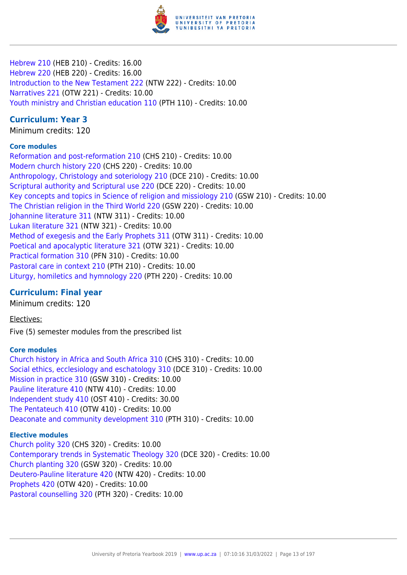

[Hebrew 210](https://www.up.ac.za/faculty-of-education/yearbooks/2019/modules/view/HEB 210) (HEB 210) - Credits: 16.00 [Hebrew 220](https://www.up.ac.za/faculty-of-education/yearbooks/2019/modules/view/HEB 220) (HEB 220) - Credits: 16.00 [Introduction to the New Testament 222](https://www.up.ac.za/faculty-of-education/yearbooks/2019/modules/view/NTW 222) (NTW 222) - Credits: 10.00 [Narratives 221](https://www.up.ac.za/faculty-of-education/yearbooks/2019/modules/view/OTW 221) (OTW 221) - Credits: 10.00 [Youth ministry and Christian education 110](https://www.up.ac.za/faculty-of-education/yearbooks/2019/modules/view/PTH 110) (PTH 110) - Credits: 10.00

## **Curriculum: Year 3**

Minimum credits: 120

## **Core modules**

[Reformation and post-reformation 210](https://www.up.ac.za/faculty-of-education/yearbooks/2019/modules/view/CHS 210) (CHS 210) - Credits: 10.00 [Modern church history 220](https://www.up.ac.za/faculty-of-education/yearbooks/2019/modules/view/CHS 220) (CHS 220) - Credits: 10.00 [Anthropology, Christology and soteriology 210](https://www.up.ac.za/faculty-of-education/yearbooks/2019/modules/view/DCE 210) (DCE 210) - Credits: 10.00 [Scriptural authority and Scriptural use 220](https://www.up.ac.za/faculty-of-education/yearbooks/2019/modules/view/DCE 220) (DCE 220) - Credits: 10.00 [Key concepts and topics in Science of religion and missiology 210](https://www.up.ac.za/faculty-of-education/yearbooks/2019/modules/view/GSW 210) (GSW 210) - Credits: 10.00 [The Christian religion in the Third World 220](https://www.up.ac.za/faculty-of-education/yearbooks/2019/modules/view/GSW 220) (GSW 220) - Credits: 10.00 [Johannine literature 311](https://www.up.ac.za/faculty-of-education/yearbooks/2019/modules/view/NTW 311) (NTW 311) - Credits: 10.00 [Lukan literature 321](https://www.up.ac.za/faculty-of-education/yearbooks/2019/modules/view/NTW 321) (NTW 321) - Credits: 10.00 [Method of exegesis and the Early Prophets 311](https://www.up.ac.za/faculty-of-education/yearbooks/2019/modules/view/OTW 311) (OTW 311) - Credits: 10.00 [Poetical and apocalyptic literature 321](https://www.up.ac.za/faculty-of-education/yearbooks/2019/modules/view/OTW 321) (OTW 321) - Credits: 10.00 [Practical formation 310](https://www.up.ac.za/faculty-of-education/yearbooks/2019/modules/view/PFN 310) (PFN 310) - Credits: 10.00 [Pastoral care in context 210](https://www.up.ac.za/faculty-of-education/yearbooks/2019/modules/view/PTH 210) (PTH 210) - Credits: 10.00 [Liturgy, homiletics and hymnology 220](https://www.up.ac.za/faculty-of-education/yearbooks/2019/modules/view/PTH 220) (PTH 220) - Credits: 10.00

## **Curriculum: Final year**

Minimum credits: 120

Electives:

Five (5) semester modules from the prescribed list

## **Core modules**

[Church history in Africa and South Africa 310](https://www.up.ac.za/faculty-of-education/yearbooks/2019/modules/view/CHS 310) (CHS 310) - Credits: 10.00 [Social ethics, ecclesiology and eschatology 310](https://www.up.ac.za/faculty-of-education/yearbooks/2019/modules/view/DCE 310) (DCE 310) - Credits: 10.00 [Mission in practice 310](https://www.up.ac.za/faculty-of-education/yearbooks/2019/modules/view/GSW 310) (GSW 310) - Credits: 10.00 [Pauline literature 410](https://www.up.ac.za/faculty-of-education/yearbooks/2019/modules/view/NTW 410) (NTW 410) - Credits: 10.00 [Independent study 410](https://www.up.ac.za/faculty-of-education/yearbooks/2019/modules/view/OST 410) (OST 410) - Credits: 30.00 [The Pentateuch 410](https://www.up.ac.za/faculty-of-education/yearbooks/2019/modules/view/OTW 410) (OTW 410) - Credits: 10.00 [Deaconate and community development 310](https://www.up.ac.za/faculty-of-education/yearbooks/2019/modules/view/PTH 310) (PTH 310) - Credits: 10.00

## **Elective modules**

[Church polity 320](https://www.up.ac.za/faculty-of-education/yearbooks/2019/modules/view/CHS 320) (CHS 320) - Credits: 10.00 [Contemporary trends in Systematic Theology 320](https://www.up.ac.za/faculty-of-education/yearbooks/2019/modules/view/DCE 320) (DCE 320) - Credits: 10.00 [Church planting 320](https://www.up.ac.za/faculty-of-education/yearbooks/2019/modules/view/GSW 320) (GSW 320) - Credits: 10.00 [Deutero-Pauline literature 420](https://www.up.ac.za/faculty-of-education/yearbooks/2019/modules/view/NTW 420) (NTW 420) - Credits: 10.00 [Prophets 420](https://www.up.ac.za/faculty-of-education/yearbooks/2019/modules/view/OTW 420) (OTW 420) - Credits: 10.00 [Pastoral counselling 320](https://www.up.ac.za/faculty-of-education/yearbooks/2019/modules/view/PTH 320) (PTH 320) - Credits: 10.00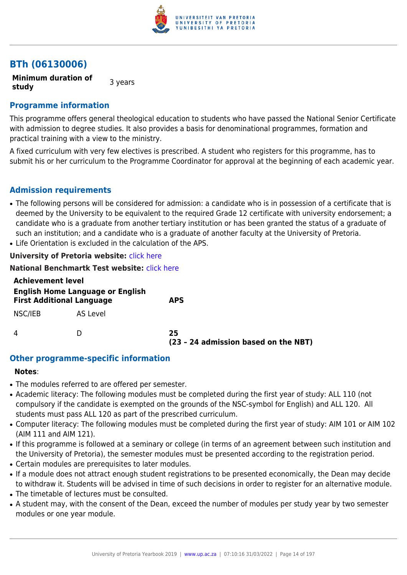

## **BTh (06130006)**

**Minimum duration of study 3** years

## **Programme information**

This programme offers general theological education to students who have passed the National Senior Certificate with admission to degree studies. It also provides a basis for denominational programmes, formation and practical training with a view to the ministry.

A fixed curriculum with very few electives is prescribed. A student who registers for this programme, has to submit his or her curriculum to the Programme Coordinator for approval at the beginning of each academic year.

## **Admission requirements**

- The following persons will be considered for admission: a candidate who is in possession of a certificate that is deemed by the University to be equivalent to the required Grade 12 certificate with university endorsement; a candidate who is a graduate from another tertiary institution or has been granted the status of a graduate of such an institution; and a candidate who is a graduate of another faculty at the University of Pretoria.
- Life Orientation is excluded in the calculation of the APS.

## **University of Pretoria website:** [click here](http://www.up.ac.za/theology)

**National Benchmartk Test website:** [click here](http://www.nbt.ac.za)

| <b>Achievement level</b>                                                    |          |                                            |  |
|-----------------------------------------------------------------------------|----------|--------------------------------------------|--|
| <b>English Home Language or English</b><br><b>First Additional Language</b> |          | <b>APS</b>                                 |  |
| NSC/IEB                                                                     | AS Level |                                            |  |
| 4                                                                           |          | 25<br>(23 - 24 admission based on the NBT) |  |

## **Other programme-specific information**

#### **Notes**:

- The modules referred to are offered per semester.
- Academic literacy: The following modules must be completed during the first year of study: ALL 110 (not compulsory if the candidate is exempted on the grounds of the NSC-symbol for English) and ALL 120. All students must pass ALL 120 as part of the prescribed curriculum.
- Computer literacy: The following modules must be completed during the first year of study: AIM 101 or AIM 102 (AIM 111 and AIM 121).
- If this programme is followed at a seminary or college (in terms of an agreement between such institution and the University of Pretoria), the semester modules must be presented according to the registration period.
- Certain modules are prerequisites to later modules.
- If a module does not attract enough student registrations to be presented economically, the Dean may decide to withdraw it. Students will be advised in time of such decisions in order to register for an alternative module.
- The timetable of lectures must be consulted.
- A student may, with the consent of the Dean, exceed the number of modules per study year by two semester modules or one year module.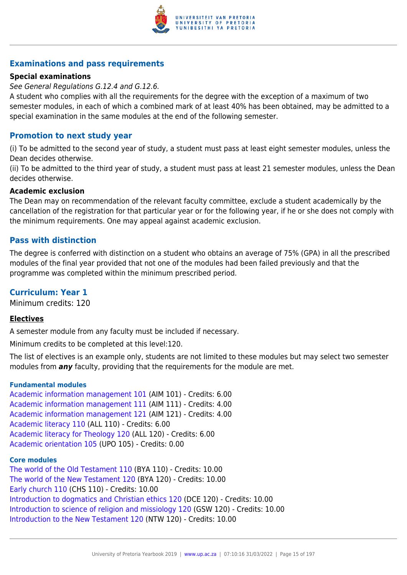

## **Examinations and pass requirements**

## **Special examinations**

#### See General Regulations G.12.4 and G.12.6.

A student who complies with all the requirements for the degree with the exception of a maximum of two semester modules, in each of which a combined mark of at least 40% has been obtained, may be admitted to a special examination in the same modules at the end of the following semester.

## **Promotion to next study year**

(i) To be admitted to the second year of study, a student must pass at least eight semester modules, unless the Dean decides otherwise.

(ii) To be admitted to the third year of study, a student must pass at least 21 semester modules, unless the Dean decides otherwise.

#### **Academic exclusion**

The Dean may on recommendation of the relevant faculty committee, exclude a student academically by the cancellation of the registration for that particular year or for the following year, if he or she does not comply with the minimum requirements. One may appeal against academic exclusion.

## **Pass with distinction**

The degree is conferred with distinction on a student who obtains an average of 75% (GPA) in all the prescribed modules of the final year provided that not one of the modules had been failed previously and that the programme was completed within the minimum prescribed period.

## **Curriculum: Year 1**

Minimum credits: 120

## **Electives**

A semester module from any faculty must be included if necessary.

Minimum credits to be completed at this level:120.

The list of electives is an example only, students are not limited to these modules but may select two semester modules from *any* faculty, providing that the requirements for the module are met.

#### **Fundamental modules**

[Academic information management 101](https://www.up.ac.za/faculty-of-education/yearbooks/2019/modules/view/AIM 101) (AIM 101) - Credits: 6.00 [Academic information management 111](https://www.up.ac.za/faculty-of-education/yearbooks/2019/modules/view/AIM 111) (AIM 111) - Credits: 4.00 [Academic information management 121](https://www.up.ac.za/faculty-of-education/yearbooks/2019/modules/view/AIM 121) (AIM 121) - Credits: 4.00 [Academic literacy 110](https://www.up.ac.za/faculty-of-education/yearbooks/2019/modules/view/ALL 110) (ALL 110) - Credits: 6.00 [Academic literacy for Theology 120](https://www.up.ac.za/faculty-of-education/yearbooks/2019/modules/view/ALL 120) (ALL 120) - Credits: 6.00 [Academic orientation 105](https://www.up.ac.za/faculty-of-education/yearbooks/2019/modules/view/UPO 105) (UPO 105) - Credits: 0.00

#### **Core modules**

[The world of the Old Testament 110](https://www.up.ac.za/faculty-of-education/yearbooks/2019/modules/view/BYA 110) (BYA 110) - Credits: 10.00 [The world of the New Testament 120](https://www.up.ac.za/faculty-of-education/yearbooks/2019/modules/view/BYA 120) (BYA 120) - Credits: 10.00 [Early church 110](https://www.up.ac.za/faculty-of-education/yearbooks/2019/modules/view/CHS 110) (CHS 110) - Credits: 10.00 [Introduction to dogmatics and Christian ethics 120](https://www.up.ac.za/faculty-of-education/yearbooks/2019/modules/view/DCE 120) (DCE 120) - Credits: 10.00 [Introduction to science of religion and missiology 120](https://www.up.ac.za/faculty-of-education/yearbooks/2019/modules/view/GSW 120) (GSW 120) - Credits: 10.00 [Introduction to the New Testament 120](https://www.up.ac.za/faculty-of-education/yearbooks/2019/modules/view/NTW 120) (NTW 120) - Credits: 10.00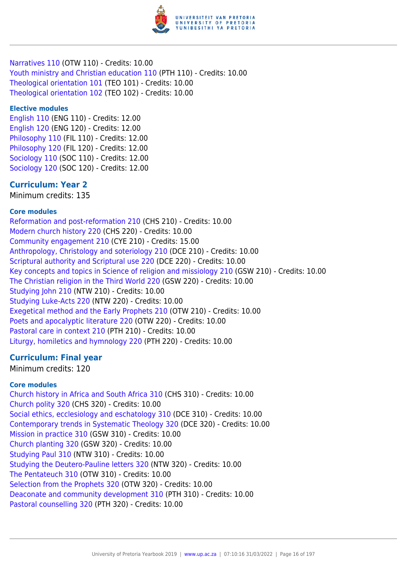

[Narratives 110](https://www.up.ac.za/faculty-of-education/yearbooks/2019/modules/view/OTW 110) (OTW 110) - Credits: 10.00 [Youth ministry and Christian education 110](https://www.up.ac.za/faculty-of-education/yearbooks/2019/modules/view/PTH 110) (PTH 110) - Credits: 10.00 [Theological orientation 101](https://www.up.ac.za/faculty-of-education/yearbooks/2019/modules/view/TEO 101) (TEO 101) - Credits: 10.00 [Theological orientation 102](https://www.up.ac.za/faculty-of-education/yearbooks/2019/modules/view/TEO 102) (TEO 102) - Credits: 10.00

#### **Elective modules**

[English 110](https://www.up.ac.za/faculty-of-education/yearbooks/2019/modules/view/ENG 110) (ENG 110) - Credits: 12.00 [English 120](https://www.up.ac.za/faculty-of-education/yearbooks/2019/modules/view/ENG 120) (ENG 120) - Credits: 12.00 [Philosophy 110](https://www.up.ac.za/faculty-of-education/yearbooks/2019/modules/view/FIL 110) (FIL 110) - Credits: 12.00 [Philosophy 120](https://www.up.ac.za/faculty-of-education/yearbooks/2019/modules/view/FIL 120) (FIL 120) - Credits: 12.00 [Sociology 110](https://www.up.ac.za/faculty-of-education/yearbooks/2019/modules/view/SOC 110) (SOC 110) - Credits: 12.00 [Sociology 120](https://www.up.ac.za/faculty-of-education/yearbooks/2019/modules/view/SOC 120) (SOC 120) - Credits: 12.00

## **Curriculum: Year 2**

Minimum credits: 135

## **Core modules**

[Reformation and post-reformation 210](https://www.up.ac.za/faculty-of-education/yearbooks/2019/modules/view/CHS 210) (CHS 210) - Credits: 10.00 [Modern church history 220](https://www.up.ac.za/faculty-of-education/yearbooks/2019/modules/view/CHS 220) (CHS 220) - Credits: 10.00 [Community engagement 210](https://www.up.ac.za/faculty-of-education/yearbooks/2019/modules/view/CYE 210) (CYE 210) - Credits: 15.00 [Anthropology, Christology and soteriology 210](https://www.up.ac.za/faculty-of-education/yearbooks/2019/modules/view/DCE 210) (DCE 210) - Credits: 10.00 [Scriptural authority and Scriptural use 220](https://www.up.ac.za/faculty-of-education/yearbooks/2019/modules/view/DCE 220) (DCE 220) - Credits: 10.00 [Key concepts and topics in Science of religion and missiology 210](https://www.up.ac.za/faculty-of-education/yearbooks/2019/modules/view/GSW 210) (GSW 210) - Credits: 10.00 [The Christian religion in the Third World 220](https://www.up.ac.za/faculty-of-education/yearbooks/2019/modules/view/GSW 220) (GSW 220) - Credits: 10.00 [Studying John 210](https://www.up.ac.za/faculty-of-education/yearbooks/2019/modules/view/NTW 210) (NTW 210) - Credits: 10.00 [Studying Luke-Acts 220](https://www.up.ac.za/faculty-of-education/yearbooks/2019/modules/view/NTW 220) (NTW 220) - Credits: 10.00 [Exegetical method and the Early Prophets 210](https://www.up.ac.za/faculty-of-education/yearbooks/2019/modules/view/OTW 210) (OTW 210) - Credits: 10.00 [Poets and apocalyptic literature 220](https://www.up.ac.za/faculty-of-education/yearbooks/2019/modules/view/OTW 220) (OTW 220) - Credits: 10.00 [Pastoral care in context 210](https://www.up.ac.za/faculty-of-education/yearbooks/2019/modules/view/PTH 210) (PTH 210) - Credits: 10.00 [Liturgy, homiletics and hymnology 220](https://www.up.ac.za/faculty-of-education/yearbooks/2019/modules/view/PTH 220) (PTH 220) - Credits: 10.00

## **Curriculum: Final year**

Minimum credits: 120

## **Core modules**

[Church history in Africa and South Africa 310](https://www.up.ac.za/faculty-of-education/yearbooks/2019/modules/view/CHS 310) (CHS 310) - Credits: 10.00 [Church polity 320](https://www.up.ac.za/faculty-of-education/yearbooks/2019/modules/view/CHS 320) (CHS 320) - Credits: 10.00 [Social ethics, ecclesiology and eschatology 310](https://www.up.ac.za/faculty-of-education/yearbooks/2019/modules/view/DCE 310) (DCE 310) - Credits: 10.00 [Contemporary trends in Systematic Theology 320](https://www.up.ac.za/faculty-of-education/yearbooks/2019/modules/view/DCE 320) (DCE 320) - Credits: 10.00 [Mission in practice 310](https://www.up.ac.za/faculty-of-education/yearbooks/2019/modules/view/GSW 310) (GSW 310) - Credits: 10.00 [Church planting 320](https://www.up.ac.za/faculty-of-education/yearbooks/2019/modules/view/GSW 320) (GSW 320) - Credits: 10.00 [Studying Paul 310](https://www.up.ac.za/faculty-of-education/yearbooks/2019/modules/view/NTW 310) (NTW 310) - Credits: 10.00 [Studying the Deutero-Pauline letters 320](https://www.up.ac.za/faculty-of-education/yearbooks/2019/modules/view/NTW 320) (NTW 320) - Credits: 10.00 [The Pentateuch 310](https://www.up.ac.za/faculty-of-education/yearbooks/2019/modules/view/OTW 310) (OTW 310) - Credits: 10.00 [Selection from the Prophets 320](https://www.up.ac.za/faculty-of-education/yearbooks/2019/modules/view/OTW 320) (OTW 320) - Credits: 10.00 [Deaconate and community development 310](https://www.up.ac.za/faculty-of-education/yearbooks/2019/modules/view/PTH 310) (PTH 310) - Credits: 10.00 [Pastoral counselling 320](https://www.up.ac.za/faculty-of-education/yearbooks/2019/modules/view/PTH 320) (PTH 320) - Credits: 10.00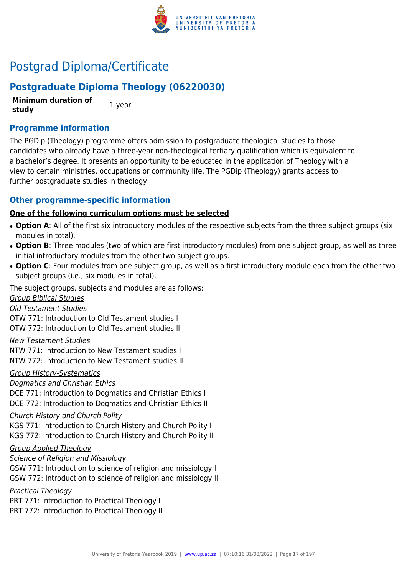

## Postgrad Diploma/Certificate

## **Postgraduate Diploma Theology (06220030)**

**Minimum duration of study** 1 year

## **Programme information**

The PGDip (Theology) programme offers admission to postgraduate theological studies to those candidates who already have a three-year non-theological tertiary qualification which is equivalent to a bachelor's degree. It presents an opportunity to be educated in the application of Theology with a view to certain ministries, occupations or community life. The PGDip (Theology) grants access to further postgraduate studies in theology.

## **Other programme-specific information**

## **One of the following curriculum options must be selected**

- **Option A**: All of the first six introductory modules of the respective subjects from the three subject groups (six modules in total).
- Option B: Three modules (two of which are first introductory modules) from one subject group, as well as three initial introductory modules from the other two subject groups.
- Option C: Four modules from one subject group, as well as a first introductory module each from the other two subject groups (i.e., six modules in total).

The subject groups, subjects and modules are as follows:

Group Biblical Studies Old Testament Studies OTW 771: Introduction to Old Testament studies I OTW 772: Introduction to Old Testament studies II

New Testament Studies NTW 771: Introduction to New Testament studies I NTW 772: Introduction to New Testament studies II

Group History-Systematics

Dogmatics and Christian Ethics

DCE 771: Introduction to Dogmatics and Christian Ethics I

DCE 772: Introduction to Dogmatics and Christian Ethics II

Church History and Church Polity

KGS 771: Introduction to Church History and Church Polity I KGS 772: Introduction to Church History and Church Polity II

## Group Applied Theology

Science of Religion and Missiology

GSW 771: Introduction to science of religion and missiology I GSW 772: Introduction to science of religion and missiology II

Practical Theology

PRT 771: Introduction to Practical Theology I

PRT 772: Introduction to Practical Theology II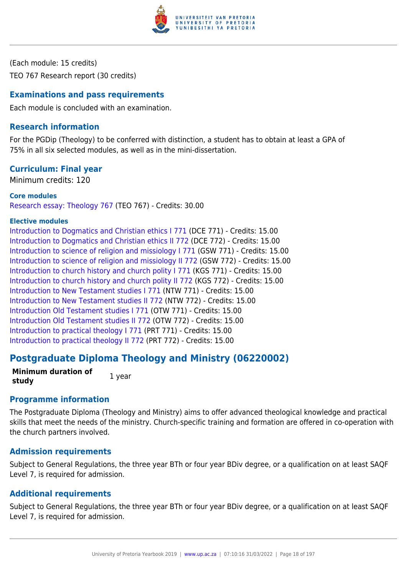

(Each module: 15 credits) TEO 767 Research report (30 credits)

## **Examinations and pass requirements**

Each module is concluded with an examination.

## **Research information**

For the PGDip (Theology) to be conferred with distinction, a student has to obtain at least a GPA of 75% in all six selected modules, as well as in the mini-dissertation.

## **Curriculum: Final year**

Minimum credits: 120

#### **Core modules**

[Research essay: Theology 767](https://www.up.ac.za/faculty-of-education/yearbooks/2019/modules/view/TEO 767) (TEO 767) - Credits: 30.00

#### **Elective modules**

[Introduction to Dogmatics and Christian ethics I 771](https://www.up.ac.za/faculty-of-education/yearbooks/2019/modules/view/DCE 771) (DCE 771) - Credits: 15.00 [Introduction to Dogmatics and Christian ethics II 772](https://www.up.ac.za/faculty-of-education/yearbooks/2019/modules/view/DCE 772) (DCE 772) - Credits: 15.00 [Introduction to science of religion and missiology I 771](https://www.up.ac.za/faculty-of-education/yearbooks/2019/modules/view/GSW 771) (GSW 771) - Credits: 15.00 [Introduction to science of religion and missiology II 772](https://www.up.ac.za/faculty-of-education/yearbooks/2019/modules/view/GSW 772) (GSW 772) - Credits: 15.00 [Introduction to church history and church polity I 771](https://www.up.ac.za/faculty-of-education/yearbooks/2019/modules/view/KGS 771) (KGS 771) - Credits: 15.00 [Introduction to church history and church polity II 772](https://www.up.ac.za/faculty-of-education/yearbooks/2019/modules/view/KGS 772) (KGS 772) - Credits: 15.00 [Introduction to New Testament studies I 771](https://www.up.ac.za/faculty-of-education/yearbooks/2019/modules/view/NTW 771) (NTW 771) - Credits: 15.00 [Introduction to New Testament studies II 772](https://www.up.ac.za/faculty-of-education/yearbooks/2019/modules/view/NTW 772) (NTW 772) - Credits: 15.00 [Introduction Old Testament studies I 771](https://www.up.ac.za/faculty-of-education/yearbooks/2019/modules/view/OTW 771) (OTW 771) - Credits: 15.00 [Introduction Old Testament studies II 772](https://www.up.ac.za/faculty-of-education/yearbooks/2019/modules/view/OTW 772) (OTW 772) - Credits: 15.00 [Introduction to practical theology I 771](https://www.up.ac.za/faculty-of-education/yearbooks/2019/modules/view/PRT 771) (PRT 771) - Credits: 15.00 [Introduction to practical theology II 772](https://www.up.ac.za/faculty-of-education/yearbooks/2019/modules/view/PRT 772) (PRT 772) - Credits: 15.00

## **Postgraduate Diploma Theology and Ministry (06220002)**

**Minimum duration of study** 1 year

## **Programme information**

The Postgraduate Diploma (Theology and Ministry) aims to offer advanced theological knowledge and practical skills that meet the needs of the ministry. Church-specific training and formation are offered in co-operation with the church partners involved.

## **Admission requirements**

Subject to General Regulations, the three year BTh or four year BDiv degree, or a qualification on at least SAQF Level 7, is required for admission.

## **Additional requirements**

Subject to General Regulations, the three year BTh or four year BDiv degree, or a qualification on at least SAQF Level 7, is required for admission.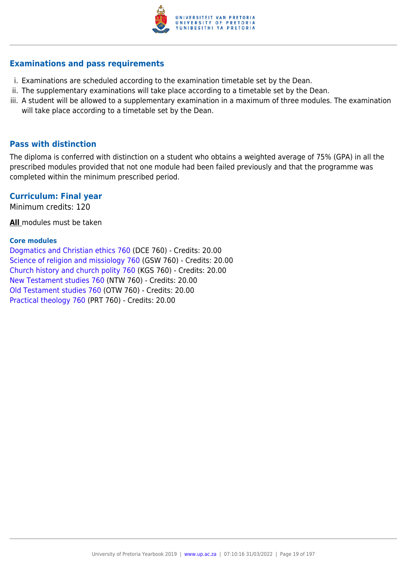

## **Examinations and pass requirements**

- i. Examinations are scheduled according to the examination timetable set by the Dean.
- ii. The supplementary examinations will take place according to a timetable set by the Dean.
- iii. A student will be allowed to a supplementary examination in a maximum of three modules. The examination will take place according to a timetable set by the Dean.

## **Pass with distinction**

The diploma is conferred with distinction on a student who obtains a weighted average of 75% (GPA) in all the prescribed modules provided that not one module had been failed previously and that the programme was completed within the minimum prescribed period.

## **Curriculum: Final year**

Minimum credits: 120

**All** modules must be taken

#### **Core modules**

[Dogmatics and Christian ethics 760](https://www.up.ac.za/faculty-of-education/yearbooks/2019/modules/view/DCE 760) (DCE 760) - Credits: 20.00 [Science of religion and missiology 760](https://www.up.ac.za/faculty-of-education/yearbooks/2019/modules/view/GSW 760) (GSW 760) - Credits: 20.00 [Church history and church polity 760](https://www.up.ac.za/faculty-of-education/yearbooks/2019/modules/view/KGS 760) (KGS 760) - Credits: 20.00 [New Testament studies 760](https://www.up.ac.za/faculty-of-education/yearbooks/2019/modules/view/NTW 760) (NTW 760) - Credits: 20.00 [Old Testament studies 760](https://www.up.ac.za/faculty-of-education/yearbooks/2019/modules/view/OTW 760) (OTW 760) - Credits: 20.00 [Practical theology 760](https://www.up.ac.za/faculty-of-education/yearbooks/2019/modules/view/PRT 760) (PRT 760) - Credits: 20.00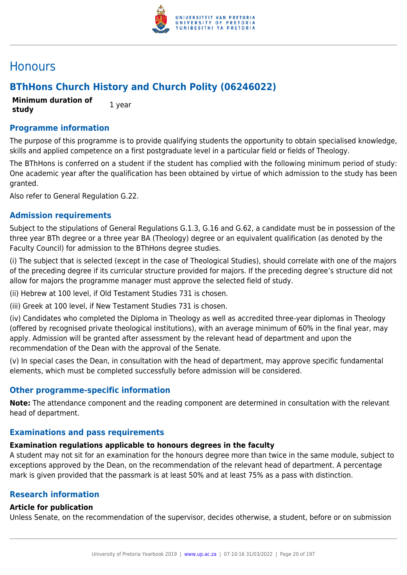

## **Honours**

## **BThHons Church History and Church Polity (06246022)**

**Minimum duration of study** 1 year

## **Programme information**

The purpose of this programme is to provide qualifying students the opportunity to obtain specialised knowledge, skills and applied competence on a first postgraduate level in a particular field or fields of Theology.

The BThHons is conferred on a student if the student has complied with the following minimum period of study: One academic year after the qualification has been obtained by virtue of which admission to the study has been granted.

Also refer to General Regulation G.22.

## **Admission requirements**

Subject to the stipulations of General Regulations G.1.3, G.16 and G.62, a candidate must be in possession of the three year BTh degree or a three year BA (Theology) degree or an equivalent qualification (as denoted by the Faculty Council) for admission to the BThHons degree studies.

(i) The subject that is selected (except in the case of Theological Studies), should correlate with one of the majors of the preceding degree if its curricular structure provided for majors. If the preceding degree's structure did not allow for majors the programme manager must approve the selected field of study.

(ii) Hebrew at 100 level, if Old Testament Studies 731 is chosen.

(iii) Greek at 100 level, if New Testament Studies 731 is chosen.

(iv) Candidates who completed the Diploma in Theology as well as accredited three-year diplomas in Theology (offered by recognised private theological institutions), with an average minimum of 60% in the final year, may apply. Admission will be granted after assessment by the relevant head of department and upon the recommendation of the Dean with the approval of the Senate.

(v) In special cases the Dean, in consultation with the head of department, may approve specific fundamental elements, which must be completed successfully before admission will be considered.

## **Other programme-specific information**

**Note:** The attendance component and the reading component are determined in consultation with the relevant head of department.

## **Examinations and pass requirements**

## **Examination regulations applicable to honours degrees in the faculty**

A student may not sit for an examination for the honours degree more than twice in the same module, subject to exceptions approved by the Dean, on the recommendation of the relevant head of department. A percentage mark is given provided that the passmark is at least 50% and at least 75% as a pass with distinction.

## **Research information**

## **Article for publication**

Unless Senate, on the recommendation of the supervisor, decides otherwise, a student, before or on submission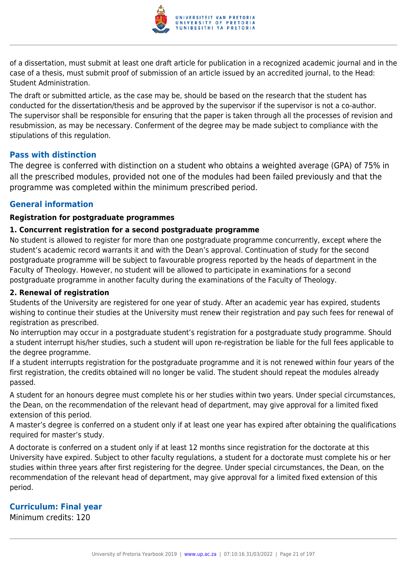

of a dissertation, must submit at least one draft article for publication in a recognized academic journal and in the case of a thesis, must submit proof of submission of an article issued by an accredited journal, to the Head: Student Administration.

The draft or submitted article, as the case may be, should be based on the research that the student has conducted for the dissertation/thesis and be approved by the supervisor if the supervisor is not a co-author. The supervisor shall be responsible for ensuring that the paper is taken through all the processes of revision and resubmission, as may be necessary. Conferment of the degree may be made subject to compliance with the stipulations of this regulation.

## **Pass with distinction**

The degree is conferred with distinction on a student who obtains a weighted average (GPA) of 75% in all the prescribed modules, provided not one of the modules had been failed previously and that the programme was completed within the minimum prescribed period.

## **General information**

## **Registration for postgraduate programmes**

## **1. Concurrent registration for a second postgraduate programme**

No student is allowed to register for more than one postgraduate programme concurrently, except where the student's academic record warrants it and with the Dean's approval. Continuation of study for the second postgraduate programme will be subject to favourable progress reported by the heads of department in the Faculty of Theology. However, no student will be allowed to participate in examinations for a second postgraduate programme in another faculty during the examinations of the Faculty of Theology.

## **2. Renewal of registration**

Students of the University are registered for one year of study. After an academic year has expired, students wishing to continue their studies at the University must renew their registration and pay such fees for renewal of registration as prescribed.

No interruption may occur in a postgraduate student's registration for a postgraduate study programme. Should a student interrupt his/her studies, such a student will upon re-registration be liable for the full fees applicable to the degree programme.

If a student interrupts registration for the postgraduate programme and it is not renewed within four years of the first registration, the credits obtained will no longer be valid. The student should repeat the modules already passed.

A student for an honours degree must complete his or her studies within two years. Under special circumstances, the Dean, on the recommendation of the relevant head of department, may give approval for a limited fixed extension of this period.

A master's degree is conferred on a student only if at least one year has expired after obtaining the qualifications required for master's study.

A doctorate is conferred on a student only if at least 12 months since registration for the doctorate at this University have expired. Subject to other faculty regulations, a student for a doctorate must complete his or her studies within three years after first registering for the degree. Under special circumstances, the Dean, on the recommendation of the relevant head of department, may give approval for a limited fixed extension of this period.

## **Curriculum: Final year**

Minimum credits: 120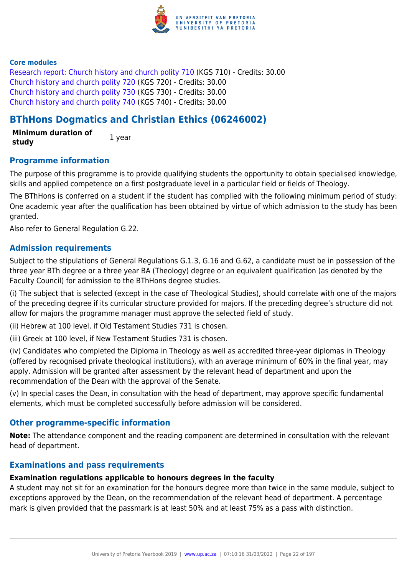

#### **Core modules**

[Research report: Church history and church polity 710](https://www.up.ac.za/faculty-of-education/yearbooks/2019/modules/view/KGS 710) (KGS 710) - Credits: 30.00 [Church history and church polity 720](https://www.up.ac.za/faculty-of-education/yearbooks/2019/modules/view/KGS 720) (KGS 720) - Credits: 30.00 [Church history and church polity 730](https://www.up.ac.za/faculty-of-education/yearbooks/2019/modules/view/KGS 730) (KGS 730) - Credits: 30.00 [Church history and church polity 740](https://www.up.ac.za/faculty-of-education/yearbooks/2019/modules/view/KGS 740) (KGS 740) - Credits: 30.00

## **BThHons Dogmatics and Christian Ethics (06246002)**

**Minimum duration of study** 1 year

## **Programme information**

The purpose of this programme is to provide qualifying students the opportunity to obtain specialised knowledge, skills and applied competence on a first postgraduate level in a particular field or fields of Theology.

The BThHons is conferred on a student if the student has complied with the following minimum period of study: One academic year after the qualification has been obtained by virtue of which admission to the study has been granted.

Also refer to General Regulation G.22.

## **Admission requirements**

Subject to the stipulations of General Regulations G.1.3, G.16 and G.62, a candidate must be in possession of the three year BTh degree or a three year BA (Theology) degree or an equivalent qualification (as denoted by the Faculty Council) for admission to the BThHons degree studies.

(i) The subject that is selected (except in the case of Theological Studies), should correlate with one of the majors of the preceding degree if its curricular structure provided for majors. If the preceding degree's structure did not allow for majors the programme manager must approve the selected field of study.

(ii) Hebrew at 100 level, if Old Testament Studies 731 is chosen.

(iii) Greek at 100 level, if New Testament Studies 731 is chosen.

(iv) Candidates who completed the Diploma in Theology as well as accredited three-year diplomas in Theology (offered by recognised private theological institutions), with an average minimum of 60% in the final year, may apply. Admission will be granted after assessment by the relevant head of department and upon the recommendation of the Dean with the approval of the Senate.

(v) In special cases the Dean, in consultation with the head of department, may approve specific fundamental elements, which must be completed successfully before admission will be considered.

## **Other programme-specific information**

**Note:** The attendance component and the reading component are determined in consultation with the relevant head of department.

## **Examinations and pass requirements**

## **Examination regulations applicable to honours degrees in the faculty**

A student may not sit for an examination for the honours degree more than twice in the same module, subject to exceptions approved by the Dean, on the recommendation of the relevant head of department. A percentage mark is given provided that the passmark is at least 50% and at least 75% as a pass with distinction.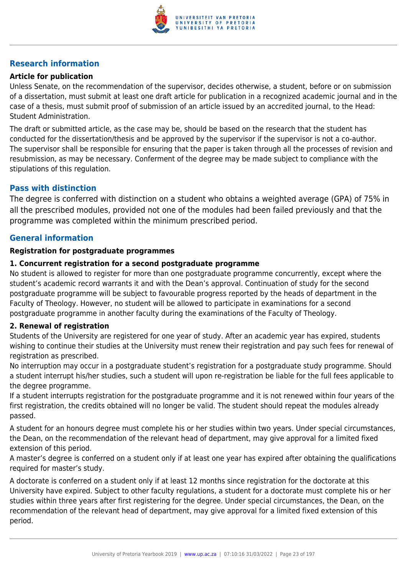

## **Research information**

## **Article for publication**

Unless Senate, on the recommendation of the supervisor, decides otherwise, a student, before or on submission of a dissertation, must submit at least one draft article for publication in a recognized academic journal and in the case of a thesis, must submit proof of submission of an article issued by an accredited journal, to the Head: Student Administration.

The draft or submitted article, as the case may be, should be based on the research that the student has conducted for the dissertation/thesis and be approved by the supervisor if the supervisor is not a co-author. The supervisor shall be responsible for ensuring that the paper is taken through all the processes of revision and resubmission, as may be necessary. Conferment of the degree may be made subject to compliance with the stipulations of this regulation.

## **Pass with distinction**

The degree is conferred with distinction on a student who obtains a weighted average (GPA) of 75% in all the prescribed modules, provided not one of the modules had been failed previously and that the programme was completed within the minimum prescribed period.

## **General information**

#### **Registration for postgraduate programmes**

#### **1. Concurrent registration for a second postgraduate programme**

No student is allowed to register for more than one postgraduate programme concurrently, except where the student's academic record warrants it and with the Dean's approval. Continuation of study for the second postgraduate programme will be subject to favourable progress reported by the heads of department in the Faculty of Theology. However, no student will be allowed to participate in examinations for a second postgraduate programme in another faculty during the examinations of the Faculty of Theology.

## **2. Renewal of registration**

Students of the University are registered for one year of study. After an academic year has expired, students wishing to continue their studies at the University must renew their registration and pay such fees for renewal of registration as prescribed.

No interruption may occur in a postgraduate student's registration for a postgraduate study programme. Should a student interrupt his/her studies, such a student will upon re-registration be liable for the full fees applicable to the degree programme.

If a student interrupts registration for the postgraduate programme and it is not renewed within four years of the first registration, the credits obtained will no longer be valid. The student should repeat the modules already passed.

A student for an honours degree must complete his or her studies within two years. Under special circumstances, the Dean, on the recommendation of the relevant head of department, may give approval for a limited fixed extension of this period.

A master's degree is conferred on a student only if at least one year has expired after obtaining the qualifications required for master's study.

A doctorate is conferred on a student only if at least 12 months since registration for the doctorate at this University have expired. Subject to other faculty regulations, a student for a doctorate must complete his or her studies within three years after first registering for the degree. Under special circumstances, the Dean, on the recommendation of the relevant head of department, may give approval for a limited fixed extension of this period.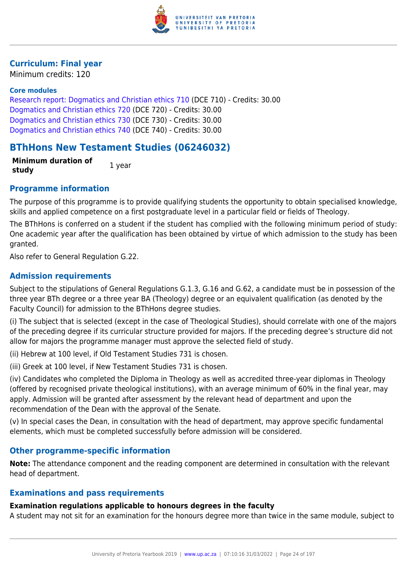

## **Curriculum: Final year**

Minimum credits: 120

## **Core modules**

[Research report: Dogmatics and Christian ethics 710](https://www.up.ac.za/faculty-of-education/yearbooks/2019/modules/view/DCE 710) (DCE 710) - Credits: 30.00 [Dogmatics and Christian ethics 720](https://www.up.ac.za/faculty-of-education/yearbooks/2019/modules/view/DCE 720) (DCE 720) - Credits: 30.00 [Dogmatics and Christian ethics 730](https://www.up.ac.za/faculty-of-education/yearbooks/2019/modules/view/DCE 730) (DCE 730) - Credits: 30.00 [Dogmatics and Christian ethics 740](https://www.up.ac.za/faculty-of-education/yearbooks/2019/modules/view/DCE 740) (DCE 740) - Credits: 30.00

## **BThHons New Testament Studies (06246032)**

**Minimum duration of study** 1 year

## **Programme information**

The purpose of this programme is to provide qualifying students the opportunity to obtain specialised knowledge, skills and applied competence on a first postgraduate level in a particular field or fields of Theology.

The BThHons is conferred on a student if the student has complied with the following minimum period of study: One academic year after the qualification has been obtained by virtue of which admission to the study has been granted.

Also refer to General Regulation G.22.

## **Admission requirements**

Subject to the stipulations of General Regulations G.1.3, G.16 and G.62, a candidate must be in possession of the three year BTh degree or a three year BA (Theology) degree or an equivalent qualification (as denoted by the Faculty Council) for admission to the BThHons degree studies.

(i) The subject that is selected (except in the case of Theological Studies), should correlate with one of the majors of the preceding degree if its curricular structure provided for majors. If the preceding degree's structure did not allow for majors the programme manager must approve the selected field of study.

(ii) Hebrew at 100 level, if Old Testament Studies 731 is chosen.

(iii) Greek at 100 level, if New Testament Studies 731 is chosen.

(iv) Candidates who completed the Diploma in Theology as well as accredited three-year diplomas in Theology (offered by recognised private theological institutions), with an average minimum of 60% in the final year, may apply. Admission will be granted after assessment by the relevant head of department and upon the recommendation of the Dean with the approval of the Senate.

(v) In special cases the Dean, in consultation with the head of department, may approve specific fundamental elements, which must be completed successfully before admission will be considered.

## **Other programme-specific information**

**Note:** The attendance component and the reading component are determined in consultation with the relevant head of department.

## **Examinations and pass requirements**

## **Examination regulations applicable to honours degrees in the faculty**

A student may not sit for an examination for the honours degree more than twice in the same module, subject to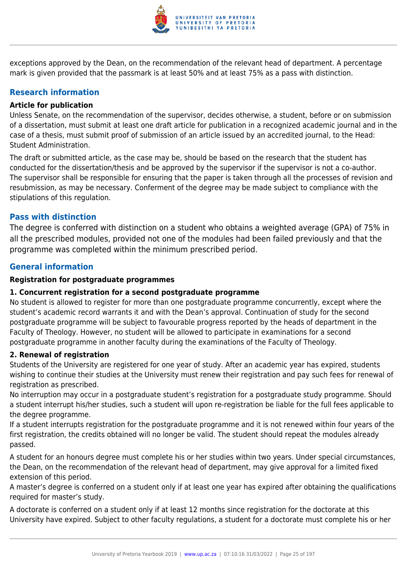

exceptions approved by the Dean, on the recommendation of the relevant head of department. A percentage mark is given provided that the passmark is at least 50% and at least 75% as a pass with distinction.

## **Research information**

## **Article for publication**

Unless Senate, on the recommendation of the supervisor, decides otherwise, a student, before or on submission of a dissertation, must submit at least one draft article for publication in a recognized academic journal and in the case of a thesis, must submit proof of submission of an article issued by an accredited journal, to the Head: Student Administration.

The draft or submitted article, as the case may be, should be based on the research that the student has conducted for the dissertation/thesis and be approved by the supervisor if the supervisor is not a co-author. The supervisor shall be responsible for ensuring that the paper is taken through all the processes of revision and resubmission, as may be necessary. Conferment of the degree may be made subject to compliance with the stipulations of this regulation.

## **Pass with distinction**

The degree is conferred with distinction on a student who obtains a weighted average (GPA) of 75% in all the prescribed modules, provided not one of the modules had been failed previously and that the programme was completed within the minimum prescribed period.

## **General information**

## **Registration for postgraduate programmes**

## **1. Concurrent registration for a second postgraduate programme**

No student is allowed to register for more than one postgraduate programme concurrently, except where the student's academic record warrants it and with the Dean's approval. Continuation of study for the second postgraduate programme will be subject to favourable progress reported by the heads of department in the Faculty of Theology. However, no student will be allowed to participate in examinations for a second postgraduate programme in another faculty during the examinations of the Faculty of Theology.

## **2. Renewal of registration**

Students of the University are registered for one year of study. After an academic year has expired, students wishing to continue their studies at the University must renew their registration and pay such fees for renewal of registration as prescribed.

No interruption may occur in a postgraduate student's registration for a postgraduate study programme. Should a student interrupt his/her studies, such a student will upon re-registration be liable for the full fees applicable to the degree programme.

If a student interrupts registration for the postgraduate programme and it is not renewed within four years of the first registration, the credits obtained will no longer be valid. The student should repeat the modules already passed.

A student for an honours degree must complete his or her studies within two years. Under special circumstances, the Dean, on the recommendation of the relevant head of department, may give approval for a limited fixed extension of this period.

A master's degree is conferred on a student only if at least one year has expired after obtaining the qualifications required for master's study.

A doctorate is conferred on a student only if at least 12 months since registration for the doctorate at this University have expired. Subject to other faculty regulations, a student for a doctorate must complete his or her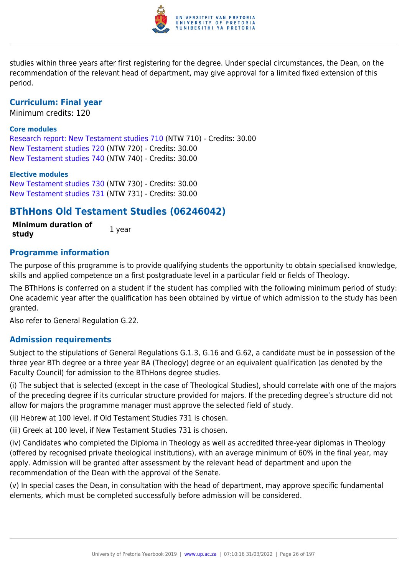

studies within three years after first registering for the degree. Under special circumstances, the Dean, on the recommendation of the relevant head of department, may give approval for a limited fixed extension of this period.

## **Curriculum: Final year**

Minimum credits: 120

#### **Core modules**

[Research report: New Testament studies 710](https://www.up.ac.za/faculty-of-education/yearbooks/2019/modules/view/NTW 710) (NTW 710) - Credits: 30.00 [New Testament studies 720](https://www.up.ac.za/faculty-of-education/yearbooks/2019/modules/view/NTW 720) (NTW 720) - Credits: 30.00 [New Testament studies 740](https://www.up.ac.za/faculty-of-education/yearbooks/2019/modules/view/NTW 740) (NTW 740) - Credits: 30.00

#### **Elective modules**

[New Testament studies 730](https://www.up.ac.za/faculty-of-education/yearbooks/2019/modules/view/NTW 730) (NTW 730) - Credits: 30.00 [New Testament studies 731](https://www.up.ac.za/faculty-of-education/yearbooks/2019/modules/view/NTW 731) (NTW 731) - Credits: 30.00

## **BThHons Old Testament Studies (06246042)**

**Minimum duration of study** 1 year

**Programme information**

## The purpose of this programme is to provide qualifying students the opportunity to obtain specialised knowledge, skills and applied competence on a first postgraduate level in a particular field or fields of Theology.

The BThHons is conferred on a student if the student has complied with the following minimum period of study: One academic year after the qualification has been obtained by virtue of which admission to the study has been granted.

Also refer to General Regulation G.22.

## **Admission requirements**

Subject to the stipulations of General Regulations G.1.3, G.16 and G.62, a candidate must be in possession of the three year BTh degree or a three year BA (Theology) degree or an equivalent qualification (as denoted by the Faculty Council) for admission to the BThHons degree studies.

(i) The subject that is selected (except in the case of Theological Studies), should correlate with one of the majors of the preceding degree if its curricular structure provided for majors. If the preceding degree's structure did not allow for majors the programme manager must approve the selected field of study.

(ii) Hebrew at 100 level, if Old Testament Studies 731 is chosen.

(iii) Greek at 100 level, if New Testament Studies 731 is chosen.

(iv) Candidates who completed the Diploma in Theology as well as accredited three-year diplomas in Theology (offered by recognised private theological institutions), with an average minimum of 60% in the final year, may apply. Admission will be granted after assessment by the relevant head of department and upon the recommendation of the Dean with the approval of the Senate.

(v) In special cases the Dean, in consultation with the head of department, may approve specific fundamental elements, which must be completed successfully before admission will be considered.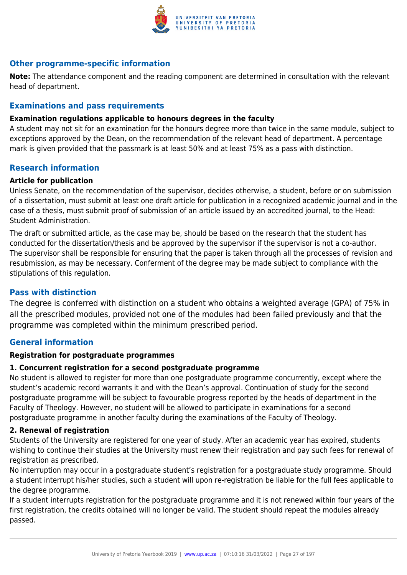

## **Other programme-specific information**

**Note:** The attendance component and the reading component are determined in consultation with the relevant head of department.

## **Examinations and pass requirements**

#### **Examination regulations applicable to honours degrees in the faculty**

A student may not sit for an examination for the honours degree more than twice in the same module, subject to exceptions approved by the Dean, on the recommendation of the relevant head of department. A percentage mark is given provided that the passmark is at least 50% and at least 75% as a pass with distinction.

## **Research information**

#### **Article for publication**

Unless Senate, on the recommendation of the supervisor, decides otherwise, a student, before or on submission of a dissertation, must submit at least one draft article for publication in a recognized academic journal and in the case of a thesis, must submit proof of submission of an article issued by an accredited journal, to the Head: Student Administration.

The draft or submitted article, as the case may be, should be based on the research that the student has conducted for the dissertation/thesis and be approved by the supervisor if the supervisor is not a co-author. The supervisor shall be responsible for ensuring that the paper is taken through all the processes of revision and resubmission, as may be necessary. Conferment of the degree may be made subject to compliance with the stipulations of this regulation.

## **Pass with distinction**

The degree is conferred with distinction on a student who obtains a weighted average (GPA) of 75% in all the prescribed modules, provided not one of the modules had been failed previously and that the programme was completed within the minimum prescribed period.

## **General information**

#### **Registration for postgraduate programmes**

#### **1. Concurrent registration for a second postgraduate programme**

No student is allowed to register for more than one postgraduate programme concurrently, except where the student's academic record warrants it and with the Dean's approval. Continuation of study for the second postgraduate programme will be subject to favourable progress reported by the heads of department in the Faculty of Theology. However, no student will be allowed to participate in examinations for a second postgraduate programme in another faculty during the examinations of the Faculty of Theology.

#### **2. Renewal of registration**

Students of the University are registered for one year of study. After an academic year has expired, students wishing to continue their studies at the University must renew their registration and pay such fees for renewal of registration as prescribed.

No interruption may occur in a postgraduate student's registration for a postgraduate study programme. Should a student interrupt his/her studies, such a student will upon re-registration be liable for the full fees applicable to the degree programme.

If a student interrupts registration for the postgraduate programme and it is not renewed within four years of the first registration, the credits obtained will no longer be valid. The student should repeat the modules already passed.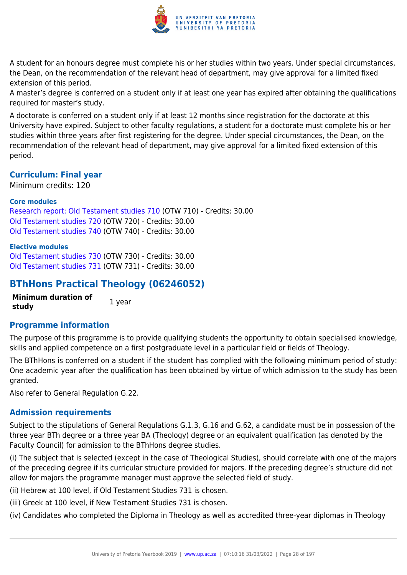

A student for an honours degree must complete his or her studies within two years. Under special circumstances, the Dean, on the recommendation of the relevant head of department, may give approval for a limited fixed extension of this period.

A master's degree is conferred on a student only if at least one year has expired after obtaining the qualifications required for master's study.

A doctorate is conferred on a student only if at least 12 months since registration for the doctorate at this University have expired. Subject to other faculty regulations, a student for a doctorate must complete his or her studies within three years after first registering for the degree. Under special circumstances, the Dean, on the recommendation of the relevant head of department, may give approval for a limited fixed extension of this period.

## **Curriculum: Final year**

Minimum credits: 120

#### **Core modules**

[Research report: Old Testament studies 710](https://www.up.ac.za/faculty-of-education/yearbooks/2019/modules/view/OTW 710) (OTW 710) - Credits: 30.00 [Old Testament studies 720](https://www.up.ac.za/faculty-of-education/yearbooks/2019/modules/view/OTW 720) (OTW 720) - Credits: 30.00 [Old Testament studies 740](https://www.up.ac.za/faculty-of-education/yearbooks/2019/modules/view/OTW 740) (OTW 740) - Credits: 30.00

#### **Elective modules**

[Old Testament studies 730](https://www.up.ac.za/faculty-of-education/yearbooks/2019/modules/view/OTW 730) (OTW 730) - Credits: 30.00 [Old Testament studies 731](https://www.up.ac.za/faculty-of-education/yearbooks/2019/modules/view/OTW 731) (OTW 731) - Credits: 30.00

## **BThHons Practical Theology (06246052)**

**Minimum duration of study** 1 year

## **Programme information**

The purpose of this programme is to provide qualifying students the opportunity to obtain specialised knowledge, skills and applied competence on a first postgraduate level in a particular field or fields of Theology.

The BThHons is conferred on a student if the student has complied with the following minimum period of study: One academic year after the qualification has been obtained by virtue of which admission to the study has been granted.

Also refer to General Regulation G.22.

## **Admission requirements**

Subject to the stipulations of General Regulations G.1.3, G.16 and G.62, a candidate must be in possession of the three year BTh degree or a three year BA (Theology) degree or an equivalent qualification (as denoted by the Faculty Council) for admission to the BThHons degree studies.

(i) The subject that is selected (except in the case of Theological Studies), should correlate with one of the majors of the preceding degree if its curricular structure provided for majors. If the preceding degree's structure did not allow for majors the programme manager must approve the selected field of study.

(ii) Hebrew at 100 level, if Old Testament Studies 731 is chosen.

(iii) Greek at 100 level, if New Testament Studies 731 is chosen.

(iv) Candidates who completed the Diploma in Theology as well as accredited three-year diplomas in Theology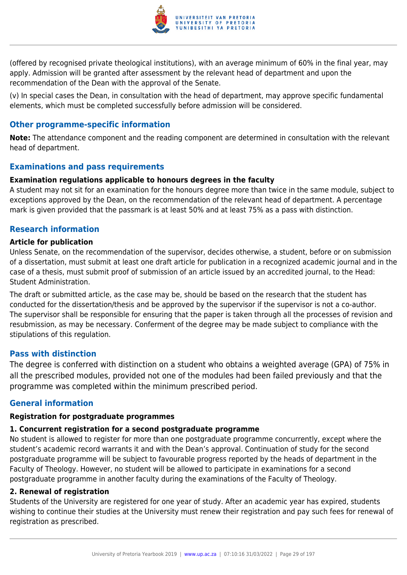

(offered by recognised private theological institutions), with an average minimum of 60% in the final year, may apply. Admission will be granted after assessment by the relevant head of department and upon the recommendation of the Dean with the approval of the Senate.

(v) In special cases the Dean, in consultation with the head of department, may approve specific fundamental elements, which must be completed successfully before admission will be considered.

## **Other programme-specific information**

**Note:** The attendance component and the reading component are determined in consultation with the relevant head of department.

## **Examinations and pass requirements**

#### **Examination regulations applicable to honours degrees in the faculty**

A student may not sit for an examination for the honours degree more than twice in the same module, subject to exceptions approved by the Dean, on the recommendation of the relevant head of department. A percentage mark is given provided that the passmark is at least 50% and at least 75% as a pass with distinction.

## **Research information**

#### **Article for publication**

Unless Senate, on the recommendation of the supervisor, decides otherwise, a student, before or on submission of a dissertation, must submit at least one draft article for publication in a recognized academic journal and in the case of a thesis, must submit proof of submission of an article issued by an accredited journal, to the Head: Student Administration.

The draft or submitted article, as the case may be, should be based on the research that the student has conducted for the dissertation/thesis and be approved by the supervisor if the supervisor is not a co-author. The supervisor shall be responsible for ensuring that the paper is taken through all the processes of revision and resubmission, as may be necessary. Conferment of the degree may be made subject to compliance with the stipulations of this regulation.

## **Pass with distinction**

The degree is conferred with distinction on a student who obtains a weighted average (GPA) of 75% in all the prescribed modules, provided not one of the modules had been failed previously and that the programme was completed within the minimum prescribed period.

## **General information**

#### **Registration for postgraduate programmes**

## **1. Concurrent registration for a second postgraduate programme**

No student is allowed to register for more than one postgraduate programme concurrently, except where the student's academic record warrants it and with the Dean's approval. Continuation of study for the second postgraduate programme will be subject to favourable progress reported by the heads of department in the Faculty of Theology. However, no student will be allowed to participate in examinations for a second postgraduate programme in another faculty during the examinations of the Faculty of Theology.

## **2. Renewal of registration**

Students of the University are registered for one year of study. After an academic year has expired, students wishing to continue their studies at the University must renew their registration and pay such fees for renewal of registration as prescribed.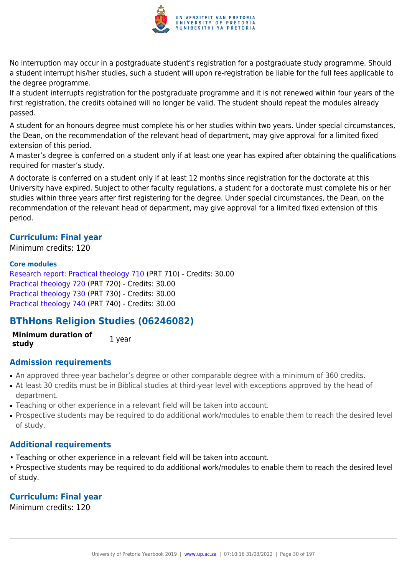

No interruption may occur in a postgraduate student's registration for a postgraduate study programme. Should a student interrupt his/her studies, such a student will upon re-registration be liable for the full fees applicable to the degree programme.

If a student interrupts registration for the postgraduate programme and it is not renewed within four years of the first registration, the credits obtained will no longer be valid. The student should repeat the modules already passed.

A student for an honours degree must complete his or her studies within two years. Under special circumstances, the Dean, on the recommendation of the relevant head of department, may give approval for a limited fixed extension of this period.

A master's degree is conferred on a student only if at least one year has expired after obtaining the qualifications required for master's study.

A doctorate is conferred on a student only if at least 12 months since registration for the doctorate at this University have expired. Subject to other faculty regulations, a student for a doctorate must complete his or her studies within three years after first registering for the degree. Under special circumstances, the Dean, on the recommendation of the relevant head of department, may give approval for a limited fixed extension of this period.

## **Curriculum: Final year**

Minimum credits: 120

#### **Core modules**

[Research report: Practical theology 710](https://www.up.ac.za/faculty-of-education/yearbooks/2019/modules/view/PRT 710) (PRT 710) - Credits: 30.00 [Practical theology 720](https://www.up.ac.za/faculty-of-education/yearbooks/2019/modules/view/PRT 720) (PRT 720) - Credits: 30.00 [Practical theology 730](https://www.up.ac.za/faculty-of-education/yearbooks/2019/modules/view/PRT 730) (PRT 730) - Credits: 30.00 [Practical theology 740](https://www.up.ac.za/faculty-of-education/yearbooks/2019/modules/view/PRT 740) (PRT 740) - Credits: 30.00

## **BThHons Religion Studies (06246082)**

**Minimum duration of study** 1 year

## **Admission requirements**

- An approved three-year bachelor's degree or other comparable degree with a minimum of 360 credits.
- At least 30 credits must be in Biblical studies at third-year level with exceptions approved by the head of department.
- Teaching or other experience in a relevant field will be taken into account.
- Prospective students may be required to do additional work/modules to enable them to reach the desired level of study.

## **Additional requirements**

- Teaching or other experience in a relevant field will be taken into account.
- Prospective students may be required to do additional work/modules to enable them to reach the desired level of study.

## **Curriculum: Final year**

Minimum credits: 120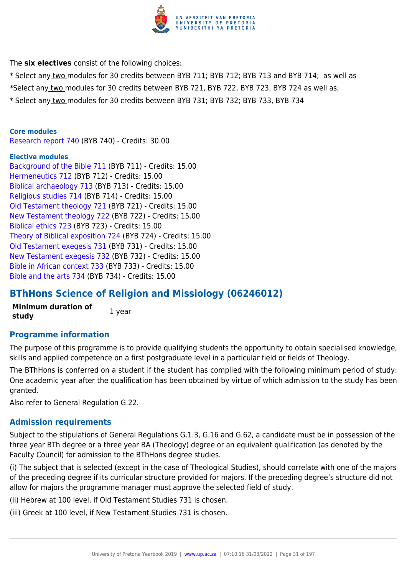

The **six electives** consist of the following choices:

- \* Select any two modules for 30 credits between BYB 711; BYB 712; BYB 713 and BYB 714; as well as
- \*Select any two modules for 30 credits between BYB 721, BYB 722, BYB 723, BYB 724 as well as;
- \* Select any two modules for 30 credits between BYB 731; BYB 732; BYB 733, BYB 734

#### **Core modules**

[Research report 740](https://www.up.ac.za/faculty-of-education/yearbooks/2019/modules/view/BYB 740) (BYB 740) - Credits: 30.00

#### **Elective modules**

[Background of the Bible 711](https://www.up.ac.za/faculty-of-education/yearbooks/2019/modules/view/BYB 711) (BYB 711) - Credits: 15.00 [Hermeneutics 712](https://www.up.ac.za/faculty-of-education/yearbooks/2019/modules/view/BYB 712) (BYB 712) - Credits: 15.00 [Biblical archaeology 713](https://www.up.ac.za/faculty-of-education/yearbooks/2019/modules/view/BYB 713) (BYB 713) - Credits: 15.00 [Religious studies 714](https://www.up.ac.za/faculty-of-education/yearbooks/2019/modules/view/BYB 714) (BYB 714) - Credits: 15.00 [Old Testament theology 721](https://www.up.ac.za/faculty-of-education/yearbooks/2019/modules/view/BYB 721) (BYB 721) - Credits: 15.00 [New Testament theology 722](https://www.up.ac.za/faculty-of-education/yearbooks/2019/modules/view/BYB 722) (BYB 722) - Credits: 15.00 [Biblical ethics 723](https://www.up.ac.za/faculty-of-education/yearbooks/2019/modules/view/BYB 723) (BYB 723) - Credits: 15.00 [Theory of Biblical exposition 724](https://www.up.ac.za/faculty-of-education/yearbooks/2019/modules/view/BYB 724) (BYB 724) - Credits: 15.00 [Old Testament exegesis 731](https://www.up.ac.za/faculty-of-education/yearbooks/2019/modules/view/BYB 731) (BYB 731) - Credits: 15.00 [New Testament exegesis 732](https://www.up.ac.za/faculty-of-education/yearbooks/2019/modules/view/BYB 732) (BYB 732) - Credits: 15.00 [Bible in African context 733](https://www.up.ac.za/faculty-of-education/yearbooks/2019/modules/view/BYB 733) (BYB 733) - Credits: 15.00 [Bible and the arts 734](https://www.up.ac.za/faculty-of-education/yearbooks/2019/modules/view/BYB 734) (BYB 734) - Credits: 15.00

## **BThHons Science of Religion and Missiology (06246012)**

**Minimum duration of study** 1 year

## **Programme information**

The purpose of this programme is to provide qualifying students the opportunity to obtain specialised knowledge, skills and applied competence on a first postgraduate level in a particular field or fields of Theology.

The BThHons is conferred on a student if the student has complied with the following minimum period of study: One academic year after the qualification has been obtained by virtue of which admission to the study has been granted.

Also refer to General Regulation G.22.

## **Admission requirements**

Subject to the stipulations of General Regulations G.1.3, G.16 and G.62, a candidate must be in possession of the three year BTh degree or a three year BA (Theology) degree or an equivalent qualification (as denoted by the Faculty Council) for admission to the BThHons degree studies.

(i) The subject that is selected (except in the case of Theological Studies), should correlate with one of the majors of the preceding degree if its curricular structure provided for majors. If the preceding degree's structure did not allow for majors the programme manager must approve the selected field of study.

(ii) Hebrew at 100 level, if Old Testament Studies 731 is chosen.

(iii) Greek at 100 level, if New Testament Studies 731 is chosen.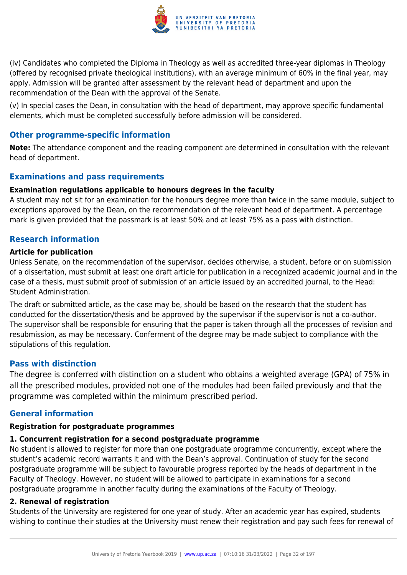

(iv) Candidates who completed the Diploma in Theology as well as accredited three-year diplomas in Theology (offered by recognised private theological institutions), with an average minimum of 60% in the final year, may apply. Admission will be granted after assessment by the relevant head of department and upon the recommendation of the Dean with the approval of the Senate.

(v) In special cases the Dean, in consultation with the head of department, may approve specific fundamental elements, which must be completed successfully before admission will be considered.

## **Other programme-specific information**

**Note:** The attendance component and the reading component are determined in consultation with the relevant head of department.

## **Examinations and pass requirements**

## **Examination regulations applicable to honours degrees in the faculty**

A student may not sit for an examination for the honours degree more than twice in the same module, subject to exceptions approved by the Dean, on the recommendation of the relevant head of department. A percentage mark is given provided that the passmark is at least 50% and at least 75% as a pass with distinction.

## **Research information**

## **Article for publication**

Unless Senate, on the recommendation of the supervisor, decides otherwise, a student, before or on submission of a dissertation, must submit at least one draft article for publication in a recognized academic journal and in the case of a thesis, must submit proof of submission of an article issued by an accredited journal, to the Head: Student Administration.

The draft or submitted article, as the case may be, should be based on the research that the student has conducted for the dissertation/thesis and be approved by the supervisor if the supervisor is not a co-author. The supervisor shall be responsible for ensuring that the paper is taken through all the processes of revision and resubmission, as may be necessary. Conferment of the degree may be made subject to compliance with the stipulations of this regulation.

## **Pass with distinction**

The degree is conferred with distinction on a student who obtains a weighted average (GPA) of 75% in all the prescribed modules, provided not one of the modules had been failed previously and that the programme was completed within the minimum prescribed period.

## **General information**

## **Registration for postgraduate programmes**

## **1. Concurrent registration for a second postgraduate programme**

No student is allowed to register for more than one postgraduate programme concurrently, except where the student's academic record warrants it and with the Dean's approval. Continuation of study for the second postgraduate programme will be subject to favourable progress reported by the heads of department in the Faculty of Theology. However, no student will be allowed to participate in examinations for a second postgraduate programme in another faculty during the examinations of the Faculty of Theology.

## **2. Renewal of registration**

Students of the University are registered for one year of study. After an academic year has expired, students wishing to continue their studies at the University must renew their registration and pay such fees for renewal of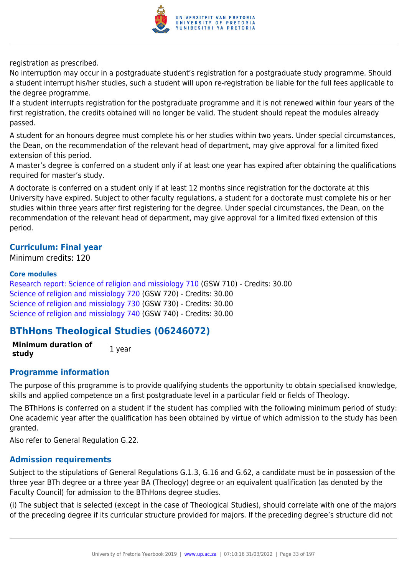

registration as prescribed.

No interruption may occur in a postgraduate student's registration for a postgraduate study programme. Should a student interrupt his/her studies, such a student will upon re-registration be liable for the full fees applicable to the degree programme.

If a student interrupts registration for the postgraduate programme and it is not renewed within four years of the first registration, the credits obtained will no longer be valid. The student should repeat the modules already passed.

A student for an honours degree must complete his or her studies within two years. Under special circumstances, the Dean, on the recommendation of the relevant head of department, may give approval for a limited fixed extension of this period.

A master's degree is conferred on a student only if at least one year has expired after obtaining the qualifications required for master's study.

A doctorate is conferred on a student only if at least 12 months since registration for the doctorate at this University have expired. Subject to other faculty regulations, a student for a doctorate must complete his or her studies within three years after first registering for the degree. Under special circumstances, the Dean, on the recommendation of the relevant head of department, may give approval for a limited fixed extension of this period.

## **Curriculum: Final year**

Minimum credits: 120

#### **Core modules**

[Research report: Science of religion and missiology 710](https://www.up.ac.za/faculty-of-education/yearbooks/2019/modules/view/GSW 710) (GSW 710) - Credits: 30.00 [Science of religion and missiology 720](https://www.up.ac.za/faculty-of-education/yearbooks/2019/modules/view/GSW 720) (GSW 720) - Credits: 30.00 [Science of religion and missiology 730](https://www.up.ac.za/faculty-of-education/yearbooks/2019/modules/view/GSW 730) (GSW 730) - Credits: 30.00 [Science of religion and missiology 740](https://www.up.ac.za/faculty-of-education/yearbooks/2019/modules/view/GSW 740) (GSW 740) - Credits: 30.00

## **BThHons Theological Studies (06246072)**

**Minimum duration of study** 1 year

## **Programme information**

The purpose of this programme is to provide qualifying students the opportunity to obtain specialised knowledge, skills and applied competence on a first postgraduate level in a particular field or fields of Theology.

The BThHons is conferred on a student if the student has complied with the following minimum period of study: One academic year after the qualification has been obtained by virtue of which admission to the study has been granted.

Also refer to General Regulation G.22.

## **Admission requirements**

Subject to the stipulations of General Regulations G.1.3, G.16 and G.62, a candidate must be in possession of the three year BTh degree or a three year BA (Theology) degree or an equivalent qualification (as denoted by the Faculty Council) for admission to the BThHons degree studies.

(i) The subject that is selected (except in the case of Theological Studies), should correlate with one of the majors of the preceding degree if its curricular structure provided for majors. If the preceding degree's structure did not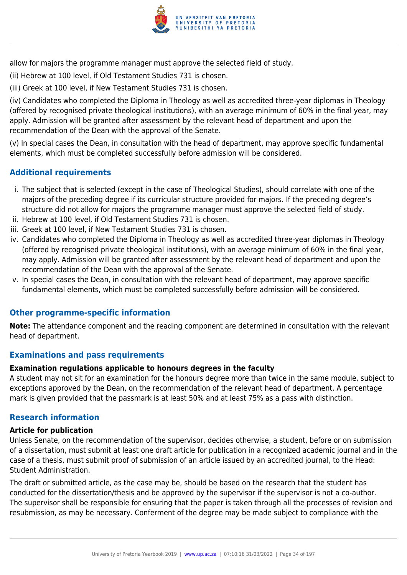

allow for majors the programme manager must approve the selected field of study.

- (ii) Hebrew at 100 level, if Old Testament Studies 731 is chosen.
- (iii) Greek at 100 level, if New Testament Studies 731 is chosen.

(iv) Candidates who completed the Diploma in Theology as well as accredited three-year diplomas in Theology (offered by recognised private theological institutions), with an average minimum of 60% in the final year, may apply. Admission will be granted after assessment by the relevant head of department and upon the recommendation of the Dean with the approval of the Senate.

(v) In special cases the Dean, in consultation with the head of department, may approve specific fundamental elements, which must be completed successfully before admission will be considered.

## **Additional requirements**

- i. The subject that is selected (except in the case of Theological Studies), should correlate with one of the majors of the preceding degree if its curricular structure provided for majors. If the preceding degree's structure did not allow for majors the programme manager must approve the selected field of study.
- ii. Hebrew at 100 level, if Old Testament Studies 731 is chosen.
- iii. Greek at 100 level, if New Testament Studies 731 is chosen.
- iv. Candidates who completed the Diploma in Theology as well as accredited three-year diplomas in Theology (offered by recognised private theological institutions), with an average minimum of 60% in the final year, may apply. Admission will be granted after assessment by the relevant head of department and upon the recommendation of the Dean with the approval of the Senate.
- v. In special cases the Dean, in consultation with the relevant head of department, may approve specific fundamental elements, which must be completed successfully before admission will be considered.

## **Other programme-specific information**

**Note:** The attendance component and the reading component are determined in consultation with the relevant head of department.

## **Examinations and pass requirements**

## **Examination regulations applicable to honours degrees in the faculty**

A student may not sit for an examination for the honours degree more than twice in the same module, subject to exceptions approved by the Dean, on the recommendation of the relevant head of department. A percentage mark is given provided that the passmark is at least 50% and at least 75% as a pass with distinction.

## **Research information**

## **Article for publication**

Unless Senate, on the recommendation of the supervisor, decides otherwise, a student, before or on submission of a dissertation, must submit at least one draft article for publication in a recognized academic journal and in the case of a thesis, must submit proof of submission of an article issued by an accredited journal, to the Head: Student Administration.

The draft or submitted article, as the case may be, should be based on the research that the student has conducted for the dissertation/thesis and be approved by the supervisor if the supervisor is not a co-author. The supervisor shall be responsible for ensuring that the paper is taken through all the processes of revision and resubmission, as may be necessary. Conferment of the degree may be made subject to compliance with the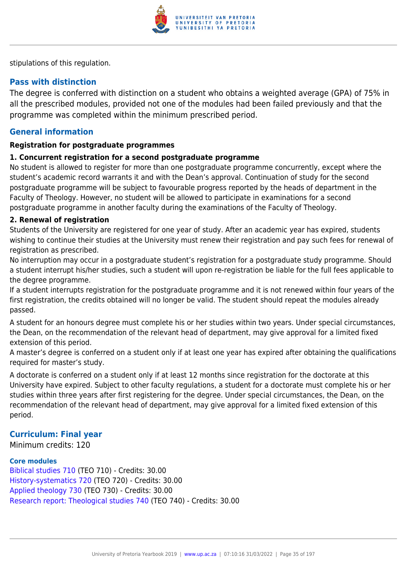

stipulations of this regulation.

## **Pass with distinction**

The degree is conferred with distinction on a student who obtains a weighted average (GPA) of 75% in all the prescribed modules, provided not one of the modules had been failed previously and that the programme was completed within the minimum prescribed period.

## **General information**

## **Registration for postgraduate programmes**

## **1. Concurrent registration for a second postgraduate programme**

No student is allowed to register for more than one postgraduate programme concurrently, except where the student's academic record warrants it and with the Dean's approval. Continuation of study for the second postgraduate programme will be subject to favourable progress reported by the heads of department in the Faculty of Theology. However, no student will be allowed to participate in examinations for a second postgraduate programme in another faculty during the examinations of the Faculty of Theology.

## **2. Renewal of registration**

Students of the University are registered for one year of study. After an academic year has expired, students wishing to continue their studies at the University must renew their registration and pay such fees for renewal of registration as prescribed.

No interruption may occur in a postgraduate student's registration for a postgraduate study programme. Should a student interrupt his/her studies, such a student will upon re-registration be liable for the full fees applicable to the degree programme.

If a student interrupts registration for the postgraduate programme and it is not renewed within four years of the first registration, the credits obtained will no longer be valid. The student should repeat the modules already passed.

A student for an honours degree must complete his or her studies within two years. Under special circumstances, the Dean, on the recommendation of the relevant head of department, may give approval for a limited fixed extension of this period.

A master's degree is conferred on a student only if at least one year has expired after obtaining the qualifications required for master's study.

A doctorate is conferred on a student only if at least 12 months since registration for the doctorate at this University have expired. Subject to other faculty regulations, a student for a doctorate must complete his or her studies within three years after first registering for the degree. Under special circumstances, the Dean, on the recommendation of the relevant head of department, may give approval for a limited fixed extension of this period.

## **Curriculum: Final year**

Minimum credits: 120

#### **Core modules**

[Biblical studies 710](https://www.up.ac.za/faculty-of-education/yearbooks/2019/modules/view/TEO 710) (TEO 710) - Credits: 30.00 [History-systematics 720](https://www.up.ac.za/faculty-of-education/yearbooks/2019/modules/view/TEO 720) (TEO 720) - Credits: 30.00 [Applied theology 730](https://www.up.ac.za/faculty-of-education/yearbooks/2019/modules/view/TEO 730) (TEO 730) - Credits: 30.00 [Research report: Theological studies 740](https://www.up.ac.za/faculty-of-education/yearbooks/2019/modules/view/TEO 740) (TEO 740) - Credits: 30.00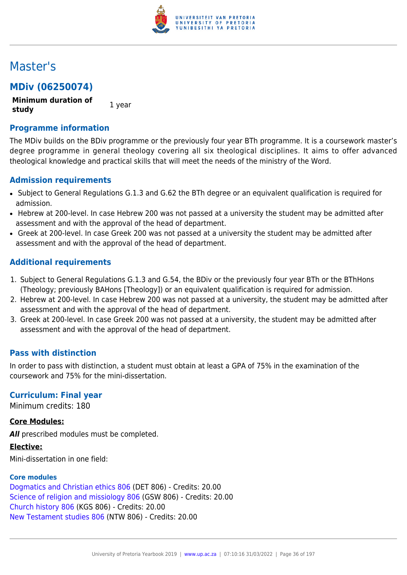

## Master's

## **MDiv (06250074)**

**Minimum duration of study** 1 year

**Programme information**

The MDiv builds on the BDiv programme or the previously four year BTh programme. It is a coursework master's degree programme in general theology covering all six theological disciplines. It aims to offer advanced theological knowledge and practical skills that will meet the needs of the ministry of the Word.

## **Admission requirements**

- Subject to General Regulations G.1.3 and G.62 the BTh degree or an equivalent qualification is required for admission.
- Hebrew at 200-level. In case Hebrew 200 was not passed at a university the student may be admitted after assessment and with the approval of the head of department.
- Greek at 200-level. In case Greek 200 was not passed at a university the student may be admitted after assessment and with the approval of the head of department.

## **Additional requirements**

- 1. Subject to General Regulations G.1.3 and G.54, the BDiv or the previously four year BTh or the BThHons (Theology; previously BAHons [Theology]) or an equivalent qualification is required for admission.
- 2. Hebrew at 200-level. In case Hebrew 200 was not passed at a university, the student may be admitted after assessment and with the approval of the head of department.
- 3. Greek at 200-level. In case Greek 200 was not passed at a university, the student may be admitted after assessment and with the approval of the head of department.

## **Pass with distinction**

In order to pass with distinction, a student must obtain at least a GPA of 75% in the examination of the coursework and 75% for the mini-dissertation.

## **Curriculum: Final year**

Minimum credits: 180

## **Core Modules:**

**All** prescribed modules must be completed.

**Elective:**

Mini-dissertation in one field:

## **Core modules**

[Dogmatics and Christian ethics 806](https://www.up.ac.za/faculty-of-education/yearbooks/2019/modules/view/DET 806) (DET 806) - Credits: 20.00 [Science of religion and missiology 806](https://www.up.ac.za/faculty-of-education/yearbooks/2019/modules/view/GSW 806) (GSW 806) - Credits: 20.00 [Church history 806](https://www.up.ac.za/faculty-of-education/yearbooks/2019/modules/view/KGS 806) (KGS 806) - Credits: 20.00 [New Testament studies 806](https://www.up.ac.za/faculty-of-education/yearbooks/2019/modules/view/NTW 806) (NTW 806) - Credits: 20.00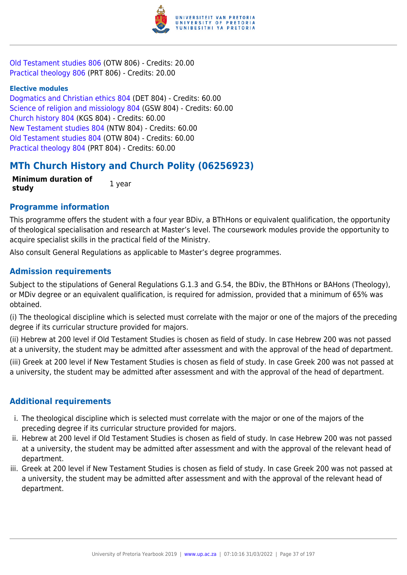

[Old Testament studies 806](https://www.up.ac.za/faculty-of-education/yearbooks/2019/modules/view/OTW 806) (OTW 806) - Credits: 20.00 [Practical theology 806](https://www.up.ac.za/faculty-of-education/yearbooks/2019/modules/view/PRT 806) (PRT 806) - Credits: 20.00

#### **Elective modules**

[Dogmatics and Christian ethics 804](https://www.up.ac.za/faculty-of-education/yearbooks/2019/modules/view/DET 804) (DET 804) - Credits: 60.00 [Science of religion and missiology 804](https://www.up.ac.za/faculty-of-education/yearbooks/2019/modules/view/GSW 804) (GSW 804) - Credits: 60.00 [Church history 804](https://www.up.ac.za/faculty-of-education/yearbooks/2019/modules/view/KGS 804) (KGS 804) - Credits: 60.00 [New Testament studies 804](https://www.up.ac.za/faculty-of-education/yearbooks/2019/modules/view/NTW 804) (NTW 804) - Credits: 60.00 [Old Testament studies 804](https://www.up.ac.za/faculty-of-education/yearbooks/2019/modules/view/OTW 804) (OTW 804) - Credits: 60.00 [Practical theology 804](https://www.up.ac.za/faculty-of-education/yearbooks/2019/modules/view/PRT 804) (PRT 804) - Credits: 60.00

## **MTh Church History and Church Polity (06256923)**

**Minimum duration of study 1** year

## **Programme information**

This programme offers the student with a four year BDiv, a BThHons or equivalent qualification, the opportunity of theological specialisation and research at Master's level. The coursework modules provide the opportunity to acquire specialist skills in the practical field of the Ministry.

Also consult General Regulations as applicable to Master's degree programmes.

## **Admission requirements**

Subject to the stipulations of General Regulations G.1.3 and G.54, the BDiv, the BThHons or BAHons (Theology), or MDiv degree or an equivalent qualification, is required for admission, provided that a minimum of 65% was obtained.

(i) The theological discipline which is selected must correlate with the major or one of the majors of the preceding degree if its curricular structure provided for majors.

(ii) Hebrew at 200 level if Old Testament Studies is chosen as field of study. In case Hebrew 200 was not passed at a university, the student may be admitted after assessment and with the approval of the head of department.

(iii) Greek at 200 level if New Testament Studies is chosen as field of study. In case Greek 200 was not passed at a university, the student may be admitted after assessment and with the approval of the head of department.

## **Additional requirements**

- i. The theological discipline which is selected must correlate with the major or one of the majors of the preceding degree if its curricular structure provided for majors.
- ii. Hebrew at 200 level if Old Testament Studies is chosen as field of study. In case Hebrew 200 was not passed at a university, the student may be admitted after assessment and with the approval of the relevant head of department.
- iii. Greek at 200 level if New Testament Studies is chosen as field of study. In case Greek 200 was not passed at a university, the student may be admitted after assessment and with the approval of the relevant head of department.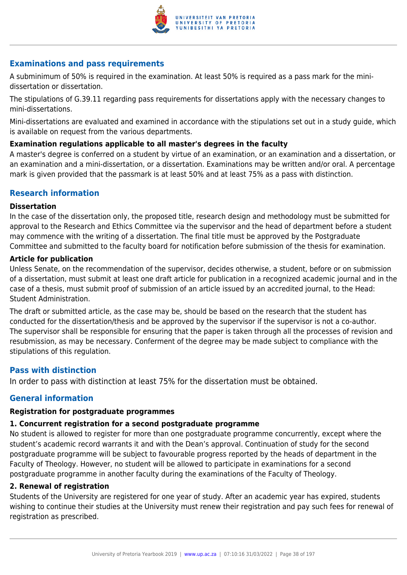

## **Examinations and pass requirements**

A subminimum of 50% is required in the examination. At least 50% is required as a pass mark for the minidissertation or dissertation.

The stipulations of G.39.11 regarding pass requirements for dissertations apply with the necessary changes to mini-dissertations.

Mini-dissertations are evaluated and examined in accordance with the stipulations set out in a study guide, which is available on request from the various departments.

## **Examination regulations applicable to all master's degrees in the faculty**

A master's degree is conferred on a student by virtue of an examination, or an examination and a dissertation, or an examination and a mini-dissertation, or a dissertation. Examinations may be written and/or oral. A percentage mark is given provided that the passmark is at least 50% and at least 75% as a pass with distinction.

## **Research information**

#### **Dissertation**

In the case of the dissertation only, the proposed title, research design and methodology must be submitted for approval to the Research and Ethics Committee via the supervisor and the head of department before a student may commence with the writing of a dissertation. The final title must be approved by the Postgraduate Committee and submitted to the faculty board for notification before submission of the thesis for examination.

## **Article for publication**

Unless Senate, on the recommendation of the supervisor, decides otherwise, a student, before or on submission of a dissertation, must submit at least one draft article for publication in a recognized academic journal and in the case of a thesis, must submit proof of submission of an article issued by an accredited journal, to the Head: Student Administration.

The draft or submitted article, as the case may be, should be based on the research that the student has conducted for the dissertation/thesis and be approved by the supervisor if the supervisor is not a co-author. The supervisor shall be responsible for ensuring that the paper is taken through all the processes of revision and resubmission, as may be necessary. Conferment of the degree may be made subject to compliance with the stipulations of this regulation.

## **Pass with distinction**

In order to pass with distinction at least 75% for the dissertation must be obtained.

## **General information**

## **Registration for postgraduate programmes**

## **1. Concurrent registration for a second postgraduate programme**

No student is allowed to register for more than one postgraduate programme concurrently, except where the student's academic record warrants it and with the Dean's approval. Continuation of study for the second postgraduate programme will be subject to favourable progress reported by the heads of department in the Faculty of Theology. However, no student will be allowed to participate in examinations for a second postgraduate programme in another faculty during the examinations of the Faculty of Theology.

#### **2. Renewal of registration**

Students of the University are registered for one year of study. After an academic year has expired, students wishing to continue their studies at the University must renew their registration and pay such fees for renewal of registration as prescribed.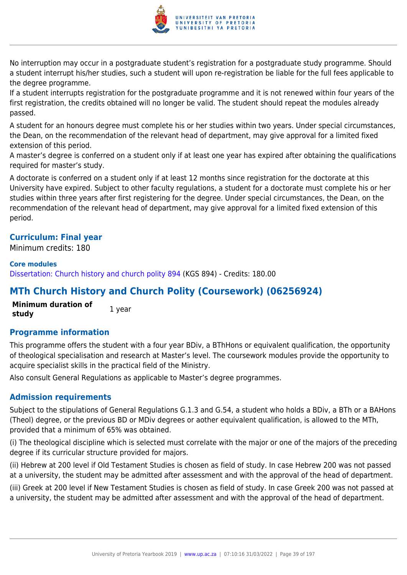

No interruption may occur in a postgraduate student's registration for a postgraduate study programme. Should a student interrupt his/her studies, such a student will upon re-registration be liable for the full fees applicable to the degree programme.

If a student interrupts registration for the postgraduate programme and it is not renewed within four years of the first registration, the credits obtained will no longer be valid. The student should repeat the modules already passed.

A student for an honours degree must complete his or her studies within two years. Under special circumstances, the Dean, on the recommendation of the relevant head of department, may give approval for a limited fixed extension of this period.

A master's degree is conferred on a student only if at least one year has expired after obtaining the qualifications required for master's study.

A doctorate is conferred on a student only if at least 12 months since registration for the doctorate at this University have expired. Subject to other faculty regulations, a student for a doctorate must complete his or her studies within three years after first registering for the degree. Under special circumstances, the Dean, on the recommendation of the relevant head of department, may give approval for a limited fixed extension of this period.

## **Curriculum: Final year**

Minimum credits: 180

#### **Core modules**

[Dissertation: Church history and church polity 894](https://www.up.ac.za/faculty-of-education/yearbooks/2019/modules/view/KGS 894) (KGS 894) - Credits: 180.00

## **MTh Church History and Church Polity (Coursework) (06256924)**

**Minimum duration of study** 1 year

## **Programme information**

This programme offers the student with a four year BDiv, a BThHons or equivalent qualification, the opportunity of theological specialisation and research at Master's level. The coursework modules provide the opportunity to acquire specialist skills in the practical field of the Ministry.

Also consult General Regulations as applicable to Master's degree programmes.

## **Admission requirements**

Subject to the stipulations of General Regulations G.1.3 and G.54, a student who holds a BDiv, a BTh or a BAHons (Theol) degree, or the previous BD or MDiv degrees or aother equivalent qualification, is allowed to the MTh, provided that a minimum of 65% was obtained.

(i) The theological discipline which is selected must correlate with the major or one of the majors of the preceding degree if its curricular structure provided for majors.

(ii) Hebrew at 200 level if Old Testament Studies is chosen as field of study. In case Hebrew 200 was not passed at a university, the student may be admitted after assessment and with the approval of the head of department.

(iii) Greek at 200 level if New Testament Studies is chosen as field of study. In case Greek 200 was not passed at a university, the student may be admitted after assessment and with the approval of the head of department.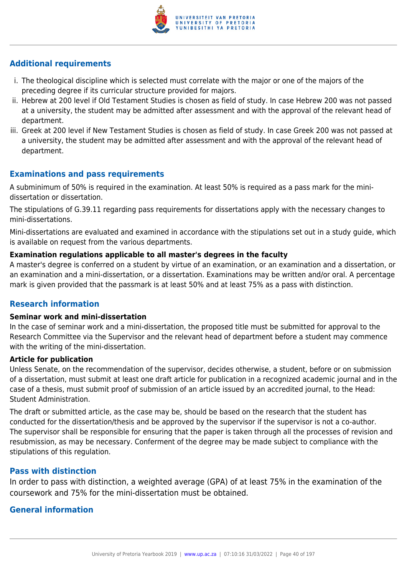

## **Additional requirements**

- i. The theological discipline which is selected must correlate with the major or one of the majors of the preceding degree if its curricular structure provided for majors.
- ii. Hebrew at 200 level if Old Testament Studies is chosen as field of study. In case Hebrew 200 was not passed at a university, the student may be admitted after assessment and with the approval of the relevant head of department.
- iii. Greek at 200 level if New Testament Studies is chosen as field of study. In case Greek 200 was not passed at a university, the student may be admitted after assessment and with the approval of the relevant head of department.

## **Examinations and pass requirements**

A subminimum of 50% is required in the examination. At least 50% is required as a pass mark for the minidissertation or dissertation.

The stipulations of G.39.11 regarding pass requirements for dissertations apply with the necessary changes to mini-dissertations.

Mini-dissertations are evaluated and examined in accordance with the stipulations set out in a study guide, which is available on request from the various departments.

## **Examination regulations applicable to all master's degrees in the faculty**

A master's degree is conferred on a student by virtue of an examination, or an examination and a dissertation, or an examination and a mini-dissertation, or a dissertation. Examinations may be written and/or oral. A percentage mark is given provided that the passmark is at least 50% and at least 75% as a pass with distinction.

## **Research information**

#### **Seminar work and mini-dissertation**

In the case of seminar work and a mini-dissertation, the proposed title must be submitted for approval to the Research Committee via the Supervisor and the relevant head of department before a student may commence with the writing of the mini-dissertation.

## **Article for publication**

Unless Senate, on the recommendation of the supervisor, decides otherwise, a student, before or on submission of a dissertation, must submit at least one draft article for publication in a recognized academic journal and in the case of a thesis, must submit proof of submission of an article issued by an accredited journal, to the Head: Student Administration.

The draft or submitted article, as the case may be, should be based on the research that the student has conducted for the dissertation/thesis and be approved by the supervisor if the supervisor is not a co-author. The supervisor shall be responsible for ensuring that the paper is taken through all the processes of revision and resubmission, as may be necessary. Conferment of the degree may be made subject to compliance with the stipulations of this regulation.

## **Pass with distinction**

In order to pass with distinction, a weighted average (GPA) of at least 75% in the examination of the coursework and 75% for the mini-dissertation must be obtained.

## **General information**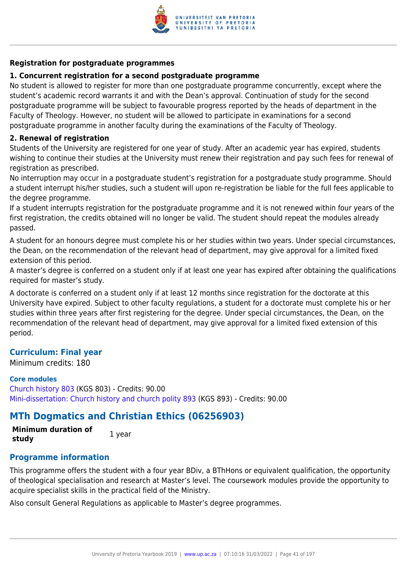

## **Registration for postgraduate programmes**

## **1. Concurrent registration for a second postgraduate programme**

No student is allowed to register for more than one postgraduate programme concurrently, except where the student's academic record warrants it and with the Dean's approval. Continuation of study for the second postgraduate programme will be subject to favourable progress reported by the heads of department in the Faculty of Theology. However, no student will be allowed to participate in examinations for a second postgraduate programme in another faculty during the examinations of the Faculty of Theology.

## **2. Renewal of registration**

Students of the University are registered for one year of study. After an academic year has expired, students wishing to continue their studies at the University must renew their registration and pay such fees for renewal of registration as prescribed.

No interruption may occur in a postgraduate student's registration for a postgraduate study programme. Should a student interrupt his/her studies, such a student will upon re-registration be liable for the full fees applicable to the degree programme.

If a student interrupts registration for the postgraduate programme and it is not renewed within four years of the first registration, the credits obtained will no longer be valid. The student should repeat the modules already passed.

A student for an honours degree must complete his or her studies within two years. Under special circumstances, the Dean, on the recommendation of the relevant head of department, may give approval for a limited fixed extension of this period.

A master's degree is conferred on a student only if at least one year has expired after obtaining the qualifications required for master's study.

A doctorate is conferred on a student only if at least 12 months since registration for the doctorate at this University have expired. Subject to other faculty regulations, a student for a doctorate must complete his or her studies within three years after first registering for the degree. Under special circumstances, the Dean, on the recommendation of the relevant head of department, may give approval for a limited fixed extension of this period.

## **Curriculum: Final year**

Minimum credits: 180

## **Core modules**

[Church history 803](https://www.up.ac.za/faculty-of-education/yearbooks/2019/modules/view/KGS 803) (KGS 803) - Credits: 90.00 [Mini-dissertation: Church history and church polity 893](https://www.up.ac.za/faculty-of-education/yearbooks/2019/modules/view/KGS 893) (KGS 893) - Credits: 90.00

# **MTh Dogmatics and Christian Ethics (06256903)**

**Minimum duration of study** 1 year

## **Programme information**

This programme offers the student with a four year BDiv, a BThHons or equivalent qualification, the opportunity of theological specialisation and research at Master's level. The coursework modules provide the opportunity to acquire specialist skills in the practical field of the Ministry.

Also consult General Regulations as applicable to Master's degree programmes.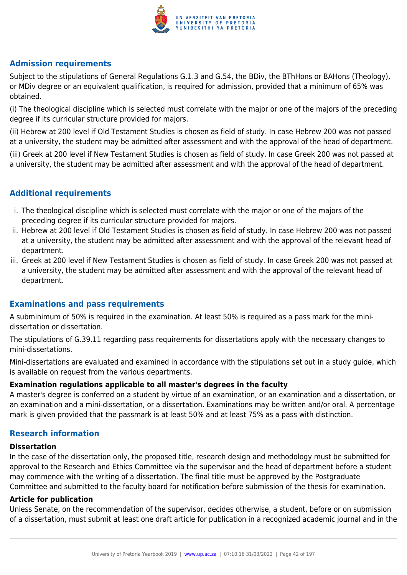

## **Admission requirements**

Subject to the stipulations of General Regulations G.1.3 and G.54, the BDiv, the BThHons or BAHons (Theology), or MDiv degree or an equivalent qualification, is required for admission, provided that a minimum of 65% was obtained.

(i) The theological discipline which is selected must correlate with the major or one of the majors of the preceding degree if its curricular structure provided for majors.

(ii) Hebrew at 200 level if Old Testament Studies is chosen as field of study. In case Hebrew 200 was not passed at a university, the student may be admitted after assessment and with the approval of the head of department. (iii) Greek at 200 level if New Testament Studies is chosen as field of study. In case Greek 200 was not passed at a university, the student may be admitted after assessment and with the approval of the head of department.

## **Additional requirements**

- i. The theological discipline which is selected must correlate with the major or one of the majors of the preceding degree if its curricular structure provided for majors.
- ii. Hebrew at 200 level if Old Testament Studies is chosen as field of study. In case Hebrew 200 was not passed at a university, the student may be admitted after assessment and with the approval of the relevant head of department.
- iii. Greek at 200 level if New Testament Studies is chosen as field of study. In case Greek 200 was not passed at a university, the student may be admitted after assessment and with the approval of the relevant head of department.

## **Examinations and pass requirements**

A subminimum of 50% is required in the examination. At least 50% is required as a pass mark for the minidissertation or dissertation.

The stipulations of G.39.11 regarding pass requirements for dissertations apply with the necessary changes to mini-dissertations.

Mini-dissertations are evaluated and examined in accordance with the stipulations set out in a study guide, which is available on request from the various departments.

## **Examination regulations applicable to all master's degrees in the faculty**

A master's degree is conferred on a student by virtue of an examination, or an examination and a dissertation, or an examination and a mini-dissertation, or a dissertation. Examinations may be written and/or oral. A percentage mark is given provided that the passmark is at least 50% and at least 75% as a pass with distinction.

## **Research information**

#### **Dissertation**

In the case of the dissertation only, the proposed title, research design and methodology must be submitted for approval to the Research and Ethics Committee via the supervisor and the head of department before a student may commence with the writing of a dissertation. The final title must be approved by the Postgraduate Committee and submitted to the faculty board for notification before submission of the thesis for examination.

## **Article for publication**

Unless Senate, on the recommendation of the supervisor, decides otherwise, a student, before or on submission of a dissertation, must submit at least one draft article for publication in a recognized academic journal and in the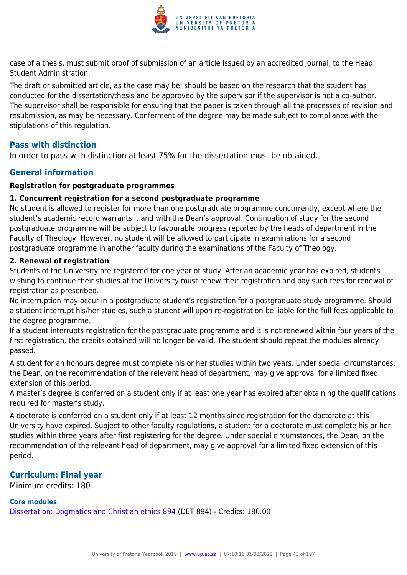

case of a thesis, must submit proof of submission of an article issued by an accredited journal, to the Head: Student Administration.

The draft or submitted article, as the case may be, should be based on the research that the student has conducted for the dissertation/thesis and be approved by the supervisor if the supervisor is not a co-author. The supervisor shall be responsible for ensuring that the paper is taken through all the processes of revision and resubmission, as may be necessary. Conferment of the degree may be made subject to compliance with the stipulations of this regulation.

## **Pass with distinction**

In order to pass with distinction at least 75% for the dissertation must be obtained.

## **General information**

## **Registration for postgraduate programmes**

#### **1. Concurrent registration for a second postgraduate programme**

No student is allowed to register for more than one postgraduate programme concurrently, except where the student's academic record warrants it and with the Dean's approval. Continuation of study for the second postgraduate programme will be subject to favourable progress reported by the heads of department in the Faculty of Theology. However, no student will be allowed to participate in examinations for a second postgraduate programme in another faculty during the examinations of the Faculty of Theology.

#### **2. Renewal of registration**

Students of the University are registered for one year of study. After an academic year has expired, students wishing to continue their studies at the University must renew their registration and pay such fees for renewal of registration as prescribed.

No interruption may occur in a postgraduate student's registration for a postgraduate study programme. Should a student interrupt his/her studies, such a student will upon re-registration be liable for the full fees applicable to the degree programme.

If a student interrupts registration for the postgraduate programme and it is not renewed within four years of the first registration, the credits obtained will no longer be valid. The student should repeat the modules already passed.

A student for an honours degree must complete his or her studies within two years. Under special circumstances, the Dean, on the recommendation of the relevant head of department, may give approval for a limited fixed extension of this period.

A master's degree is conferred on a student only if at least one year has expired after obtaining the qualifications required for master's study.

A doctorate is conferred on a student only if at least 12 months since registration for the doctorate at this University have expired. Subject to other faculty regulations, a student for a doctorate must complete his or her studies within three years after first registering for the degree. Under special circumstances, the Dean, on the recommendation of the relevant head of department, may give approval for a limited fixed extension of this period.

## **Curriculum: Final year**

Minimum credits: 180

## **Core modules**

[Dissertation: Dogmatics and Christian ethics 894](https://www.up.ac.za/faculty-of-education/yearbooks/2019/modules/view/DET 894) (DET 894) - Credits: 180.00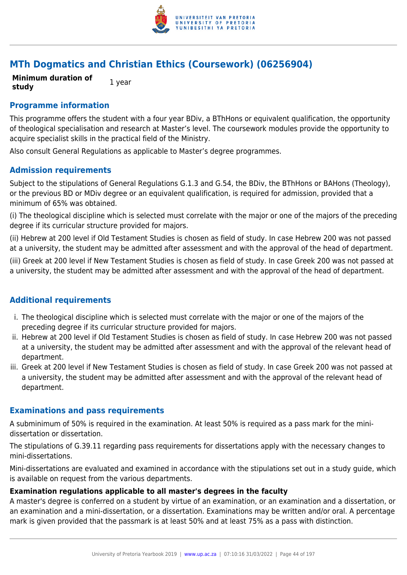

## **MTh Dogmatics and Christian Ethics (Coursework) (06256904)**

**Minimum duration of study** 1 year

## **Programme information**

This programme offers the student with a four year BDiv, a BThHons or equivalent qualification, the opportunity of theological specialisation and research at Master's level. The coursework modules provide the opportunity to acquire specialist skills in the practical field of the Ministry.

Also consult General Regulations as applicable to Master's degree programmes.

## **Admission requirements**

Subject to the stipulations of General Regulations G.1.3 and G.54, the BDiv, the BThHons or BAHons (Theology), or the previous BD or MDiv degree or an equivalent qualification, is required for admission, provided that a minimum of 65% was obtained.

(i) The theological discipline which is selected must correlate with the major or one of the majors of the preceding degree if its curricular structure provided for majors.

(ii) Hebrew at 200 level if Old Testament Studies is chosen as field of study. In case Hebrew 200 was not passed at a university, the student may be admitted after assessment and with the approval of the head of department.

(iii) Greek at 200 level if New Testament Studies is chosen as field of study. In case Greek 200 was not passed at a university, the student may be admitted after assessment and with the approval of the head of department.

## **Additional requirements**

- i. The theological discipline which is selected must correlate with the major or one of the majors of the preceding degree if its curricular structure provided for majors.
- ii. Hebrew at 200 level if Old Testament Studies is chosen as field of study. In case Hebrew 200 was not passed at a university, the student may be admitted after assessment and with the approval of the relevant head of department.
- iii. Greek at 200 level if New Testament Studies is chosen as field of study. In case Greek 200 was not passed at a university, the student may be admitted after assessment and with the approval of the relevant head of department.

## **Examinations and pass requirements**

A subminimum of 50% is required in the examination. At least 50% is required as a pass mark for the minidissertation or dissertation.

The stipulations of G.39.11 regarding pass requirements for dissertations apply with the necessary changes to mini-dissertations.

Mini-dissertations are evaluated and examined in accordance with the stipulations set out in a study guide, which is available on request from the various departments.

## **Examination regulations applicable to all master's degrees in the faculty**

A master's degree is conferred on a student by virtue of an examination, or an examination and a dissertation, or an examination and a mini-dissertation, or a dissertation. Examinations may be written and/or oral. A percentage mark is given provided that the passmark is at least 50% and at least 75% as a pass with distinction.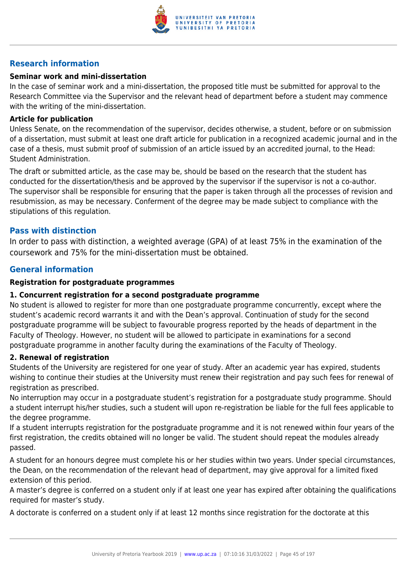

## **Research information**

## **Seminar work and mini-dissertation**

In the case of seminar work and a mini-dissertation, the proposed title must be submitted for approval to the Research Committee via the Supervisor and the relevant head of department before a student may commence with the writing of the mini-dissertation.

## **Article for publication**

Unless Senate, on the recommendation of the supervisor, decides otherwise, a student, before or on submission of a dissertation, must submit at least one draft article for publication in a recognized academic journal and in the case of a thesis, must submit proof of submission of an article issued by an accredited journal, to the Head: Student Administration.

The draft or submitted article, as the case may be, should be based on the research that the student has conducted for the dissertation/thesis and be approved by the supervisor if the supervisor is not a co-author. The supervisor shall be responsible for ensuring that the paper is taken through all the processes of revision and resubmission, as may be necessary. Conferment of the degree may be made subject to compliance with the stipulations of this regulation.

## **Pass with distinction**

In order to pass with distinction, a weighted average (GPA) of at least 75% in the examination of the coursework and 75% for the mini-dissertation must be obtained.

## **General information**

## **Registration for postgraduate programmes**

## **1. Concurrent registration for a second postgraduate programme**

No student is allowed to register for more than one postgraduate programme concurrently, except where the student's academic record warrants it and with the Dean's approval. Continuation of study for the second postgraduate programme will be subject to favourable progress reported by the heads of department in the Faculty of Theology. However, no student will be allowed to participate in examinations for a second postgraduate programme in another faculty during the examinations of the Faculty of Theology.

#### **2. Renewal of registration**

Students of the University are registered for one year of study. After an academic year has expired, students wishing to continue their studies at the University must renew their registration and pay such fees for renewal of registration as prescribed.

No interruption may occur in a postgraduate student's registration for a postgraduate study programme. Should a student interrupt his/her studies, such a student will upon re-registration be liable for the full fees applicable to the degree programme.

If a student interrupts registration for the postgraduate programme and it is not renewed within four years of the first registration, the credits obtained will no longer be valid. The student should repeat the modules already passed.

A student for an honours degree must complete his or her studies within two years. Under special circumstances, the Dean, on the recommendation of the relevant head of department, may give approval for a limited fixed extension of this period.

A master's degree is conferred on a student only if at least one year has expired after obtaining the qualifications required for master's study.

A doctorate is conferred on a student only if at least 12 months since registration for the doctorate at this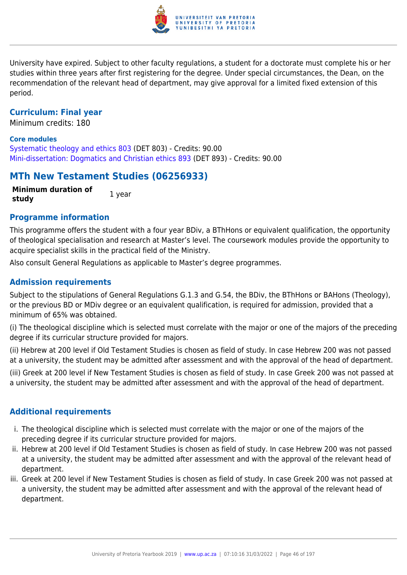

University have expired. Subject to other faculty regulations, a student for a doctorate must complete his or her studies within three years after first registering for the degree. Under special circumstances, the Dean, on the recommendation of the relevant head of department, may give approval for a limited fixed extension of this period.

## **Curriculum: Final year**

Minimum credits: 180

#### **Core modules**

[Systematic theology and ethics 803](https://www.up.ac.za/faculty-of-education/yearbooks/2019/modules/view/DET 803) (DET 803) - Credits: 90.00 [Mini-dissertation: Dogmatics and Christian ethics 893](https://www.up.ac.za/faculty-of-education/yearbooks/2019/modules/view/DET 893) (DET 893) - Credits: 90.00

## **MTh New Testament Studies (06256933)**

**Minimum duration of study** 1 year

## **Programme information**

This programme offers the student with a four year BDiv, a BThHons or equivalent qualification, the opportunity of theological specialisation and research at Master's level. The coursework modules provide the opportunity to acquire specialist skills in the practical field of the Ministry.

Also consult General Regulations as applicable to Master's degree programmes.

## **Admission requirements**

Subject to the stipulations of General Regulations G.1.3 and G.54, the BDiv, the BThHons or BAHons (Theology), or the previous BD or MDiv degree or an equivalent qualification, is required for admission, provided that a minimum of 65% was obtained.

(i) The theological discipline which is selected must correlate with the major or one of the majors of the preceding degree if its curricular structure provided for majors.

(ii) Hebrew at 200 level if Old Testament Studies is chosen as field of study. In case Hebrew 200 was not passed at a university, the student may be admitted after assessment and with the approval of the head of department.

(iii) Greek at 200 level if New Testament Studies is chosen as field of study. In case Greek 200 was not passed at a university, the student may be admitted after assessment and with the approval of the head of department.

## **Additional requirements**

- i. The theological discipline which is selected must correlate with the major or one of the majors of the preceding degree if its curricular structure provided for majors.
- ii. Hebrew at 200 level if Old Testament Studies is chosen as field of study. In case Hebrew 200 was not passed at a university, the student may be admitted after assessment and with the approval of the relevant head of department.
- iii. Greek at 200 level if New Testament Studies is chosen as field of study. In case Greek 200 was not passed at a university, the student may be admitted after assessment and with the approval of the relevant head of department.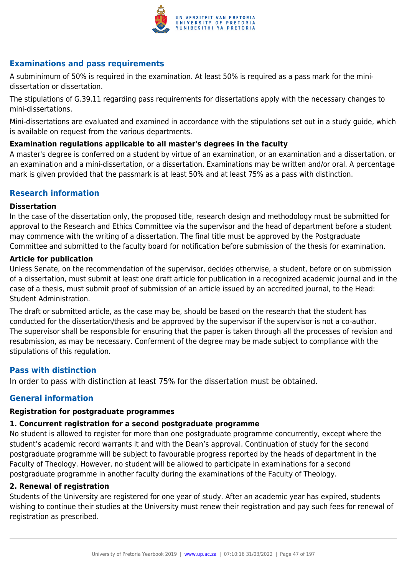

## **Examinations and pass requirements**

A subminimum of 50% is required in the examination. At least 50% is required as a pass mark for the minidissertation or dissertation.

The stipulations of G.39.11 regarding pass requirements for dissertations apply with the necessary changes to mini-dissertations.

Mini-dissertations are evaluated and examined in accordance with the stipulations set out in a study guide, which is available on request from the various departments.

## **Examination regulations applicable to all master's degrees in the faculty**

A master's degree is conferred on a student by virtue of an examination, or an examination and a dissertation, or an examination and a mini-dissertation, or a dissertation. Examinations may be written and/or oral. A percentage mark is given provided that the passmark is at least 50% and at least 75% as a pass with distinction.

## **Research information**

#### **Dissertation**

In the case of the dissertation only, the proposed title, research design and methodology must be submitted for approval to the Research and Ethics Committee via the supervisor and the head of department before a student may commence with the writing of a dissertation. The final title must be approved by the Postgraduate Committee and submitted to the faculty board for notification before submission of the thesis for examination.

## **Article for publication**

Unless Senate, on the recommendation of the supervisor, decides otherwise, a student, before or on submission of a dissertation, must submit at least one draft article for publication in a recognized academic journal and in the case of a thesis, must submit proof of submission of an article issued by an accredited journal, to the Head: Student Administration.

The draft or submitted article, as the case may be, should be based on the research that the student has conducted for the dissertation/thesis and be approved by the supervisor if the supervisor is not a co-author. The supervisor shall be responsible for ensuring that the paper is taken through all the processes of revision and resubmission, as may be necessary. Conferment of the degree may be made subject to compliance with the stipulations of this regulation.

## **Pass with distinction**

In order to pass with distinction at least 75% for the dissertation must be obtained.

## **General information**

## **Registration for postgraduate programmes**

## **1. Concurrent registration for a second postgraduate programme**

No student is allowed to register for more than one postgraduate programme concurrently, except where the student's academic record warrants it and with the Dean's approval. Continuation of study for the second postgraduate programme will be subject to favourable progress reported by the heads of department in the Faculty of Theology. However, no student will be allowed to participate in examinations for a second postgraduate programme in another faculty during the examinations of the Faculty of Theology.

#### **2. Renewal of registration**

Students of the University are registered for one year of study. After an academic year has expired, students wishing to continue their studies at the University must renew their registration and pay such fees for renewal of registration as prescribed.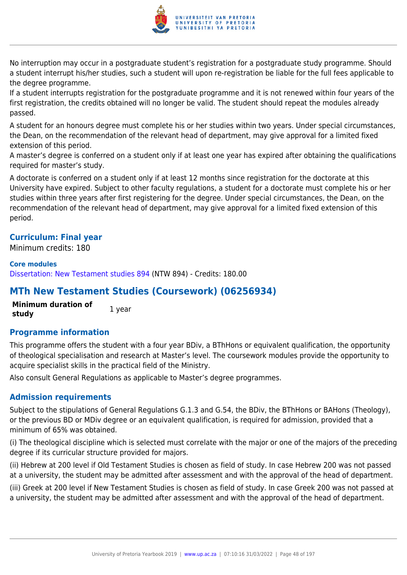

No interruption may occur in a postgraduate student's registration for a postgraduate study programme. Should a student interrupt his/her studies, such a student will upon re-registration be liable for the full fees applicable to the degree programme.

If a student interrupts registration for the postgraduate programme and it is not renewed within four years of the first registration, the credits obtained will no longer be valid. The student should repeat the modules already passed.

A student for an honours degree must complete his or her studies within two years. Under special circumstances, the Dean, on the recommendation of the relevant head of department, may give approval for a limited fixed extension of this period.

A master's degree is conferred on a student only if at least one year has expired after obtaining the qualifications required for master's study.

A doctorate is conferred on a student only if at least 12 months since registration for the doctorate at this University have expired. Subject to other faculty regulations, a student for a doctorate must complete his or her studies within three years after first registering for the degree. Under special circumstances, the Dean, on the recommendation of the relevant head of department, may give approval for a limited fixed extension of this period.

## **Curriculum: Final year**

Minimum credits: 180

#### **Core modules**

[Dissertation: New Testament studies 894](https://www.up.ac.za/faculty-of-education/yearbooks/2019/modules/view/NTW 894) (NTW 894) - Credits: 180.00

## **MTh New Testament Studies (Coursework) (06256934)**

**Minimum duration of study** 1 year

## **Programme information**

This programme offers the student with a four year BDiv, a BThHons or equivalent qualification, the opportunity of theological specialisation and research at Master's level. The coursework modules provide the opportunity to acquire specialist skills in the practical field of the Ministry.

Also consult General Regulations as applicable to Master's degree programmes.

## **Admission requirements**

Subject to the stipulations of General Regulations G.1.3 and G.54, the BDiv, the BThHons or BAHons (Theology), or the previous BD or MDiv degree or an equivalent qualification, is required for admission, provided that a minimum of 65% was obtained.

(i) The theological discipline which is selected must correlate with the major or one of the majors of the preceding degree if its curricular structure provided for majors.

(ii) Hebrew at 200 level if Old Testament Studies is chosen as field of study. In case Hebrew 200 was not passed at a university, the student may be admitted after assessment and with the approval of the head of department.

(iii) Greek at 200 level if New Testament Studies is chosen as field of study. In case Greek 200 was not passed at a university, the student may be admitted after assessment and with the approval of the head of department.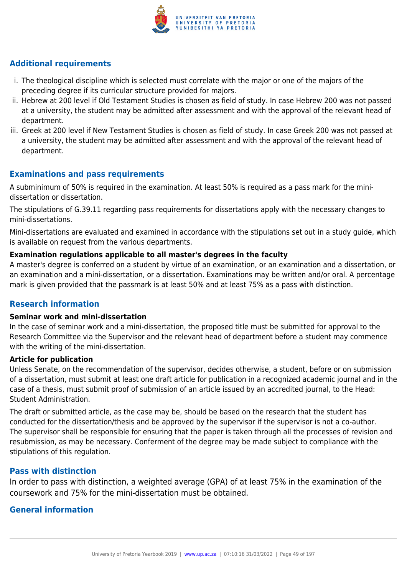

## **Additional requirements**

- i. The theological discipline which is selected must correlate with the major or one of the majors of the preceding degree if its curricular structure provided for majors.
- ii. Hebrew at 200 level if Old Testament Studies is chosen as field of study. In case Hebrew 200 was not passed at a university, the student may be admitted after assessment and with the approval of the relevant head of department.
- iii. Greek at 200 level if New Testament Studies is chosen as field of study. In case Greek 200 was not passed at a university, the student may be admitted after assessment and with the approval of the relevant head of department.

## **Examinations and pass requirements**

A subminimum of 50% is required in the examination. At least 50% is required as a pass mark for the minidissertation or dissertation.

The stipulations of G.39.11 regarding pass requirements for dissertations apply with the necessary changes to mini-dissertations.

Mini-dissertations are evaluated and examined in accordance with the stipulations set out in a study guide, which is available on request from the various departments.

## **Examination regulations applicable to all master's degrees in the faculty**

A master's degree is conferred on a student by virtue of an examination, or an examination and a dissertation, or an examination and a mini-dissertation, or a dissertation. Examinations may be written and/or oral. A percentage mark is given provided that the passmark is at least 50% and at least 75% as a pass with distinction.

## **Research information**

#### **Seminar work and mini-dissertation**

In the case of seminar work and a mini-dissertation, the proposed title must be submitted for approval to the Research Committee via the Supervisor and the relevant head of department before a student may commence with the writing of the mini-dissertation.

## **Article for publication**

Unless Senate, on the recommendation of the supervisor, decides otherwise, a student, before or on submission of a dissertation, must submit at least one draft article for publication in a recognized academic journal and in the case of a thesis, must submit proof of submission of an article issued by an accredited journal, to the Head: Student Administration.

The draft or submitted article, as the case may be, should be based on the research that the student has conducted for the dissertation/thesis and be approved by the supervisor if the supervisor is not a co-author. The supervisor shall be responsible for ensuring that the paper is taken through all the processes of revision and resubmission, as may be necessary. Conferment of the degree may be made subject to compliance with the stipulations of this regulation.

## **Pass with distinction**

In order to pass with distinction, a weighted average (GPA) of at least 75% in the examination of the coursework and 75% for the mini-dissertation must be obtained.

## **General information**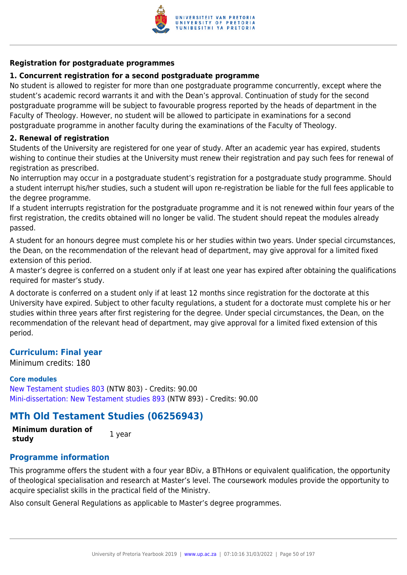

## **Registration for postgraduate programmes**

## **1. Concurrent registration for a second postgraduate programme**

No student is allowed to register for more than one postgraduate programme concurrently, except where the student's academic record warrants it and with the Dean's approval. Continuation of study for the second postgraduate programme will be subject to favourable progress reported by the heads of department in the Faculty of Theology. However, no student will be allowed to participate in examinations for a second postgraduate programme in another faculty during the examinations of the Faculty of Theology.

## **2. Renewal of registration**

Students of the University are registered for one year of study. After an academic year has expired, students wishing to continue their studies at the University must renew their registration and pay such fees for renewal of registration as prescribed.

No interruption may occur in a postgraduate student's registration for a postgraduate study programme. Should a student interrupt his/her studies, such a student will upon re-registration be liable for the full fees applicable to the degree programme.

If a student interrupts registration for the postgraduate programme and it is not renewed within four years of the first registration, the credits obtained will no longer be valid. The student should repeat the modules already passed.

A student for an honours degree must complete his or her studies within two years. Under special circumstances, the Dean, on the recommendation of the relevant head of department, may give approval for a limited fixed extension of this period.

A master's degree is conferred on a student only if at least one year has expired after obtaining the qualifications required for master's study.

A doctorate is conferred on a student only if at least 12 months since registration for the doctorate at this University have expired. Subject to other faculty regulations, a student for a doctorate must complete his or her studies within three years after first registering for the degree. Under special circumstances, the Dean, on the recommendation of the relevant head of department, may give approval for a limited fixed extension of this period.

## **Curriculum: Final year**

Minimum credits: 180

## **Core modules**

[New Testament studies 803](https://www.up.ac.za/faculty-of-education/yearbooks/2019/modules/view/NTW 803) (NTW 803) - Credits: 90.00 [Mini-dissertation: New Testament studies 893](https://www.up.ac.za/faculty-of-education/yearbooks/2019/modules/view/NTW 893) (NTW 893) - Credits: 90.00

## **MTh Old Testament Studies (06256943)**

**Minimum duration of study** 1 year

## **Programme information**

This programme offers the student with a four year BDiv, a BThHons or equivalent qualification, the opportunity of theological specialisation and research at Master's level. The coursework modules provide the opportunity to acquire specialist skills in the practical field of the Ministry.

Also consult General Regulations as applicable to Master's degree programmes.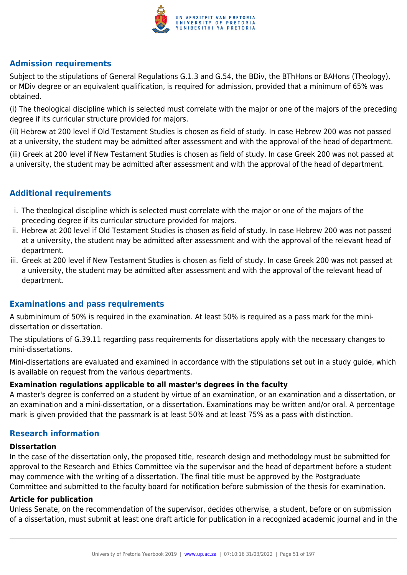

## **Admission requirements**

Subject to the stipulations of General Regulations G.1.3 and G.54, the BDiv, the BThHons or BAHons (Theology), or MDiv degree or an equivalent qualification, is required for admission, provided that a minimum of 65% was obtained.

(i) The theological discipline which is selected must correlate with the major or one of the majors of the preceding degree if its curricular structure provided for majors.

(ii) Hebrew at 200 level if Old Testament Studies is chosen as field of study. In case Hebrew 200 was not passed at a university, the student may be admitted after assessment and with the approval of the head of department. (iii) Greek at 200 level if New Testament Studies is chosen as field of study. In case Greek 200 was not passed at a university, the student may be admitted after assessment and with the approval of the head of department.

## **Additional requirements**

- i. The theological discipline which is selected must correlate with the major or one of the majors of the preceding degree if its curricular structure provided for majors.
- ii. Hebrew at 200 level if Old Testament Studies is chosen as field of study. In case Hebrew 200 was not passed at a university, the student may be admitted after assessment and with the approval of the relevant head of department.
- iii. Greek at 200 level if New Testament Studies is chosen as field of study. In case Greek 200 was not passed at a university, the student may be admitted after assessment and with the approval of the relevant head of department.

## **Examinations and pass requirements**

A subminimum of 50% is required in the examination. At least 50% is required as a pass mark for the minidissertation or dissertation.

The stipulations of G.39.11 regarding pass requirements for dissertations apply with the necessary changes to mini-dissertations.

Mini-dissertations are evaluated and examined in accordance with the stipulations set out in a study guide, which is available on request from the various departments.

## **Examination regulations applicable to all master's degrees in the faculty**

A master's degree is conferred on a student by virtue of an examination, or an examination and a dissertation, or an examination and a mini-dissertation, or a dissertation. Examinations may be written and/or oral. A percentage mark is given provided that the passmark is at least 50% and at least 75% as a pass with distinction.

## **Research information**

#### **Dissertation**

In the case of the dissertation only, the proposed title, research design and methodology must be submitted for approval to the Research and Ethics Committee via the supervisor and the head of department before a student may commence with the writing of a dissertation. The final title must be approved by the Postgraduate Committee and submitted to the faculty board for notification before submission of the thesis for examination.

## **Article for publication**

Unless Senate, on the recommendation of the supervisor, decides otherwise, a student, before or on submission of a dissertation, must submit at least one draft article for publication in a recognized academic journal and in the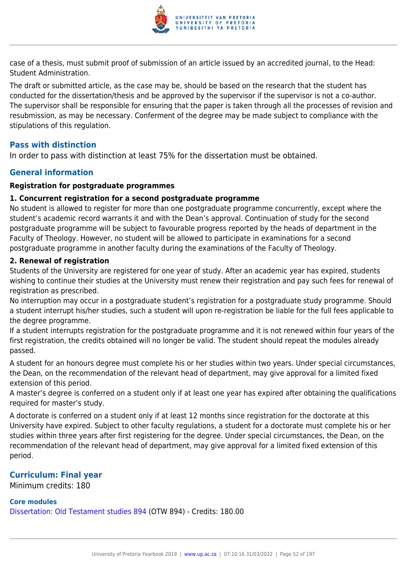

case of a thesis, must submit proof of submission of an article issued by an accredited journal, to the Head: Student Administration.

The draft or submitted article, as the case may be, should be based on the research that the student has conducted for the dissertation/thesis and be approved by the supervisor if the supervisor is not a co-author. The supervisor shall be responsible for ensuring that the paper is taken through all the processes of revision and resubmission, as may be necessary. Conferment of the degree may be made subject to compliance with the stipulations of this regulation.

## **Pass with distinction**

In order to pass with distinction at least 75% for the dissertation must be obtained.

## **General information**

## **Registration for postgraduate programmes**

#### **1. Concurrent registration for a second postgraduate programme**

No student is allowed to register for more than one postgraduate programme concurrently, except where the student's academic record warrants it and with the Dean's approval. Continuation of study for the second postgraduate programme will be subject to favourable progress reported by the heads of department in the Faculty of Theology. However, no student will be allowed to participate in examinations for a second postgraduate programme in another faculty during the examinations of the Faculty of Theology.

#### **2. Renewal of registration**

Students of the University are registered for one year of study. After an academic year has expired, students wishing to continue their studies at the University must renew their registration and pay such fees for renewal of registration as prescribed.

No interruption may occur in a postgraduate student's registration for a postgraduate study programme. Should a student interrupt his/her studies, such a student will upon re-registration be liable for the full fees applicable to the degree programme.

If a student interrupts registration for the postgraduate programme and it is not renewed within four years of the first registration, the credits obtained will no longer be valid. The student should repeat the modules already passed.

A student for an honours degree must complete his or her studies within two years. Under special circumstances, the Dean, on the recommendation of the relevant head of department, may give approval for a limited fixed extension of this period.

A master's degree is conferred on a student only if at least one year has expired after obtaining the qualifications required for master's study.

A doctorate is conferred on a student only if at least 12 months since registration for the doctorate at this University have expired. Subject to other faculty regulations, a student for a doctorate must complete his or her studies within three years after first registering for the degree. Under special circumstances, the Dean, on the recommendation of the relevant head of department, may give approval for a limited fixed extension of this period.

## **Curriculum: Final year**

Minimum credits: 180

## **Core modules**

[Dissertation: Old Testament studies 894](https://www.up.ac.za/faculty-of-education/yearbooks/2019/modules/view/OTW 894) (OTW 894) - Credits: 180.00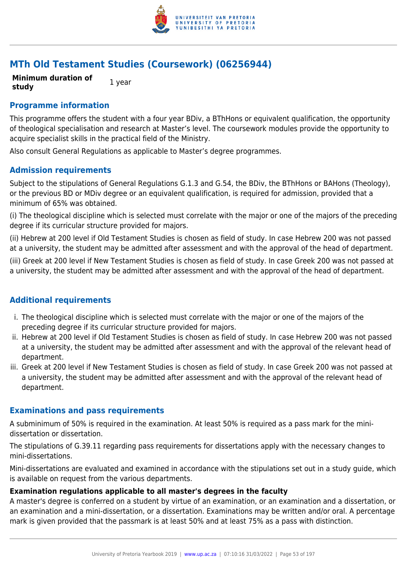

## **MTh Old Testament Studies (Coursework) (06256944)**

**Minimum duration of study** 1 year

## **Programme information**

This programme offers the student with a four year BDiv, a BThHons or equivalent qualification, the opportunity of theological specialisation and research at Master's level. The coursework modules provide the opportunity to acquire specialist skills in the practical field of the Ministry.

Also consult General Regulations as applicable to Master's degree programmes.

## **Admission requirements**

Subject to the stipulations of General Regulations G.1.3 and G.54, the BDiv, the BThHons or BAHons (Theology), or the previous BD or MDiv degree or an equivalent qualification, is required for admission, provided that a minimum of 65% was obtained.

(i) The theological discipline which is selected must correlate with the major or one of the majors of the preceding degree if its curricular structure provided for majors.

(ii) Hebrew at 200 level if Old Testament Studies is chosen as field of study. In case Hebrew 200 was not passed at a university, the student may be admitted after assessment and with the approval of the head of department.

(iii) Greek at 200 level if New Testament Studies is chosen as field of study. In case Greek 200 was not passed at a university, the student may be admitted after assessment and with the approval of the head of department.

## **Additional requirements**

- i. The theological discipline which is selected must correlate with the major or one of the majors of the preceding degree if its curricular structure provided for majors.
- ii. Hebrew at 200 level if Old Testament Studies is chosen as field of study. In case Hebrew 200 was not passed at a university, the student may be admitted after assessment and with the approval of the relevant head of department.
- iii. Greek at 200 level if New Testament Studies is chosen as field of study. In case Greek 200 was not passed at a university, the student may be admitted after assessment and with the approval of the relevant head of department.

## **Examinations and pass requirements**

A subminimum of 50% is required in the examination. At least 50% is required as a pass mark for the minidissertation or dissertation.

The stipulations of G.39.11 regarding pass requirements for dissertations apply with the necessary changes to mini-dissertations.

Mini-dissertations are evaluated and examined in accordance with the stipulations set out in a study guide, which is available on request from the various departments.

#### **Examination regulations applicable to all master's degrees in the faculty**

A master's degree is conferred on a student by virtue of an examination, or an examination and a dissertation, or an examination and a mini-dissertation, or a dissertation. Examinations may be written and/or oral. A percentage mark is given provided that the passmark is at least 50% and at least 75% as a pass with distinction.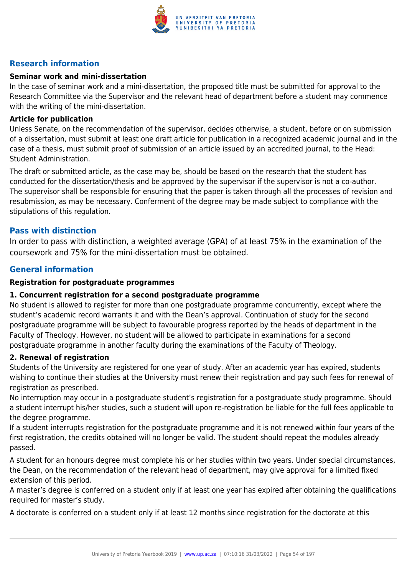

## **Research information**

## **Seminar work and mini-dissertation**

In the case of seminar work and a mini-dissertation, the proposed title must be submitted for approval to the Research Committee via the Supervisor and the relevant head of department before a student may commence with the writing of the mini-dissertation.

## **Article for publication**

Unless Senate, on the recommendation of the supervisor, decides otherwise, a student, before or on submission of a dissertation, must submit at least one draft article for publication in a recognized academic journal and in the case of a thesis, must submit proof of submission of an article issued by an accredited journal, to the Head: Student Administration.

The draft or submitted article, as the case may be, should be based on the research that the student has conducted for the dissertation/thesis and be approved by the supervisor if the supervisor is not a co-author. The supervisor shall be responsible for ensuring that the paper is taken through all the processes of revision and resubmission, as may be necessary. Conferment of the degree may be made subject to compliance with the stipulations of this regulation.

## **Pass with distinction**

In order to pass with distinction, a weighted average (GPA) of at least 75% in the examination of the coursework and 75% for the mini-dissertation must be obtained.

## **General information**

## **Registration for postgraduate programmes**

## **1. Concurrent registration for a second postgraduate programme**

No student is allowed to register for more than one postgraduate programme concurrently, except where the student's academic record warrants it and with the Dean's approval. Continuation of study for the second postgraduate programme will be subject to favourable progress reported by the heads of department in the Faculty of Theology. However, no student will be allowed to participate in examinations for a second postgraduate programme in another faculty during the examinations of the Faculty of Theology.

#### **2. Renewal of registration**

Students of the University are registered for one year of study. After an academic year has expired, students wishing to continue their studies at the University must renew their registration and pay such fees for renewal of registration as prescribed.

No interruption may occur in a postgraduate student's registration for a postgraduate study programme. Should a student interrupt his/her studies, such a student will upon re-registration be liable for the full fees applicable to the degree programme.

If a student interrupts registration for the postgraduate programme and it is not renewed within four years of the first registration, the credits obtained will no longer be valid. The student should repeat the modules already passed.

A student for an honours degree must complete his or her studies within two years. Under special circumstances, the Dean, on the recommendation of the relevant head of department, may give approval for a limited fixed extension of this period.

A master's degree is conferred on a student only if at least one year has expired after obtaining the qualifications required for master's study.

A doctorate is conferred on a student only if at least 12 months since registration for the doctorate at this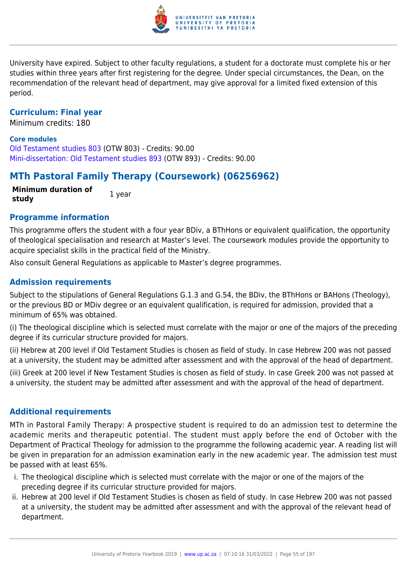

University have expired. Subject to other faculty regulations, a student for a doctorate must complete his or her studies within three years after first registering for the degree. Under special circumstances, the Dean, on the recommendation of the relevant head of department, may give approval for a limited fixed extension of this period.

## **Curriculum: Final year**

Minimum credits: 180

#### **Core modules**

[Old Testament studies 803](https://www.up.ac.za/faculty-of-education/yearbooks/2019/modules/view/OTW 803) (OTW 803) - Credits: 90.00 [Mini-dissertation: Old Testament studies 893](https://www.up.ac.za/faculty-of-education/yearbooks/2019/modules/view/OTW 893) (OTW 893) - Credits: 90.00

## **MTh Pastoral Family Therapy (Coursework) (06256962)**

**Minimum duration of study** 1 year

#### **Programme information**

This programme offers the student with a four year BDiv, a BThHons or equivalent qualification, the opportunity of theological specialisation and research at Master's level. The coursework modules provide the opportunity to acquire specialist skills in the practical field of the Ministry.

Also consult General Regulations as applicable to Master's degree programmes.

## **Admission requirements**

Subject to the stipulations of General Regulations G.1.3 and G.54, the BDiv, the BThHons or BAHons (Theology), or the previous BD or MDiv degree or an equivalent qualification, is required for admission, provided that a minimum of 65% was obtained.

(i) The theological discipline which is selected must correlate with the major or one of the majors of the preceding degree if its curricular structure provided for majors.

(ii) Hebrew at 200 level if Old Testament Studies is chosen as field of study. In case Hebrew 200 was not passed at a university, the student may be admitted after assessment and with the approval of the head of department.

(iii) Greek at 200 level if New Testament Studies is chosen as field of study. In case Greek 200 was not passed at a university, the student may be admitted after assessment and with the approval of the head of department.

## **Additional requirements**

MTh in Pastoral Family Therapy: A prospective student is required to do an admission test to determine the academic merits and therapeutic potential. The student must apply before the end of October with the Department of Practical Theology for admission to the programme the following academic year. A reading list will be given in preparation for an admission examination early in the new academic year. The admission test must be passed with at least 65%.

- i. The theological discipline which is selected must correlate with the major or one of the majors of the preceding degree if its curricular structure provided for majors.
- ii. Hebrew at 200 level if Old Testament Studies is chosen as field of study. In case Hebrew 200 was not passed at a university, the student may be admitted after assessment and with the approval of the relevant head of department.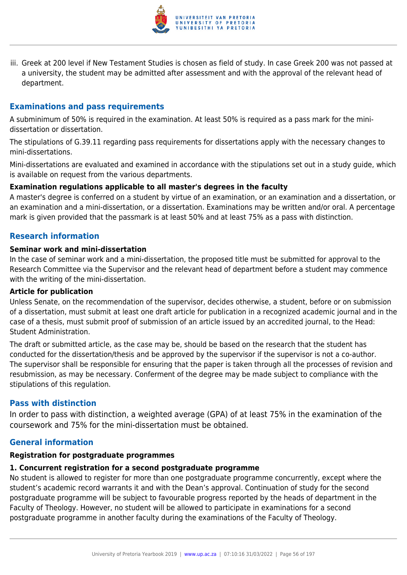

iii. Greek at 200 level if New Testament Studies is chosen as field of study. In case Greek 200 was not passed at a university, the student may be admitted after assessment and with the approval of the relevant head of department.

## **Examinations and pass requirements**

A subminimum of 50% is required in the examination. At least 50% is required as a pass mark for the minidissertation or dissertation.

The stipulations of G.39.11 regarding pass requirements for dissertations apply with the necessary changes to mini-dissertations.

Mini-dissertations are evaluated and examined in accordance with the stipulations set out in a study guide, which is available on request from the various departments.

## **Examination regulations applicable to all master's degrees in the faculty**

A master's degree is conferred on a student by virtue of an examination, or an examination and a dissertation, or an examination and a mini-dissertation, or a dissertation. Examinations may be written and/or oral. A percentage mark is given provided that the passmark is at least 50% and at least 75% as a pass with distinction.

## **Research information**

#### **Seminar work and mini-dissertation**

In the case of seminar work and a mini-dissertation, the proposed title must be submitted for approval to the Research Committee via the Supervisor and the relevant head of department before a student may commence with the writing of the mini-dissertation.

#### **Article for publication**

Unless Senate, on the recommendation of the supervisor, decides otherwise, a student, before or on submission of a dissertation, must submit at least one draft article for publication in a recognized academic journal and in the case of a thesis, must submit proof of submission of an article issued by an accredited journal, to the Head: Student Administration.

The draft or submitted article, as the case may be, should be based on the research that the student has conducted for the dissertation/thesis and be approved by the supervisor if the supervisor is not a co-author. The supervisor shall be responsible for ensuring that the paper is taken through all the processes of revision and resubmission, as may be necessary. Conferment of the degree may be made subject to compliance with the stipulations of this regulation.

## **Pass with distinction**

In order to pass with distinction, a weighted average (GPA) of at least 75% in the examination of the coursework and 75% for the mini-dissertation must be obtained.

## **General information**

#### **Registration for postgraduate programmes**

#### **1. Concurrent registration for a second postgraduate programme**

No student is allowed to register for more than one postgraduate programme concurrently, except where the student's academic record warrants it and with the Dean's approval. Continuation of study for the second postgraduate programme will be subject to favourable progress reported by the heads of department in the Faculty of Theology. However, no student will be allowed to participate in examinations for a second postgraduate programme in another faculty during the examinations of the Faculty of Theology.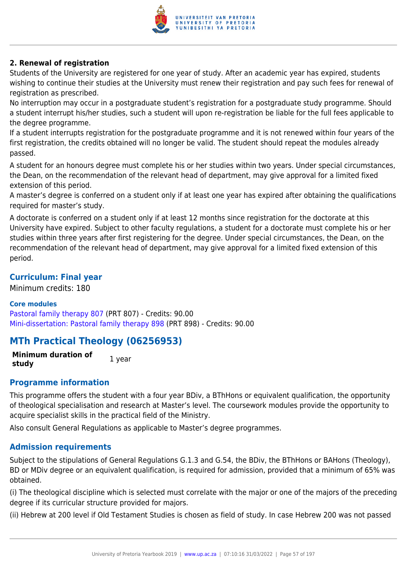

## **2. Renewal of registration**

Students of the University are registered for one year of study. After an academic year has expired, students wishing to continue their studies at the University must renew their registration and pay such fees for renewal of registration as prescribed.

No interruption may occur in a postgraduate student's registration for a postgraduate study programme. Should a student interrupt his/her studies, such a student will upon re-registration be liable for the full fees applicable to the degree programme.

If a student interrupts registration for the postgraduate programme and it is not renewed within four years of the first registration, the credits obtained will no longer be valid. The student should repeat the modules already passed.

A student for an honours degree must complete his or her studies within two years. Under special circumstances, the Dean, on the recommendation of the relevant head of department, may give approval for a limited fixed extension of this period.

A master's degree is conferred on a student only if at least one year has expired after obtaining the qualifications required for master's study.

A doctorate is conferred on a student only if at least 12 months since registration for the doctorate at this University have expired. Subject to other faculty regulations, a student for a doctorate must complete his or her studies within three years after first registering for the degree. Under special circumstances, the Dean, on the recommendation of the relevant head of department, may give approval for a limited fixed extension of this period.

## **Curriculum: Final year**

Minimum credits: 180

## **Core modules**

[Pastoral family therapy 807](https://www.up.ac.za/faculty-of-education/yearbooks/2019/modules/view/PRT 807) (PRT 807) - Credits: 90.00 [Mini-dissertation: Pastoral family therapy 898](https://www.up.ac.za/faculty-of-education/yearbooks/2019/modules/view/PRT 898) (PRT 898) - Credits: 90.00

## **MTh Practical Theology (06256953)**

**Minimum duration of study** 1 year

## **Programme information**

This programme offers the student with a four year BDiv, a BThHons or equivalent qualification, the opportunity of theological specialisation and research at Master's level. The coursework modules provide the opportunity to acquire specialist skills in the practical field of the Ministry.

Also consult General Regulations as applicable to Master's degree programmes.

## **Admission requirements**

Subject to the stipulations of General Regulations G.1.3 and G.54, the BDiv, the BThHons or BAHons (Theology), BD or MDiv degree or an equivalent qualification, is required for admission, provided that a minimum of 65% was obtained.

(i) The theological discipline which is selected must correlate with the major or one of the majors of the preceding degree if its curricular structure provided for majors.

(ii) Hebrew at 200 level if Old Testament Studies is chosen as field of study. In case Hebrew 200 was not passed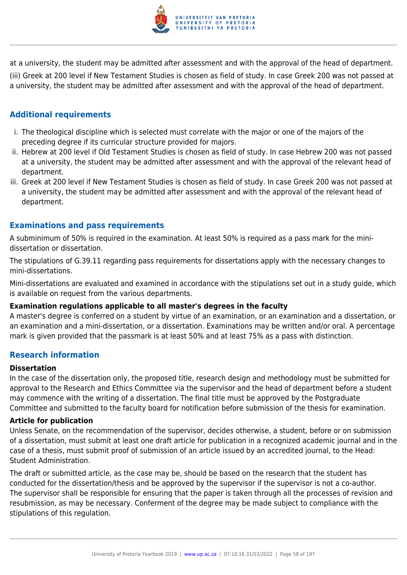

at a university, the student may be admitted after assessment and with the approval of the head of department. (iii) Greek at 200 level if New Testament Studies is chosen as field of study. In case Greek 200 was not passed at a university, the student may be admitted after assessment and with the approval of the head of department.

## **Additional requirements**

- i. The theological discipline which is selected must correlate with the major or one of the majors of the preceding degree if its curricular structure provided for majors.
- ii. Hebrew at 200 level if Old Testament Studies is chosen as field of study. In case Hebrew 200 was not passed at a university, the student may be admitted after assessment and with the approval of the relevant head of department.
- iii. Greek at 200 level if New Testament Studies is chosen as field of study. In case Greek 200 was not passed at a university, the student may be admitted after assessment and with the approval of the relevant head of department.

## **Examinations and pass requirements**

A subminimum of 50% is required in the examination. At least 50% is required as a pass mark for the minidissertation or dissertation.

The stipulations of G.39.11 regarding pass requirements for dissertations apply with the necessary changes to mini-dissertations.

Mini-dissertations are evaluated and examined in accordance with the stipulations set out in a study guide, which is available on request from the various departments.

## **Examination regulations applicable to all master's degrees in the faculty**

A master's degree is conferred on a student by virtue of an examination, or an examination and a dissertation, or an examination and a mini-dissertation, or a dissertation. Examinations may be written and/or oral. A percentage mark is given provided that the passmark is at least 50% and at least 75% as a pass with distinction.

## **Research information**

## **Dissertation**

In the case of the dissertation only, the proposed title, research design and methodology must be submitted for approval to the Research and Ethics Committee via the supervisor and the head of department before a student may commence with the writing of a dissertation. The final title must be approved by the Postgraduate Committee and submitted to the faculty board for notification before submission of the thesis for examination.

## **Article for publication**

Unless Senate, on the recommendation of the supervisor, decides otherwise, a student, before or on submission of a dissertation, must submit at least one draft article for publication in a recognized academic journal and in the case of a thesis, must submit proof of submission of an article issued by an accredited journal, to the Head: Student Administration.

The draft or submitted article, as the case may be, should be based on the research that the student has conducted for the dissertation/thesis and be approved by the supervisor if the supervisor is not a co-author. The supervisor shall be responsible for ensuring that the paper is taken through all the processes of revision and resubmission, as may be necessary. Conferment of the degree may be made subject to compliance with the stipulations of this regulation.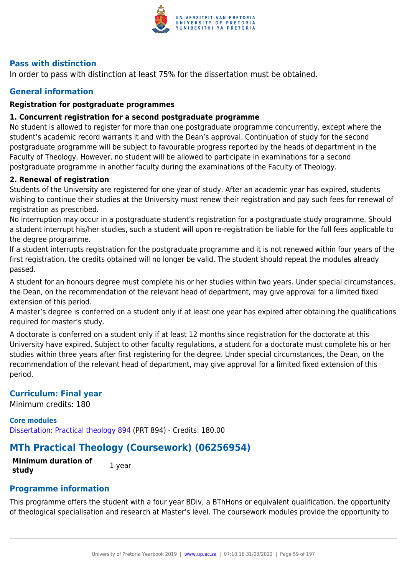

## **Pass with distinction**

In order to pass with distinction at least 75% for the dissertation must be obtained.

## **General information**

## **Registration for postgraduate programmes**

## **1. Concurrent registration for a second postgraduate programme**

No student is allowed to register for more than one postgraduate programme concurrently, except where the student's academic record warrants it and with the Dean's approval. Continuation of study for the second postgraduate programme will be subject to favourable progress reported by the heads of department in the Faculty of Theology. However, no student will be allowed to participate in examinations for a second postgraduate programme in another faculty during the examinations of the Faculty of Theology.

## **2. Renewal of registration**

Students of the University are registered for one year of study. After an academic year has expired, students wishing to continue their studies at the University must renew their registration and pay such fees for renewal of registration as prescribed.

No interruption may occur in a postgraduate student's registration for a postgraduate study programme. Should a student interrupt his/her studies, such a student will upon re-registration be liable for the full fees applicable to the degree programme.

If a student interrupts registration for the postgraduate programme and it is not renewed within four years of the first registration, the credits obtained will no longer be valid. The student should repeat the modules already passed.

A student for an honours degree must complete his or her studies within two years. Under special circumstances, the Dean, on the recommendation of the relevant head of department, may give approval for a limited fixed extension of this period.

A master's degree is conferred on a student only if at least one year has expired after obtaining the qualifications required for master's study.

A doctorate is conferred on a student only if at least 12 months since registration for the doctorate at this University have expired. Subject to other faculty regulations, a student for a doctorate must complete his or her studies within three years after first registering for the degree. Under special circumstances, the Dean, on the recommendation of the relevant head of department, may give approval for a limited fixed extension of this period.

## **Curriculum: Final year**

Minimum credits: 180

**Core modules** [Dissertation: Practical theology 894](https://www.up.ac.za/faculty-of-education/yearbooks/2019/modules/view/PRT 894) (PRT 894) - Credits: 180.00

## **MTh Practical Theology (Coursework) (06256954)**

**Minimum duration of study** 1 year

## **Programme information**

This programme offers the student with a four year BDiv, a BThHons or equivalent qualification, the opportunity of theological specialisation and research at Master's level. The coursework modules provide the opportunity to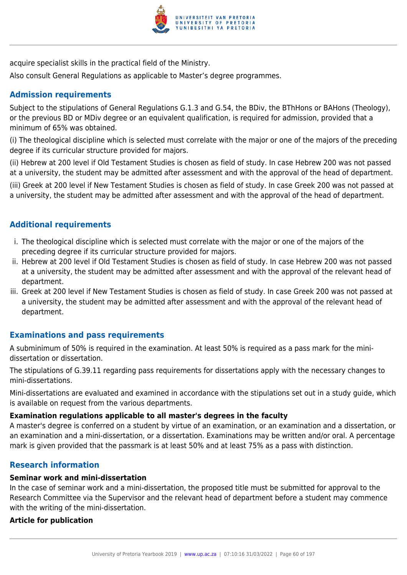

acquire specialist skills in the practical field of the Ministry.

Also consult General Regulations as applicable to Master's degree programmes.

## **Admission requirements**

Subject to the stipulations of General Regulations G.1.3 and G.54, the BDiv, the BThHons or BAHons (Theology), or the previous BD or MDiv degree or an equivalent qualification, is required for admission, provided that a minimum of 65% was obtained.

(i) The theological discipline which is selected must correlate with the major or one of the majors of the preceding degree if its curricular structure provided for majors.

(ii) Hebrew at 200 level if Old Testament Studies is chosen as field of study. In case Hebrew 200 was not passed at a university, the student may be admitted after assessment and with the approval of the head of department.

(iii) Greek at 200 level if New Testament Studies is chosen as field of study. In case Greek 200 was not passed at a university, the student may be admitted after assessment and with the approval of the head of department.

## **Additional requirements**

- i. The theological discipline which is selected must correlate with the major or one of the majors of the preceding degree if its curricular structure provided for majors.
- ii. Hebrew at 200 level if Old Testament Studies is chosen as field of study. In case Hebrew 200 was not passed at a university, the student may be admitted after assessment and with the approval of the relevant head of department.
- iii. Greek at 200 level if New Testament Studies is chosen as field of study. In case Greek 200 was not passed at a university, the student may be admitted after assessment and with the approval of the relevant head of department.

## **Examinations and pass requirements**

A subminimum of 50% is required in the examination. At least 50% is required as a pass mark for the minidissertation or dissertation.

The stipulations of G.39.11 regarding pass requirements for dissertations apply with the necessary changes to mini-dissertations.

Mini-dissertations are evaluated and examined in accordance with the stipulations set out in a study guide, which is available on request from the various departments.

## **Examination regulations applicable to all master's degrees in the faculty**

A master's degree is conferred on a student by virtue of an examination, or an examination and a dissertation, or an examination and a mini-dissertation, or a dissertation. Examinations may be written and/or oral. A percentage mark is given provided that the passmark is at least 50% and at least 75% as a pass with distinction.

## **Research information**

## **Seminar work and mini-dissertation**

In the case of seminar work and a mini-dissertation, the proposed title must be submitted for approval to the Research Committee via the Supervisor and the relevant head of department before a student may commence with the writing of the mini-dissertation.

## **Article for publication**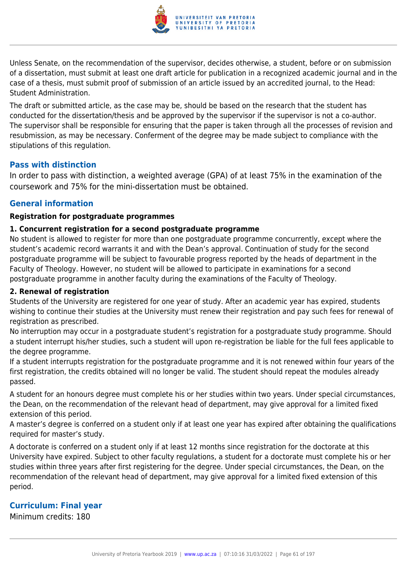

Unless Senate, on the recommendation of the supervisor, decides otherwise, a student, before or on submission of a dissertation, must submit at least one draft article for publication in a recognized academic journal and in the case of a thesis, must submit proof of submission of an article issued by an accredited journal, to the Head: Student Administration.

The draft or submitted article, as the case may be, should be based on the research that the student has conducted for the dissertation/thesis and be approved by the supervisor if the supervisor is not a co-author. The supervisor shall be responsible for ensuring that the paper is taken through all the processes of revision and resubmission, as may be necessary. Conferment of the degree may be made subject to compliance with the stipulations of this regulation.

## **Pass with distinction**

In order to pass with distinction, a weighted average (GPA) of at least 75% in the examination of the coursework and 75% for the mini-dissertation must be obtained.

## **General information**

## **Registration for postgraduate programmes**

## **1. Concurrent registration for a second postgraduate programme**

No student is allowed to register for more than one postgraduate programme concurrently, except where the student's academic record warrants it and with the Dean's approval. Continuation of study for the second postgraduate programme will be subject to favourable progress reported by the heads of department in the Faculty of Theology. However, no student will be allowed to participate in examinations for a second postgraduate programme in another faculty during the examinations of the Faculty of Theology.

## **2. Renewal of registration**

Students of the University are registered for one year of study. After an academic year has expired, students wishing to continue their studies at the University must renew their registration and pay such fees for renewal of registration as prescribed.

No interruption may occur in a postgraduate student's registration for a postgraduate study programme. Should a student interrupt his/her studies, such a student will upon re-registration be liable for the full fees applicable to the degree programme.

If a student interrupts registration for the postgraduate programme and it is not renewed within four years of the first registration, the credits obtained will no longer be valid. The student should repeat the modules already passed.

A student for an honours degree must complete his or her studies within two years. Under special circumstances, the Dean, on the recommendation of the relevant head of department, may give approval for a limited fixed extension of this period.

A master's degree is conferred on a student only if at least one year has expired after obtaining the qualifications required for master's study.

A doctorate is conferred on a student only if at least 12 months since registration for the doctorate at this University have expired. Subject to other faculty regulations, a student for a doctorate must complete his or her studies within three years after first registering for the degree. Under special circumstances, the Dean, on the recommendation of the relevant head of department, may give approval for a limited fixed extension of this period.

## **Curriculum: Final year**

Minimum credits: 180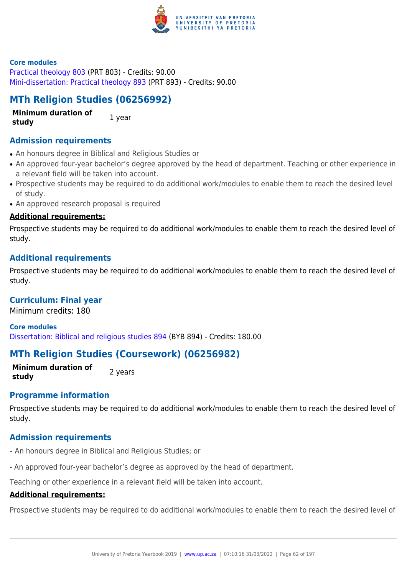

#### **Core modules**

[Practical theology 803](https://www.up.ac.za/faculty-of-education/yearbooks/2019/modules/view/PRT 803) (PRT 803) - Credits: 90.00 [Mini-dissertation: Practical theology 893](https://www.up.ac.za/faculty-of-education/yearbooks/2019/modules/view/PRT 893) (PRT 893) - Credits: 90.00

## **MTh Religion Studies (06256992)**

**Minimum duration of study** 1 year

## **Admission requirements**

- An honours degree in Biblical and Religious Studies or
- An approved four-year bachelor's degree approved by the head of department. Teaching or other experience in a relevant field will be taken into account.
- Prospective students may be required to do additional work/modules to enable them to reach the desired level of study.
- An approved research proposal is required

#### **Additional requirements:**

Prospective students may be required to do additional work/modules to enable them to reach the desired level of study.

## **Additional requirements**

Prospective students may be required to do additional work/modules to enable them to reach the desired level of study.

## **Curriculum: Final year**

Minimum credits: 180

**Core modules** [Dissertation: Biblical and religious studies 894](https://www.up.ac.za/faculty-of-education/yearbooks/2019/modules/view/BYB 894) (BYB 894) - Credits: 180.00

## **MTh Religion Studies (Coursework) (06256982)**

**Minimum duration of study 2** years

## **Programme information**

Prospective students may be required to do additional work/modules to enable them to reach the desired level of study.

## **Admission requirements**

- An honours degree in Biblical and Religious Studies; or
- An approved four-year bachelor's degree as approved by the head of department.

Teaching or other experience in a relevant field will be taken into account.

## **Additional requirements:**

Prospective students may be required to do additional work/modules to enable them to reach the desired level of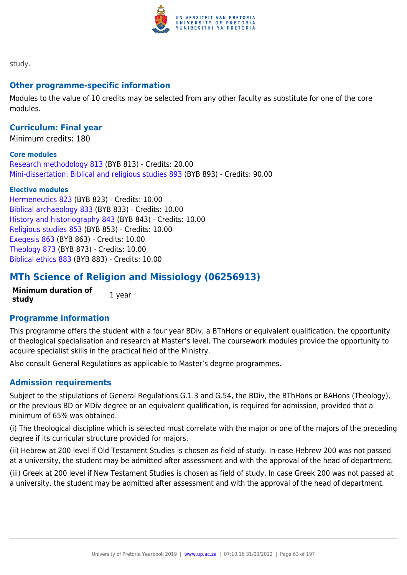

study.

## **Other programme-specific information**

Modules to the value of 10 credits may be selected from any other faculty as substitute for one of the core modules.

## **Curriculum: Final year**

Minimum credits: 180

#### **Core modules**

[Research methodology 813](https://www.up.ac.za/faculty-of-education/yearbooks/2019/modules/view/BYB 813) (BYB 813) - Credits: 20.00 [Mini-dissertation: Biblical and religious studies 893](https://www.up.ac.za/faculty-of-education/yearbooks/2019/modules/view/BYB 893) (BYB 893) - Credits: 90.00

#### **Elective modules**

[Hermeneutics 823](https://www.up.ac.za/faculty-of-education/yearbooks/2019/modules/view/BYB 823) (BYB 823) - Credits: 10.00 [Biblical archaeology 833](https://www.up.ac.za/faculty-of-education/yearbooks/2019/modules/view/BYB 833) (BYB 833) - Credits: 10.00 [History and historiography 843](https://www.up.ac.za/faculty-of-education/yearbooks/2019/modules/view/BYB 843) (BYB 843) - Credits: 10.00 [Religious studies 853](https://www.up.ac.za/faculty-of-education/yearbooks/2019/modules/view/BYB 853) (BYB 853) - Credits: 10.00 [Exegesis 863](https://www.up.ac.za/faculty-of-education/yearbooks/2019/modules/view/BYB 863) (BYB 863) - Credits: 10.00 [Theology 873](https://www.up.ac.za/faculty-of-education/yearbooks/2019/modules/view/BYB 873) (BYB 873) - Credits: 10.00 [Biblical ethics 883](https://www.up.ac.za/faculty-of-education/yearbooks/2019/modules/view/BYB 883) (BYB 883) - Credits: 10.00

## **MTh Science of Religion and Missiology (06256913)**

**Minimum duration of study** 1 year

## **Programme information**

This programme offers the student with a four year BDiv, a BThHons or equivalent qualification, the opportunity of theological specialisation and research at Master's level. The coursework modules provide the opportunity to acquire specialist skills in the practical field of the Ministry.

Also consult General Regulations as applicable to Master's degree programmes.

## **Admission requirements**

Subject to the stipulations of General Regulations G.1.3 and G.54, the BDiv, the BThHons or BAHons (Theology), or the previous BD or MDiv degree or an equivalent qualification, is required for admission, provided that a minimum of 65% was obtained.

(i) The theological discipline which is selected must correlate with the major or one of the majors of the preceding degree if its curricular structure provided for majors.

(ii) Hebrew at 200 level if Old Testament Studies is chosen as field of study. In case Hebrew 200 was not passed at a university, the student may be admitted after assessment and with the approval of the head of department.

(iii) Greek at 200 level if New Testament Studies is chosen as field of study. In case Greek 200 was not passed at a university, the student may be admitted after assessment and with the approval of the head of department.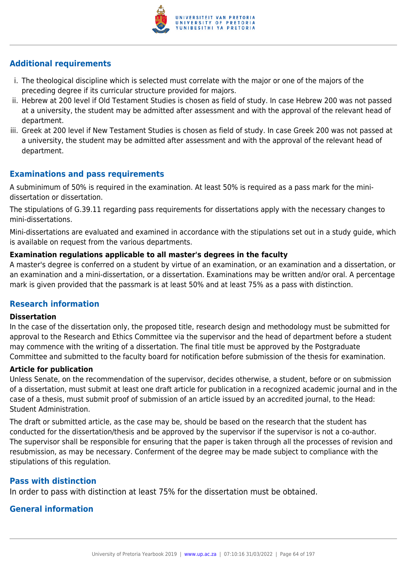

## **Additional requirements**

- i. The theological discipline which is selected must correlate with the major or one of the majors of the preceding degree if its curricular structure provided for majors.
- ii. Hebrew at 200 level if Old Testament Studies is chosen as field of study. In case Hebrew 200 was not passed at a university, the student may be admitted after assessment and with the approval of the relevant head of department.
- iii. Greek at 200 level if New Testament Studies is chosen as field of study. In case Greek 200 was not passed at a university, the student may be admitted after assessment and with the approval of the relevant head of department.

## **Examinations and pass requirements**

A subminimum of 50% is required in the examination. At least 50% is required as a pass mark for the minidissertation or dissertation.

The stipulations of G.39.11 regarding pass requirements for dissertations apply with the necessary changes to mini-dissertations.

Mini-dissertations are evaluated and examined in accordance with the stipulations set out in a study guide, which is available on request from the various departments.

## **Examination regulations applicable to all master's degrees in the faculty**

A master's degree is conferred on a student by virtue of an examination, or an examination and a dissertation, or an examination and a mini-dissertation, or a dissertation. Examinations may be written and/or oral. A percentage mark is given provided that the passmark is at least 50% and at least 75% as a pass with distinction.

## **Research information**

#### **Dissertation**

In the case of the dissertation only, the proposed title, research design and methodology must be submitted for approval to the Research and Ethics Committee via the supervisor and the head of department before a student may commence with the writing of a dissertation. The final title must be approved by the Postgraduate Committee and submitted to the faculty board for notification before submission of the thesis for examination.

## **Article for publication**

Unless Senate, on the recommendation of the supervisor, decides otherwise, a student, before or on submission of a dissertation, must submit at least one draft article for publication in a recognized academic journal and in the case of a thesis, must submit proof of submission of an article issued by an accredited journal, to the Head: Student Administration.

The draft or submitted article, as the case may be, should be based on the research that the student has conducted for the dissertation/thesis and be approved by the supervisor if the supervisor is not a co-author. The supervisor shall be responsible for ensuring that the paper is taken through all the processes of revision and resubmission, as may be necessary. Conferment of the degree may be made subject to compliance with the stipulations of this regulation.

## **Pass with distinction**

In order to pass with distinction at least 75% for the dissertation must be obtained.

## **General information**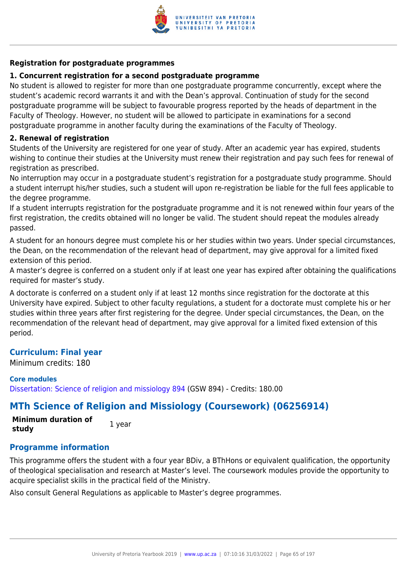

## **Registration for postgraduate programmes**

#### **1. Concurrent registration for a second postgraduate programme**

No student is allowed to register for more than one postgraduate programme concurrently, except where the student's academic record warrants it and with the Dean's approval. Continuation of study for the second postgraduate programme will be subject to favourable progress reported by the heads of department in the Faculty of Theology. However, no student will be allowed to participate in examinations for a second postgraduate programme in another faculty during the examinations of the Faculty of Theology.

#### **2. Renewal of registration**

Students of the University are registered for one year of study. After an academic year has expired, students wishing to continue their studies at the University must renew their registration and pay such fees for renewal of registration as prescribed.

No interruption may occur in a postgraduate student's registration for a postgraduate study programme. Should a student interrupt his/her studies, such a student will upon re-registration be liable for the full fees applicable to the degree programme.

If a student interrupts registration for the postgraduate programme and it is not renewed within four years of the first registration, the credits obtained will no longer be valid. The student should repeat the modules already passed.

A student for an honours degree must complete his or her studies within two years. Under special circumstances, the Dean, on the recommendation of the relevant head of department, may give approval for a limited fixed extension of this period.

A master's degree is conferred on a student only if at least one year has expired after obtaining the qualifications required for master's study.

A doctorate is conferred on a student only if at least 12 months since registration for the doctorate at this University have expired. Subject to other faculty regulations, a student for a doctorate must complete his or her studies within three years after first registering for the degree. Under special circumstances, the Dean, on the recommendation of the relevant head of department, may give approval for a limited fixed extension of this period.

## **Curriculum: Final year**

Minimum credits: 180

## **Core modules**

[Dissertation: Science of religion and missiology 894](https://www.up.ac.za/faculty-of-education/yearbooks/2019/modules/view/GSW 894) (GSW 894) - Credits: 180.00

## **MTh Science of Religion and Missiology (Coursework) (06256914)**

**Minimum duration of study** 1 year

## **Programme information**

This programme offers the student with a four year BDiv, a BThHons or equivalent qualification, the opportunity of theological specialisation and research at Master's level. The coursework modules provide the opportunity to acquire specialist skills in the practical field of the Ministry.

Also consult General Regulations as applicable to Master's degree programmes.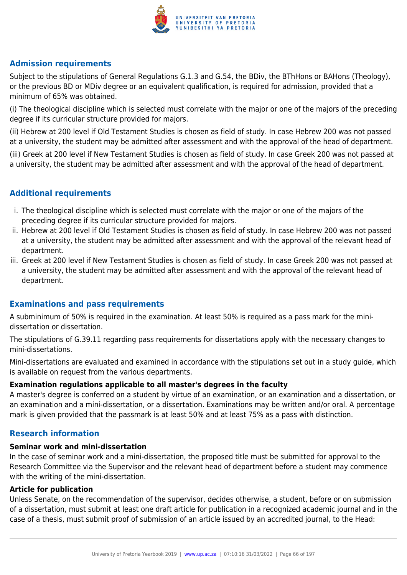

## **Admission requirements**

Subject to the stipulations of General Regulations G.1.3 and G.54, the BDiv, the BThHons or BAHons (Theology), or the previous BD or MDiv degree or an equivalent qualification, is required for admission, provided that a minimum of 65% was obtained.

(i) The theological discipline which is selected must correlate with the major or one of the majors of the preceding degree if its curricular structure provided for majors.

(ii) Hebrew at 200 level if Old Testament Studies is chosen as field of study. In case Hebrew 200 was not passed at a university, the student may be admitted after assessment and with the approval of the head of department. (iii) Greek at 200 level if New Testament Studies is chosen as field of study. In case Greek 200 was not passed at a university, the student may be admitted after assessment and with the approval of the head of department.

## **Additional requirements**

- i. The theological discipline which is selected must correlate with the major or one of the majors of the preceding degree if its curricular structure provided for majors.
- ii. Hebrew at 200 level if Old Testament Studies is chosen as field of study. In case Hebrew 200 was not passed at a university, the student may be admitted after assessment and with the approval of the relevant head of department.
- iii. Greek at 200 level if New Testament Studies is chosen as field of study. In case Greek 200 was not passed at a university, the student may be admitted after assessment and with the approval of the relevant head of department.

## **Examinations and pass requirements**

A subminimum of 50% is required in the examination. At least 50% is required as a pass mark for the minidissertation or dissertation.

The stipulations of G.39.11 regarding pass requirements for dissertations apply with the necessary changes to mini-dissertations.

Mini-dissertations are evaluated and examined in accordance with the stipulations set out in a study guide, which is available on request from the various departments.

## **Examination regulations applicable to all master's degrees in the faculty**

A master's degree is conferred on a student by virtue of an examination, or an examination and a dissertation, or an examination and a mini-dissertation, or a dissertation. Examinations may be written and/or oral. A percentage mark is given provided that the passmark is at least 50% and at least 75% as a pass with distinction.

## **Research information**

## **Seminar work and mini-dissertation**

In the case of seminar work and a mini-dissertation, the proposed title must be submitted for approval to the Research Committee via the Supervisor and the relevant head of department before a student may commence with the writing of the mini-dissertation.

## **Article for publication**

Unless Senate, on the recommendation of the supervisor, decides otherwise, a student, before or on submission of a dissertation, must submit at least one draft article for publication in a recognized academic journal and in the case of a thesis, must submit proof of submission of an article issued by an accredited journal, to the Head: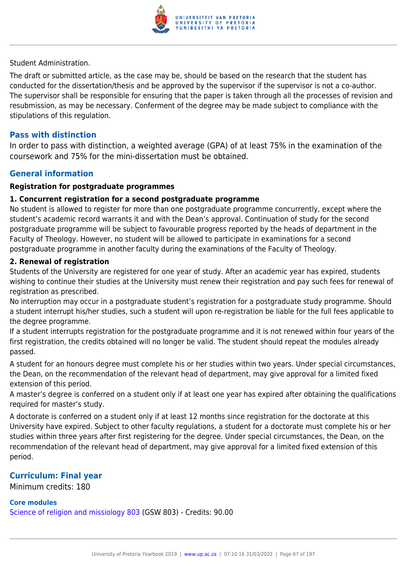

Student Administration.

The draft or submitted article, as the case may be, should be based on the research that the student has conducted for the dissertation/thesis and be approved by the supervisor if the supervisor is not a co-author. The supervisor shall be responsible for ensuring that the paper is taken through all the processes of revision and resubmission, as may be necessary. Conferment of the degree may be made subject to compliance with the stipulations of this regulation.

## **Pass with distinction**

In order to pass with distinction, a weighted average (GPA) of at least 75% in the examination of the coursework and 75% for the mini-dissertation must be obtained.

## **General information**

#### **Registration for postgraduate programmes**

#### **1. Concurrent registration for a second postgraduate programme**

No student is allowed to register for more than one postgraduate programme concurrently, except where the student's academic record warrants it and with the Dean's approval. Continuation of study for the second postgraduate programme will be subject to favourable progress reported by the heads of department in the Faculty of Theology. However, no student will be allowed to participate in examinations for a second postgraduate programme in another faculty during the examinations of the Faculty of Theology.

#### **2. Renewal of registration**

Students of the University are registered for one year of study. After an academic year has expired, students wishing to continue their studies at the University must renew their registration and pay such fees for renewal of registration as prescribed.

No interruption may occur in a postgraduate student's registration for a postgraduate study programme. Should a student interrupt his/her studies, such a student will upon re-registration be liable for the full fees applicable to the degree programme.

If a student interrupts registration for the postgraduate programme and it is not renewed within four years of the first registration, the credits obtained will no longer be valid. The student should repeat the modules already passed.

A student for an honours degree must complete his or her studies within two years. Under special circumstances, the Dean, on the recommendation of the relevant head of department, may give approval for a limited fixed extension of this period.

A master's degree is conferred on a student only if at least one year has expired after obtaining the qualifications required for master's study.

A doctorate is conferred on a student only if at least 12 months since registration for the doctorate at this University have expired. Subject to other faculty regulations, a student for a doctorate must complete his or her studies within three years after first registering for the degree. Under special circumstances, the Dean, on the recommendation of the relevant head of department, may give approval for a limited fixed extension of this period.

## **Curriculum: Final year**

Minimum credits: 180

#### **Core modules**

[Science of religion and missiology 803](https://www.up.ac.za/faculty-of-education/yearbooks/2019/modules/view/GSW 803) (GSW 803) - Credits: 90.00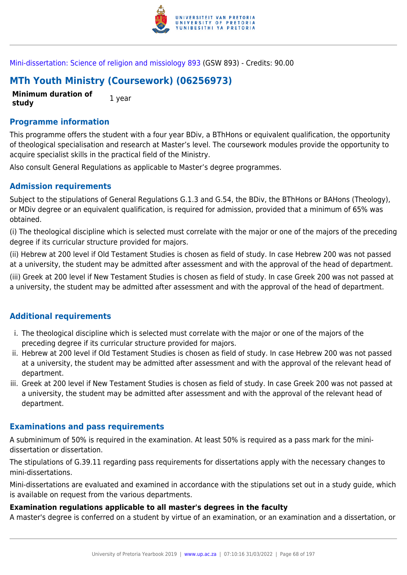

[Mini-dissertation: Science of religion and missiology 893](https://www.up.ac.za/faculty-of-education/yearbooks/2019/modules/view/GSW 893) (GSW 893) - Credits: 90.00

# **MTh Youth Ministry (Coursework) (06256973)**

**Minimum duration of study** 1 year

## **Programme information**

This programme offers the student with a four year BDiv, a BThHons or equivalent qualification, the opportunity of theological specialisation and research at Master's level. The coursework modules provide the opportunity to acquire specialist skills in the practical field of the Ministry.

Also consult General Regulations as applicable to Master's degree programmes.

## **Admission requirements**

Subject to the stipulations of General Regulations G.1.3 and G.54, the BDiv, the BThHons or BAHons (Theology), or MDiv degree or an equivalent qualification, is required for admission, provided that a minimum of 65% was obtained.

(i) The theological discipline which is selected must correlate with the major or one of the majors of the preceding degree if its curricular structure provided for majors.

(ii) Hebrew at 200 level if Old Testament Studies is chosen as field of study. In case Hebrew 200 was not passed at a university, the student may be admitted after assessment and with the approval of the head of department.

(iii) Greek at 200 level if New Testament Studies is chosen as field of study. In case Greek 200 was not passed at a university, the student may be admitted after assessment and with the approval of the head of department.

## **Additional requirements**

- i. The theological discipline which is selected must correlate with the major or one of the majors of the preceding degree if its curricular structure provided for majors.
- ii. Hebrew at 200 level if Old Testament Studies is chosen as field of study. In case Hebrew 200 was not passed at a university, the student may be admitted after assessment and with the approval of the relevant head of department.
- iii. Greek at 200 level if New Testament Studies is chosen as field of study. In case Greek 200 was not passed at a university, the student may be admitted after assessment and with the approval of the relevant head of department.

## **Examinations and pass requirements**

A subminimum of 50% is required in the examination. At least 50% is required as a pass mark for the minidissertation or dissertation.

The stipulations of G.39.11 regarding pass requirements for dissertations apply with the necessary changes to mini-dissertations.

Mini-dissertations are evaluated and examined in accordance with the stipulations set out in a study guide, which is available on request from the various departments.

## **Examination regulations applicable to all master's degrees in the faculty**

A master's degree is conferred on a student by virtue of an examination, or an examination and a dissertation, or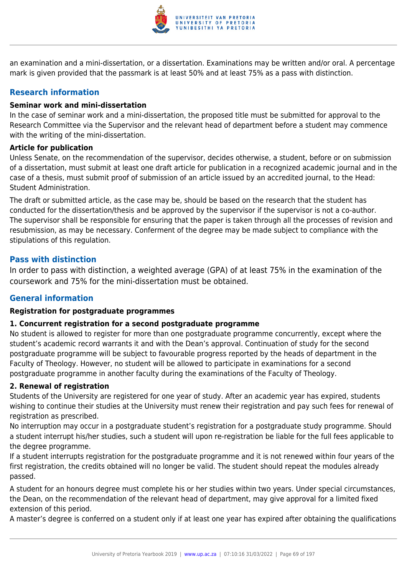

an examination and a mini-dissertation, or a dissertation. Examinations may be written and/or oral. A percentage mark is given provided that the passmark is at least 50% and at least 75% as a pass with distinction.

## **Research information**

## **Seminar work and mini-dissertation**

In the case of seminar work and a mini-dissertation, the proposed title must be submitted for approval to the Research Committee via the Supervisor and the relevant head of department before a student may commence with the writing of the mini-dissertation.

## **Article for publication**

Unless Senate, on the recommendation of the supervisor, decides otherwise, a student, before or on submission of a dissertation, must submit at least one draft article for publication in a recognized academic journal and in the case of a thesis, must submit proof of submission of an article issued by an accredited journal, to the Head: Student Administration.

The draft or submitted article, as the case may be, should be based on the research that the student has conducted for the dissertation/thesis and be approved by the supervisor if the supervisor is not a co-author. The supervisor shall be responsible for ensuring that the paper is taken through all the processes of revision and resubmission, as may be necessary. Conferment of the degree may be made subject to compliance with the stipulations of this regulation.

## **Pass with distinction**

In order to pass with distinction, a weighted average (GPA) of at least 75% in the examination of the coursework and 75% for the mini-dissertation must be obtained.

## **General information**

## **Registration for postgraduate programmes**

## **1. Concurrent registration for a second postgraduate programme**

No student is allowed to register for more than one postgraduate programme concurrently, except where the student's academic record warrants it and with the Dean's approval. Continuation of study for the second postgraduate programme will be subject to favourable progress reported by the heads of department in the Faculty of Theology. However, no student will be allowed to participate in examinations for a second postgraduate programme in another faculty during the examinations of the Faculty of Theology.

## **2. Renewal of registration**

Students of the University are registered for one year of study. After an academic year has expired, students wishing to continue their studies at the University must renew their registration and pay such fees for renewal of registration as prescribed.

No interruption may occur in a postgraduate student's registration for a postgraduate study programme. Should a student interrupt his/her studies, such a student will upon re-registration be liable for the full fees applicable to the degree programme.

If a student interrupts registration for the postgraduate programme and it is not renewed within four years of the first registration, the credits obtained will no longer be valid. The student should repeat the modules already passed.

A student for an honours degree must complete his or her studies within two years. Under special circumstances, the Dean, on the recommendation of the relevant head of department, may give approval for a limited fixed extension of this period.

A master's degree is conferred on a student only if at least one year has expired after obtaining the qualifications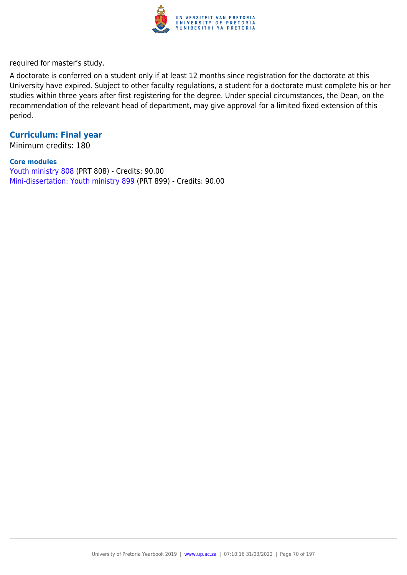

required for master's study.

A doctorate is conferred on a student only if at least 12 months since registration for the doctorate at this University have expired. Subject to other faculty regulations, a student for a doctorate must complete his or her studies within three years after first registering for the degree. Under special circumstances, the Dean, on the recommendation of the relevant head of department, may give approval for a limited fixed extension of this period.

## **Curriculum: Final year**

Minimum credits: 180

#### **Core modules**

[Youth ministry 808](https://www.up.ac.za/faculty-of-education/yearbooks/2019/modules/view/PRT 808) (PRT 808) - Credits: 90.00 [Mini-dissertation: Youth ministry 899](https://www.up.ac.za/faculty-of-education/yearbooks/2019/modules/view/PRT 899) (PRT 899) - Credits: 90.00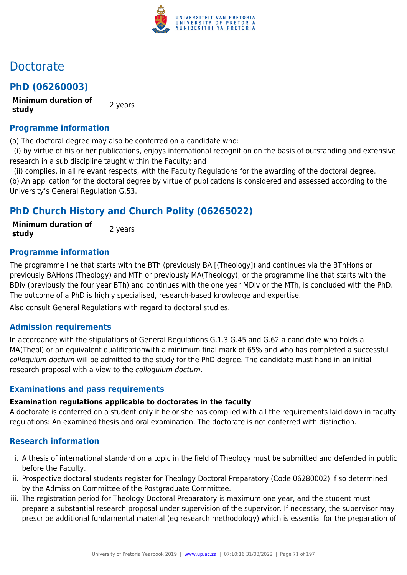

# Doctorate

## **PhD (06260003)**

**Minimum duration of study** 2 years

## **Programme information**

(a) The doctoral degree may also be conferred on a candidate who:

 (i) by virtue of his or her publications, enjoys international recognition on the basis of outstanding and extensive research in a sub discipline taught within the Faculty; and

 (ii) complies, in all relevant respects, with the Faculty Regulations for the awarding of the doctoral degree. (b) An application for the doctoral degree by virtue of publications is considered and assessed according to the University's General Regulation G.53.

## **PhD Church History and Church Polity (06265022)**

**Minimum duration of study** 2 years

## **Programme information**

The programme line that starts with the BTh (previously BA [(Theology]) and continues via the BThHons or previously BAHons (Theology) and MTh or previously MA(Theology), or the programme line that starts with the BDiv (previously the four year BTh) and continues with the one year MDiv or the MTh, is concluded with the PhD. The outcome of a PhD is highly specialised, research-based knowledge and expertise.

Also consult General Regulations with regard to doctoral studies.

## **Admission requirements**

In accordance with the stipulations of General Regulations G.1.3 G.45 and G.62 a candidate who holds a MA(Theol) or an equivalent qualificationwith a minimum final mark of 65% and who has completed a successful colloquium doctum will be admitted to the study for the PhD degree. The candidate must hand in an initial research proposal with a view to the colloquium doctum.

## **Examinations and pass requirements**

## **Examination regulations applicable to doctorates in the faculty**

A doctorate is conferred on a student only if he or she has complied with all the requirements laid down in faculty regulations: An examined thesis and oral examination. The doctorate is not conferred with distinction.

## **Research information**

- i. A thesis of international standard on a topic in the field of Theology must be submitted and defended in public before the Faculty.
- ii. Prospective doctoral students register for Theology Doctoral Preparatory (Code 06280002) if so determined by the Admission Committee of the Postgraduate Committee.
- iii. The registration period for Theology Doctoral Preparatory is maximum one year, and the student must prepare a substantial research proposal under supervision of the supervisor. If necessary, the supervisor may prescribe additional fundamental material (eg research methodology) which is essential for the preparation of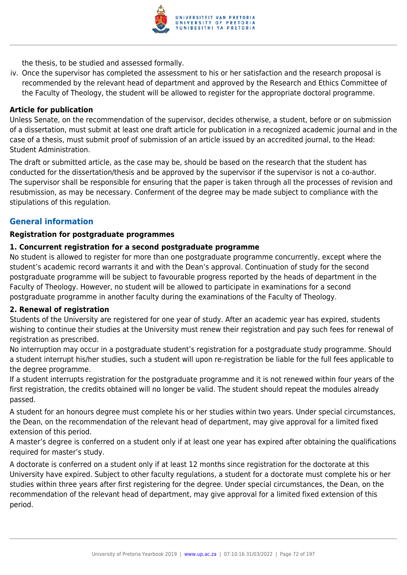

the thesis, to be studied and assessed formally.

iv. Once the supervisor has completed the assessment to his or her satisfaction and the research proposal is recommended by the relevant head of department and approved by the Research and Ethics Committee of the Faculty of Theology, the student will be allowed to register for the appropriate doctoral programme.

#### **Article for publication**

Unless Senate, on the recommendation of the supervisor, decides otherwise, a student, before or on submission of a dissertation, must submit at least one draft article for publication in a recognized academic journal and in the case of a thesis, must submit proof of submission of an article issued by an accredited journal, to the Head: Student Administration.

The draft or submitted article, as the case may be, should be based on the research that the student has conducted for the dissertation/thesis and be approved by the supervisor if the supervisor is not a co-author. The supervisor shall be responsible for ensuring that the paper is taken through all the processes of revision and resubmission, as may be necessary. Conferment of the degree may be made subject to compliance with the stipulations of this regulation.

## **General information**

#### **Registration for postgraduate programmes**

#### **1. Concurrent registration for a second postgraduate programme**

No student is allowed to register for more than one postgraduate programme concurrently, except where the student's academic record warrants it and with the Dean's approval. Continuation of study for the second postgraduate programme will be subject to favourable progress reported by the heads of department in the Faculty of Theology. However, no student will be allowed to participate in examinations for a second postgraduate programme in another faculty during the examinations of the Faculty of Theology.

#### **2. Renewal of registration**

Students of the University are registered for one year of study. After an academic year has expired, students wishing to continue their studies at the University must renew their registration and pay such fees for renewal of registration as prescribed.

No interruption may occur in a postgraduate student's registration for a postgraduate study programme. Should a student interrupt his/her studies, such a student will upon re-registration be liable for the full fees applicable to the degree programme.

If a student interrupts registration for the postgraduate programme and it is not renewed within four years of the first registration, the credits obtained will no longer be valid. The student should repeat the modules already passed.

A student for an honours degree must complete his or her studies within two years. Under special circumstances, the Dean, on the recommendation of the relevant head of department, may give approval for a limited fixed extension of this period.

A master's degree is conferred on a student only if at least one year has expired after obtaining the qualifications required for master's study.

A doctorate is conferred on a student only if at least 12 months since registration for the doctorate at this University have expired. Subject to other faculty regulations, a student for a doctorate must complete his or her studies within three years after first registering for the degree. Under special circumstances, the Dean, on the recommendation of the relevant head of department, may give approval for a limited fixed extension of this period.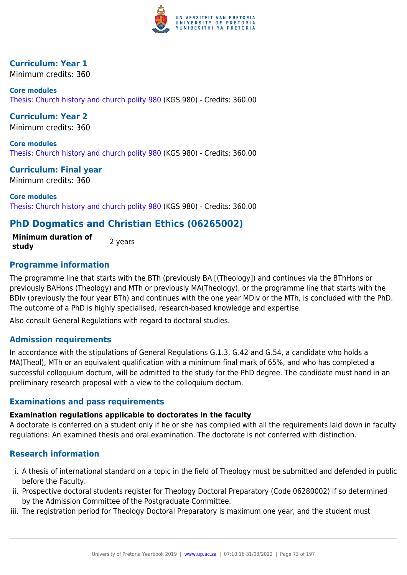

### **Curriculum: Year 1**

Minimum credits: 360

**Core modules** [Thesis: Church history and church polity 980](https://www.up.ac.za/faculty-of-education/yearbooks/2019/modules/view/KGS 980) (KGS 980) - Credits: 360.00

**Curriculum: Year 2** Minimum credits: 360

**Core modules** [Thesis: Church history and church polity 980](https://www.up.ac.za/faculty-of-education/yearbooks/2019/modules/view/KGS 980) (KGS 980) - Credits: 360.00

**Curriculum: Final year** Minimum credits: 360

**Core modules** [Thesis: Church history and church polity 980](https://www.up.ac.za/faculty-of-education/yearbooks/2019/modules/view/KGS 980) (KGS 980) - Credits: 360.00

# **PhD Dogmatics and Christian Ethics (06265002)**

**Minimum duration of study** 2 years

# **Programme information**

The programme line that starts with the BTh (previously BA [(Theology]) and continues via the BThHons or previously BAHons (Theology) and MTh or previously MA(Theology), or the programme line that starts with the BDiv (previously the four year BTh) and continues with the one year MDiv or the MTh, is concluded with the PhD. The outcome of a PhD is highly specialised, research-based knowledge and expertise.

Also consult General Regulations with regard to doctoral studies.

# **Admission requirements**

In accordance with the stipulations of General Regulations G.1.3, G.42 and G.54, a candidate who holds a MA(Theol), MTh or an equivalent qualification with a minimum final mark of 65%, and who has completed a successful colloquium doctum, will be admitted to the study for the PhD degree. The candidate must hand in an preliminary research proposal with a view to the colloquium doctum.

# **Examinations and pass requirements**

### **Examination regulations applicable to doctorates in the faculty**

A doctorate is conferred on a student only if he or she has complied with all the requirements laid down in faculty regulations: An examined thesis and oral examination. The doctorate is not conferred with distinction.

# **Research information**

- i. A thesis of international standard on a topic in the field of Theology must be submitted and defended in public before the Faculty.
- ii. Prospective doctoral students register for Theology Doctoral Preparatory (Code 06280002) if so determined by the Admission Committee of the Postgraduate Committee.
- iii. The registration period for Theology Doctoral Preparatory is maximum one year, and the student must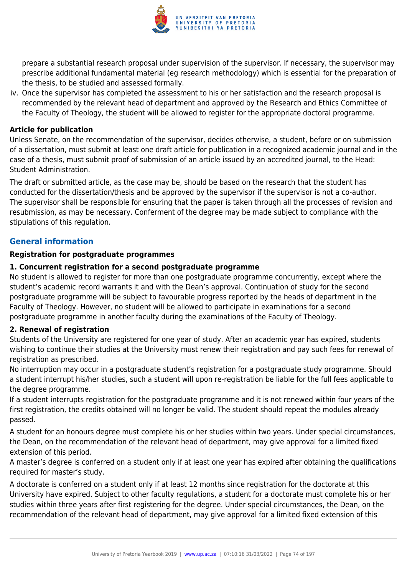

prepare a substantial research proposal under supervision of the supervisor. If necessary, the supervisor may prescribe additional fundamental material (eg research methodology) which is essential for the preparation of the thesis, to be studied and assessed formally.

iv. Once the supervisor has completed the assessment to his or her satisfaction and the research proposal is recommended by the relevant head of department and approved by the Research and Ethics Committee of the Faculty of Theology, the student will be allowed to register for the appropriate doctoral programme.

### **Article for publication**

Unless Senate, on the recommendation of the supervisor, decides otherwise, a student, before or on submission of a dissertation, must submit at least one draft article for publication in a recognized academic journal and in the case of a thesis, must submit proof of submission of an article issued by an accredited journal, to the Head: Student Administration.

The draft or submitted article, as the case may be, should be based on the research that the student has conducted for the dissertation/thesis and be approved by the supervisor if the supervisor is not a co-author. The supervisor shall be responsible for ensuring that the paper is taken through all the processes of revision and resubmission, as may be necessary. Conferment of the degree may be made subject to compliance with the stipulations of this regulation.

# **General information**

### **Registration for postgraduate programmes**

### **1. Concurrent registration for a second postgraduate programme**

No student is allowed to register for more than one postgraduate programme concurrently, except where the student's academic record warrants it and with the Dean's approval. Continuation of study for the second postgraduate programme will be subject to favourable progress reported by the heads of department in the Faculty of Theology. However, no student will be allowed to participate in examinations for a second postgraduate programme in another faculty during the examinations of the Faculty of Theology.

### **2. Renewal of registration**

Students of the University are registered for one year of study. After an academic year has expired, students wishing to continue their studies at the University must renew their registration and pay such fees for renewal of registration as prescribed.

No interruption may occur in a postgraduate student's registration for a postgraduate study programme. Should a student interrupt his/her studies, such a student will upon re-registration be liable for the full fees applicable to the degree programme.

If a student interrupts registration for the postgraduate programme and it is not renewed within four years of the first registration, the credits obtained will no longer be valid. The student should repeat the modules already passed.

A student for an honours degree must complete his or her studies within two years. Under special circumstances, the Dean, on the recommendation of the relevant head of department, may give approval for a limited fixed extension of this period.

A master's degree is conferred on a student only if at least one year has expired after obtaining the qualifications required for master's study.

A doctorate is conferred on a student only if at least 12 months since registration for the doctorate at this University have expired. Subject to other faculty regulations, a student for a doctorate must complete his or her studies within three years after first registering for the degree. Under special circumstances, the Dean, on the recommendation of the relevant head of department, may give approval for a limited fixed extension of this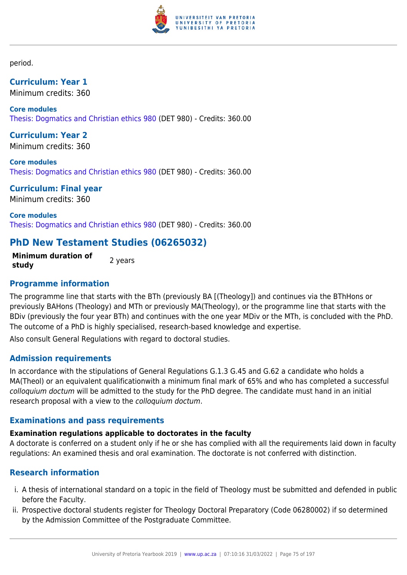

period.

**Curriculum: Year 1** Minimum credits: 360

**Core modules** [Thesis: Dogmatics and Christian ethics 980](https://www.up.ac.za/faculty-of-education/yearbooks/2019/modules/view/DET 980) (DET 980) - Credits: 360.00

**Curriculum: Year 2** Minimum credits: 360

**Core modules** [Thesis: Dogmatics and Christian ethics 980](https://www.up.ac.za/faculty-of-education/yearbooks/2019/modules/view/DET 980) (DET 980) - Credits: 360.00

**Curriculum: Final year** Minimum credits: 360

**Core modules** [Thesis: Dogmatics and Christian ethics 980](https://www.up.ac.za/faculty-of-education/yearbooks/2019/modules/view/DET 980) (DET 980) - Credits: 360.00

# **PhD New Testament Studies (06265032)**

**Minimum duration of study 2** years

# **Programme information**

The programme line that starts with the BTh (previously BA [(Theology]) and continues via the BThHons or previously BAHons (Theology) and MTh or previously MA(Theology), or the programme line that starts with the BDiv (previously the four year BTh) and continues with the one year MDiv or the MTh, is concluded with the PhD. The outcome of a PhD is highly specialised, research-based knowledge and expertise.

Also consult General Regulations with regard to doctoral studies.

# **Admission requirements**

In accordance with the stipulations of General Regulations G.1.3 G.45 and G.62 a candidate who holds a MA(Theol) or an equivalent qualificationwith a minimum final mark of 65% and who has completed a successful colloquium doctum will be admitted to the study for the PhD degree. The candidate must hand in an initial research proposal with a view to the colloquium doctum.

# **Examinations and pass requirements**

# **Examination regulations applicable to doctorates in the faculty**

A doctorate is conferred on a student only if he or she has complied with all the requirements laid down in faculty regulations: An examined thesis and oral examination. The doctorate is not conferred with distinction.

# **Research information**

- i. A thesis of international standard on a topic in the field of Theology must be submitted and defended in public before the Faculty.
- ii. Prospective doctoral students register for Theology Doctoral Preparatory (Code 06280002) if so determined by the Admission Committee of the Postgraduate Committee.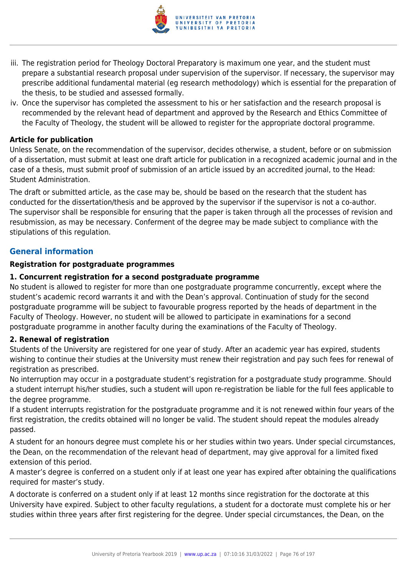

- iii. The registration period for Theology Doctoral Preparatory is maximum one year, and the student must prepare a substantial research proposal under supervision of the supervisor. If necessary, the supervisor may prescribe additional fundamental material (eg research methodology) which is essential for the preparation of the thesis, to be studied and assessed formally.
- iv. Once the supervisor has completed the assessment to his or her satisfaction and the research proposal is recommended by the relevant head of department and approved by the Research and Ethics Committee of the Faculty of Theology, the student will be allowed to register for the appropriate doctoral programme.

### **Article for publication**

Unless Senate, on the recommendation of the supervisor, decides otherwise, a student, before or on submission of a dissertation, must submit at least one draft article for publication in a recognized academic journal and in the case of a thesis, must submit proof of submission of an article issued by an accredited journal, to the Head: Student Administration.

The draft or submitted article, as the case may be, should be based on the research that the student has conducted for the dissertation/thesis and be approved by the supervisor if the supervisor is not a co-author. The supervisor shall be responsible for ensuring that the paper is taken through all the processes of revision and resubmission, as may be necessary. Conferment of the degree may be made subject to compliance with the stipulations of this regulation.

### **General information**

### **Registration for postgraduate programmes**

### **1. Concurrent registration for a second postgraduate programme**

No student is allowed to register for more than one postgraduate programme concurrently, except where the student's academic record warrants it and with the Dean's approval. Continuation of study for the second postgraduate programme will be subject to favourable progress reported by the heads of department in the Faculty of Theology. However, no student will be allowed to participate in examinations for a second postgraduate programme in another faculty during the examinations of the Faculty of Theology.

### **2. Renewal of registration**

Students of the University are registered for one year of study. After an academic year has expired, students wishing to continue their studies at the University must renew their registration and pay such fees for renewal of registration as prescribed.

No interruption may occur in a postgraduate student's registration for a postgraduate study programme. Should a student interrupt his/her studies, such a student will upon re-registration be liable for the full fees applicable to the degree programme.

If a student interrupts registration for the postgraduate programme and it is not renewed within four years of the first registration, the credits obtained will no longer be valid. The student should repeat the modules already passed.

A student for an honours degree must complete his or her studies within two years. Under special circumstances, the Dean, on the recommendation of the relevant head of department, may give approval for a limited fixed extension of this period.

A master's degree is conferred on a student only if at least one year has expired after obtaining the qualifications required for master's study.

A doctorate is conferred on a student only if at least 12 months since registration for the doctorate at this University have expired. Subject to other faculty regulations, a student for a doctorate must complete his or her studies within three years after first registering for the degree. Under special circumstances, the Dean, on the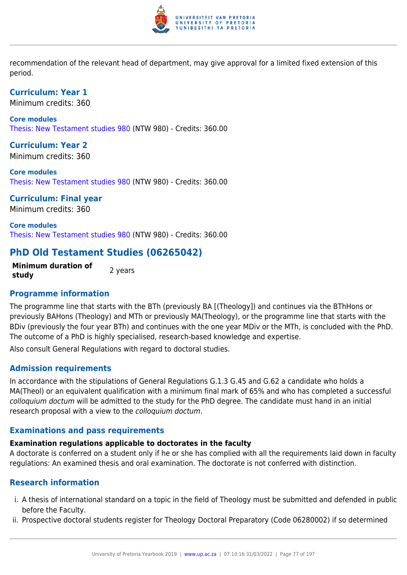

recommendation of the relevant head of department, may give approval for a limited fixed extension of this period.

**Curriculum: Year 1** Minimum credits: 360

**Core modules** [Thesis: New Testament studies 980](https://www.up.ac.za/faculty-of-education/yearbooks/2019/modules/view/NTW 980) (NTW 980) - Credits: 360.00

**Curriculum: Year 2** Minimum credits: 360

**Core modules** [Thesis: New Testament studies 980](https://www.up.ac.za/faculty-of-education/yearbooks/2019/modules/view/NTW 980) (NTW 980) - Credits: 360.00

**Curriculum: Final year** Minimum credits: 360

**Core modules** [Thesis: New Testament studies 980](https://www.up.ac.za/faculty-of-education/yearbooks/2019/modules/view/NTW 980) (NTW 980) - Credits: 360.00

# **PhD Old Testament Studies (06265042)**

**Minimum duration of study** 2 years

# **Programme information**

The programme line that starts with the BTh (previously BA [(Theology]) and continues via the BThHons or previously BAHons (Theology) and MTh or previously MA(Theology), or the programme line that starts with the BDiv (previously the four year BTh) and continues with the one year MDiv or the MTh, is concluded with the PhD. The outcome of a PhD is highly specialised, research-based knowledge and expertise.

Also consult General Regulations with regard to doctoral studies.

# **Admission requirements**

In accordance with the stipulations of General Regulations G.1.3 G.45 and G.62 a candidate who holds a MA(Theol) or an equivalent qualification with a minimum final mark of 65% and who has completed a successful colloquium doctum will be admitted to the study for the PhD degree. The candidate must hand in an initial research proposal with a view to the colloquium doctum.

# **Examinations and pass requirements**

### **Examination regulations applicable to doctorates in the faculty**

A doctorate is conferred on a student only if he or she has complied with all the requirements laid down in faculty regulations: An examined thesis and oral examination. The doctorate is not conferred with distinction.

# **Research information**

- i. A thesis of international standard on a topic in the field of Theology must be submitted and defended in public before the Faculty.
- ii. Prospective doctoral students register for Theology Doctoral Preparatory (Code 06280002) if so determined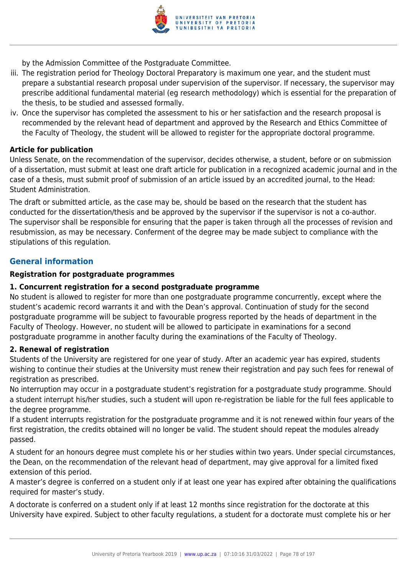

by the Admission Committee of the Postgraduate Committee.

- iii. The registration period for Theology Doctoral Preparatory is maximum one year, and the student must prepare a substantial research proposal under supervision of the supervisor. If necessary, the supervisor may prescribe additional fundamental material (eg research methodology) which is essential for the preparation of the thesis, to be studied and assessed formally.
- iv. Once the supervisor has completed the assessment to his or her satisfaction and the research proposal is recommended by the relevant head of department and approved by the Research and Ethics Committee of the Faculty of Theology, the student will be allowed to register for the appropriate doctoral programme.

### **Article for publication**

Unless Senate, on the recommendation of the supervisor, decides otherwise, a student, before or on submission of a dissertation, must submit at least one draft article for publication in a recognized academic journal and in the case of a thesis, must submit proof of submission of an article issued by an accredited journal, to the Head: Student Administration.

The draft or submitted article, as the case may be, should be based on the research that the student has conducted for the dissertation/thesis and be approved by the supervisor if the supervisor is not a co-author. The supervisor shall be responsible for ensuring that the paper is taken through all the processes of revision and resubmission, as may be necessary. Conferment of the degree may be made subject to compliance with the stipulations of this regulation.

### **General information**

### **Registration for postgraduate programmes**

### **1. Concurrent registration for a second postgraduate programme**

No student is allowed to register for more than one postgraduate programme concurrently, except where the student's academic record warrants it and with the Dean's approval. Continuation of study for the second postgraduate programme will be subject to favourable progress reported by the heads of department in the Faculty of Theology. However, no student will be allowed to participate in examinations for a second postgraduate programme in another faculty during the examinations of the Faculty of Theology.

### **2. Renewal of registration**

Students of the University are registered for one year of study. After an academic year has expired, students wishing to continue their studies at the University must renew their registration and pay such fees for renewal of registration as prescribed.

No interruption may occur in a postgraduate student's registration for a postgraduate study programme. Should a student interrupt his/her studies, such a student will upon re-registration be liable for the full fees applicable to the degree programme.

If a student interrupts registration for the postgraduate programme and it is not renewed within four years of the first registration, the credits obtained will no longer be valid. The student should repeat the modules already passed.

A student for an honours degree must complete his or her studies within two years. Under special circumstances, the Dean, on the recommendation of the relevant head of department, may give approval for a limited fixed extension of this period.

A master's degree is conferred on a student only if at least one year has expired after obtaining the qualifications required for master's study.

A doctorate is conferred on a student only if at least 12 months since registration for the doctorate at this University have expired. Subject to other faculty regulations, a student for a doctorate must complete his or her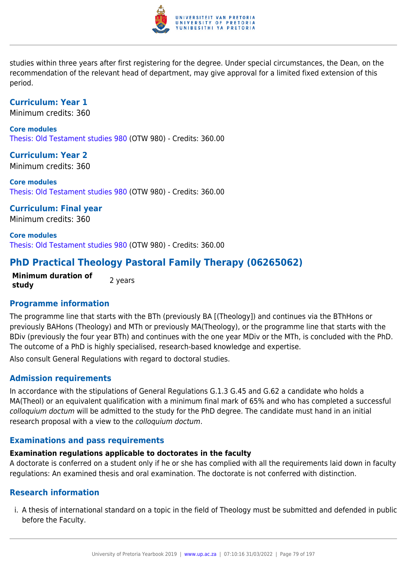

studies within three years after first registering for the degree. Under special circumstances, the Dean, on the recommendation of the relevant head of department, may give approval for a limited fixed extension of this period.

### **Curriculum: Year 1**

Minimum credits: 360

**Core modules** [Thesis: Old Testament studies 980](https://www.up.ac.za/faculty-of-education/yearbooks/2019/modules/view/OTW 980) (OTW 980) - Credits: 360.00

**Curriculum: Year 2** Minimum credits: 360

**Core modules** [Thesis: Old Testament studies 980](https://www.up.ac.za/faculty-of-education/yearbooks/2019/modules/view/OTW 980) (OTW 980) - Credits: 360.00

**Curriculum: Final year** Minimum credits: 360

**Core modules** [Thesis: Old Testament studies 980](https://www.up.ac.za/faculty-of-education/yearbooks/2019/modules/view/OTW 980) (OTW 980) - Credits: 360.00

# **PhD Practical Theology Pastoral Family Therapy (06265062)**

**Minimum duration of study 2** years

# **Programme information**

The programme line that starts with the BTh (previously BA [(Theology]) and continues via the BThHons or previously BAHons (Theology) and MTh or previously MA(Theology), or the programme line that starts with the BDiv (previously the four year BTh) and continues with the one year MDiv or the MTh, is concluded with the PhD. The outcome of a PhD is highly specialised, research-based knowledge and expertise.

Also consult General Regulations with regard to doctoral studies.

# **Admission requirements**

In accordance with the stipulations of General Regulations G.1.3 G.45 and G.62 a candidate who holds a MA(Theol) or an equivalent qualification with a minimum final mark of 65% and who has completed a successful colloquium doctum will be admitted to the study for the PhD degree. The candidate must hand in an initial research proposal with a view to the colloquium doctum.

# **Examinations and pass requirements**

# **Examination regulations applicable to doctorates in the faculty**

A doctorate is conferred on a student only if he or she has complied with all the requirements laid down in faculty regulations: An examined thesis and oral examination. The doctorate is not conferred with distinction.

# **Research information**

i. A thesis of international standard on a topic in the field of Theology must be submitted and defended in public before the Faculty.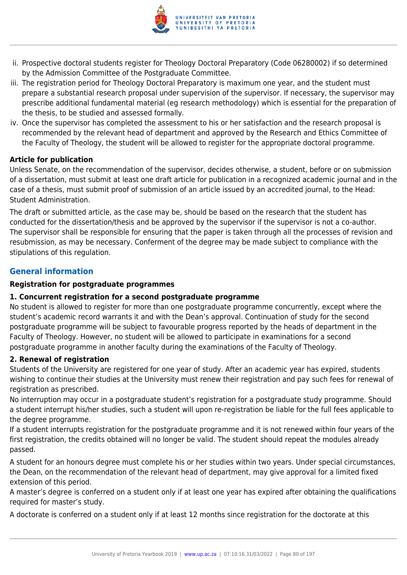

- ii. Prospective doctoral students register for Theology Doctoral Preparatory (Code 06280002) if so determined by the Admission Committee of the Postgraduate Committee.
- iii. The registration period for Theology Doctoral Preparatory is maximum one year, and the student must prepare a substantial research proposal under supervision of the supervisor. If necessary, the supervisor may prescribe additional fundamental material (eg research methodology) which is essential for the preparation of the thesis, to be studied and assessed formally.
- iv. Once the supervisor has completed the assessment to his or her satisfaction and the research proposal is recommended by the relevant head of department and approved by the Research and Ethics Committee of the Faculty of Theology, the student will be allowed to register for the appropriate doctoral programme.

### **Article for publication**

Unless Senate, on the recommendation of the supervisor, decides otherwise, a student, before or on submission of a dissertation, must submit at least one draft article for publication in a recognized academic journal and in the case of a thesis, must submit proof of submission of an article issued by an accredited journal, to the Head: Student Administration.

The draft or submitted article, as the case may be, should be based on the research that the student has conducted for the dissertation/thesis and be approved by the supervisor if the supervisor is not a co-author. The supervisor shall be responsible for ensuring that the paper is taken through all the processes of revision and resubmission, as may be necessary. Conferment of the degree may be made subject to compliance with the stipulations of this regulation.

# **General information**

### **Registration for postgraduate programmes**

### **1. Concurrent registration for a second postgraduate programme**

No student is allowed to register for more than one postgraduate programme concurrently, except where the student's academic record warrants it and with the Dean's approval. Continuation of study for the second postgraduate programme will be subject to favourable progress reported by the heads of department in the Faculty of Theology. However, no student will be allowed to participate in examinations for a second postgraduate programme in another faculty during the examinations of the Faculty of Theology.

### **2. Renewal of registration**

Students of the University are registered for one year of study. After an academic year has expired, students wishing to continue their studies at the University must renew their registration and pay such fees for renewal of registration as prescribed.

No interruption may occur in a postgraduate student's registration for a postgraduate study programme. Should a student interrupt his/her studies, such a student will upon re-registration be liable for the full fees applicable to the degree programme.

If a student interrupts registration for the postgraduate programme and it is not renewed within four years of the first registration, the credits obtained will no longer be valid. The student should repeat the modules already passed.

A student for an honours degree must complete his or her studies within two years. Under special circumstances, the Dean, on the recommendation of the relevant head of department, may give approval for a limited fixed extension of this period.

A master's degree is conferred on a student only if at least one year has expired after obtaining the qualifications required for master's study.

A doctorate is conferred on a student only if at least 12 months since registration for the doctorate at this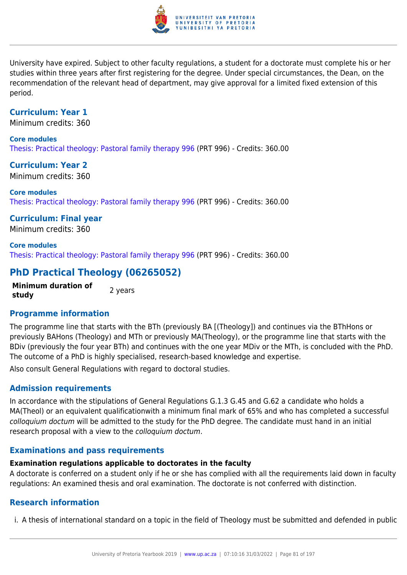

University have expired. Subject to other faculty regulations, a student for a doctorate must complete his or her studies within three years after first registering for the degree. Under special circumstances, the Dean, on the recommendation of the relevant head of department, may give approval for a limited fixed extension of this period.

### **Curriculum: Year 1**

Minimum credits: 360

### **Core modules**

[Thesis: Practical theology: Pastoral family therapy 996](https://www.up.ac.za/faculty-of-education/yearbooks/2019/modules/view/PRT 996) (PRT 996) - Credits: 360.00

**Curriculum: Year 2** Minimum credits: 360

**Core modules** [Thesis: Practical theology: Pastoral family therapy 996](https://www.up.ac.za/faculty-of-education/yearbooks/2019/modules/view/PRT 996) (PRT 996) - Credits: 360.00

**Curriculum: Final year** Minimum credits: 360

**Core modules** [Thesis: Practical theology: Pastoral family therapy 996](https://www.up.ac.za/faculty-of-education/yearbooks/2019/modules/view/PRT 996) (PRT 996) - Credits: 360.00

# **PhD Practical Theology (06265052)**

**Minimum duration of study** 2 years

# **Programme information**

The programme line that starts with the BTh (previously BA [(Theology]) and continues via the BThHons or previously BAHons (Theology) and MTh or previously MA(Theology), or the programme line that starts with the BDiv (previously the four year BTh) and continues with the one year MDiv or the MTh, is concluded with the PhD. The outcome of a PhD is highly specialised, research-based knowledge and expertise.

Also consult General Regulations with regard to doctoral studies.

### **Admission requirements**

In accordance with the stipulations of General Regulations G.1.3 G.45 and G.62 a candidate who holds a MA(Theol) or an equivalent qualificationwith a minimum final mark of 65% and who has completed a successful colloquium doctum will be admitted to the study for the PhD degree. The candidate must hand in an initial research proposal with a view to the colloquium doctum.

### **Examinations and pass requirements**

### **Examination regulations applicable to doctorates in the faculty**

A doctorate is conferred on a student only if he or she has complied with all the requirements laid down in faculty regulations: An examined thesis and oral examination. The doctorate is not conferred with distinction.

### **Research information**

i. A thesis of international standard on a topic in the field of Theology must be submitted and defended in public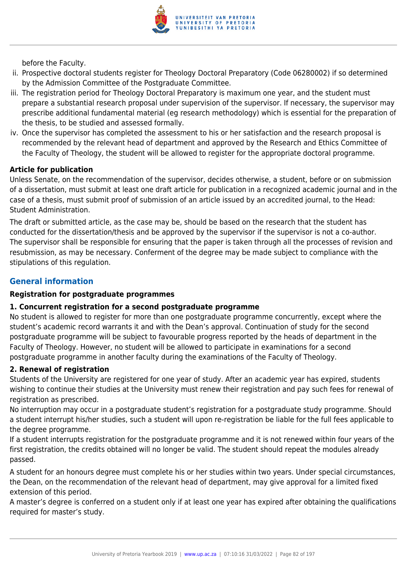

before the Faculty.

- ii. Prospective doctoral students register for Theology Doctoral Preparatory (Code 06280002) if so determined by the Admission Committee of the Postgraduate Committee.
- iii. The registration period for Theology Doctoral Preparatory is maximum one year, and the student must prepare a substantial research proposal under supervision of the supervisor. If necessary, the supervisor may prescribe additional fundamental material (eg research methodology) which is essential for the preparation of the thesis, to be studied and assessed formally.
- iv. Once the supervisor has completed the assessment to his or her satisfaction and the research proposal is recommended by the relevant head of department and approved by the Research and Ethics Committee of the Faculty of Theology, the student will be allowed to register for the appropriate doctoral programme.

### **Article for publication**

Unless Senate, on the recommendation of the supervisor, decides otherwise, a student, before or on submission of a dissertation, must submit at least one draft article for publication in a recognized academic journal and in the case of a thesis, must submit proof of submission of an article issued by an accredited journal, to the Head: Student Administration.

The draft or submitted article, as the case may be, should be based on the research that the student has conducted for the dissertation/thesis and be approved by the supervisor if the supervisor is not a co-author. The supervisor shall be responsible for ensuring that the paper is taken through all the processes of revision and resubmission, as may be necessary. Conferment of the degree may be made subject to compliance with the stipulations of this regulation.

# **General information**

### **Registration for postgraduate programmes**

### **1. Concurrent registration for a second postgraduate programme**

No student is allowed to register for more than one postgraduate programme concurrently, except where the student's academic record warrants it and with the Dean's approval. Continuation of study for the second postgraduate programme will be subject to favourable progress reported by the heads of department in the Faculty of Theology. However, no student will be allowed to participate in examinations for a second postgraduate programme in another faculty during the examinations of the Faculty of Theology.

### **2. Renewal of registration**

Students of the University are registered for one year of study. After an academic year has expired, students wishing to continue their studies at the University must renew their registration and pay such fees for renewal of registration as prescribed.

No interruption may occur in a postgraduate student's registration for a postgraduate study programme. Should a student interrupt his/her studies, such a student will upon re-registration be liable for the full fees applicable to the degree programme.

If a student interrupts registration for the postgraduate programme and it is not renewed within four years of the first registration, the credits obtained will no longer be valid. The student should repeat the modules already passed.

A student for an honours degree must complete his or her studies within two years. Under special circumstances, the Dean, on the recommendation of the relevant head of department, may give approval for a limited fixed extension of this period.

A master's degree is conferred on a student only if at least one year has expired after obtaining the qualifications required for master's study.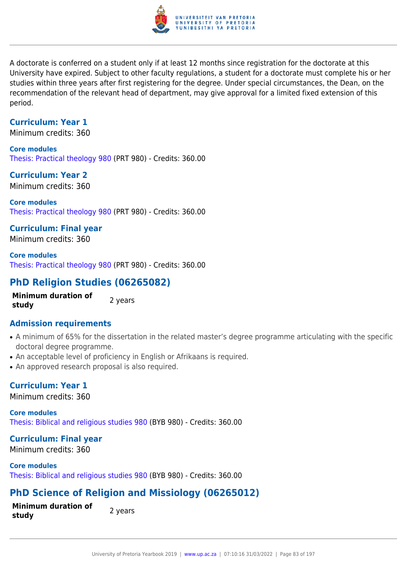

A doctorate is conferred on a student only if at least 12 months since registration for the doctorate at this University have expired. Subject to other faculty regulations, a student for a doctorate must complete his or her studies within three years after first registering for the degree. Under special circumstances, the Dean, on the recommendation of the relevant head of department, may give approval for a limited fixed extension of this period.

# **Curriculum: Year 1**

Minimum credits: 360

**Core modules** [Thesis: Practical theology 980](https://www.up.ac.za/faculty-of-education/yearbooks/2019/modules/view/PRT 980) (PRT 980) - Credits: 360.00

**Curriculum: Year 2** Minimum credits: 360

**Core modules** [Thesis: Practical theology 980](https://www.up.ac.za/faculty-of-education/yearbooks/2019/modules/view/PRT 980) (PRT 980) - Credits: 360.00

**Curriculum: Final year**

Minimum credits: 360

**Core modules** [Thesis: Practical theology 980](https://www.up.ac.za/faculty-of-education/yearbooks/2019/modules/view/PRT 980) (PRT 980) - Credits: 360.00

# **PhD Religion Studies (06265082)**

**Minimum duration of study 2** years

# **Admission requirements**

- A minimum of 65% for the dissertation in the related master's degree programme articulating with the specific doctoral degree programme.
- An acceptable level of proficiency in English or Afrikaans is required.
- An approved research proposal is also required.

# **Curriculum: Year 1**

Minimum credits: 360

**Core modules** [Thesis: Biblical and religious studies 980](https://www.up.ac.za/faculty-of-education/yearbooks/2019/modules/view/BYB 980) (BYB 980) - Credits: 360.00

# **Curriculum: Final year**

Minimum credits: 360

**Core modules** [Thesis: Biblical and religious studies 980](https://www.up.ac.za/faculty-of-education/yearbooks/2019/modules/view/BYB 980) (BYB 980) - Credits: 360.00

# **PhD Science of Religion and Missiology (06265012)**

**Minimum duration of study** and **all action** bindle predictions and the set of the set of the set of the set of the set of the set o

University of Pretoria Yearbook 2019 | [www.up.ac.za](https://www.up.ac.za/yearbooks/home) | 07:10:16 31/03/2022 | Page 83 of 197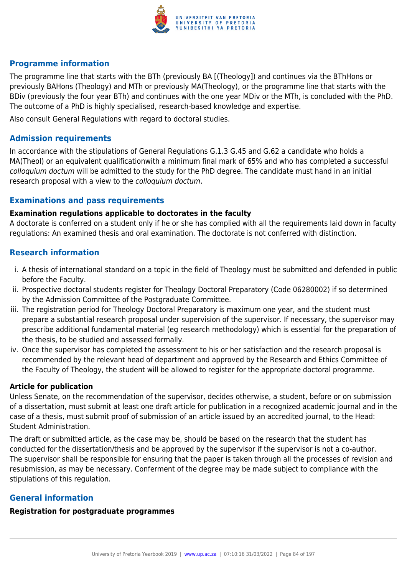

### **Programme information**

The programme line that starts with the BTh (previously BA [(Theology]) and continues via the BThHons or previously BAHons (Theology) and MTh or previously MA(Theology), or the programme line that starts with the BDiv (previously the four year BTh) and continues with the one year MDiv or the MTh, is concluded with the PhD. The outcome of a PhD is highly specialised, research-based knowledge and expertise.

Also consult General Regulations with regard to doctoral studies.

### **Admission requirements**

In accordance with the stipulations of General Regulations G.1.3 G.45 and G.62 a candidate who holds a MA(Theol) or an equivalent qualificationwith a minimum final mark of 65% and who has completed a successful colloquium doctum will be admitted to the study for the PhD degree. The candidate must hand in an initial research proposal with a view to the colloquium doctum.

### **Examinations and pass requirements**

### **Examination regulations applicable to doctorates in the faculty**

A doctorate is conferred on a student only if he or she has complied with all the requirements laid down in faculty regulations: An examined thesis and oral examination. The doctorate is not conferred with distinction.

### **Research information**

- i. A thesis of international standard on a topic in the field of Theology must be submitted and defended in public before the Faculty.
- ii. Prospective doctoral students register for Theology Doctoral Preparatory (Code 06280002) if so determined by the Admission Committee of the Postgraduate Committee.
- iii. The registration period for Theology Doctoral Preparatory is maximum one year, and the student must prepare a substantial research proposal under supervision of the supervisor. If necessary, the supervisor may prescribe additional fundamental material (eg research methodology) which is essential for the preparation of the thesis, to be studied and assessed formally.
- iv. Once the supervisor has completed the assessment to his or her satisfaction and the research proposal is recommended by the relevant head of department and approved by the Research and Ethics Committee of the Faculty of Theology, the student will be allowed to register for the appropriate doctoral programme.

### **Article for publication**

Unless Senate, on the recommendation of the supervisor, decides otherwise, a student, before or on submission of a dissertation, must submit at least one draft article for publication in a recognized academic journal and in the case of a thesis, must submit proof of submission of an article issued by an accredited journal, to the Head: Student Administration.

The draft or submitted article, as the case may be, should be based on the research that the student has conducted for the dissertation/thesis and be approved by the supervisor if the supervisor is not a co-author. The supervisor shall be responsible for ensuring that the paper is taken through all the processes of revision and resubmission, as may be necessary. Conferment of the degree may be made subject to compliance with the stipulations of this regulation.

# **General information**

### **Registration for postgraduate programmes**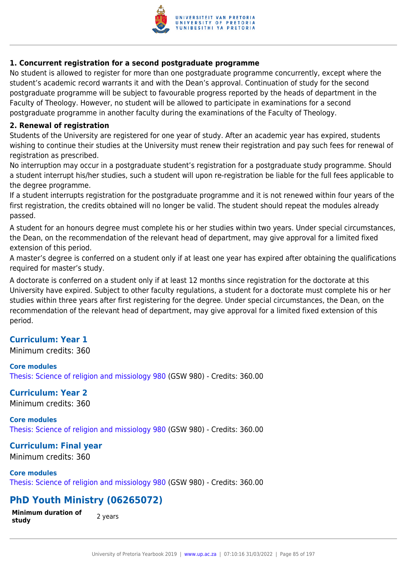

### **1. Concurrent registration for a second postgraduate programme**

No student is allowed to register for more than one postgraduate programme concurrently, except where the student's academic record warrants it and with the Dean's approval. Continuation of study for the second postgraduate programme will be subject to favourable progress reported by the heads of department in the Faculty of Theology. However, no student will be allowed to participate in examinations for a second postgraduate programme in another faculty during the examinations of the Faculty of Theology.

### **2. Renewal of registration**

Students of the University are registered for one year of study. After an academic year has expired, students wishing to continue their studies at the University must renew their registration and pay such fees for renewal of registration as prescribed.

No interruption may occur in a postgraduate student's registration for a postgraduate study programme. Should a student interrupt his/her studies, such a student will upon re-registration be liable for the full fees applicable to the degree programme.

If a student interrupts registration for the postgraduate programme and it is not renewed within four years of the first registration, the credits obtained will no longer be valid. The student should repeat the modules already passed.

A student for an honours degree must complete his or her studies within two years. Under special circumstances, the Dean, on the recommendation of the relevant head of department, may give approval for a limited fixed extension of this period.

A master's degree is conferred on a student only if at least one year has expired after obtaining the qualifications required for master's study.

A doctorate is conferred on a student only if at least 12 months since registration for the doctorate at this University have expired. Subject to other faculty regulations, a student for a doctorate must complete his or her studies within three years after first registering for the degree. Under special circumstances, the Dean, on the recommendation of the relevant head of department, may give approval for a limited fixed extension of this period.

# **Curriculum: Year 1**

Minimum credits: 360

### **Core modules**

[Thesis: Science of religion and missiology 980](https://www.up.ac.za/faculty-of-education/yearbooks/2019/modules/view/GSW 980) (GSW 980) - Credits: 360.00

# **Curriculum: Year 2**

Minimum credits: 360

# **Core modules**

[Thesis: Science of religion and missiology 980](https://www.up.ac.za/faculty-of-education/yearbooks/2019/modules/view/GSW 980) (GSW 980) - Credits: 360.00

# **Curriculum: Final year**

Minimum credits: 360

**Core modules** [Thesis: Science of religion and missiology 980](https://www.up.ac.za/faculty-of-education/yearbooks/2019/modules/view/GSW 980) (GSW 980) - Credits: 360.00

# **PhD Youth Ministry (06265072)**

**Minimum duration of study 19. Study 2 years**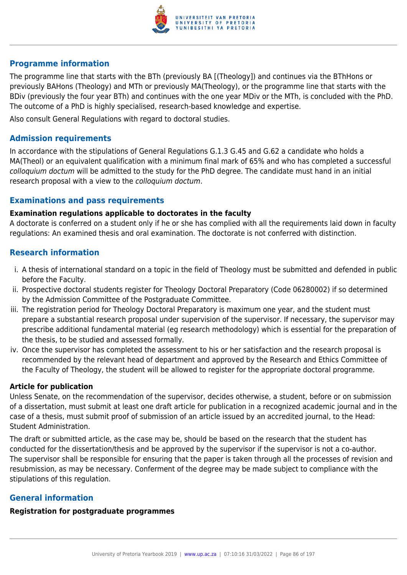

### **Programme information**

The programme line that starts with the BTh (previously BA [(Theology]) and continues via the BThHons or previously BAHons (Theology) and MTh or previously MA(Theology), or the programme line that starts with the BDiv (previously the four year BTh) and continues with the one year MDiv or the MTh, is concluded with the PhD. The outcome of a PhD is highly specialised, research-based knowledge and expertise.

Also consult General Regulations with regard to doctoral studies.

### **Admission requirements**

In accordance with the stipulations of General Regulations G.1.3 G.45 and G.62 a candidate who holds a MA(Theol) or an equivalent qualification with a minimum final mark of 65% and who has completed a successful colloquium doctum will be admitted to the study for the PhD degree. The candidate must hand in an initial research proposal with a view to the colloquium doctum.

### **Examinations and pass requirements**

### **Examination regulations applicable to doctorates in the faculty**

A doctorate is conferred on a student only if he or she has complied with all the requirements laid down in faculty regulations: An examined thesis and oral examination. The doctorate is not conferred with distinction.

### **Research information**

- i. A thesis of international standard on a topic in the field of Theology must be submitted and defended in public before the Faculty.
- ii. Prospective doctoral students register for Theology Doctoral Preparatory (Code 06280002) if so determined by the Admission Committee of the Postgraduate Committee.
- iii. The registration period for Theology Doctoral Preparatory is maximum one year, and the student must prepare a substantial research proposal under supervision of the supervisor. If necessary, the supervisor may prescribe additional fundamental material (eg research methodology) which is essential for the preparation of the thesis, to be studied and assessed formally.
- iv. Once the supervisor has completed the assessment to his or her satisfaction and the research proposal is recommended by the relevant head of department and approved by the Research and Ethics Committee of the Faculty of Theology, the student will be allowed to register for the appropriate doctoral programme.

### **Article for publication**

Unless Senate, on the recommendation of the supervisor, decides otherwise, a student, before or on submission of a dissertation, must submit at least one draft article for publication in a recognized academic journal and in the case of a thesis, must submit proof of submission of an article issued by an accredited journal, to the Head: Student Administration.

The draft or submitted article, as the case may be, should be based on the research that the student has conducted for the dissertation/thesis and be approved by the supervisor if the supervisor is not a co-author. The supervisor shall be responsible for ensuring that the paper is taken through all the processes of revision and resubmission, as may be necessary. Conferment of the degree may be made subject to compliance with the stipulations of this regulation.

# **General information**

# **Registration for postgraduate programmes**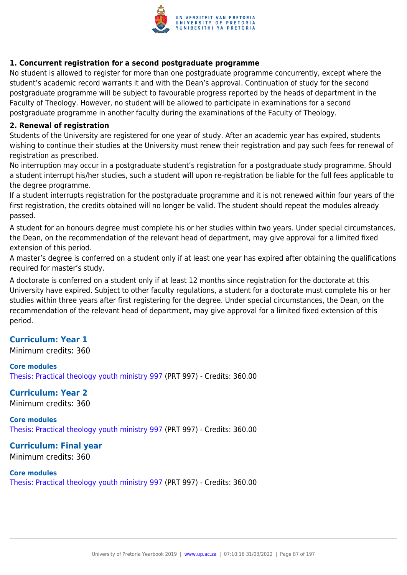

### **1. Concurrent registration for a second postgraduate programme**

No student is allowed to register for more than one postgraduate programme concurrently, except where the student's academic record warrants it and with the Dean's approval. Continuation of study for the second postgraduate programme will be subject to favourable progress reported by the heads of department in the Faculty of Theology. However, no student will be allowed to participate in examinations for a second postgraduate programme in another faculty during the examinations of the Faculty of Theology.

### **2. Renewal of registration**

Students of the University are registered for one year of study. After an academic year has expired, students wishing to continue their studies at the University must renew their registration and pay such fees for renewal of registration as prescribed.

No interruption may occur in a postgraduate student's registration for a postgraduate study programme. Should a student interrupt his/her studies, such a student will upon re-registration be liable for the full fees applicable to the degree programme.

If a student interrupts registration for the postgraduate programme and it is not renewed within four years of the first registration, the credits obtained will no longer be valid. The student should repeat the modules already passed.

A student for an honours degree must complete his or her studies within two years. Under special circumstances, the Dean, on the recommendation of the relevant head of department, may give approval for a limited fixed extension of this period.

A master's degree is conferred on a student only if at least one year has expired after obtaining the qualifications required for master's study.

A doctorate is conferred on a student only if at least 12 months since registration for the doctorate at this University have expired. Subject to other faculty regulations, a student for a doctorate must complete his or her studies within three years after first registering for the degree. Under special circumstances, the Dean, on the recommendation of the relevant head of department, may give approval for a limited fixed extension of this period.

# **Curriculum: Year 1**

Minimum credits: 360

### **Core modules**

[Thesis: Practical theology youth ministry 997](https://www.up.ac.za/faculty-of-education/yearbooks/2019/modules/view/PRT 997) (PRT 997) - Credits: 360.00

### **Curriculum: Year 2**

Minimum credits: 360

### **Core modules** [Thesis: Practical theology youth ministry 997](https://www.up.ac.za/faculty-of-education/yearbooks/2019/modules/view/PRT 997) (PRT 997) - Credits: 360.00

**Curriculum: Final year**

Minimum credits: 360

### **Core modules**

[Thesis: Practical theology youth ministry 997](https://www.up.ac.za/faculty-of-education/yearbooks/2019/modules/view/PRT 997) (PRT 997) - Credits: 360.00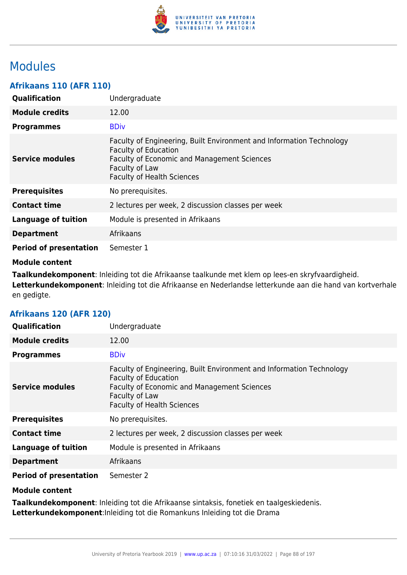

# Modules

# **Afrikaans 110 (AFR 110)**

| Qualification                 | Undergraduate                                                                                                                                                                                                    |
|-------------------------------|------------------------------------------------------------------------------------------------------------------------------------------------------------------------------------------------------------------|
| <b>Module credits</b>         | 12.00                                                                                                                                                                                                            |
| <b>Programmes</b>             | <b>BDiv</b>                                                                                                                                                                                                      |
| Service modules               | Faculty of Engineering, Built Environment and Information Technology<br><b>Faculty of Education</b><br><b>Faculty of Economic and Management Sciences</b><br>Faculty of Law<br><b>Faculty of Health Sciences</b> |
| <b>Prerequisites</b>          | No prerequisites.                                                                                                                                                                                                |
| <b>Contact time</b>           | 2 lectures per week, 2 discussion classes per week                                                                                                                                                               |
| <b>Language of tuition</b>    | Module is presented in Afrikaans                                                                                                                                                                                 |
| <b>Department</b>             | Afrikaans                                                                                                                                                                                                        |
| <b>Period of presentation</b> | Semester 1                                                                                                                                                                                                       |

### **Module content**

**Taalkundekomponent**: Inleiding tot die Afrikaanse taalkunde met klem op lees-en skryfvaardigheid. **Letterkundekomponent**: Inleiding tot die Afrikaanse en Nederlandse letterkunde aan die hand van kortverhale en gedigte.

| <b>Qualification</b>          | Undergraduate                                                                                                                                                                                                    |
|-------------------------------|------------------------------------------------------------------------------------------------------------------------------------------------------------------------------------------------------------------|
| <b>Module credits</b>         | 12.00                                                                                                                                                                                                            |
| <b>Programmes</b>             | <b>BDiv</b>                                                                                                                                                                                                      |
| <b>Service modules</b>        | Faculty of Engineering, Built Environment and Information Technology<br><b>Faculty of Education</b><br><b>Faculty of Economic and Management Sciences</b><br>Faculty of Law<br><b>Faculty of Health Sciences</b> |
| <b>Prerequisites</b>          | No prerequisites.                                                                                                                                                                                                |
| <b>Contact time</b>           | 2 lectures per week, 2 discussion classes per week                                                                                                                                                               |
| <b>Language of tuition</b>    | Module is presented in Afrikaans                                                                                                                                                                                 |
| <b>Department</b>             | Afrikaans                                                                                                                                                                                                        |
| <b>Period of presentation</b> | Semester 2                                                                                                                                                                                                       |

# **Afrikaans 120 (AFR 120)**

# **Module content**

**Taalkundekomponent**: Inleiding tot die Afrikaanse sintaksis, fonetiek en taalgeskiedenis. **Letterkundekomponent**:Inleiding tot die Romankuns Inleiding tot die Drama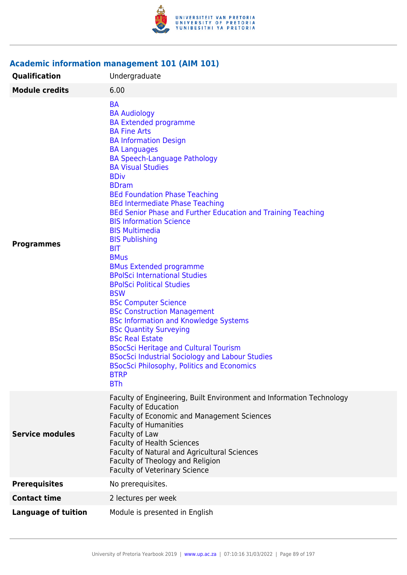

# **Academic information management 101 (AIM 101)**

| Qualification              | Undergraduate                                                                                                                                                                                                                                                                                                                                                                                                                                                                                                                                                                                                                                                                                                                                                                                                                                                                                                                                                                                                               |
|----------------------------|-----------------------------------------------------------------------------------------------------------------------------------------------------------------------------------------------------------------------------------------------------------------------------------------------------------------------------------------------------------------------------------------------------------------------------------------------------------------------------------------------------------------------------------------------------------------------------------------------------------------------------------------------------------------------------------------------------------------------------------------------------------------------------------------------------------------------------------------------------------------------------------------------------------------------------------------------------------------------------------------------------------------------------|
| <b>Module credits</b>      | 6.00                                                                                                                                                                                                                                                                                                                                                                                                                                                                                                                                                                                                                                                                                                                                                                                                                                                                                                                                                                                                                        |
| <b>Programmes</b>          | <b>BA</b><br><b>BA Audiology</b><br><b>BA Extended programme</b><br><b>BA Fine Arts</b><br><b>BA Information Design</b><br><b>BA Languages</b><br><b>BA Speech-Language Pathology</b><br><b>BA Visual Studies</b><br><b>BDiv</b><br><b>BDram</b><br><b>BEd Foundation Phase Teaching</b><br><b>BEd Intermediate Phase Teaching</b><br>BEd Senior Phase and Further Education and Training Teaching<br><b>BIS Information Science</b><br><b>BIS Multimedia</b><br><b>BIS Publishing</b><br><b>BIT</b><br><b>BMus</b><br><b>BMus Extended programme</b><br><b>BPolSci International Studies</b><br><b>BPolSci Political Studies</b><br><b>BSW</b><br><b>BSc Computer Science</b><br><b>BSc Construction Management</b><br><b>BSc Information and Knowledge Systems</b><br><b>BSc Quantity Surveying</b><br><b>BSc Real Estate</b><br><b>BSocSci Heritage and Cultural Tourism</b><br><b>BSocSci Industrial Sociology and Labour Studies</b><br><b>BSocSci Philosophy, Politics and Economics</b><br><b>BTRP</b><br><b>BTh</b> |
| <b>Service modules</b>     | Faculty of Engineering, Built Environment and Information Technology<br><b>Faculty of Education</b><br>Faculty of Economic and Management Sciences<br><b>Faculty of Humanities</b><br>Faculty of Law<br><b>Faculty of Health Sciences</b><br>Faculty of Natural and Agricultural Sciences<br>Faculty of Theology and Religion<br><b>Faculty of Veterinary Science</b>                                                                                                                                                                                                                                                                                                                                                                                                                                                                                                                                                                                                                                                       |
| <b>Prerequisites</b>       | No prerequisites.                                                                                                                                                                                                                                                                                                                                                                                                                                                                                                                                                                                                                                                                                                                                                                                                                                                                                                                                                                                                           |
| <b>Contact time</b>        | 2 lectures per week                                                                                                                                                                                                                                                                                                                                                                                                                                                                                                                                                                                                                                                                                                                                                                                                                                                                                                                                                                                                         |
| <b>Language of tuition</b> | Module is presented in English                                                                                                                                                                                                                                                                                                                                                                                                                                                                                                                                                                                                                                                                                                                                                                                                                                                                                                                                                                                              |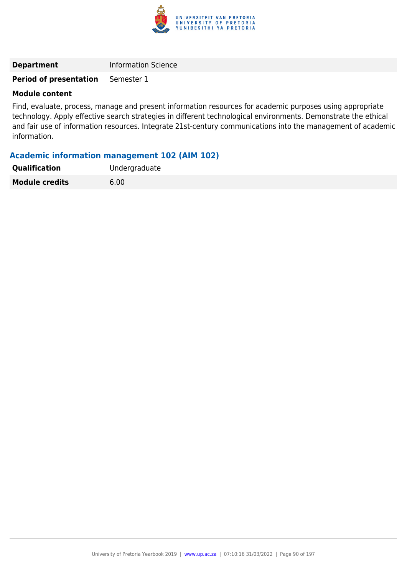

# **Period of presentation** Semester 1

### **Module content**

Find, evaluate, process, manage and present information resources for academic purposes using appropriate technology. Apply effective search strategies in different technological environments. Demonstrate the ethical and fair use of information resources. Integrate 21st-century communications into the management of academic information.

### **Academic information management 102 (AIM 102)**

| <b>Qualification</b>  | Undergraduate |
|-----------------------|---------------|
| <b>Module credits</b> | 6.00          |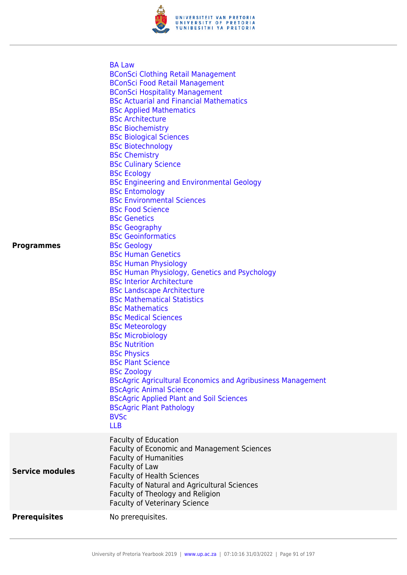

|                        | <b>BA Law</b><br><b>BConSci Clothing Retail Management</b>         |
|------------------------|--------------------------------------------------------------------|
|                        | <b>BConSci Food Retail Management</b>                              |
|                        | <b>BConSci Hospitality Management</b>                              |
|                        | <b>BSc Actuarial and Financial Mathematics</b>                     |
|                        | <b>BSc Applied Mathematics</b>                                     |
|                        | <b>BSc Architecture</b>                                            |
|                        | <b>BSc Biochemistry</b>                                            |
|                        | <b>BSc Biological Sciences</b>                                     |
|                        | <b>BSc Biotechnology</b>                                           |
|                        | <b>BSc Chemistry</b>                                               |
|                        | <b>BSc Culinary Science</b>                                        |
|                        | <b>BSc Ecology</b>                                                 |
|                        | <b>BSc Engineering and Environmental Geology</b>                   |
|                        | <b>BSc Entomology</b><br><b>BSc Environmental Sciences</b>         |
|                        | <b>BSc Food Science</b>                                            |
|                        | <b>BSc Genetics</b>                                                |
|                        | <b>BSc Geography</b>                                               |
|                        | <b>BSc Geoinformatics</b>                                          |
| <b>Programmes</b>      | <b>BSc Geology</b>                                                 |
|                        | <b>BSc Human Genetics</b>                                          |
|                        | <b>BSc Human Physiology</b>                                        |
|                        | <b>BSc Human Physiology, Genetics and Psychology</b>               |
|                        | <b>BSc Interior Architecture</b>                                   |
|                        | <b>BSc Landscape Architecture</b>                                  |
|                        | <b>BSc Mathematical Statistics</b>                                 |
|                        | <b>BSc Mathematics</b>                                             |
|                        | <b>BSc Medical Sciences</b>                                        |
|                        | <b>BSc Meteorology</b>                                             |
|                        | <b>BSc Microbiology</b>                                            |
|                        | <b>BSc Nutrition</b>                                               |
|                        | <b>BSc Physics</b>                                                 |
|                        | <b>BSc Plant Science</b>                                           |
|                        | <b>BSc Zoology</b>                                                 |
|                        | <b>BScAgric Agricultural Economics and Agribusiness Management</b> |
|                        | <b>BScAgric Animal Science</b>                                     |
|                        | <b>BScAgric Applied Plant and Soil Sciences</b>                    |
|                        | <b>BScAgric Plant Pathology</b>                                    |
|                        | <b>BVSc</b>                                                        |
|                        | <b>LLB</b>                                                         |
|                        | <b>Faculty of Education</b>                                        |
|                        | Faculty of Economic and Management Sciences                        |
|                        | <b>Faculty of Humanities</b>                                       |
| <b>Service modules</b> | Faculty of Law                                                     |
|                        | <b>Faculty of Health Sciences</b>                                  |
|                        | Faculty of Natural and Agricultural Sciences                       |
|                        | Faculty of Theology and Religion                                   |
|                        | <b>Faculty of Veterinary Science</b>                               |
| <b>Prerequisites</b>   | No prerequisites.                                                  |
|                        |                                                                    |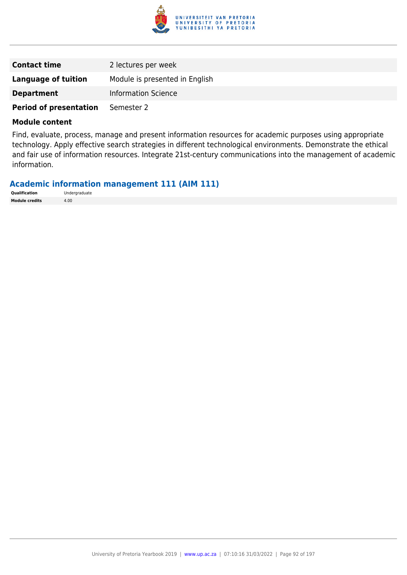

| <b>Contact time</b>           | 2 lectures per week            |
|-------------------------------|--------------------------------|
| <b>Language of tuition</b>    | Module is presented in English |
| <b>Department</b>             | <b>Information Science</b>     |
| <b>Period of presentation</b> | Semester 2                     |

Find, evaluate, process, manage and present information resources for academic purposes using appropriate technology. Apply effective search strategies in different technological environments. Demonstrate the ethical and fair use of information resources. Integrate 21st-century communications into the management of academic information.

### **Academic information management 111 (AIM 111)**

| Qualification         | Undergraduate |
|-----------------------|---------------|
| <b>Module credits</b> | 4.00          |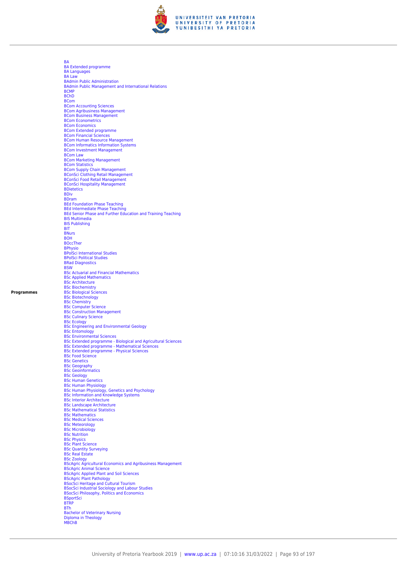

[BA](https://www.up.ac.za/faculty-of-education/yearbooks/2019/programmes/view/06265072) [BA Extended programme](https://www.up.ac.za/faculty-of-education/yearbooks/2019/programmes/view/06265072) [BA Languages](https://www.up.ac.za/faculty-of-education/yearbooks/2019/programmes/view/06265072) [BA Law](https://www.up.ac.za/faculty-of-education/yearbooks/2019/programmes/view/06265072) [BAdmin Public Administration](https://www.up.ac.za/faculty-of-education/yearbooks/2019/programmes/view/06265072) [BAdmin Public Management and International Relations](https://www.up.ac.za/faculty-of-education/yearbooks/2019/programmes/view/06265072) **[BCMP](https://www.up.ac.za/faculty-of-education/yearbooks/2019/programmes/view/06265072)** [BChD](https://www.up.ac.za/faculty-of-education/yearbooks/2019/programmes/view/06265072) [BCom](https://www.up.ac.za/faculty-of-education/yearbooks/2019/programmes/view/06265072) [BCom Accounting Sciences](https://www.up.ac.za/faculty-of-education/yearbooks/2019/programmes/view/06265072) [BCom Agribusiness Management](https://www.up.ac.za/faculty-of-education/yearbooks/2019/programmes/view/06265072) [BCom Business Management](https://www.up.ac.za/faculty-of-education/yearbooks/2019/programmes/view/06265072) **[BCom Econometrics](https://www.up.ac.za/faculty-of-education/yearbooks/2019/programmes/view/06265072)** [BCom Economics](https://www.up.ac.za/faculty-of-education/yearbooks/2019/programmes/view/06265072) [BCom Extended programme](https://www.up.ac.za/faculty-of-education/yearbooks/2019/programmes/view/06265072) [BCom Financial Sciences](https://www.up.ac.za/faculty-of-education/yearbooks/2019/programmes/view/06265072) **[BCom Human Resource Management](https://www.up.ac.za/faculty-of-education/yearbooks/2019/programmes/view/06265072)** [BCom Informatics Information Systems](https://www.up.ac.za/faculty-of-education/yearbooks/2019/programmes/view/06265072) [BCom Investment Management](https://www.up.ac.za/faculty-of-education/yearbooks/2019/programmes/view/06265072) [BCom Law](https://www.up.ac.za/faculty-of-education/yearbooks/2019/programmes/view/06265072) [BCom Marketing Management](https://www.up.ac.za/faculty-of-education/yearbooks/2019/programmes/view/06265072) [BCom Statistics](https://www.up.ac.za/faculty-of-education/yearbooks/2019/programmes/view/06265072) [BCom Supply Chain Management](https://www.up.ac.za/faculty-of-education/yearbooks/2019/programmes/view/06265072) [BConSci Clothing Retail Management](https://www.up.ac.za/faculty-of-education/yearbooks/2019/programmes/view/06265072) [BConSci Food Retail Management](https://www.up.ac.za/faculty-of-education/yearbooks/2019/programmes/view/06265072) [BConSci Hospitality Management](https://www.up.ac.za/faculty-of-education/yearbooks/2019/programmes/view/06265072) [BDietetics](https://www.up.ac.za/faculty-of-education/yearbooks/2019/programmes/view/06265072) **[BDiv](https://www.up.ac.za/faculty-of-education/yearbooks/2019/programmes/view/06265072)** [BDram](https://www.up.ac.za/faculty-of-education/yearbooks/2019/programmes/view/06265072) [BEd Foundation Phase Teaching](https://www.up.ac.za/faculty-of-education/yearbooks/2019/programmes/view/06265072) [BEd Intermediate Phase Teaching](https://www.up.ac.za/faculty-of-education/yearbooks/2019/programmes/view/06265072) [BEd Senior Phase and Further Education and Training Teaching](https://www.up.ac.za/faculty-of-education/yearbooks/2019/programmes/view/06265072) [BIS Multimedia](https://www.up.ac.za/faculty-of-education/yearbooks/2019/programmes/view/06265072) [BIS Publishing](https://www.up.ac.za/faculty-of-education/yearbooks/2019/programmes/view/06265072) **[BIT](https://www.up.ac.za/faculty-of-education/yearbooks/2019/programmes/view/06265072)** [BNurs](https://www.up.ac.za/faculty-of-education/yearbooks/2019/programmes/view/06265072) [BOH](https://www.up.ac.za/faculty-of-education/yearbooks/2019/programmes/view/06265072) [BOccTher](https://www.up.ac.za/faculty-of-education/yearbooks/2019/programmes/view/06265072) [BPhysio](https://www.up.ac.za/faculty-of-education/yearbooks/2019/programmes/view/06265072) [BPolSci International Studies](https://www.up.ac.za/faculty-of-education/yearbooks/2019/programmes/view/06265072) [BPolSci Political Studies](https://www.up.ac.za/faculty-of-education/yearbooks/2019/programmes/view/06265072) **[BRad Diagnostics](https://www.up.ac.za/faculty-of-education/yearbooks/2019/programmes/view/06265072) [BSW](https://www.up.ac.za/faculty-of-education/yearbooks/2019/programmes/view/06265072)** [BSc Actuarial and Financial Mathematics](https://www.up.ac.za/faculty-of-education/yearbooks/2019/programmes/view/06265072) [BSc Applied Mathematics](https://www.up.ac.za/faculty-of-education/yearbooks/2019/programmes/view/06265072) [BSc Architecture](https://www.up.ac.za/faculty-of-education/yearbooks/2019/programmes/view/06265072) **[BSc Biochemistry](https://www.up.ac.za/faculty-of-education/yearbooks/2019/programmes/view/06265072)** [BSc Biological Sciences](https://www.up.ac.za/faculty-of-education/yearbooks/2019/programmes/view/06265072) [BSc Biotechnology](https://www.up.ac.za/faculty-of-education/yearbooks/2019/programmes/view/06265072) [BSc Chemistry](https://www.up.ac.za/faculty-of-education/yearbooks/2019/programmes/view/06265072) [BSc Computer Science](https://www.up.ac.za/faculty-of-education/yearbooks/2019/programmes/view/06265072) [BSc Construction Management](https://www.up.ac.za/faculty-of-education/yearbooks/2019/programmes/view/06265072) [BSc Culinary Science](https://www.up.ac.za/faculty-of-education/yearbooks/2019/programmes/view/06265072) [BSc Ecology](https://www.up.ac.za/faculty-of-education/yearbooks/2019/programmes/view/06265072)<br>[BSc Engineering and Environmental Geology](https://www.up.ac.za/faculty-of-education/yearbooks/2019/programmes/view/06265072)<br>[BSc Entomology](https://www.up.ac.za/faculty-of-education/yearbooks/2019/programmes/view/06265072)<br>[BSc Environmental Sciences](https://www.up.ac.za/faculty-of-education/yearbooks/2019/programmes/view/06265072)<br>[BSc Extended programme - Biological and Agricultural Sciences](https://www.up.ac.za/faculty-of-education/yearbooks/2019/programmes/view/06265072)<br>[BSc Extended programme - Physical Sciences](https://www.up.ac.za/faculty-of-education/yearbooks/2019/programmes/view/06265072)<br>BSc Extended programm [BSc Food Science](https://www.up.ac.za/faculty-of-education/yearbooks/2019/programmes/view/06265072) **[BSc Genetics](https://www.up.ac.za/faculty-of-education/yearbooks/2019/programmes/view/06265072) [BSc Geography](https://www.up.ac.za/faculty-of-education/yearbooks/2019/programmes/view/06265072) [BSc Geoinformatics](https://www.up.ac.za/faculty-of-education/yearbooks/2019/programmes/view/06265072)** [BSc Geology](https://www.up.ac.za/faculty-of-education/yearbooks/2019/programmes/view/06265072) [BSc Human Genetics](https://www.up.ac.za/faculty-of-education/yearbooks/2019/programmes/view/06265072) [BSc Human Physiology](https://www.up.ac.za/faculty-of-education/yearbooks/2019/programmes/view/06265072) [BSc Human Physiology, Genetics and Psychology](https://www.up.ac.za/faculty-of-education/yearbooks/2019/programmes/view/06265072) [BSc Information and Knowledge Systems](https://www.up.ac.za/faculty-of-education/yearbooks/2019/programmes/view/06265072) [BSc Interior Architecture](https://www.up.ac.za/faculty-of-education/yearbooks/2019/programmes/view/06265072) [BSc Landscape Architecture](https://www.up.ac.za/faculty-of-education/yearbooks/2019/programmes/view/06265072) [BSc Mathematical Statistics](https://www.up.ac.za/faculty-of-education/yearbooks/2019/programmes/view/06265072) [BSc Mathematics](https://www.up.ac.za/faculty-of-education/yearbooks/2019/programmes/view/06265072) [BSc Medical Sciences](https://www.up.ac.za/faculty-of-education/yearbooks/2019/programmes/view/06265072) [BSc Meteorology](https://www.up.ac.za/faculty-of-education/yearbooks/2019/programmes/view/06265072) **BSC Microbiology** [BSc Nutrition](https://www.up.ac.za/faculty-of-education/yearbooks/2019/programmes/view/06265072) **[BSc Physics](https://www.up.ac.za/faculty-of-education/yearbooks/2019/programmes/view/06265072)** [BSc Plant Science](https://www.up.ac.za/faculty-of-education/yearbooks/2019/programmes/view/06265072) [BSc Quantity Surveying](https://www.up.ac.za/faculty-of-education/yearbooks/2019/programmes/view/06265072) [BSc Real Estate](https://www.up.ac.za/faculty-of-education/yearbooks/2019/programmes/view/06265072) [BSc Zoology](https://www.up.ac.za/faculty-of-education/yearbooks/2019/programmes/view/06265072) [BScAgric Agricultural Economics and Agribusiness Management](https://www.up.ac.za/faculty-of-education/yearbooks/2019/programmes/view/06265072) [BScAgric Animal Science](https://www.up.ac.za/faculty-of-education/yearbooks/2019/programmes/view/06265072) [BScAgric Applied Plant and Soil Sciences](https://www.up.ac.za/faculty-of-education/yearbooks/2019/programmes/view/06265072) [BScAgric Plant Pathology](https://www.up.ac.za/faculty-of-education/yearbooks/2019/programmes/view/06265072) [BSocSci Heritage and Cultural Tourism](https://www.up.ac.za/faculty-of-education/yearbooks/2019/programmes/view/06265072) [BSocSci Industrial Sociology and Labour Studies](https://www.up.ac.za/faculty-of-education/yearbooks/2019/programmes/view/06265072) [BSocSci Philosophy, Politics and Economics](https://www.up.ac.za/faculty-of-education/yearbooks/2019/programmes/view/06265072) [BSportSci](https://www.up.ac.za/faculty-of-education/yearbooks/2019/programmes/view/06265072) [BTRP](https://www.up.ac.za/faculty-of-education/yearbooks/2019/programmes/view/06265072) [BTh](https://www.up.ac.za/faculty-of-education/yearbooks/2019/programmes/view/06265072) [Bachelor of Veterinary Nursing](https://www.up.ac.za/faculty-of-education/yearbooks/2019/programmes/view/06265072) [Diploma in Theology](https://www.up.ac.za/faculty-of-education/yearbooks/2019/programmes/view/06265072) **MRC<sub>hR</sub>** 

**Programmes**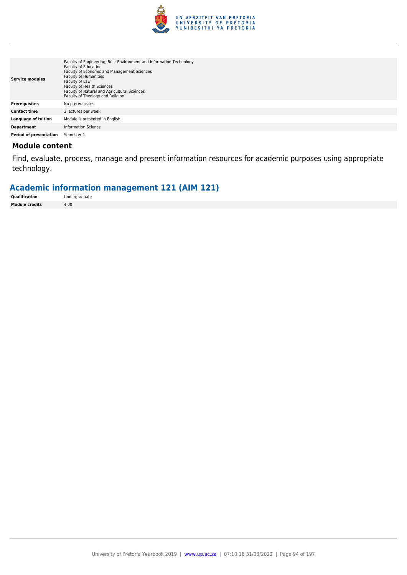

| <b>Service modules</b>        | Faculty of Engineering, Built Environment and Information Technology<br>Faculty of Education<br>Faculty of Economic and Management Sciences<br><b>Faculty of Humanities</b><br>Faculty of Law<br><b>Faculty of Health Sciences</b><br>Faculty of Natural and Agricultural Sciences<br>Faculty of Theology and Religion |
|-------------------------------|------------------------------------------------------------------------------------------------------------------------------------------------------------------------------------------------------------------------------------------------------------------------------------------------------------------------|
| <b>Prerequisites</b>          | No prerequisites.                                                                                                                                                                                                                                                                                                      |
| <b>Contact time</b>           | 2 lectures per week                                                                                                                                                                                                                                                                                                    |
| <b>Language of tuition</b>    | Module is presented in English                                                                                                                                                                                                                                                                                         |
| <b>Department</b>             | Information Science                                                                                                                                                                                                                                                                                                    |
| <b>Period of presentation</b> | Semester 1                                                                                                                                                                                                                                                                                                             |

Find, evaluate, process, manage and present information resources for academic purposes using appropriate technology.

# **Academic information management 121 (AIM 121)**

| Qualification         | Undergraduate |
|-----------------------|---------------|
| <b>Module credits</b> | 4.00          |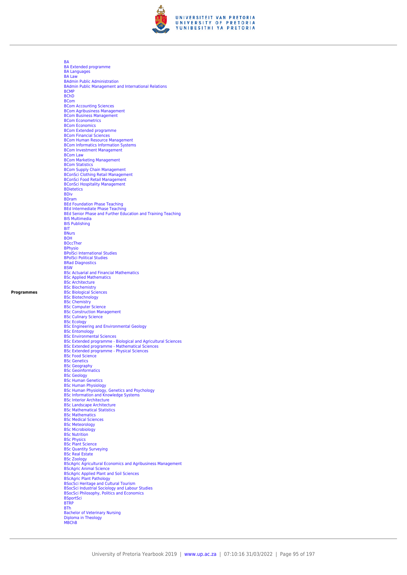

[BA](https://www.up.ac.za/faculty-of-education/yearbooks/2019/programmes/view/06265072) [BA Extended programme](https://www.up.ac.za/faculty-of-education/yearbooks/2019/programmes/view/06265072) [BA Languages](https://www.up.ac.za/faculty-of-education/yearbooks/2019/programmes/view/06265072) [BA Law](https://www.up.ac.za/faculty-of-education/yearbooks/2019/programmes/view/06265072) [BAdmin Public Administration](https://www.up.ac.za/faculty-of-education/yearbooks/2019/programmes/view/06265072) [BAdmin Public Management and International Relations](https://www.up.ac.za/faculty-of-education/yearbooks/2019/programmes/view/06265072) **[BCMP](https://www.up.ac.za/faculty-of-education/yearbooks/2019/programmes/view/06265072)** [BChD](https://www.up.ac.za/faculty-of-education/yearbooks/2019/programmes/view/06265072) [BCom](https://www.up.ac.za/faculty-of-education/yearbooks/2019/programmes/view/06265072) [BCom Accounting Sciences](https://www.up.ac.za/faculty-of-education/yearbooks/2019/programmes/view/06265072) [BCom Agribusiness Management](https://www.up.ac.za/faculty-of-education/yearbooks/2019/programmes/view/06265072) [BCom Business Management](https://www.up.ac.za/faculty-of-education/yearbooks/2019/programmes/view/06265072) **[BCom Econometrics](https://www.up.ac.za/faculty-of-education/yearbooks/2019/programmes/view/06265072)** [BCom Economics](https://www.up.ac.za/faculty-of-education/yearbooks/2019/programmes/view/06265072) [BCom Extended programme](https://www.up.ac.za/faculty-of-education/yearbooks/2019/programmes/view/06265072) [BCom Financial Sciences](https://www.up.ac.za/faculty-of-education/yearbooks/2019/programmes/view/06265072) **[BCom Human Resource Management](https://www.up.ac.za/faculty-of-education/yearbooks/2019/programmes/view/06265072)** [BCom Informatics Information Systems](https://www.up.ac.za/faculty-of-education/yearbooks/2019/programmes/view/06265072) [BCom Investment Management](https://www.up.ac.za/faculty-of-education/yearbooks/2019/programmes/view/06265072) [BCom Law](https://www.up.ac.za/faculty-of-education/yearbooks/2019/programmes/view/06265072) [BCom Marketing Management](https://www.up.ac.za/faculty-of-education/yearbooks/2019/programmes/view/06265072) [BCom Statistics](https://www.up.ac.za/faculty-of-education/yearbooks/2019/programmes/view/06265072) [BCom Supply Chain Management](https://www.up.ac.za/faculty-of-education/yearbooks/2019/programmes/view/06265072) [BConSci Clothing Retail Management](https://www.up.ac.za/faculty-of-education/yearbooks/2019/programmes/view/06265072) [BConSci Food Retail Management](https://www.up.ac.za/faculty-of-education/yearbooks/2019/programmes/view/06265072) [BConSci Hospitality Management](https://www.up.ac.za/faculty-of-education/yearbooks/2019/programmes/view/06265072) [BDietetics](https://www.up.ac.za/faculty-of-education/yearbooks/2019/programmes/view/06265072) **[BDiv](https://www.up.ac.za/faculty-of-education/yearbooks/2019/programmes/view/06265072)** [BDram](https://www.up.ac.za/faculty-of-education/yearbooks/2019/programmes/view/06265072) [BEd Foundation Phase Teaching](https://www.up.ac.za/faculty-of-education/yearbooks/2019/programmes/view/06265072) [BEd Intermediate Phase Teaching](https://www.up.ac.za/faculty-of-education/yearbooks/2019/programmes/view/06265072) [BEd Senior Phase and Further Education and Training Teaching](https://www.up.ac.za/faculty-of-education/yearbooks/2019/programmes/view/06265072) [BIS Multimedia](https://www.up.ac.za/faculty-of-education/yearbooks/2019/programmes/view/06265072) [BIS Publishing](https://www.up.ac.za/faculty-of-education/yearbooks/2019/programmes/view/06265072) **[BIT](https://www.up.ac.za/faculty-of-education/yearbooks/2019/programmes/view/06265072)** [BNurs](https://www.up.ac.za/faculty-of-education/yearbooks/2019/programmes/view/06265072) [BOH](https://www.up.ac.za/faculty-of-education/yearbooks/2019/programmes/view/06265072) [BOccTher](https://www.up.ac.za/faculty-of-education/yearbooks/2019/programmes/view/06265072) [BPhysio](https://www.up.ac.za/faculty-of-education/yearbooks/2019/programmes/view/06265072) [BPolSci International Studies](https://www.up.ac.za/faculty-of-education/yearbooks/2019/programmes/view/06265072) [BPolSci Political Studies](https://www.up.ac.za/faculty-of-education/yearbooks/2019/programmes/view/06265072) **[BRad Diagnostics](https://www.up.ac.za/faculty-of-education/yearbooks/2019/programmes/view/06265072) [BSW](https://www.up.ac.za/faculty-of-education/yearbooks/2019/programmes/view/06265072)** [BSc Actuarial and Financial Mathematics](https://www.up.ac.za/faculty-of-education/yearbooks/2019/programmes/view/06265072) [BSc Applied Mathematics](https://www.up.ac.za/faculty-of-education/yearbooks/2019/programmes/view/06265072) [BSc Architecture](https://www.up.ac.za/faculty-of-education/yearbooks/2019/programmes/view/06265072) **[BSc Biochemistry](https://www.up.ac.za/faculty-of-education/yearbooks/2019/programmes/view/06265072)** [BSc Biological Sciences](https://www.up.ac.za/faculty-of-education/yearbooks/2019/programmes/view/06265072) [BSc Biotechnology](https://www.up.ac.za/faculty-of-education/yearbooks/2019/programmes/view/06265072) [BSc Chemistry](https://www.up.ac.za/faculty-of-education/yearbooks/2019/programmes/view/06265072) [BSc Computer Science](https://www.up.ac.za/faculty-of-education/yearbooks/2019/programmes/view/06265072) [BSc Construction Management](https://www.up.ac.za/faculty-of-education/yearbooks/2019/programmes/view/06265072) [BSc Culinary Science](https://www.up.ac.za/faculty-of-education/yearbooks/2019/programmes/view/06265072) [BSc Ecology](https://www.up.ac.za/faculty-of-education/yearbooks/2019/programmes/view/06265072)<br>[BSc Engineering and Environmental Geology](https://www.up.ac.za/faculty-of-education/yearbooks/2019/programmes/view/06265072)<br>[BSc Entomology](https://www.up.ac.za/faculty-of-education/yearbooks/2019/programmes/view/06265072)<br>[BSc Environmental Sciences](https://www.up.ac.za/faculty-of-education/yearbooks/2019/programmes/view/06265072)<br>[BSc Extended programme - Biological and Agricultural Sciences](https://www.up.ac.za/faculty-of-education/yearbooks/2019/programmes/view/06265072)<br>[BSc Extended programme - Physical Sciences](https://www.up.ac.za/faculty-of-education/yearbooks/2019/programmes/view/06265072)<br>BSc Extended programm [BSc Food Science](https://www.up.ac.za/faculty-of-education/yearbooks/2019/programmes/view/06265072) **[BSc Genetics](https://www.up.ac.za/faculty-of-education/yearbooks/2019/programmes/view/06265072) [BSc Geography](https://www.up.ac.za/faculty-of-education/yearbooks/2019/programmes/view/06265072) [BSc Geoinformatics](https://www.up.ac.za/faculty-of-education/yearbooks/2019/programmes/view/06265072)** [BSc Geology](https://www.up.ac.za/faculty-of-education/yearbooks/2019/programmes/view/06265072) [BSc Human Genetics](https://www.up.ac.za/faculty-of-education/yearbooks/2019/programmes/view/06265072) [BSc Human Physiology](https://www.up.ac.za/faculty-of-education/yearbooks/2019/programmes/view/06265072) [BSc Human Physiology, Genetics and Psychology](https://www.up.ac.za/faculty-of-education/yearbooks/2019/programmes/view/06265072) [BSc Information and Knowledge Systems](https://www.up.ac.za/faculty-of-education/yearbooks/2019/programmes/view/06265072) [BSc Interior Architecture](https://www.up.ac.za/faculty-of-education/yearbooks/2019/programmes/view/06265072) [BSc Landscape Architecture](https://www.up.ac.za/faculty-of-education/yearbooks/2019/programmes/view/06265072) [BSc Mathematical Statistics](https://www.up.ac.za/faculty-of-education/yearbooks/2019/programmes/view/06265072) [BSc Mathematics](https://www.up.ac.za/faculty-of-education/yearbooks/2019/programmes/view/06265072) [BSc Medical Sciences](https://www.up.ac.za/faculty-of-education/yearbooks/2019/programmes/view/06265072) [BSc Meteorology](https://www.up.ac.za/faculty-of-education/yearbooks/2019/programmes/view/06265072) **BSC Microbiology** [BSc Nutrition](https://www.up.ac.za/faculty-of-education/yearbooks/2019/programmes/view/06265072) **[BSc Physics](https://www.up.ac.za/faculty-of-education/yearbooks/2019/programmes/view/06265072)** [BSc Plant Science](https://www.up.ac.za/faculty-of-education/yearbooks/2019/programmes/view/06265072) [BSc Quantity Surveying](https://www.up.ac.za/faculty-of-education/yearbooks/2019/programmes/view/06265072) [BSc Real Estate](https://www.up.ac.za/faculty-of-education/yearbooks/2019/programmes/view/06265072) [BSc Zoology](https://www.up.ac.za/faculty-of-education/yearbooks/2019/programmes/view/06265072) [BScAgric Agricultural Economics and Agribusiness Management](https://www.up.ac.za/faculty-of-education/yearbooks/2019/programmes/view/06265072) [BScAgric Animal Science](https://www.up.ac.za/faculty-of-education/yearbooks/2019/programmes/view/06265072) [BScAgric Applied Plant and Soil Sciences](https://www.up.ac.za/faculty-of-education/yearbooks/2019/programmes/view/06265072) [BScAgric Plant Pathology](https://www.up.ac.za/faculty-of-education/yearbooks/2019/programmes/view/06265072) [BSocSci Heritage and Cultural Tourism](https://www.up.ac.za/faculty-of-education/yearbooks/2019/programmes/view/06265072) [BSocSci Industrial Sociology and Labour Studies](https://www.up.ac.za/faculty-of-education/yearbooks/2019/programmes/view/06265072) [BSocSci Philosophy, Politics and Economics](https://www.up.ac.za/faculty-of-education/yearbooks/2019/programmes/view/06265072) [BSportSci](https://www.up.ac.za/faculty-of-education/yearbooks/2019/programmes/view/06265072) [BTRP](https://www.up.ac.za/faculty-of-education/yearbooks/2019/programmes/view/06265072) [BTh](https://www.up.ac.za/faculty-of-education/yearbooks/2019/programmes/view/06265072) [Bachelor of Veterinary Nursing](https://www.up.ac.za/faculty-of-education/yearbooks/2019/programmes/view/06265072) [Diploma in Theology](https://www.up.ac.za/faculty-of-education/yearbooks/2019/programmes/view/06265072) **MRC<sub>hR</sub>**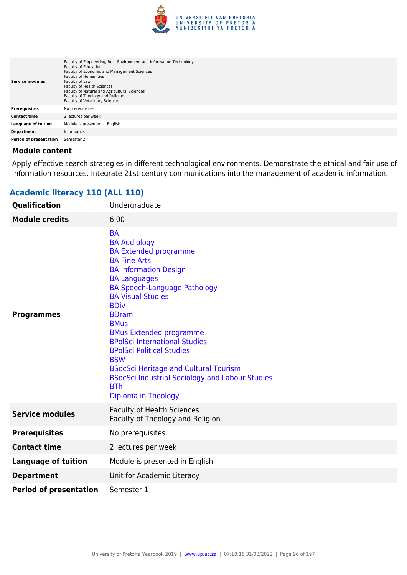

| <b>Service modules</b>        | Faculty of Engineering, Built Environment and Information Technology<br><b>Faculty of Education</b><br>Faculty of Economic and Management Sciences<br><b>Faculty of Humanities</b><br>Faculty of Law<br><b>Faculty of Health Sciences</b><br>Faculty of Natural and Agricultural Sciences<br>Faculty of Theology and Religion<br>Faculty of Veterinary Science |
|-------------------------------|----------------------------------------------------------------------------------------------------------------------------------------------------------------------------------------------------------------------------------------------------------------------------------------------------------------------------------------------------------------|
| <b>Prerequisites</b>          | No prerequisites.                                                                                                                                                                                                                                                                                                                                              |
| <b>Contact time</b>           | 2 lectures per week                                                                                                                                                                                                                                                                                                                                            |
| <b>Language of tuition</b>    | Module is presented in English                                                                                                                                                                                                                                                                                                                                 |
| <b>Department</b>             | <b>Informatics</b>                                                                                                                                                                                                                                                                                                                                             |
| <b>Period of presentation</b> | Semester 2                                                                                                                                                                                                                                                                                                                                                     |

Apply effective search strategies in different technological environments. Demonstrate the ethical and fair use of information resources. Integrate 21st-century communications into the management of academic information.

# **Academic literacy 110 (ALL 110)**

| <b>Qualification</b>          | Undergraduate                                                                                                                                                                                                                                                                                                                                                                                                                                                                                                                              |
|-------------------------------|--------------------------------------------------------------------------------------------------------------------------------------------------------------------------------------------------------------------------------------------------------------------------------------------------------------------------------------------------------------------------------------------------------------------------------------------------------------------------------------------------------------------------------------------|
| <b>Module credits</b>         | 6.00                                                                                                                                                                                                                                                                                                                                                                                                                                                                                                                                       |
| <b>Programmes</b>             | <b>BA</b><br><b>BA Audiology</b><br><b>BA Extended programme</b><br><b>BA Fine Arts</b><br><b>BA Information Design</b><br><b>BA Languages</b><br><b>BA Speech-Language Pathology</b><br><b>BA Visual Studies</b><br><b>BDiv</b><br><b>BDram</b><br><b>BMus</b><br><b>BMus Extended programme</b><br><b>BPolSci International Studies</b><br><b>BPolSci Political Studies</b><br><b>BSW</b><br><b>BSocSci Heritage and Cultural Tourism</b><br><b>BSocSci Industrial Sociology and Labour Studies</b><br><b>BTh</b><br>Diploma in Theology |
| <b>Service modules</b>        | <b>Faculty of Health Sciences</b><br>Faculty of Theology and Religion                                                                                                                                                                                                                                                                                                                                                                                                                                                                      |
| <b>Prerequisites</b>          | No prerequisites.                                                                                                                                                                                                                                                                                                                                                                                                                                                                                                                          |
| <b>Contact time</b>           | 2 lectures per week                                                                                                                                                                                                                                                                                                                                                                                                                                                                                                                        |
| <b>Language of tuition</b>    | Module is presented in English                                                                                                                                                                                                                                                                                                                                                                                                                                                                                                             |
| <b>Department</b>             | Unit for Academic Literacy                                                                                                                                                                                                                                                                                                                                                                                                                                                                                                                 |
| <b>Period of presentation</b> | Semester 1                                                                                                                                                                                                                                                                                                                                                                                                                                                                                                                                 |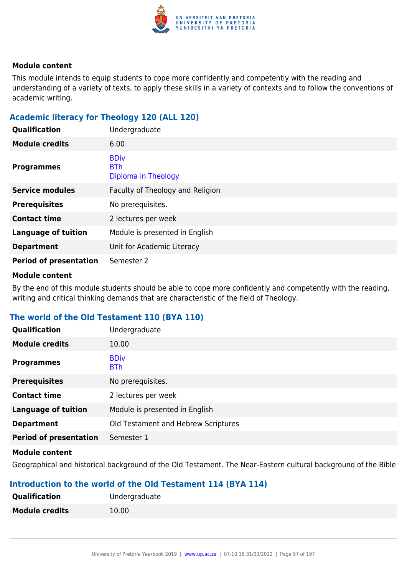

This module intends to equip students to cope more confidently and competently with the reading and understanding of a variety of texts, to apply these skills in a variety of contexts and to follow the conventions of academic writing.

# **Academic literacy for Theology 120 (ALL 120)**

| Qualification                 | Undergraduate                                    |
|-------------------------------|--------------------------------------------------|
| <b>Module credits</b>         | 6.00                                             |
| <b>Programmes</b>             | <b>BDiv</b><br><b>BTh</b><br>Diploma in Theology |
| <b>Service modules</b>        | Faculty of Theology and Religion                 |
| <b>Prerequisites</b>          | No prerequisites.                                |
| <b>Contact time</b>           | 2 lectures per week                              |
| <b>Language of tuition</b>    | Module is presented in English                   |
| <b>Department</b>             | Unit for Academic Literacy                       |
| <b>Period of presentation</b> | Semester 2                                       |

### **Module content**

By the end of this module students should be able to cope more confidently and competently with the reading, writing and critical thinking demands that are characteristic of the field of Theology.

# **The world of the Old Testament 110 (BYA 110)**

| <b>Qualification</b>          | Undergraduate                       |
|-------------------------------|-------------------------------------|
| <b>Module credits</b>         | 10.00                               |
| <b>Programmes</b>             | <b>BDiv</b><br><b>BTh</b>           |
| <b>Prerequisites</b>          | No prerequisites.                   |
| <b>Contact time</b>           | 2 lectures per week                 |
| <b>Language of tuition</b>    | Module is presented in English      |
| <b>Department</b>             | Old Testament and Hebrew Scriptures |
| <b>Period of presentation</b> | Semester 1                          |

### **Module content**

Geographical and historical background of the Old Testament. The Near-Eastern cultural background of the Bible

# **Introduction to the world of the Old Testament 114 (BYA 114)**

| <b>Qualification</b>  | Undergraduate |
|-----------------------|---------------|
| <b>Module credits</b> | 10.00         |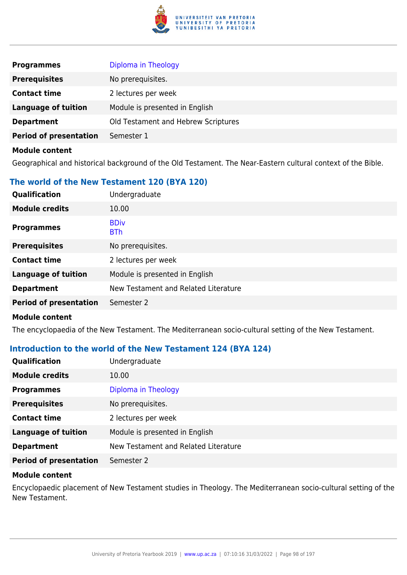

| <b>Programmes</b>             | Diploma in Theology                 |
|-------------------------------|-------------------------------------|
| <b>Prerequisites</b>          | No prerequisites.                   |
| <b>Contact time</b>           | 2 lectures per week                 |
| <b>Language of tuition</b>    | Module is presented in English      |
| <b>Department</b>             | Old Testament and Hebrew Scriptures |
| <b>Period of presentation</b> | Semester 1                          |
| <b>Module content</b>         |                                     |

Geographical and historical background of the Old Testament. The Near-Eastern cultural context of the Bible.

### **The world of the New Testament 120 (BYA 120)**

| Qualification                 | Undergraduate                        |
|-------------------------------|--------------------------------------|
| <b>Module credits</b>         | 10.00                                |
| <b>Programmes</b>             | <b>BDiv</b><br><b>BTh</b>            |
| <b>Prerequisites</b>          | No prerequisites.                    |
| <b>Contact time</b>           | 2 lectures per week                  |
| <b>Language of tuition</b>    | Module is presented in English       |
| <b>Department</b>             | New Testament and Related Literature |
| <b>Period of presentation</b> | Semester 2                           |
|                               |                                      |

### **Module content**

The encyclopaedia of the New Testament. The Mediterranean socio-cultural setting of the New Testament.

### **Introduction to the world of the New Testament 124 (BYA 124)**

| <b>Qualification</b>          | Undergraduate                        |
|-------------------------------|--------------------------------------|
| <b>Module credits</b>         | 10.00                                |
| <b>Programmes</b>             | Diploma in Theology                  |
| <b>Prerequisites</b>          | No prerequisites.                    |
| <b>Contact time</b>           | 2 lectures per week                  |
| <b>Language of tuition</b>    | Module is presented in English       |
| <b>Department</b>             | New Testament and Related Literature |
| <b>Period of presentation</b> | Semester 2                           |

### **Module content**

Encyclopaedic placement of New Testament studies in Theology. The Mediterranean socio-cultural setting of the New Testament.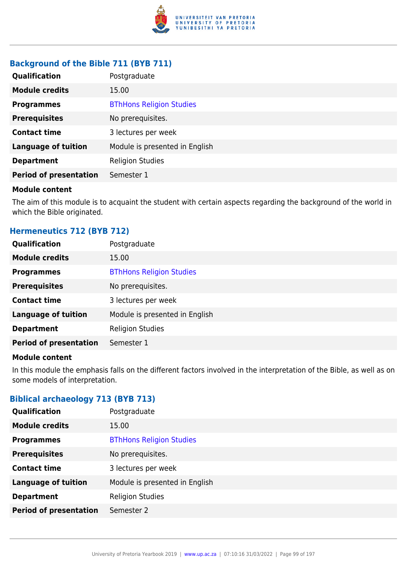

# **Background of the Bible 711 (BYB 711)**

| <b>Qualification</b>          | Postgraduate                    |
|-------------------------------|---------------------------------|
| <b>Module credits</b>         | 15.00                           |
| <b>Programmes</b>             | <b>BThHons Religion Studies</b> |
| <b>Prerequisites</b>          | No prerequisites.               |
| <b>Contact time</b>           | 3 lectures per week             |
| <b>Language of tuition</b>    | Module is presented in English  |
| <b>Department</b>             | <b>Religion Studies</b>         |
| <b>Period of presentation</b> | Semester 1                      |

### **Module content**

The aim of this module is to acquaint the student with certain aspects regarding the background of the world in which the Bible originated.

### **Hermeneutics 712 (BYB 712)**

| Postgraduate                    |
|---------------------------------|
| 15.00                           |
| <b>BThHons Religion Studies</b> |
| No prerequisites.               |
| 3 lectures per week             |
| Module is presented in English  |
| <b>Religion Studies</b>         |
| Semester 1                      |
|                                 |

### **Module content**

In this module the emphasis falls on the different factors involved in the interpretation of the Bible, as well as on some models of interpretation.

# **Biblical archaeology 713 (BYB 713)**

| <b>Qualification</b>          | Postgraduate                    |
|-------------------------------|---------------------------------|
| <b>Module credits</b>         | 15.00                           |
| <b>Programmes</b>             | <b>BThHons Religion Studies</b> |
| <b>Prerequisites</b>          | No prerequisites.               |
| <b>Contact time</b>           | 3 lectures per week             |
| <b>Language of tuition</b>    | Module is presented in English  |
| <b>Department</b>             | <b>Religion Studies</b>         |
| <b>Period of presentation</b> | Semester 2                      |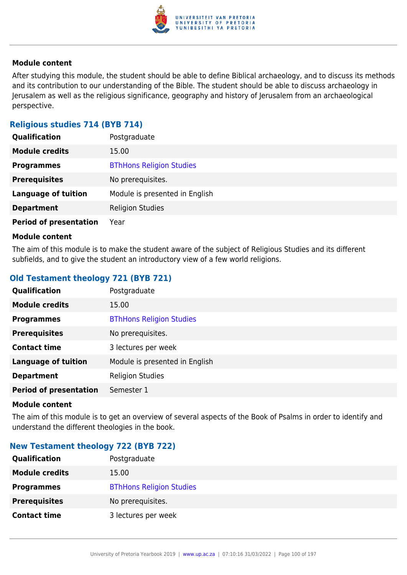

After studying this module, the student should be able to define Biblical archaeology, and to discuss its methods and its contribution to our understanding of the Bible. The student should be able to discuss archaeology in Jerusalem as well as the religious significance, geography and history of Jerusalem from an archaeological perspective.

# **Religious studies 714 (BYB 714)**

| <b>Qualification</b>          | Postgraduate                    |
|-------------------------------|---------------------------------|
| <b>Module credits</b>         | 15.00                           |
| <b>Programmes</b>             | <b>BThHons Religion Studies</b> |
| <b>Prerequisites</b>          | No prerequisites.               |
| <b>Language of tuition</b>    | Module is presented in English  |
| <b>Department</b>             | <b>Religion Studies</b>         |
| <b>Period of presentation</b> | Year                            |

### **Module content**

The aim of this module is to make the student aware of the subject of Religious Studies and its different subfields, and to give the student an introductory view of a few world religions.

# **Old Testament theology 721 (BYB 721)**

| Qualification                 | Postgraduate                    |
|-------------------------------|---------------------------------|
| <b>Module credits</b>         | 15.00                           |
| <b>Programmes</b>             | <b>BThHons Religion Studies</b> |
| <b>Prerequisites</b>          | No prerequisites.               |
| <b>Contact time</b>           | 3 lectures per week             |
| <b>Language of tuition</b>    | Module is presented in English  |
| <b>Department</b>             | <b>Religion Studies</b>         |
| <b>Period of presentation</b> | Semester 1                      |
|                               |                                 |

### **Module content**

The aim of this module is to get an overview of several aspects of the Book of Psalms in order to identify and understand the different theologies in the book.

# **New Testament theology 722 (BYB 722)**

| <b>Qualification</b>  | Postgraduate                    |
|-----------------------|---------------------------------|
| <b>Module credits</b> | 15.00                           |
| <b>Programmes</b>     | <b>BThHons Religion Studies</b> |
| <b>Prerequisites</b>  | No prerequisites.               |
| <b>Contact time</b>   | 3 lectures per week             |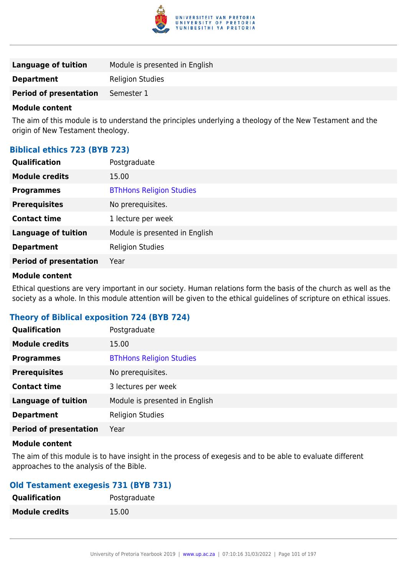

| Language of tuition           | Module is presented in English |
|-------------------------------|--------------------------------|
| <b>Department</b>             | <b>Religion Studies</b>        |
| <b>Period of presentation</b> | Semester 1                     |
|                               |                                |

The aim of this module is to understand the principles underlying a theology of the New Testament and the origin of New Testament theology.

# **Biblical ethics 723 (BYB 723)**

| <b>Qualification</b>          | Postgraduate                    |
|-------------------------------|---------------------------------|
| <b>Module credits</b>         | 15.00                           |
| <b>Programmes</b>             | <b>BThHons Religion Studies</b> |
| <b>Prerequisites</b>          | No prerequisites.               |
| <b>Contact time</b>           | 1 lecture per week              |
| <b>Language of tuition</b>    | Module is presented in English  |
| <b>Department</b>             | <b>Religion Studies</b>         |
| <b>Period of presentation</b> | Year                            |

### **Module content**

Ethical questions are very important in our society. Human relations form the basis of the church as well as the society as a whole. In this module attention will be given to the ethical guidelines of scripture on ethical issues.

# **Theory of Biblical exposition 724 (BYB 724)**

| Qualification                 | Postgraduate                    |
|-------------------------------|---------------------------------|
| <b>Module credits</b>         | 15.00                           |
| <b>Programmes</b>             | <b>BThHons Religion Studies</b> |
| <b>Prerequisites</b>          | No prerequisites.               |
| <b>Contact time</b>           | 3 lectures per week             |
| <b>Language of tuition</b>    | Module is presented in English  |
| <b>Department</b>             | <b>Religion Studies</b>         |
| <b>Period of presentation</b> | Year                            |

### **Module content**

The aim of this module is to have insight in the process of exegesis and to be able to evaluate different approaches to the analysis of the Bible.

# **Old Testament exegesis 731 (BYB 731)**

| Qualification         | Postgraduate |
|-----------------------|--------------|
| <b>Module credits</b> | 15.00        |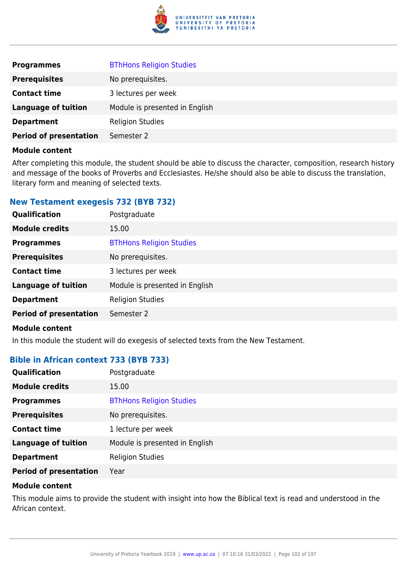

| <b>Programmes</b>             | <b>BThHons Religion Studies</b> |
|-------------------------------|---------------------------------|
| <b>Prerequisites</b>          | No prerequisites.               |
| <b>Contact time</b>           | 3 lectures per week             |
| <b>Language of tuition</b>    | Module is presented in English  |
| <b>Department</b>             | <b>Religion Studies</b>         |
| <b>Period of presentation</b> | Semester 2                      |

After completing this module, the student should be able to discuss the character, composition, research history and message of the books of Proverbs and Ecclesiastes. He/she should also be able to discuss the translation, literary form and meaning of selected texts.

### **New Testament exegesis 732 (BYB 732)**

| Qualification                 | Postgraduate                    |
|-------------------------------|---------------------------------|
| <b>Module credits</b>         | 15.00                           |
| <b>Programmes</b>             | <b>BThHons Religion Studies</b> |
| <b>Prerequisites</b>          | No prerequisites.               |
| <b>Contact time</b>           | 3 lectures per week             |
| <b>Language of tuition</b>    | Module is presented in English  |
| <b>Department</b>             | <b>Religion Studies</b>         |
| <b>Period of presentation</b> | Semester 2                      |
|                               |                                 |

### **Module content**

In this module the student will do exegesis of selected texts from the New Testament.

# **Bible in African context 733 (BYB 733)**

| <b>Qualification</b>          | Postgraduate                    |
|-------------------------------|---------------------------------|
| <b>Module credits</b>         | 15.00                           |
| <b>Programmes</b>             | <b>BThHons Religion Studies</b> |
| <b>Prerequisites</b>          | No prerequisites.               |
| <b>Contact time</b>           | 1 lecture per week              |
| <b>Language of tuition</b>    | Module is presented in English  |
| <b>Department</b>             | <b>Religion Studies</b>         |
| <b>Period of presentation</b> | Year                            |

### **Module content**

This module aims to provide the student with insight into how the Biblical text is read and understood in the African context.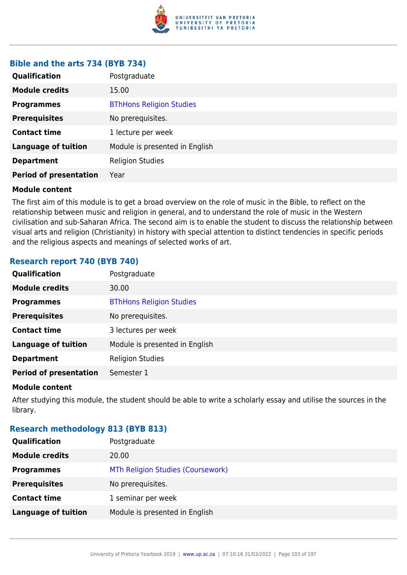

### **Bible and the arts 734 (BYB 734)**

| Qualification                 | Postgraduate                    |
|-------------------------------|---------------------------------|
| <b>Module credits</b>         | 15.00                           |
| <b>Programmes</b>             | <b>BThHons Religion Studies</b> |
| <b>Prerequisites</b>          | No prerequisites.               |
| <b>Contact time</b>           | 1 lecture per week              |
| <b>Language of tuition</b>    | Module is presented in English  |
| <b>Department</b>             | <b>Religion Studies</b>         |
| <b>Period of presentation</b> | Year                            |

### **Module content**

The first aim of this module is to get a broad overview on the role of music in the Bible, to reflect on the relationship between music and religion in general, and to understand the role of music in the Western civilisation and sub-Saharan Africa. The second aim is to enable the student to discuss the relationship between visual arts and religion (Christianity) in history with special attention to distinct tendencies in specific periods and the religious aspects and meanings of selected works of art.

### **Research report 740 (BYB 740)**

| <b>Qualification</b>          | Postgraduate                    |
|-------------------------------|---------------------------------|
| <b>Module credits</b>         | 30.00                           |
| <b>Programmes</b>             | <b>BThHons Religion Studies</b> |
| <b>Prerequisites</b>          | No prerequisites.               |
| <b>Contact time</b>           | 3 lectures per week             |
| <b>Language of tuition</b>    | Module is presented in English  |
| <b>Department</b>             | <b>Religion Studies</b>         |
| <b>Period of presentation</b> | Semester 1                      |
|                               |                                 |

### **Module content**

After studying this module, the student should be able to write a scholarly essay and utilise the sources in the library.

### **Research methodology 813 (BYB 813)**

| <b>Qualification</b>       | Postgraduate                      |
|----------------------------|-----------------------------------|
| <b>Module credits</b>      | 20.00                             |
| <b>Programmes</b>          | MTh Religion Studies (Coursework) |
| <b>Prerequisites</b>       | No prerequisites.                 |
| <b>Contact time</b>        | 1 seminar per week                |
| <b>Language of tuition</b> | Module is presented in English    |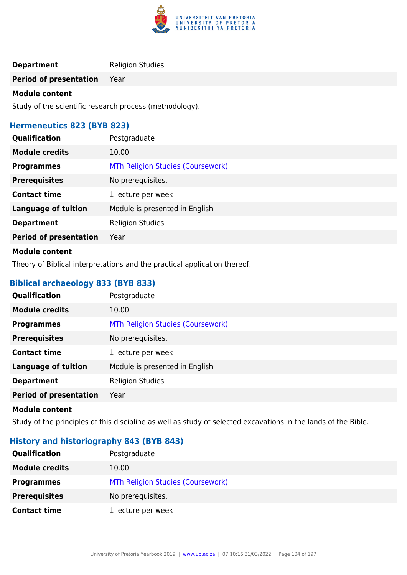

# **Department** Religion Studies

**Period of presentation** Year

### **Module content**

Study of the scientific research process (methodology).

### **Hermeneutics 823 (BYB 823)**

| <b>Qualification</b>          | Postgraduate                      |
|-------------------------------|-----------------------------------|
| <b>Module credits</b>         | 10.00                             |
| <b>Programmes</b>             | MTh Religion Studies (Coursework) |
| <b>Prerequisites</b>          | No prerequisites.                 |
| <b>Contact time</b>           | 1 lecture per week                |
| <b>Language of tuition</b>    | Module is presented in English    |
| <b>Department</b>             | <b>Religion Studies</b>           |
| <b>Period of presentation</b> | Year                              |
|                               |                                   |

### **Module content**

Theory of Biblical interpretations and the practical application thereof.

# **Biblical archaeology 833 (BYB 833)**

| Qualification                 | Postgraduate                      |
|-------------------------------|-----------------------------------|
| <b>Module credits</b>         | 10.00                             |
| <b>Programmes</b>             | MTh Religion Studies (Coursework) |
| <b>Prerequisites</b>          | No prerequisites.                 |
| <b>Contact time</b>           | 1 lecture per week                |
| <b>Language of tuition</b>    | Module is presented in English    |
| <b>Department</b>             | <b>Religion Studies</b>           |
| <b>Period of presentation</b> | Year                              |

### **Module content**

Study of the principles of this discipline as well as study of selected excavations in the lands of the Bible.

# **History and historiography 843 (BYB 843)**

| <b>Qualification</b>  | Postgraduate                      |
|-----------------------|-----------------------------------|
| <b>Module credits</b> | 10.00                             |
| <b>Programmes</b>     | MTh Religion Studies (Coursework) |
| <b>Prerequisites</b>  | No prerequisites.                 |
| <b>Contact time</b>   | 1 lecture per week                |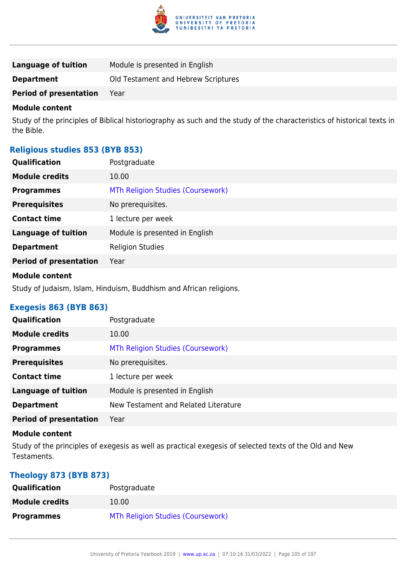

| Language of tuition           | Module is presented in English      |
|-------------------------------|-------------------------------------|
| <b>Department</b>             | Old Testament and Hebrew Scriptures |
| <b>Period of presentation</b> | Year                                |

Study of the principles of Biblical historiography as such and the study of the characteristics of historical texts in the Bible.

### **Religious studies 853 (BYB 853)**

| <b>Qualification</b>          | Postgraduate                      |
|-------------------------------|-----------------------------------|
| <b>Module credits</b>         | 10.00                             |
| <b>Programmes</b>             | MTh Religion Studies (Coursework) |
| <b>Prerequisites</b>          | No prerequisites.                 |
| <b>Contact time</b>           | 1 lecture per week                |
| <b>Language of tuition</b>    | Module is presented in English    |
| <b>Department</b>             | <b>Religion Studies</b>           |
| <b>Period of presentation</b> | Year                              |
|                               |                                   |

### **Module content**

Study of Judaism, Islam, Hinduism, Buddhism and African religions.

# **Exegesis 863 (BYB 863)**

| <b>Qualification</b>          | Postgraduate                         |
|-------------------------------|--------------------------------------|
| <b>Module credits</b>         | 10.00                                |
| <b>Programmes</b>             | MTh Religion Studies (Coursework)    |
| <b>Prerequisites</b>          | No prerequisites.                    |
| <b>Contact time</b>           | 1 lecture per week                   |
| <b>Language of tuition</b>    | Module is presented in English       |
| <b>Department</b>             | New Testament and Related Literature |
| <b>Period of presentation</b> | Year                                 |
|                               |                                      |

### **Module content**

Study of the principles of exegesis as well as practical exegesis of selected texts of the Old and New Testaments.

# **Theology 873 (BYB 873)**

| <b>Qualification</b>  | Postgraduate                      |
|-----------------------|-----------------------------------|
| <b>Module credits</b> | 10.00                             |
| <b>Programmes</b>     | MTh Religion Studies (Coursework) |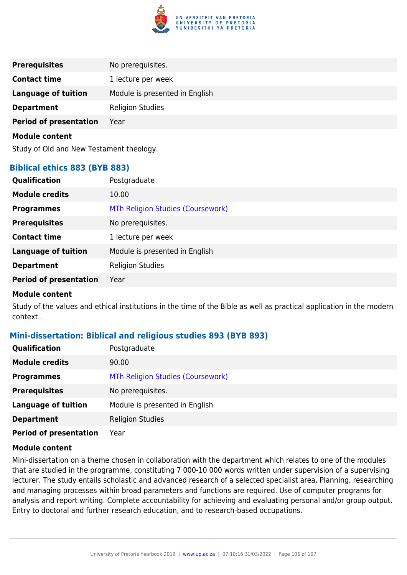

| <b>Prerequisites</b>          | No prerequisites.              |
|-------------------------------|--------------------------------|
| <b>Contact time</b>           | 1 lecture per week             |
| <b>Language of tuition</b>    | Module is presented in English |
| <b>Department</b>             | <b>Religion Studies</b>        |
| <b>Period of presentation</b> | Year                           |
| <b>Module content</b>         |                                |
|                               |                                |

# Study of Old and New Testament theology.

### **Biblical ethics 883 (BYB 883)**

| Qualification                 | Postgraduate                      |
|-------------------------------|-----------------------------------|
| <b>Module credits</b>         | 10.00                             |
| <b>Programmes</b>             | MTh Religion Studies (Coursework) |
| <b>Prerequisites</b>          | No prerequisites.                 |
| <b>Contact time</b>           | 1 lecture per week                |
| <b>Language of tuition</b>    | Module is presented in English    |
| <b>Department</b>             | <b>Religion Studies</b>           |
| <b>Period of presentation</b> | Year                              |
|                               |                                   |

### **Module content**

Study of the values and ethical institutions in the time of the Bible as well as practical application in the modern context .

### **Mini-dissertation: Biblical and religious studies 893 (BYB 893)**

| <b>Qualification</b>          | Postgraduate                      |
|-------------------------------|-----------------------------------|
| <b>Module credits</b>         | 90.00                             |
| <b>Programmes</b>             | MTh Religion Studies (Coursework) |
| <b>Prerequisites</b>          | No prerequisites.                 |
| <b>Language of tuition</b>    | Module is presented in English    |
| <b>Department</b>             | <b>Religion Studies</b>           |
| <b>Period of presentation</b> | Year                              |

### **Module content**

Mini-dissertation on a theme chosen in collaboration with the department which relates to one of the modules that are studied in the programme, constituting 7 000-10 000 words written under supervision of a supervising lecturer. The study entails scholastic and advanced research of a selected specialist area. Planning, researching and managing processes within broad parameters and functions are required. Use of computer programs for analysis and report writing. Complete accountability for achieving and evaluating personal and/or group output. Entry to doctoral and further research education, and to research-based occupations.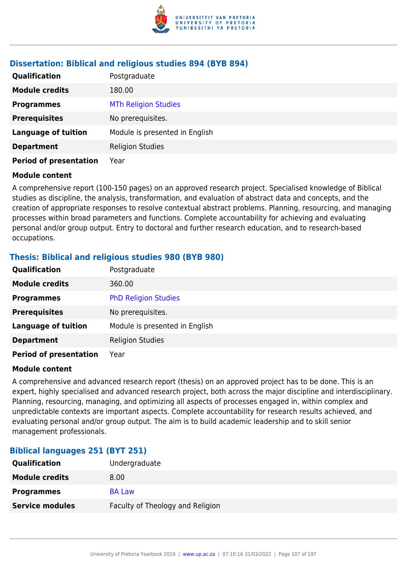

# **Dissertation: Biblical and religious studies 894 (BYB 894)**

| <b>Qualification</b>          | Postgraduate                   |
|-------------------------------|--------------------------------|
| <b>Module credits</b>         | 180.00                         |
| <b>Programmes</b>             | <b>MTh Religion Studies</b>    |
| <b>Prerequisites</b>          | No prerequisites.              |
| <b>Language of tuition</b>    | Module is presented in English |
| <b>Department</b>             | <b>Religion Studies</b>        |
| <b>Period of presentation</b> | Year                           |

### **Module content**

A comprehensive report (100-150 pages) on an approved research project. Specialised knowledge of Biblical studies as discipline, the analysis, transformation, and evaluation of abstract data and concepts, and the creation of appropriate responses to resolve contextual abstract problems. Planning, resourcing, and managing processes within broad parameters and functions. Complete accountability for achieving and evaluating personal and/or group output. Entry to doctoral and further research education, and to research-based occupations.

### **Thesis: Biblical and religious studies 980 (BYB 980)**

| Qualification                 | Postgraduate                   |
|-------------------------------|--------------------------------|
| <b>Module credits</b>         | 360.00                         |
| <b>Programmes</b>             | <b>PhD Religion Studies</b>    |
| <b>Prerequisites</b>          | No prerequisites.              |
| <b>Language of tuition</b>    | Module is presented in English |
| <b>Department</b>             | <b>Religion Studies</b>        |
| <b>Period of presentation</b> | Year                           |

### **Module content**

A comprehensive and advanced research report (thesis) on an approved project has to be done. This is an expert, highly specialised and advanced research project, both across the major discipline and interdisciplinary. Planning, resourcing, managing, and optimizing all aspects of processes engaged in, within complex and unpredictable contexts are important aspects. Complete accountability for research results achieved, and evaluating personal and/or group output. The aim is to build academic leadership and to skill senior management professionals.

### **Biblical languages 251 (BYT 251)**

| <b>Qualification</b>   | Undergraduate                    |
|------------------------|----------------------------------|
| <b>Module credits</b>  | 8.00                             |
| <b>Programmes</b>      | <b>BA Law</b>                    |
| <b>Service modules</b> | Faculty of Theology and Religion |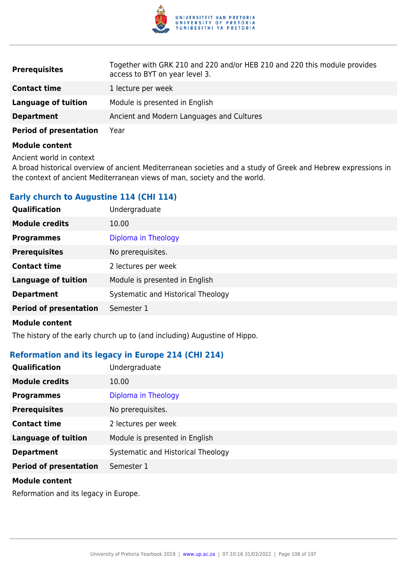

| <b>Prerequisites</b>          | Together with GRK 210 and 220 and/or HEB 210 and 220 this module provides<br>access to BYT on year level 3. |
|-------------------------------|-------------------------------------------------------------------------------------------------------------|
| <b>Contact time</b>           | 1 lecture per week                                                                                          |
| Language of tuition           | Module is presented in English                                                                              |
| <b>Department</b>             | Ancient and Modern Languages and Cultures                                                                   |
| <b>Period of presentation</b> | Year                                                                                                        |

Ancient world in context

A broad historical overview of ancient Mediterranean societies and a study of Greek and Hebrew expressions in the context of ancient Mediterranean views of man, society and the world.

### **Early church to Augustine 114 (CHI 114)**

| Qualification                 | Undergraduate                      |
|-------------------------------|------------------------------------|
| <b>Module credits</b>         | 10.00                              |
| <b>Programmes</b>             | Diploma in Theology                |
| <b>Prerequisites</b>          | No prerequisites.                  |
| <b>Contact time</b>           | 2 lectures per week                |
| <b>Language of tuition</b>    | Module is presented in English     |
| <b>Department</b>             | Systematic and Historical Theology |
| <b>Period of presentation</b> | Semester 1                         |
|                               |                                    |

### **Module content**

The history of the early church up to (and including) Augustine of Hippo.

### **Reformation and its legacy in Europe 214 (CHI 214)**

| <b>Qualification</b>          | Undergraduate                      |
|-------------------------------|------------------------------------|
| <b>Module credits</b>         | 10.00                              |
| <b>Programmes</b>             | Diploma in Theology                |
| <b>Prerequisites</b>          | No prerequisites.                  |
| <b>Contact time</b>           | 2 lectures per week                |
| <b>Language of tuition</b>    | Module is presented in English     |
| <b>Department</b>             | Systematic and Historical Theology |
| <b>Period of presentation</b> | Semester 1                         |
| Module content                |                                    |

Reformation and its legacy in Europe.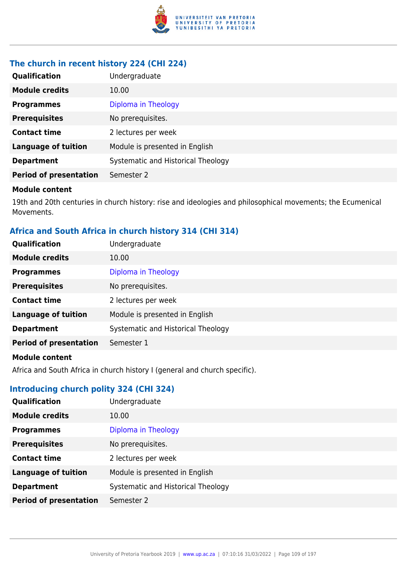

# **The church in recent history 224 (CHI 224)**

| Qualification                 | Undergraduate                      |
|-------------------------------|------------------------------------|
| <b>Module credits</b>         | 10.00                              |
| <b>Programmes</b>             | Diploma in Theology                |
| <b>Prerequisites</b>          | No prerequisites.                  |
| <b>Contact time</b>           | 2 lectures per week                |
| <b>Language of tuition</b>    | Module is presented in English     |
| <b>Department</b>             | Systematic and Historical Theology |
| <b>Period of presentation</b> | Semester 2                         |

#### **Module content**

19th and 20th centuries in church history: rise and ideologies and philosophical movements; the Ecumenical Movements.

# **Africa and South Africa in church history 314 (CHI 314)**

| Qualification                 | Undergraduate                      |
|-------------------------------|------------------------------------|
| <b>Module credits</b>         | 10.00                              |
| <b>Programmes</b>             | Diploma in Theology                |
| <b>Prerequisites</b>          | No prerequisites.                  |
| <b>Contact time</b>           | 2 lectures per week                |
| <b>Language of tuition</b>    | Module is presented in English     |
| <b>Department</b>             | Systematic and Historical Theology |
| <b>Period of presentation</b> | Semester 1                         |
| Madula cantant                |                                    |

#### **Module content**

Africa and South Africa in church history I (general and church specific).

# **Introducing church polity 324 (CHI 324)**

| Qualification                 | Undergraduate                      |
|-------------------------------|------------------------------------|
| <b>Module credits</b>         | 10.00                              |
| <b>Programmes</b>             | Diploma in Theology                |
| <b>Prerequisites</b>          | No prerequisites.                  |
| <b>Contact time</b>           | 2 lectures per week                |
| <b>Language of tuition</b>    | Module is presented in English     |
| <b>Department</b>             | Systematic and Historical Theology |
| <b>Period of presentation</b> | Semester 2                         |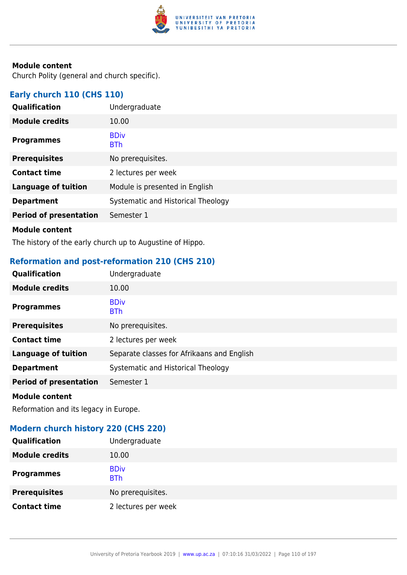

Church Polity (general and church specific).

# **Early church 110 (CHS 110)**

| Qualification                 | Undergraduate                      |
|-------------------------------|------------------------------------|
| <b>Module credits</b>         | 10.00                              |
| <b>Programmes</b>             | <b>BDiv</b><br><b>BTh</b>          |
| <b>Prerequisites</b>          | No prerequisites.                  |
| <b>Contact time</b>           | 2 lectures per week                |
| <b>Language of tuition</b>    | Module is presented in English     |
| <b>Department</b>             | Systematic and Historical Theology |
| <b>Period of presentation</b> | Semester 1                         |
|                               |                                    |

#### **Module content**

The history of the early church up to Augustine of Hippo.

# **Reformation and post-reformation 210 (CHS 210)**

| Qualification                 | Undergraduate                              |
|-------------------------------|--------------------------------------------|
| <b>Module credits</b>         | 10.00                                      |
| <b>Programmes</b>             | <b>BDiv</b><br><b>BTh</b>                  |
| <b>Prerequisites</b>          | No prerequisites.                          |
| <b>Contact time</b>           | 2 lectures per week                        |
| <b>Language of tuition</b>    | Separate classes for Afrikaans and English |
| <b>Department</b>             | Systematic and Historical Theology         |
| <b>Period of presentation</b> | Semester 1                                 |
|                               |                                            |

#### **Module content**

Reformation and its legacy in Europe.

# **Modern church history 220 (CHS 220)**

| Qualification         | Undergraduate             |
|-----------------------|---------------------------|
| <b>Module credits</b> | 10.00                     |
| <b>Programmes</b>     | <b>BDiv</b><br><b>BTh</b> |
| <b>Prerequisites</b>  | No prerequisites.         |
| <b>Contact time</b>   | 2 lectures per week       |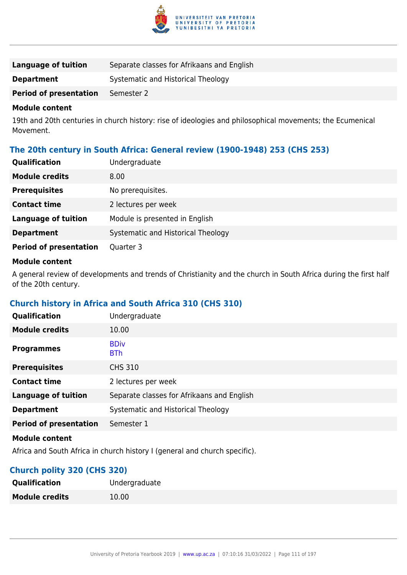

| Language of tuition           | Separate classes for Afrikaans and English |
|-------------------------------|--------------------------------------------|
| <b>Department</b>             | Systematic and Historical Theology         |
| <b>Period of presentation</b> | Semester 2                                 |

19th and 20th centuries in church history: rise of ideologies and philosophical movements; the Ecumenical Movement.

# **The 20th century in South Africa: General review (1900-1948) 253 (CHS 253)**

| <b>Qualification</b>          | Undergraduate                      |
|-------------------------------|------------------------------------|
| <b>Module credits</b>         | 8.00                               |
| <b>Prerequisites</b>          | No prerequisites.                  |
| <b>Contact time</b>           | 2 lectures per week                |
| <b>Language of tuition</b>    | Module is presented in English     |
| <b>Department</b>             | Systematic and Historical Theology |
| <b>Period of presentation</b> | Quarter 3                          |

#### **Module content**

A general review of developments and trends of Christianity and the church in South Africa during the first half of the 20th century.

# **Church history in Africa and South Africa 310 (CHS 310)**

| Qualification                 | Undergraduate                              |
|-------------------------------|--------------------------------------------|
| <b>Module credits</b>         | 10.00                                      |
| <b>Programmes</b>             | <b>BDiv</b><br><b>BTh</b>                  |
| <b>Prerequisites</b>          | <b>CHS 310</b>                             |
| <b>Contact time</b>           | 2 lectures per week                        |
| <b>Language of tuition</b>    | Separate classes for Afrikaans and English |
| <b>Department</b>             | Systematic and Historical Theology         |
| <b>Period of presentation</b> | Semester 1                                 |
| <b>Module content</b>         |                                            |

Africa and South Africa in church history I (general and church specific).

### **Church polity 320 (CHS 320)**

| <b>Qualification</b>  | Undergraduate |
|-----------------------|---------------|
| <b>Module credits</b> | 10.00         |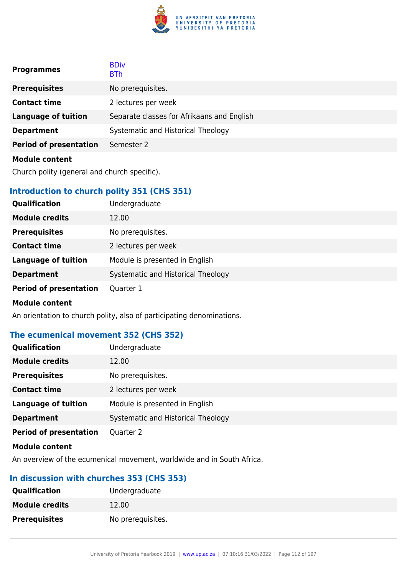

| <b>Programmes</b>             | <b>BDiv</b><br><b>BTh</b>                  |
|-------------------------------|--------------------------------------------|
| <b>Prerequisites</b>          | No prerequisites.                          |
| <b>Contact time</b>           | 2 lectures per week                        |
| <b>Language of tuition</b>    | Separate classes for Afrikaans and English |
| <b>Department</b>             | Systematic and Historical Theology         |
| <b>Period of presentation</b> | Semester 2                                 |
| <b>Module content</b>         |                                            |

Church polity (general and church specific).

# **Introduction to church polity 351 (CHS 351)**

| <b>Qualification</b>          | Undergraduate                      |
|-------------------------------|------------------------------------|
| <b>Module credits</b>         | 12.00                              |
| <b>Prerequisites</b>          | No prerequisites.                  |
| <b>Contact time</b>           | 2 lectures per week                |
| <b>Language of tuition</b>    | Module is presented in English     |
| <b>Department</b>             | Systematic and Historical Theology |
| <b>Period of presentation</b> | Quarter 1                          |
| <b>Module content</b>         |                                    |

An orientation to church polity, also of participating denominations.

# **The ecumenical movement 352 (CHS 352)**

| Qualification                 | Undergraduate                      |
|-------------------------------|------------------------------------|
| <b>Module credits</b>         | 12.00                              |
| <b>Prerequisites</b>          | No prerequisites.                  |
| <b>Contact time</b>           | 2 lectures per week                |
| <b>Language of tuition</b>    | Module is presented in English     |
| <b>Department</b>             | Systematic and Historical Theology |
| <b>Period of presentation</b> | Quarter 2                          |
|                               |                                    |

#### **Module content**

An overview of the ecumenical movement, worldwide and in South Africa.

# **In discussion with churches 353 (CHS 353)**

| <b>Qualification</b>  | Undergraduate     |
|-----------------------|-------------------|
| <b>Module credits</b> | 12.00             |
| <b>Prerequisites</b>  | No prerequisites. |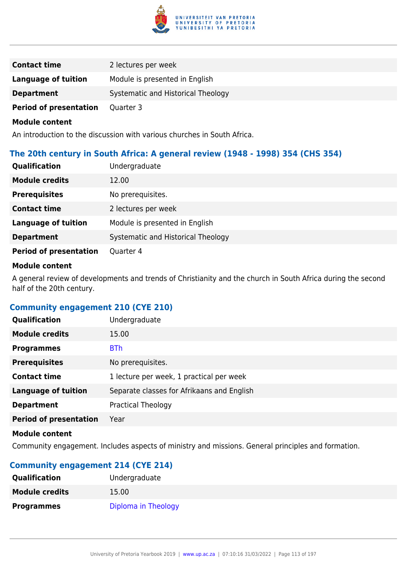

| <b>Contact time</b>           | 2 lectures per week                |
|-------------------------------|------------------------------------|
| Language of tuition           | Module is presented in English     |
| <b>Department</b>             | Systematic and Historical Theology |
| <b>Period of presentation</b> | Quarter 3                          |

An introduction to the discussion with various churches in South Africa.

### **The 20th century in South Africa: A general review (1948 - 1998) 354 (CHS 354)**

| <b>Qualification</b>          | Undergraduate                      |
|-------------------------------|------------------------------------|
| <b>Module credits</b>         | 12.00                              |
| <b>Prerequisites</b>          | No prerequisites.                  |
| <b>Contact time</b>           | 2 lectures per week                |
| <b>Language of tuition</b>    | Module is presented in English     |
| <b>Department</b>             | Systematic and Historical Theology |
| <b>Period of presentation</b> | Quarter 4                          |

### **Module content**

A general review of developments and trends of Christianity and the church in South Africa during the second half of the 20th century.

### **Community engagement 210 (CYE 210)**

| <b>Qualification</b>          | Undergraduate                              |
|-------------------------------|--------------------------------------------|
| <b>Module credits</b>         | 15.00                                      |
| <b>Programmes</b>             | <b>BTh</b>                                 |
| <b>Prerequisites</b>          | No prerequisites.                          |
| <b>Contact time</b>           | 1 lecture per week, 1 practical per week   |
| <b>Language of tuition</b>    | Separate classes for Afrikaans and English |
| <b>Department</b>             | <b>Practical Theology</b>                  |
| <b>Period of presentation</b> | Year                                       |
|                               |                                            |

#### **Module content**

Community engagement. Includes aspects of ministry and missions. General principles and formation.

# **Community engagement 214 (CYE 214)**

| <b>Qualification</b>  | Undergraduate       |
|-----------------------|---------------------|
| <b>Module credits</b> | 15.00               |
| <b>Programmes</b>     | Diploma in Theology |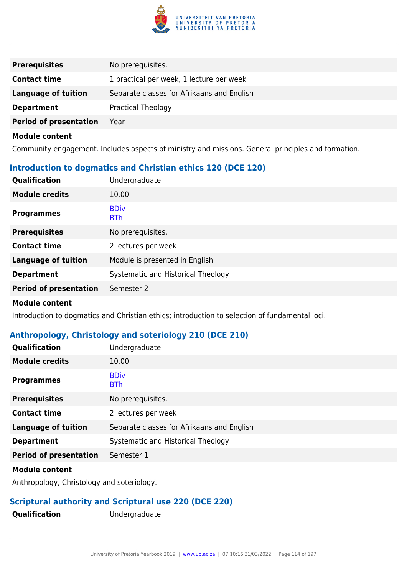

| <b>Prerequisites</b>          | No prerequisites.                          |
|-------------------------------|--------------------------------------------|
| <b>Contact time</b>           | 1 practical per week, 1 lecture per week   |
| Language of tuition           | Separate classes for Afrikaans and English |
| <b>Department</b>             | Practical Theology                         |
| <b>Period of presentation</b> | Year                                       |

Community engagement. Includes aspects of ministry and missions. General principles and formation.

# **Introduction to dogmatics and Christian ethics 120 (DCE 120)**

| Qualification                 | Undergraduate                      |
|-------------------------------|------------------------------------|
| <b>Module credits</b>         | 10.00                              |
| <b>Programmes</b>             | <b>BDiv</b><br><b>BTh</b>          |
| <b>Prerequisites</b>          | No prerequisites.                  |
| <b>Contact time</b>           | 2 lectures per week                |
| <b>Language of tuition</b>    | Module is presented in English     |
| <b>Department</b>             | Systematic and Historical Theology |
| <b>Period of presentation</b> | Semester 2                         |
|                               |                                    |

#### **Module content**

Introduction to dogmatics and Christian ethics; introduction to selection of fundamental loci.

# **Anthropology, Christology and soteriology 210 (DCE 210)**

| Qualification                 | Undergraduate                              |
|-------------------------------|--------------------------------------------|
| <b>Module credits</b>         | 10.00                                      |
| <b>Programmes</b>             | <b>BDiv</b><br><b>BTh</b>                  |
| <b>Prerequisites</b>          | No prerequisites.                          |
| <b>Contact time</b>           | 2 lectures per week                        |
| <b>Language of tuition</b>    | Separate classes for Afrikaans and English |
| <b>Department</b>             | Systematic and Historical Theology         |
| <b>Period of presentation</b> | Semester 1                                 |
|                               |                                            |

### **Module content**

Anthropology, Christology and soteriology.

# **Scriptural authority and Scriptural use 220 (DCE 220)**

**Qualification** Undergraduate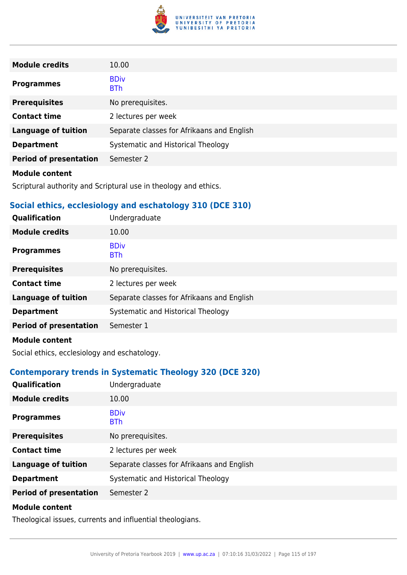

| <b>Module credits</b>         | 10.00                                      |
|-------------------------------|--------------------------------------------|
| <b>Programmes</b>             | <b>BDiv</b><br><b>BTh</b>                  |
| <b>Prerequisites</b>          | No prerequisites.                          |
| <b>Contact time</b>           | 2 lectures per week                        |
| <b>Language of tuition</b>    | Separate classes for Afrikaans and English |
| <b>Department</b>             | Systematic and Historical Theology         |
| <b>Period of presentation</b> | Semester 2                                 |
| <b>Module content</b>         |                                            |

Scriptural authority and Scriptural use in theology and ethics.

### **Social ethics, ecclesiology and eschatology 310 (DCE 310)**

| Qualification                 | Undergraduate                              |
|-------------------------------|--------------------------------------------|
| <b>Module credits</b>         | 10.00                                      |
| <b>Programmes</b>             | <b>BDiv</b><br><b>BTh</b>                  |
| <b>Prerequisites</b>          | No prerequisites.                          |
| <b>Contact time</b>           | 2 lectures per week                        |
| <b>Language of tuition</b>    | Separate classes for Afrikaans and English |
| <b>Department</b>             | Systematic and Historical Theology         |
| <b>Period of presentation</b> | Semester 1                                 |
| <b>Module content</b>         |                                            |

Social ethics, ecclesiology and eschatology.

# **Contemporary trends in Systematic Theology 320 (DCE 320)**

| <b>Qualification</b>          | Undergraduate                              |
|-------------------------------|--------------------------------------------|
| <b>Module credits</b>         | 10.00                                      |
| <b>Programmes</b>             | <b>BDiv</b><br><b>BTh</b>                  |
| <b>Prerequisites</b>          | No prerequisites.                          |
| <b>Contact time</b>           | 2 lectures per week                        |
| <b>Language of tuition</b>    | Separate classes for Afrikaans and English |
| <b>Department</b>             | Systematic and Historical Theology         |
| <b>Period of presentation</b> | Semester 2                                 |
| <b>Module content</b>         |                                            |

Theological issues, currents and influential theologians.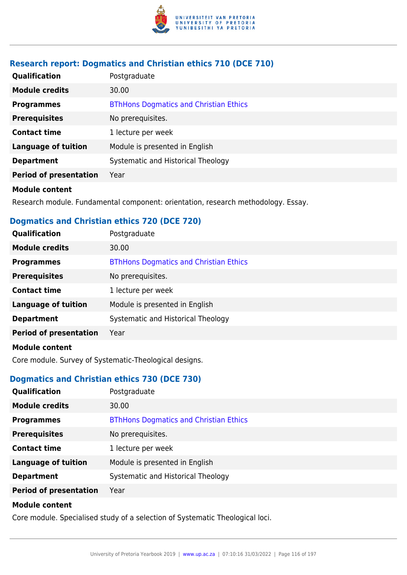

# **Research report: Dogmatics and Christian ethics 710 (DCE 710)**

| <b>Qualification</b>          | Postgraduate                                  |
|-------------------------------|-----------------------------------------------|
| <b>Module credits</b>         | 30.00                                         |
| <b>Programmes</b>             | <b>BThHons Dogmatics and Christian Ethics</b> |
| <b>Prerequisites</b>          | No prerequisites.                             |
| <b>Contact time</b>           | 1 lecture per week                            |
| <b>Language of tuition</b>    | Module is presented in English                |
| <b>Department</b>             | Systematic and Historical Theology            |
| <b>Period of presentation</b> | Year                                          |
|                               |                                               |

#### **Module content**

Research module. Fundamental component: orientation, research methodology. Essay.

# **Dogmatics and Christian ethics 720 (DCE 720)**

| Qualification                 | Postgraduate                                  |
|-------------------------------|-----------------------------------------------|
| <b>Module credits</b>         | 30.00                                         |
| <b>Programmes</b>             | <b>BThHons Dogmatics and Christian Ethics</b> |
| <b>Prerequisites</b>          | No prerequisites.                             |
| <b>Contact time</b>           | 1 lecture per week                            |
| <b>Language of tuition</b>    | Module is presented in English                |
| <b>Department</b>             | Systematic and Historical Theology            |
| <b>Period of presentation</b> | Year                                          |
| <b>Module content</b>         |                                               |

Core module. Survey of Systematic-Theological designs.

### **Dogmatics and Christian ethics 730 (DCE 730)**

| <b>Qualification</b>          | Postgraduate                                  |
|-------------------------------|-----------------------------------------------|
| <b>Module credits</b>         | 30.00                                         |
| <b>Programmes</b>             | <b>BThHons Dogmatics and Christian Ethics</b> |
| <b>Prerequisites</b>          | No prerequisites.                             |
| <b>Contact time</b>           | 1 lecture per week                            |
| <b>Language of tuition</b>    | Module is presented in English                |
| <b>Department</b>             | Systematic and Historical Theology            |
| <b>Period of presentation</b> | Year                                          |
|                               |                                               |

#### **Module content**

Core module. Specialised study of a selection of Systematic Theological loci.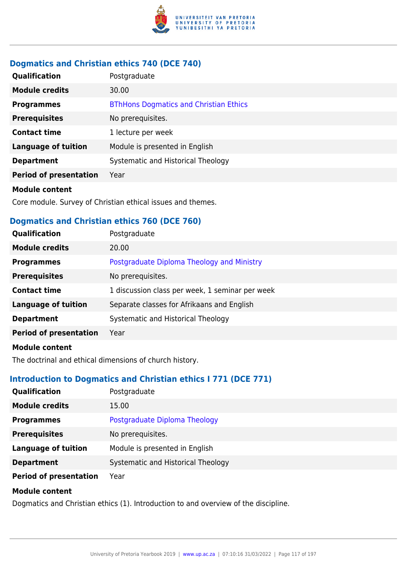

# **Dogmatics and Christian ethics 740 (DCE 740)**

| <b>Qualification</b>          | Postgraduate                                  |
|-------------------------------|-----------------------------------------------|
| <b>Module credits</b>         | 30.00                                         |
| <b>Programmes</b>             | <b>BThHons Dogmatics and Christian Ethics</b> |
| <b>Prerequisites</b>          | No prerequisites.                             |
| <b>Contact time</b>           | 1 lecture per week                            |
| <b>Language of tuition</b>    | Module is presented in English                |
| <b>Department</b>             | Systematic and Historical Theology            |
| <b>Period of presentation</b> | Year                                          |
|                               |                                               |

#### **Module content**

Core module. Survey of Christian ethical issues and themes.

### **Dogmatics and Christian ethics 760 (DCE 760)**

| Qualification                 | Postgraduate                                    |
|-------------------------------|-------------------------------------------------|
| <b>Module credits</b>         | 20.00                                           |
| <b>Programmes</b>             | Postgraduate Diploma Theology and Ministry      |
| <b>Prerequisites</b>          | No prerequisites.                               |
| <b>Contact time</b>           | 1 discussion class per week, 1 seminar per week |
| <b>Language of tuition</b>    | Separate classes for Afrikaans and English      |
| <b>Department</b>             | Systematic and Historical Theology              |
| <b>Period of presentation</b> | Year                                            |
|                               |                                                 |

### **Module content**

The doctrinal and ethical dimensions of church history.

# **Introduction to Dogmatics and Christian ethics I 771 (DCE 771)**

| <b>Qualification</b>                                                               | Postgraduate                       |
|------------------------------------------------------------------------------------|------------------------------------|
| <b>Module credits</b>                                                              | 15.00                              |
| <b>Programmes</b>                                                                  | Postgraduate Diploma Theology      |
| <b>Prerequisites</b>                                                               | No prerequisites.                  |
| <b>Language of tuition</b>                                                         | Module is presented in English     |
| <b>Department</b>                                                                  | Systematic and Historical Theology |
| <b>Period of presentation</b>                                                      | Year                               |
| <b>Module content</b>                                                              |                                    |
| Degraphics and Christian othics (1) Introduction to and overview of the discipline |                                    |

Dogmatics and Christian ethics (1). Introduction to and overview of the discipline.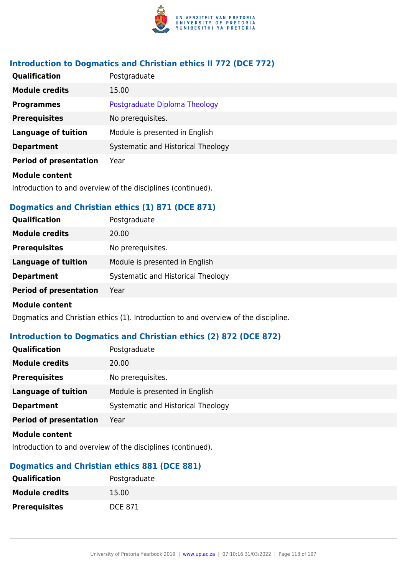

# **Introduction to Dogmatics and Christian ethics II 772 (DCE 772)**

| <b>Qualification</b>          | Postgraduate                       |
|-------------------------------|------------------------------------|
| <b>Module credits</b>         | 15.00                              |
| <b>Programmes</b>             | Postgraduate Diploma Theology      |
| <b>Prerequisites</b>          | No prerequisites.                  |
| <b>Language of tuition</b>    | Module is presented in English     |
| <b>Department</b>             | Systematic and Historical Theology |
| <b>Period of presentation</b> | Year                               |
| <b>Module content</b>         |                                    |

Introduction to and overview of the disciplines (continued).

# **Dogmatics and Christian ethics (1) 871 (DCE 871)**

| <b>Module credits</b><br>20.00<br><b>Prerequisites</b><br>No prerequisites.<br><b>Language of tuition</b><br>Module is presented in English<br>Systematic and Historical Theology<br><b>Department</b><br><b>Period of presentation</b><br>Year | <b>Qualification</b> | Postgraduate |
|-------------------------------------------------------------------------------------------------------------------------------------------------------------------------------------------------------------------------------------------------|----------------------|--------------|
|                                                                                                                                                                                                                                                 |                      |              |
|                                                                                                                                                                                                                                                 |                      |              |
|                                                                                                                                                                                                                                                 |                      |              |
|                                                                                                                                                                                                                                                 |                      |              |
|                                                                                                                                                                                                                                                 |                      |              |

### **Module content**

Dogmatics and Christian ethics (1). Introduction to and overview of the discipline.

# **Introduction to Dogmatics and Christian ethics (2) 872 (DCE 872)**

| <b>Module credits</b><br>20.00<br><b>Prerequisites</b><br>No prerequisites.<br>Module is presented in English<br>Language of tuition<br>Systematic and Historical Theology<br><b>Department</b> | <b>Qualification</b> | Postgraduate |
|-------------------------------------------------------------------------------------------------------------------------------------------------------------------------------------------------|----------------------|--------------|
|                                                                                                                                                                                                 |                      |              |
|                                                                                                                                                                                                 |                      |              |
|                                                                                                                                                                                                 |                      |              |
|                                                                                                                                                                                                 |                      |              |
| <b>Period of presentation</b><br>Year                                                                                                                                                           |                      |              |

### **Module content**

Introduction to and overview of the disciplines (continued).

# **Dogmatics and Christian ethics 881 (DCE 881)**

| <b>Qualification</b>  | Postgraduate   |
|-----------------------|----------------|
| <b>Module credits</b> | 15.00          |
| <b>Prerequisites</b>  | <b>DCE 871</b> |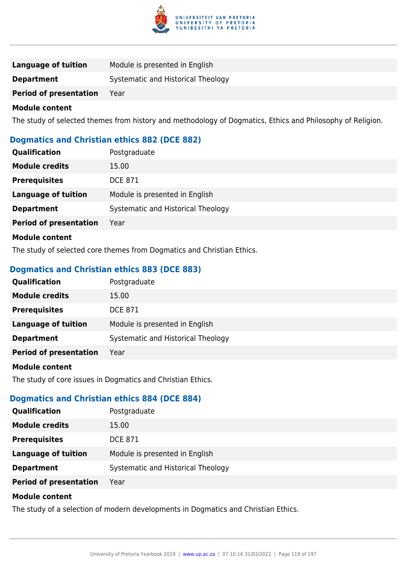

| Language of tuition           | Module is presented in English     |
|-------------------------------|------------------------------------|
| <b>Department</b>             | Systematic and Historical Theology |
| <b>Period of presentation</b> | Year                               |

The study of selected themes from history and methodology of Dogmatics, Ethics and Philosophy of Religion.

# **Dogmatics and Christian ethics 882 (DCE 882)**

| <b>Qualification</b>          | Postgraduate                       |
|-------------------------------|------------------------------------|
| <b>Module credits</b>         | 15.00                              |
| <b>Prerequisites</b>          | <b>DCE 871</b>                     |
| <b>Language of tuition</b>    | Module is presented in English     |
| <b>Department</b>             | Systematic and Historical Theology |
| <b>Period of presentation</b> | Year                               |
| Module content                |                                    |

The study of selected core themes from Dogmatics and Christian Ethics.

### **Dogmatics and Christian ethics 883 (DCE 883)**

| Qualification                 | Postgraduate                       |  |
|-------------------------------|------------------------------------|--|
| <b>Module credits</b>         | 15.00                              |  |
| <b>Prerequisites</b>          | <b>DCE 871</b>                     |  |
| <b>Language of tuition</b>    | Module is presented in English     |  |
| <b>Department</b>             | Systematic and Historical Theology |  |
| <b>Period of presentation</b> | Year                               |  |
| .                             |                                    |  |

#### **Module content**

The study of core issues in Dogmatics and Christian Ethics.

### **Dogmatics and Christian ethics 884 (DCE 884)**

| <b>Qualification</b>          | Postgraduate                       |  |
|-------------------------------|------------------------------------|--|
| <b>Module credits</b>         | 15.00                              |  |
| <b>Prerequisites</b>          | <b>DCE 871</b>                     |  |
| <b>Language of tuition</b>    | Module is presented in English     |  |
| <b>Department</b>             | Systematic and Historical Theology |  |
| <b>Period of presentation</b> | Year                               |  |
|                               |                                    |  |

### **Module content**

The study of a selection of modern developments in Dogmatics and Christian Ethics.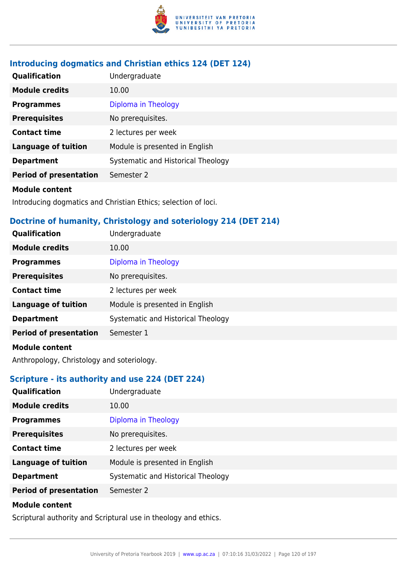

# **Introducing dogmatics and Christian ethics 124 (DET 124)**

| Qualification                 | Undergraduate                      |  |
|-------------------------------|------------------------------------|--|
| <b>Module credits</b>         | 10.00                              |  |
| <b>Programmes</b>             | Diploma in Theology                |  |
| <b>Prerequisites</b>          | No prerequisites.                  |  |
| <b>Contact time</b>           | 2 lectures per week                |  |
| <b>Language of tuition</b>    | Module is presented in English     |  |
| <b>Department</b>             | Systematic and Historical Theology |  |
| <b>Period of presentation</b> | Semester 2                         |  |
| <b>Madula assistant</b>       |                                    |  |

#### **Module content**

Introducing dogmatics and Christian Ethics; selection of loci.

# **Doctrine of humanity, Christology and soteriology 214 (DET 214)**

| Qualification                 | Undergraduate                      |  |
|-------------------------------|------------------------------------|--|
| <b>Module credits</b>         | 10.00                              |  |
| <b>Programmes</b>             | Diploma in Theology                |  |
| <b>Prerequisites</b>          | No prerequisites.                  |  |
| <b>Contact time</b>           | 2 lectures per week                |  |
| <b>Language of tuition</b>    | Module is presented in English     |  |
| <b>Department</b>             | Systematic and Historical Theology |  |
| <b>Period of presentation</b> | Semester 1                         |  |
| <b>Module content</b>         |                                    |  |

Anthropology, Christology and soteriology.

# **Scripture - its authority and use 224 (DET 224)**

| <b>Qualification</b>          | Undergraduate                      |  |
|-------------------------------|------------------------------------|--|
| <b>Module credits</b>         | 10.00                              |  |
| <b>Programmes</b>             | Diploma in Theology                |  |
| <b>Prerequisites</b>          | No prerequisites.                  |  |
| <b>Contact time</b>           | 2 lectures per week                |  |
| <b>Language of tuition</b>    | Module is presented in English     |  |
| <b>Department</b>             | Systematic and Historical Theology |  |
| <b>Period of presentation</b> | Semester 2                         |  |
| .                             |                                    |  |

#### **Module content**

Scriptural authority and Scriptural use in theology and ethics.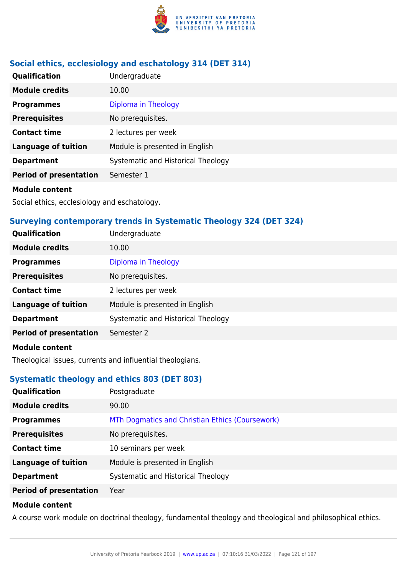

# **Social ethics, ecclesiology and eschatology 314 (DET 314)**

| Qualification                 | Undergraduate                      |
|-------------------------------|------------------------------------|
| <b>Module credits</b>         | 10.00                              |
| <b>Programmes</b>             | Diploma in Theology                |
| <b>Prerequisites</b>          | No prerequisites.                  |
| <b>Contact time</b>           | 2 lectures per week                |
| <b>Language of tuition</b>    | Module is presented in English     |
| <b>Department</b>             | Systematic and Historical Theology |
| <b>Period of presentation</b> | Semester 1                         |
| <b>Module content</b>         |                                    |

Social ethics, ecclesiology and eschatology.

# **Surveying contemporary trends in Systematic Theology 324 (DET 324)**

| Qualification                 | Undergraduate                      |  |
|-------------------------------|------------------------------------|--|
| <b>Module credits</b>         | 10.00                              |  |
| <b>Programmes</b>             | Diploma in Theology                |  |
| <b>Prerequisites</b>          | No prerequisites.                  |  |
| <b>Contact time</b>           | 2 lectures per week                |  |
| <b>Language of tuition</b>    | Module is presented in English     |  |
| <b>Department</b>             | Systematic and Historical Theology |  |
| <b>Period of presentation</b> | Semester 2                         |  |
| <b>Module content</b>         |                                    |  |

Theological issues, currents and influential theologians.

# **Systematic theology and ethics 803 (DET 803)**

| Qualification                 | Postgraduate                                    |  |
|-------------------------------|-------------------------------------------------|--|
| <b>Module credits</b>         | 90.00                                           |  |
| <b>Programmes</b>             | MTh Dogmatics and Christian Ethics (Coursework) |  |
| <b>Prerequisites</b>          | No prerequisites.                               |  |
| <b>Contact time</b>           | 10 seminars per week                            |  |
| <b>Language of tuition</b>    | Module is presented in English                  |  |
| <b>Department</b>             | Systematic and Historical Theology              |  |
| <b>Period of presentation</b> | Year                                            |  |
|                               |                                                 |  |

### **Module content**

A course work module on doctrinal theology, fundamental theology and theological and philosophical ethics.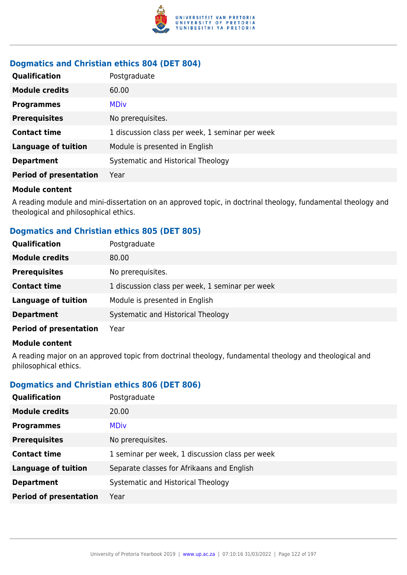

# **Dogmatics and Christian ethics 804 (DET 804)**

| <b>Qualification</b>          | Postgraduate                                    |  |
|-------------------------------|-------------------------------------------------|--|
| <b>Module credits</b>         | 60.00                                           |  |
| <b>Programmes</b>             | <b>MDiv</b>                                     |  |
| <b>Prerequisites</b>          | No prerequisites.                               |  |
| <b>Contact time</b>           | 1 discussion class per week, 1 seminar per week |  |
| <b>Language of tuition</b>    | Module is presented in English                  |  |
| <b>Department</b>             | Systematic and Historical Theology              |  |
| <b>Period of presentation</b> | Year                                            |  |

#### **Module content**

A reading module and mini-dissertation on an approved topic, in doctrinal theology, fundamental theology and theological and philosophical ethics.

# **Dogmatics and Christian ethics 805 (DET 805)**

| <b>Qualification</b>          | Postgraduate                                    |  |
|-------------------------------|-------------------------------------------------|--|
| <b>Module credits</b>         | 80.00                                           |  |
| <b>Prerequisites</b>          | No prerequisites.                               |  |
| <b>Contact time</b>           | 1 discussion class per week, 1 seminar per week |  |
| <b>Language of tuition</b>    | Module is presented in English                  |  |
| <b>Department</b>             | Systematic and Historical Theology              |  |
| <b>Period of presentation</b> | Year                                            |  |

#### **Module content**

A reading major on an approved topic from doctrinal theology, fundamental theology and theological and philosophical ethics.

# **Dogmatics and Christian ethics 806 (DET 806)**

| <b>Qualification</b>          | Postgraduate                                    |  |
|-------------------------------|-------------------------------------------------|--|
| <b>Module credits</b>         | 20.00                                           |  |
| <b>Programmes</b>             | <b>MDiv</b>                                     |  |
| <b>Prerequisites</b>          | No prerequisites.                               |  |
| <b>Contact time</b>           | 1 seminar per week, 1 discussion class per week |  |
| <b>Language of tuition</b>    | Separate classes for Afrikaans and English      |  |
| <b>Department</b>             | Systematic and Historical Theology              |  |
| <b>Period of presentation</b> | Year                                            |  |
|                               |                                                 |  |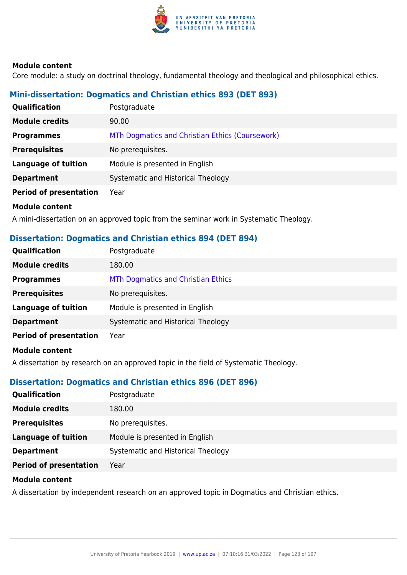

Core module: a study on doctrinal theology, fundamental theology and theological and philosophical ethics.

# **Mini-dissertation: Dogmatics and Christian ethics 893 (DET 893)**

| <b>Qualification</b>          | Postgraduate                                    |
|-------------------------------|-------------------------------------------------|
| <b>Module credits</b>         | 90.00                                           |
| <b>Programmes</b>             | MTh Dogmatics and Christian Ethics (Coursework) |
| <b>Prerequisites</b>          | No prerequisites.                               |
| <b>Language of tuition</b>    | Module is presented in English                  |
| <b>Department</b>             | Systematic and Historical Theology              |
| <b>Period of presentation</b> | Year                                            |
| Module content                |                                                 |

A mini-dissertation on an approved topic from the seminar work in Systematic Theology.

### **Dissertation: Dogmatics and Christian ethics 894 (DET 894)**

| Qualification                 | Postgraduate                       |
|-------------------------------|------------------------------------|
| <b>Module credits</b>         | 180.00                             |
| <b>Programmes</b>             | MTh Dogmatics and Christian Ethics |
| <b>Prerequisites</b>          | No prerequisites.                  |
| <b>Language of tuition</b>    | Module is presented in English     |
| <b>Department</b>             | Systematic and Historical Theology |
| <b>Period of presentation</b> | Year                               |
| Modulo contont                |                                    |

**Module content**

A dissertation by research on an approved topic in the field of Systematic Theology.

# **Dissertation: Dogmatics and Christian ethics 896 (DET 896)**

| <b>Qualification</b>          | Postgraduate                       |
|-------------------------------|------------------------------------|
| <b>Module credits</b>         | 180.00                             |
| <b>Prerequisites</b>          | No prerequisites.                  |
| Language of tuition           | Module is presented in English     |
| <b>Department</b>             | Systematic and Historical Theology |
| <b>Period of presentation</b> | Year                               |

#### **Module content**

A dissertation by independent research on an approved topic in Dogmatics and Christian ethics.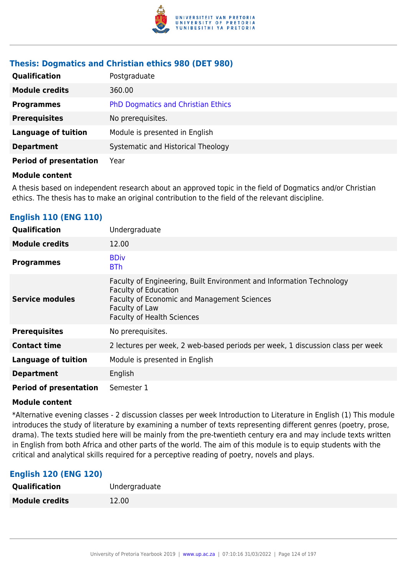

### **Thesis: Dogmatics and Christian ethics 980 (DET 980)**

| <b>Qualification</b>          | Postgraduate                              |
|-------------------------------|-------------------------------------------|
| <b>Module credits</b>         | 360.00                                    |
| <b>Programmes</b>             | <b>PhD Dogmatics and Christian Ethics</b> |
| <b>Prerequisites</b>          | No prerequisites.                         |
| <b>Language of tuition</b>    | Module is presented in English            |
| <b>Department</b>             | Systematic and Historical Theology        |
| <b>Period of presentation</b> | Year                                      |

#### **Module content**

A thesis based on independent research about an approved topic in the field of Dogmatics and/or Christian ethics. The thesis has to make an original contribution to the field of the relevant discipline.

# **English 110 (ENG 110)**

| Qualification                 | Undergraduate                                                                                                                                                                                                    |
|-------------------------------|------------------------------------------------------------------------------------------------------------------------------------------------------------------------------------------------------------------|
| <b>Module credits</b>         | 12.00                                                                                                                                                                                                            |
| <b>Programmes</b>             | <b>BDiv</b><br><b>BTh</b>                                                                                                                                                                                        |
| <b>Service modules</b>        | Faculty of Engineering, Built Environment and Information Technology<br><b>Faculty of Education</b><br><b>Faculty of Economic and Management Sciences</b><br>Faculty of Law<br><b>Faculty of Health Sciences</b> |
| <b>Prerequisites</b>          | No prerequisites.                                                                                                                                                                                                |
| <b>Contact time</b>           | 2 lectures per week, 2 web-based periods per week, 1 discussion class per week                                                                                                                                   |
| <b>Language of tuition</b>    | Module is presented in English                                                                                                                                                                                   |
| <b>Department</b>             | English                                                                                                                                                                                                          |
| <b>Period of presentation</b> | Semester 1                                                                                                                                                                                                       |

#### **Module content**

\*Alternative evening classes - 2 discussion classes per week Introduction to Literature in English (1) This module introduces the study of literature by examining a number of texts representing different genres (poetry, prose, drama). The texts studied here will be mainly from the pre-twentieth century era and may include texts written in English from both Africa and other parts of the world. The aim of this module is to equip students with the critical and analytical skills required for a perceptive reading of poetry, novels and plays.

# **English 120 (ENG 120)**

| Qualification         | Undergraduate |
|-----------------------|---------------|
| <b>Module credits</b> | 12.00         |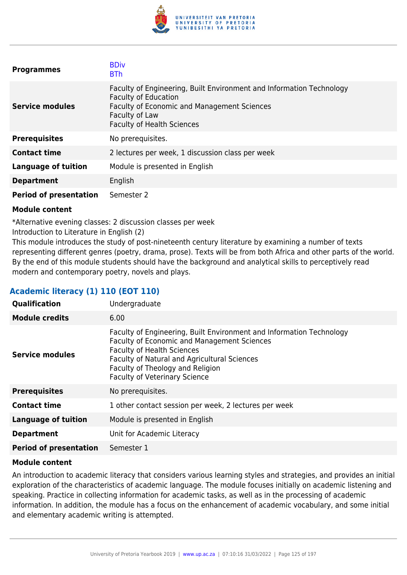

| <b>Programmes</b>             | <b>BDiv</b><br><b>BTh</b>                                                                                                                                                                                        |
|-------------------------------|------------------------------------------------------------------------------------------------------------------------------------------------------------------------------------------------------------------|
| <b>Service modules</b>        | Faculty of Engineering, Built Environment and Information Technology<br><b>Faculty of Education</b><br><b>Faculty of Economic and Management Sciences</b><br>Faculty of Law<br><b>Faculty of Health Sciences</b> |
| <b>Prerequisites</b>          | No prerequisites.                                                                                                                                                                                                |
| <b>Contact time</b>           | 2 lectures per week, 1 discussion class per week                                                                                                                                                                 |
| <b>Language of tuition</b>    | Module is presented in English                                                                                                                                                                                   |
| <b>Department</b>             | English                                                                                                                                                                                                          |
| <b>Period of presentation</b> | Semester 2                                                                                                                                                                                                       |

\*Alternative evening classes: 2 discussion classes per week

Introduction to Literature in English (2)

This module introduces the study of post-nineteenth century literature by examining a number of texts representing different genres (poetry, drama, prose). Texts will be from both Africa and other parts of the world. By the end of this module students should have the background and analytical skills to perceptively read modern and contemporary poetry, novels and plays.

# **Academic literacy (1) 110 (EOT 110)**

| Qualification                 | Undergraduate                                                                                                                                                                                                                                                                               |
|-------------------------------|---------------------------------------------------------------------------------------------------------------------------------------------------------------------------------------------------------------------------------------------------------------------------------------------|
| <b>Module credits</b>         | 6.00                                                                                                                                                                                                                                                                                        |
| <b>Service modules</b>        | Faculty of Engineering, Built Environment and Information Technology<br><b>Faculty of Economic and Management Sciences</b><br><b>Faculty of Health Sciences</b><br>Faculty of Natural and Agricultural Sciences<br>Faculty of Theology and Religion<br><b>Faculty of Veterinary Science</b> |
| <b>Prerequisites</b>          | No prerequisites.                                                                                                                                                                                                                                                                           |
| <b>Contact time</b>           | 1 other contact session per week, 2 lectures per week                                                                                                                                                                                                                                       |
| <b>Language of tuition</b>    | Module is presented in English                                                                                                                                                                                                                                                              |
| <b>Department</b>             | Unit for Academic Literacy                                                                                                                                                                                                                                                                  |
| <b>Period of presentation</b> | Semester 1                                                                                                                                                                                                                                                                                  |

### **Module content**

An introduction to academic literacy that considers various learning styles and strategies, and provides an initial exploration of the characteristics of academic language. The module focuses initially on academic listening and speaking. Practice in collecting information for academic tasks, as well as in the processing of academic information. In addition, the module has a focus on the enhancement of academic vocabulary, and some initial and elementary academic writing is attempted.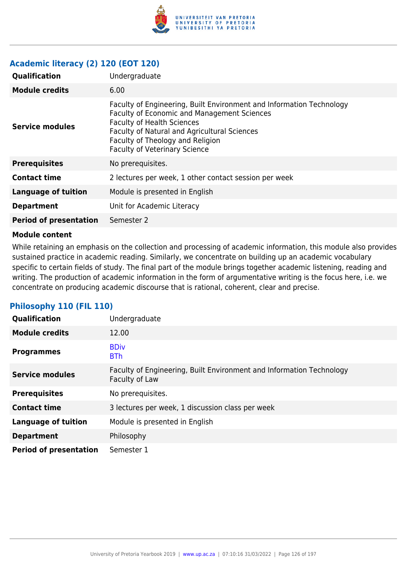

# **Academic literacy (2) 120 (EOT 120)**

| Qualification                 | Undergraduate                                                                                                                                                                                                                                                                               |
|-------------------------------|---------------------------------------------------------------------------------------------------------------------------------------------------------------------------------------------------------------------------------------------------------------------------------------------|
| <b>Module credits</b>         | 6.00                                                                                                                                                                                                                                                                                        |
| <b>Service modules</b>        | Faculty of Engineering, Built Environment and Information Technology<br><b>Faculty of Economic and Management Sciences</b><br><b>Faculty of Health Sciences</b><br>Faculty of Natural and Agricultural Sciences<br>Faculty of Theology and Religion<br><b>Faculty of Veterinary Science</b> |
| <b>Prerequisites</b>          | No prerequisites.                                                                                                                                                                                                                                                                           |
| <b>Contact time</b>           | 2 lectures per week, 1 other contact session per week                                                                                                                                                                                                                                       |
| <b>Language of tuition</b>    | Module is presented in English                                                                                                                                                                                                                                                              |
| <b>Department</b>             | Unit for Academic Literacy                                                                                                                                                                                                                                                                  |
| <b>Period of presentation</b> | Semester 2                                                                                                                                                                                                                                                                                  |

#### **Module content**

While retaining an emphasis on the collection and processing of academic information, this module also provides sustained practice in academic reading. Similarly, we concentrate on building up an academic vocabulary specific to certain fields of study. The final part of the module brings together academic listening, reading and writing. The production of academic information in the form of argumentative writing is the focus here, i.e. we concentrate on producing academic discourse that is rational, coherent, clear and precise.

| <b>Qualification</b>          | Undergraduate                                                                          |
|-------------------------------|----------------------------------------------------------------------------------------|
| <b>Module credits</b>         | 12.00                                                                                  |
| <b>Programmes</b>             | <b>BDiv</b><br><b>BTh</b>                                                              |
| <b>Service modules</b>        | Faculty of Engineering, Built Environment and Information Technology<br>Faculty of Law |
| <b>Prerequisites</b>          | No prerequisites.                                                                      |
| <b>Contact time</b>           | 3 lectures per week, 1 discussion class per week                                       |
| <b>Language of tuition</b>    | Module is presented in English                                                         |
| <b>Department</b>             | Philosophy                                                                             |
| <b>Period of presentation</b> | Semester 1                                                                             |

# **Philosophy 110 (FIL 110)**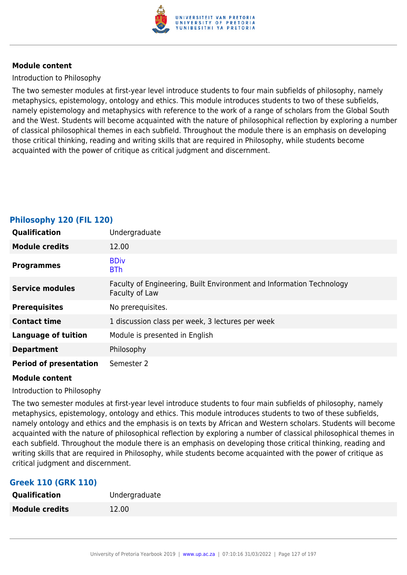

### Introduction to Philosophy

The two semester modules at first-year level introduce students to four main subfields of philosophy, namely metaphysics, epistemology, ontology and ethics. This module introduces students to two of these subfields, namely epistemology and metaphysics with reference to the work of a range of scholars from the Global South and the West. Students will become acquainted with the nature of philosophical reflection by exploring a number of classical philosophical themes in each subfield. Throughout the module there is an emphasis on developing those critical thinking, reading and writing skills that are required in Philosophy, while students become acquainted with the power of critique as critical judgment and discernment.

| <b>Qualification</b>          | Undergraduate                                                                          |
|-------------------------------|----------------------------------------------------------------------------------------|
| <b>Module credits</b>         | 12.00                                                                                  |
| <b>Programmes</b>             | <b>BDiv</b><br><b>BTh</b>                                                              |
| <b>Service modules</b>        | Faculty of Engineering, Built Environment and Information Technology<br>Faculty of Law |
| <b>Prerequisites</b>          | No prerequisites.                                                                      |
| <b>Contact time</b>           | 1 discussion class per week, 3 lectures per week                                       |
| <b>Language of tuition</b>    | Module is presented in English                                                         |
| <b>Department</b>             | Philosophy                                                                             |
| <b>Period of presentation</b> | Semester 2                                                                             |

### **Philosophy 120 (FIL 120)**

#### **Module content**

#### Introduction to Philosophy

The two semester modules at first-year level introduce students to four main subfields of philosophy, namely metaphysics, epistemology, ontology and ethics. This module introduces students to two of these subfields, namely ontology and ethics and the emphasis is on texts by African and Western scholars. Students will become acquainted with the nature of philosophical reflection by exploring a number of classical philosophical themes in each subfield. Throughout the module there is an emphasis on developing those critical thinking, reading and writing skills that are required in Philosophy, while students become acquainted with the power of critique as critical judgment and discernment.

# **Greek 110 (GRK 110)**

| Qualification         | Undergraduate |
|-----------------------|---------------|
| <b>Module credits</b> | 12.00         |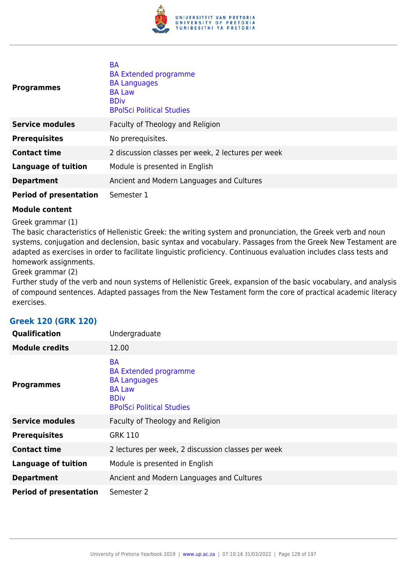

| <b>Programmes</b>             | <b>BA</b><br><b>BA Extended programme</b><br><b>BA Languages</b><br><b>BA Law</b><br><b>BDiv</b><br><b>BPolSci Political Studies</b> |
|-------------------------------|--------------------------------------------------------------------------------------------------------------------------------------|
| <b>Service modules</b>        | Faculty of Theology and Religion                                                                                                     |
| <b>Prerequisites</b>          | No prerequisites.                                                                                                                    |
| <b>Contact time</b>           | 2 discussion classes per week, 2 lectures per week                                                                                   |
| <b>Language of tuition</b>    | Module is presented in English                                                                                                       |
| <b>Department</b>             | Ancient and Modern Languages and Cultures                                                                                            |
| <b>Period of presentation</b> | Semester 1                                                                                                                           |

Greek grammar (1)

The basic characteristics of Hellenistic Greek: the writing system and pronunciation, the Greek verb and noun systems, conjugation and declension, basic syntax and vocabulary. Passages from the Greek New Testament are adapted as exercises in order to facilitate linguistic proficiency. Continuous evaluation includes class tests and homework assignments.

Greek grammar (2)

Further study of the verb and noun systems of Hellenistic Greek, expansion of the basic vocabulary, and analysis of compound sentences. Adapted passages from the New Testament form the core of practical academic literacy exercises.

| <b>Qualification</b>          | Undergraduate                                                                                                                        |
|-------------------------------|--------------------------------------------------------------------------------------------------------------------------------------|
| <b>Module credits</b>         | 12.00                                                                                                                                |
| <b>Programmes</b>             | <b>BA</b><br><b>BA Extended programme</b><br><b>BA Languages</b><br><b>BA Law</b><br><b>BDiv</b><br><b>BPolSci Political Studies</b> |
| <b>Service modules</b>        | Faculty of Theology and Religion                                                                                                     |
| <b>Prerequisites</b>          | <b>GRK 110</b>                                                                                                                       |
| <b>Contact time</b>           | 2 lectures per week, 2 discussion classes per week                                                                                   |
| <b>Language of tuition</b>    | Module is presented in English                                                                                                       |
| <b>Department</b>             | Ancient and Modern Languages and Cultures                                                                                            |
| <b>Period of presentation</b> | Semester 2                                                                                                                           |

# **Greek 120 (GRK 120)**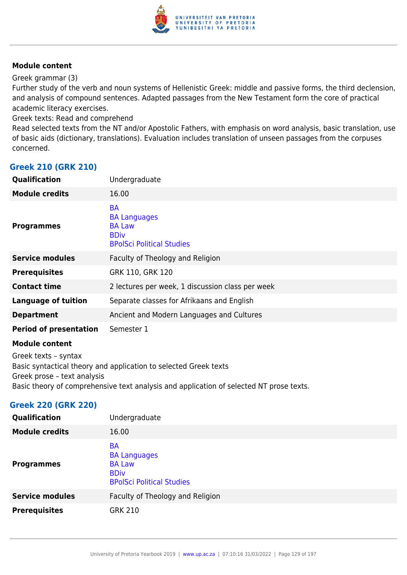

Greek grammar (3)

Further study of the verb and noun systems of Hellenistic Greek: middle and passive forms, the third declension, and analysis of compound sentences. Adapted passages from the New Testament form the core of practical academic literacy exercises.

Greek texts: Read and comprehend

Read selected texts from the NT and/or Apostolic Fathers, with emphasis on word analysis, basic translation, use of basic aids (dictionary, translations). Evaluation includes translation of unseen passages from the corpuses concerned.

### **Greek 210 (GRK 210)**

| <b>Qualification</b>                                                                                                                                                                                               | Undergraduate                                                                                        |
|--------------------------------------------------------------------------------------------------------------------------------------------------------------------------------------------------------------------|------------------------------------------------------------------------------------------------------|
| <b>Module credits</b>                                                                                                                                                                                              | 16.00                                                                                                |
| <b>Programmes</b>                                                                                                                                                                                                  | <b>BA</b><br><b>BA Languages</b><br><b>BA Law</b><br><b>BDiv</b><br><b>BPolSci Political Studies</b> |
| <b>Service modules</b>                                                                                                                                                                                             | Faculty of Theology and Religion                                                                     |
| <b>Prerequisites</b>                                                                                                                                                                                               | GRK 110, GRK 120                                                                                     |
| <b>Contact time</b>                                                                                                                                                                                                | 2 lectures per week, 1 discussion class per week                                                     |
| <b>Language of tuition</b>                                                                                                                                                                                         | Separate classes for Afrikaans and English                                                           |
| <b>Department</b>                                                                                                                                                                                                  | Ancient and Modern Languages and Cultures                                                            |
| <b>Period of presentation</b>                                                                                                                                                                                      | Semester 1                                                                                           |
| <b>Module content</b>                                                                                                                                                                                              |                                                                                                      |
| Greek texts - syntax<br>Basic syntactical theory and application to selected Greek texts<br>Greek prose - text analysis<br>Basic theory of comprehensive text analysis and application of selected NT prose texts. |                                                                                                      |

### **Greek 220 (GRK 220)**

| Qualification          | Undergraduate                                                                                        |
|------------------------|------------------------------------------------------------------------------------------------------|
| <b>Module credits</b>  | 16.00                                                                                                |
| <b>Programmes</b>      | <b>BA</b><br><b>BA Languages</b><br><b>BA Law</b><br><b>BDiv</b><br><b>BPolSci Political Studies</b> |
| <b>Service modules</b> | Faculty of Theology and Religion                                                                     |
| <b>Prerequisites</b>   | <b>GRK 210</b>                                                                                       |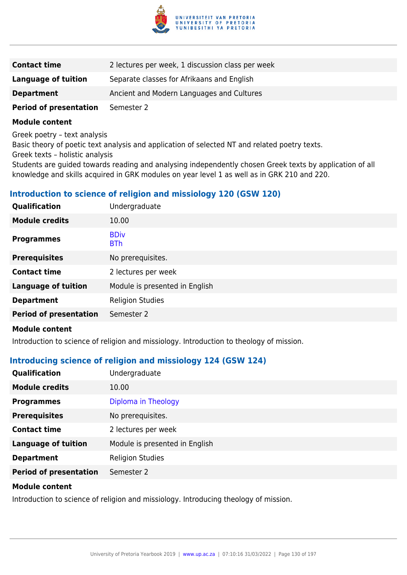

| <b>Contact time</b>           | 2 lectures per week, 1 discussion class per week |
|-------------------------------|--------------------------------------------------|
| Language of tuition           | Separate classes for Afrikaans and English       |
| <b>Department</b>             | Ancient and Modern Languages and Cultures        |
| <b>Period of presentation</b> | Semester 2                                       |

Greek poetry – text analysis

Basic theory of poetic text analysis and application of selected NT and related poetry texts.

Greek texts – holistic analysis

Students are guided towards reading and analysing independently chosen Greek texts by application of all knowledge and skills acquired in GRK modules on year level 1 as well as in GRK 210 and 220.

# **Introduction to science of religion and missiology 120 (GSW 120)**

| Qualification                 | Undergraduate                  |
|-------------------------------|--------------------------------|
| <b>Module credits</b>         | 10.00                          |
| <b>Programmes</b>             | <b>BDiv</b><br><b>BTh</b>      |
| <b>Prerequisites</b>          | No prerequisites.              |
| <b>Contact time</b>           | 2 lectures per week            |
| <b>Language of tuition</b>    | Module is presented in English |
| <b>Department</b>             | <b>Religion Studies</b>        |
| <b>Period of presentation</b> | Semester 2                     |
|                               |                                |

#### **Module content**

Introduction to science of religion and missiology. Introduction to theology of mission.

# **Introducing science of religion and missiology 124 (GSW 124)**

| <b>Qualification</b>          | Undergraduate                  |
|-------------------------------|--------------------------------|
| <b>Module credits</b>         | 10.00                          |
| <b>Programmes</b>             | Diploma in Theology            |
| <b>Prerequisites</b>          | No prerequisites.              |
| <b>Contact time</b>           | 2 lectures per week            |
| <b>Language of tuition</b>    | Module is presented in English |
| <b>Department</b>             | <b>Religion Studies</b>        |
| <b>Period of presentation</b> | Semester 2                     |

#### **Module content**

Introduction to science of religion and missiology. Introducing theology of mission.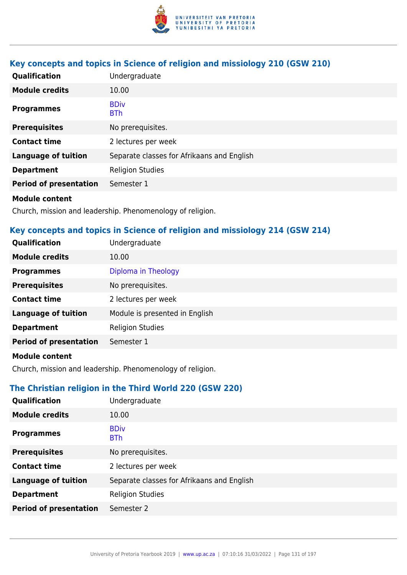

# **Key concepts and topics in Science of religion and missiology 210 (GSW 210)**

| Qualification                                                                                                                                                                                                                        | Undergraduate                              |
|--------------------------------------------------------------------------------------------------------------------------------------------------------------------------------------------------------------------------------------|--------------------------------------------|
| <b>Module credits</b>                                                                                                                                                                                                                | 10.00                                      |
| <b>Programmes</b>                                                                                                                                                                                                                    | <b>BDiv</b><br><b>BTh</b>                  |
| <b>Prerequisites</b>                                                                                                                                                                                                                 | No prerequisites.                          |
| <b>Contact time</b>                                                                                                                                                                                                                  | 2 lectures per week                        |
| <b>Language of tuition</b>                                                                                                                                                                                                           | Separate classes for Afrikaans and English |
| <b>Department</b>                                                                                                                                                                                                                    | <b>Religion Studies</b>                    |
| <b>Period of presentation</b>                                                                                                                                                                                                        | Semester 1                                 |
| <b>Address to the contract of the contract of the contract of the contract of the contract of the contract of the contract of the contract of the contract of the contract of the contract of the contract of the contract of th</b> |                                            |

#### **Module content**

Church, mission and leadership. Phenomenology of religion.

# **Key concepts and topics in Science of religion and missiology 214 (GSW 214)**

| Qualification                 | Undergraduate                  |
|-------------------------------|--------------------------------|
| <b>Module credits</b>         | 10.00                          |
| <b>Programmes</b>             | Diploma in Theology            |
| <b>Prerequisites</b>          | No prerequisites.              |
| <b>Contact time</b>           | 2 lectures per week            |
| <b>Language of tuition</b>    | Module is presented in English |
| <b>Department</b>             | <b>Religion Studies</b>        |
| <b>Period of presentation</b> | Semester 1                     |
| .                             |                                |

#### **Module content**

Church, mission and leadership. Phenomenology of religion.

# **The Christian religion in the Third World 220 (GSW 220)**

| Qualification                 | Undergraduate                              |
|-------------------------------|--------------------------------------------|
| <b>Module credits</b>         | 10.00                                      |
| <b>Programmes</b>             | <b>BDiv</b><br><b>BTh</b>                  |
| <b>Prerequisites</b>          | No prerequisites.                          |
| <b>Contact time</b>           | 2 lectures per week                        |
| <b>Language of tuition</b>    | Separate classes for Afrikaans and English |
| <b>Department</b>             | <b>Religion Studies</b>                    |
| <b>Period of presentation</b> | Semester 2                                 |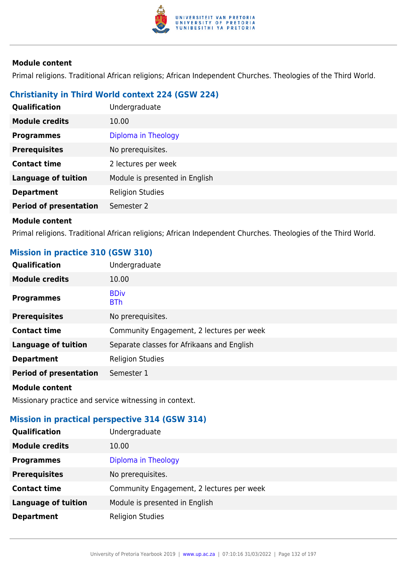

Primal religions. Traditional African religions; African Independent Churches. Theologies of the Third World.

# **Christianity in Third World context 224 (GSW 224)**

| Qualification                 | Undergraduate                  |
|-------------------------------|--------------------------------|
| <b>Module credits</b>         | 10.00                          |
| <b>Programmes</b>             | Diploma in Theology            |
| <b>Prerequisites</b>          | No prerequisites.              |
| <b>Contact time</b>           | 2 lectures per week            |
| <b>Language of tuition</b>    | Module is presented in English |
| <b>Department</b>             | <b>Religion Studies</b>        |
| <b>Period of presentation</b> | Semester 2                     |
|                               |                                |

### **Module content**

Primal religions. Traditional African religions; African Independent Churches. Theologies of the Third World.

# **Mission in practice 310 (GSW 310)**

| Qualification                 | Undergraduate                              |
|-------------------------------|--------------------------------------------|
| <b>Module credits</b>         | 10.00                                      |
| <b>Programmes</b>             | <b>BDiv</b><br><b>BTh</b>                  |
| <b>Prerequisites</b>          | No prerequisites.                          |
| <b>Contact time</b>           | Community Engagement, 2 lectures per week  |
| <b>Language of tuition</b>    | Separate classes for Afrikaans and English |
| <b>Department</b>             | <b>Religion Studies</b>                    |
| <b>Period of presentation</b> | Semester 1                                 |
| <b>Module content</b>         |                                            |

Missionary practice and service witnessing in context.

### **Mission in practical perspective 314 (GSW 314)**

| <b>Qualification</b>       | Undergraduate                             |
|----------------------------|-------------------------------------------|
| <b>Module credits</b>      | 10.00                                     |
| <b>Programmes</b>          | Diploma in Theology                       |
| <b>Prerequisites</b>       | No prerequisites.                         |
| <b>Contact time</b>        | Community Engagement, 2 lectures per week |
| <b>Language of tuition</b> | Module is presented in English            |
| <b>Department</b>          | <b>Religion Studies</b>                   |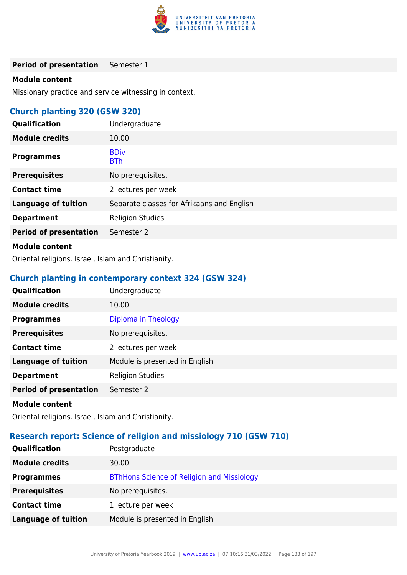

**Period of presentation** Semester 1

### **Module content**

Missionary practice and service witnessing in context.

# **Church planting 320 (GSW 320)**

| Qualification                 | Undergraduate                              |
|-------------------------------|--------------------------------------------|
| <b>Module credits</b>         | 10.00                                      |
| <b>Programmes</b>             | <b>BDiv</b><br><b>BTh</b>                  |
| <b>Prerequisites</b>          | No prerequisites.                          |
| <b>Contact time</b>           | 2 lectures per week                        |
| <b>Language of tuition</b>    | Separate classes for Afrikaans and English |
| <b>Department</b>             | <b>Religion Studies</b>                    |
| <b>Period of presentation</b> | Semester 2                                 |
| <b>Module content</b>         |                                            |

Oriental religions. Israel, Islam and Christianity.

### **Church planting in contemporary context 324 (GSW 324)**

| Qualification                                                                                                                                                                                                                        | Undergraduate                  |
|--------------------------------------------------------------------------------------------------------------------------------------------------------------------------------------------------------------------------------------|--------------------------------|
| <b>Module credits</b>                                                                                                                                                                                                                | 10.00                          |
| <b>Programmes</b>                                                                                                                                                                                                                    | Diploma in Theology            |
| <b>Prerequisites</b>                                                                                                                                                                                                                 | No prerequisites.              |
| <b>Contact time</b>                                                                                                                                                                                                                  | 2 lectures per week            |
| <b>Language of tuition</b>                                                                                                                                                                                                           | Module is presented in English |
| <b>Department</b>                                                                                                                                                                                                                    | <b>Religion Studies</b>        |
| <b>Period of presentation</b>                                                                                                                                                                                                        | Semester 2                     |
| <b>Address to the contract of the contract of the contract of the contract of the contract of the contract of the contract of the contract of the contract of the contract of the contract of the contract of the contract of th</b> |                                |

#### **Module content**

Oriental religions. Israel, Islam and Christianity.

# **Research report: Science of religion and missiology 710 (GSW 710)**

| <b>Qualification</b>       | Postgraduate                                      |
|----------------------------|---------------------------------------------------|
| <b>Module credits</b>      | 30.00                                             |
| <b>Programmes</b>          | <b>BThHons Science of Religion and Missiology</b> |
| <b>Prerequisites</b>       | No prerequisites.                                 |
| <b>Contact time</b>        | 1 lecture per week                                |
| <b>Language of tuition</b> | Module is presented in English                    |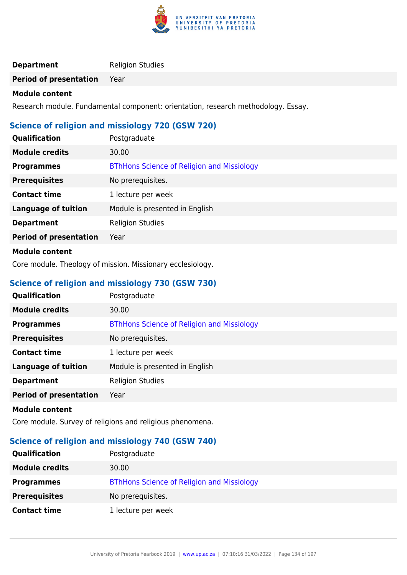

### **Department** Religion Studies

**Period of presentation** Year

### **Module content**

Research module. Fundamental component: orientation, research methodology. Essay.

# **Science of religion and missiology 720 (GSW 720)**

| Qualification                 | Postgraduate                                      |
|-------------------------------|---------------------------------------------------|
| <b>Module credits</b>         | 30.00                                             |
| <b>Programmes</b>             | <b>BThHons Science of Religion and Missiology</b> |
| <b>Prerequisites</b>          | No prerequisites.                                 |
| <b>Contact time</b>           | 1 lecture per week                                |
| <b>Language of tuition</b>    | Module is presented in English                    |
| <b>Department</b>             | <b>Religion Studies</b>                           |
| <b>Period of presentation</b> | Year                                              |
|                               |                                                   |

### **Module content**

Core module. Theology of mission. Missionary ecclesiology.

# **Science of religion and missiology 730 (GSW 730)**

| Qualification                 | Postgraduate                                      |
|-------------------------------|---------------------------------------------------|
| <b>Module credits</b>         | 30.00                                             |
| <b>Programmes</b>             | <b>BThHons Science of Religion and Missiology</b> |
| <b>Prerequisites</b>          | No prerequisites.                                 |
| <b>Contact time</b>           | 1 lecture per week                                |
| <b>Language of tuition</b>    | Module is presented in English                    |
| <b>Department</b>             | <b>Religion Studies</b>                           |
| <b>Period of presentation</b> | Year                                              |
|                               |                                                   |

#### **Module content**

Core module. Survey of religions and religious phenomena.

# **Science of religion and missiology 740 (GSW 740)**

| <b>Qualification</b>  | Postgraduate                                      |
|-----------------------|---------------------------------------------------|
| <b>Module credits</b> | 30.00                                             |
| <b>Programmes</b>     | <b>BThHons Science of Religion and Missiology</b> |
| <b>Prerequisites</b>  | No prerequisites.                                 |
| <b>Contact time</b>   | 1 lecture per week                                |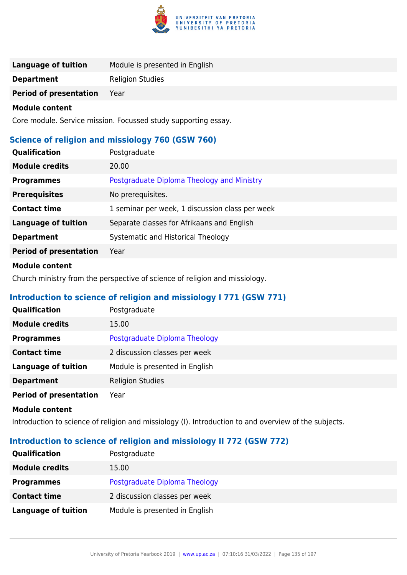

| <b>Language of tuition</b>                       | Module is presented in English                                 |  |
|--------------------------------------------------|----------------------------------------------------------------|--|
| <b>Department</b>                                | <b>Religion Studies</b>                                        |  |
| <b>Period of presentation</b>                    | Year                                                           |  |
| <b>Module content</b>                            |                                                                |  |
|                                                  | Core module. Service mission. Focussed study supporting essay. |  |
| Science of religion and missiology 760 (GSW 760) |                                                                |  |
| Qualification                                    | Postgraduate                                                   |  |
| <b>Module credits</b>                            | 20.00                                                          |  |
| <b>Programmes</b>                                | Postgraduate Diploma Theology and Ministry                     |  |
| <b>Prerequisites</b>                             | No prerequisites.                                              |  |
| <b>Contact time</b>                              | 1 seminar per week, 1 discussion class per week                |  |
| <b>Language of tuition</b>                       | Separate classes for Afrikaans and English                     |  |
| <b>Department</b>                                | Systematic and Historical Theology                             |  |
| <b>Period of presentation</b>                    | Year                                                           |  |

Church ministry from the perspective of science of religion and missiology.

# **Introduction to science of religion and missiology I 771 (GSW 771)**

| Qualification                 | Postgraduate                   |
|-------------------------------|--------------------------------|
| <b>Module credits</b>         | 15.00                          |
| <b>Programmes</b>             | Postgraduate Diploma Theology  |
| <b>Contact time</b>           | 2 discussion classes per week  |
| <b>Language of tuition</b>    | Module is presented in English |
| <b>Department</b>             | <b>Religion Studies</b>        |
| <b>Period of presentation</b> | Year                           |

#### **Module content**

Introduction to science of religion and missiology (I). Introduction to and overview of the subjects.

# **Introduction to science of religion and missiology II 772 (GSW 772)**

| <b>Qualification</b>       | Postgraduate                   |
|----------------------------|--------------------------------|
| <b>Module credits</b>      | 15.00                          |
| <b>Programmes</b>          | Postgraduate Diploma Theology  |
| <b>Contact time</b>        | 2 discussion classes per week  |
| <b>Language of tuition</b> | Module is presented in English |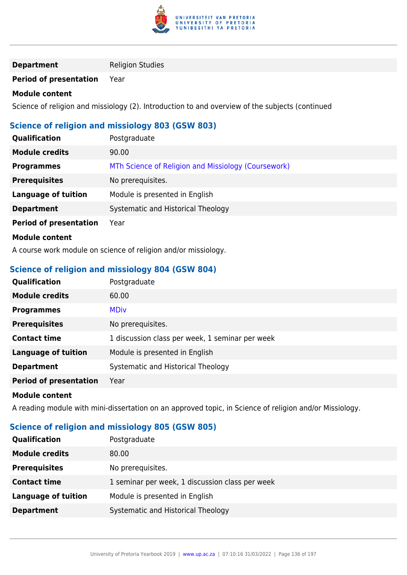

### **Department** Religion Studies

### **Period of presentation** Year

#### **Module content**

Science of religion and missiology (2). Introduction to and overview of the subjects (continued

### **Science of religion and missiology 803 (GSW 803)**

| <b>Qualification</b>          | Postgraduate                                        |
|-------------------------------|-----------------------------------------------------|
| <b>Module credits</b>         | 90.00                                               |
| <b>Programmes</b>             | MTh Science of Religion and Missiology (Coursework) |
| <b>Prerequisites</b>          | No prerequisites.                                   |
| <b>Language of tuition</b>    | Module is presented in English                      |
| <b>Department</b>             | Systematic and Historical Theology                  |
| <b>Period of presentation</b> | Year                                                |
| <b>Module content</b>         |                                                     |

A course work module on science of religion and/or missiology.

# **Science of religion and missiology 804 (GSW 804)**

| <b>Qualification</b>          | Postgraduate                                    |
|-------------------------------|-------------------------------------------------|
| <b>Module credits</b>         | 60.00                                           |
| <b>Programmes</b>             | <b>MDiv</b>                                     |
| <b>Prerequisites</b>          | No prerequisites.                               |
| <b>Contact time</b>           | 1 discussion class per week, 1 seminar per week |
| <b>Language of tuition</b>    | Module is presented in English                  |
| <b>Department</b>             | Systematic and Historical Theology              |
| <b>Period of presentation</b> | Year                                            |
| <b>Madula assistant</b>       |                                                 |

#### **Module content**

A reading module with mini-dissertation on an approved topic, in Science of religion and/or Missiology.

# **Science of religion and missiology 805 (GSW 805)**

| <b>Qualification</b>  | Postgraduate                                    |
|-----------------------|-------------------------------------------------|
| <b>Module credits</b> | 80.00                                           |
| <b>Prerequisites</b>  | No prerequisites.                               |
| <b>Contact time</b>   | 1 seminar per week, 1 discussion class per week |
| Language of tuition   | Module is presented in English                  |
| <b>Department</b>     | Systematic and Historical Theology              |
|                       |                                                 |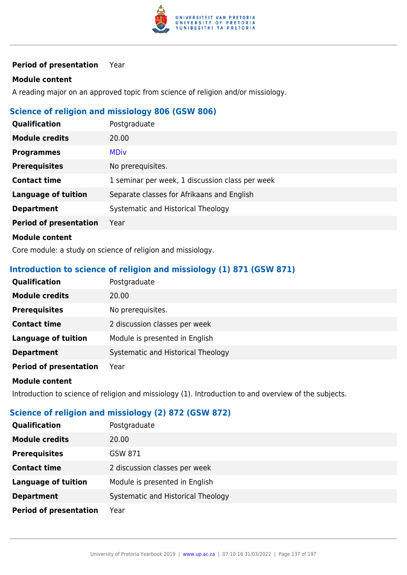

### **Period of presentation** Year

### **Module content**

A reading major on an approved topic from science of religion and/or missiology.

### **Science of religion and missiology 806 (GSW 806)**

| <b>Qualification</b>          | Postgraduate                                    |
|-------------------------------|-------------------------------------------------|
| <b>Module credits</b>         | 20.00                                           |
| <b>Programmes</b>             | <b>MDiv</b>                                     |
| <b>Prerequisites</b>          | No prerequisites.                               |
| <b>Contact time</b>           | 1 seminar per week, 1 discussion class per week |
| <b>Language of tuition</b>    | Separate classes for Afrikaans and English      |
| <b>Department</b>             | Systematic and Historical Theology              |
| <b>Period of presentation</b> | Year                                            |
| <b>Module content</b>         |                                                 |

Core module: a study on science of religion and missiology.

# **Introduction to science of religion and missiology (1) 871 (GSW 871)**

| <b>Qualification</b>          | Postgraduate                       |
|-------------------------------|------------------------------------|
| <b>Module credits</b>         | 20.00                              |
| <b>Prerequisites</b>          | No prerequisites.                  |
| <b>Contact time</b>           | 2 discussion classes per week      |
| <b>Language of tuition</b>    | Module is presented in English     |
| <b>Department</b>             | Systematic and Historical Theology |
| <b>Period of presentation</b> | Year                               |

### **Module content**

Introduction to science of religion and missiology (1). Introduction to and overview of the subjects.

# **Science of religion and missiology (2) 872 (GSW 872)**

| Qualification                 | Postgraduate                       |
|-------------------------------|------------------------------------|
| <b>Module credits</b>         | 20.00                              |
| <b>Prerequisites</b>          | GSW 871                            |
| <b>Contact time</b>           | 2 discussion classes per week      |
| <b>Language of tuition</b>    | Module is presented in English     |
| <b>Department</b>             | Systematic and Historical Theology |
| <b>Period of presentation</b> | Year                               |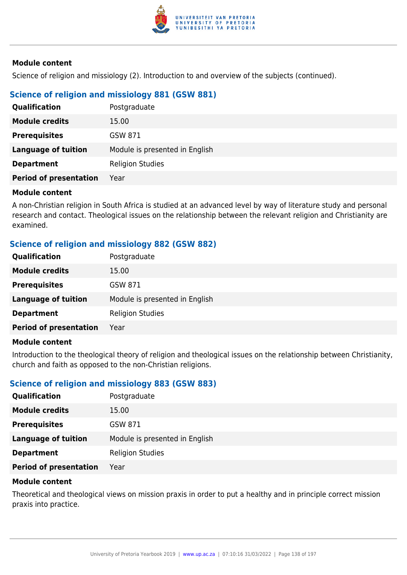

Science of religion and missiology (2). Introduction to and overview of the subjects (continued).

# **Science of religion and missiology 881 (GSW 881)**

| <b>Qualification</b>          | Postgraduate                   |
|-------------------------------|--------------------------------|
| <b>Module credits</b>         | 15.00                          |
| <b>Prerequisites</b>          | GSW 871                        |
| <b>Language of tuition</b>    | Module is presented in English |
| <b>Department</b>             | <b>Religion Studies</b>        |
| <b>Period of presentation</b> | Year                           |

#### **Module content**

A non-Christian religion in South Africa is studied at an advanced level by way of literature study and personal research and contact. Theological issues on the relationship between the relevant religion and Christianity are examined.

### **Science of religion and missiology 882 (GSW 882)**

| Qualification                 | Postgraduate                   |
|-------------------------------|--------------------------------|
| <b>Module credits</b>         | 15.00                          |
| <b>Prerequisites</b>          | GSW 871                        |
| <b>Language of tuition</b>    | Module is presented in English |
| <b>Department</b>             | <b>Religion Studies</b>        |
| <b>Period of presentation</b> | Year                           |
|                               |                                |

### **Module content**

Introduction to the theological theory of religion and theological issues on the relationship between Christianity, church and faith as opposed to the non-Christian religions.

### **Science of religion and missiology 883 (GSW 883)**

| Qualification                 | Postgraduate                   |
|-------------------------------|--------------------------------|
| <b>Module credits</b>         | 15.00                          |
| <b>Prerequisites</b>          | GSW 871                        |
| <b>Language of tuition</b>    | Module is presented in English |
| <b>Department</b>             | <b>Religion Studies</b>        |
| <b>Period of presentation</b> | Year                           |

#### **Module content**

Theoretical and theological views on mission praxis in order to put a healthy and in principle correct mission praxis into practice.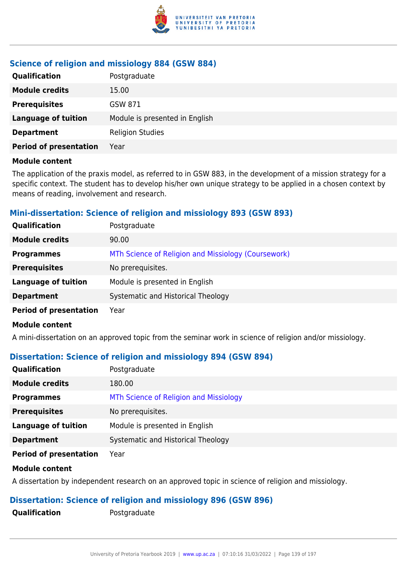

### **Science of religion and missiology 884 (GSW 884)**

| <b>Qualification</b>          | Postgraduate                   |
|-------------------------------|--------------------------------|
| <b>Module credits</b>         | 15.00                          |
| <b>Prerequisites</b>          | GSW 871                        |
| <b>Language of tuition</b>    | Module is presented in English |
| <b>Department</b>             | <b>Religion Studies</b>        |
| <b>Period of presentation</b> | Year                           |

#### **Module content**

The application of the praxis model, as referred to in GSW 883, in the development of a mission strategy for a specific context. The student has to develop his/her own unique strategy to be applied in a chosen context by means of reading, involvement and research.

### **Mini-dissertation: Science of religion and missiology 893 (GSW 893)**

| Qualification                 | Postgraduate                                        |
|-------------------------------|-----------------------------------------------------|
| <b>Module credits</b>         | 90.00                                               |
| <b>Programmes</b>             | MTh Science of Religion and Missiology (Coursework) |
| <b>Prerequisites</b>          | No prerequisites.                                   |
| <b>Language of tuition</b>    | Module is presented in English                      |
| <b>Department</b>             | Systematic and Historical Theology                  |
| <b>Period of presentation</b> | Year                                                |

#### **Module content**

A mini-dissertation on an approved topic from the seminar work in science of religion and/or missiology.

### **Dissertation: Science of religion and missiology 894 (GSW 894)**

| <b>Qualification</b>          | Postgraduate                           |
|-------------------------------|----------------------------------------|
| <b>Module credits</b>         | 180.00                                 |
| <b>Programmes</b>             | MTh Science of Religion and Missiology |
| <b>Prerequisites</b>          | No prerequisites.                      |
| <b>Language of tuition</b>    | Module is presented in English         |
| <b>Department</b>             | Systematic and Historical Theology     |
| <b>Period of presentation</b> | Year                                   |

#### **Module content**

A dissertation by independent research on an approved topic in science of religion and missiology.

# **Dissertation: Science of religion and missiology 896 (GSW 896)**

**Qualification** Postgraduate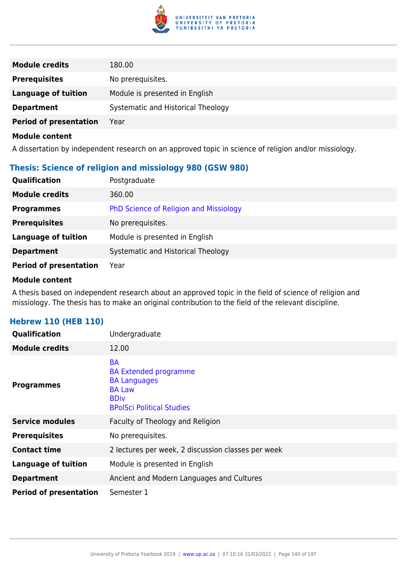

| <b>Module credits</b>         | 180.00                             |
|-------------------------------|------------------------------------|
| <b>Prerequisites</b>          | No prerequisites.                  |
| <b>Language of tuition</b>    | Module is presented in English     |
| <b>Department</b>             | Systematic and Historical Theology |
| <b>Period of presentation</b> | Year                               |

A dissertation by independent research on an approved topic in science of religion and/or missiology.

# **Thesis: Science of religion and missiology 980 (GSW 980)**

| <b>Qualification</b>          | Postgraduate                           |
|-------------------------------|----------------------------------------|
| <b>Module credits</b>         | 360.00                                 |
| <b>Programmes</b>             | PhD Science of Religion and Missiology |
| <b>Prerequisites</b>          | No prerequisites.                      |
| <b>Language of tuition</b>    | Module is presented in English         |
| <b>Department</b>             | Systematic and Historical Theology     |
| <b>Period of presentation</b> | Year                                   |

#### **Module content**

A thesis based on independent research about an approved topic in the field of science of religion and missiology. The thesis has to make an original contribution to the field of the relevant discipline.

| <b>Qualification</b>          | Undergraduate                                                                                                                        |
|-------------------------------|--------------------------------------------------------------------------------------------------------------------------------------|
| <b>Module credits</b>         | 12.00                                                                                                                                |
| <b>Programmes</b>             | <b>BA</b><br><b>BA Extended programme</b><br><b>BA Languages</b><br><b>BA Law</b><br><b>BDiv</b><br><b>BPolSci Political Studies</b> |
| <b>Service modules</b>        | Faculty of Theology and Religion                                                                                                     |
| <b>Prerequisites</b>          | No prerequisites.                                                                                                                    |
| <b>Contact time</b>           | 2 lectures per week, 2 discussion classes per week                                                                                   |
| <b>Language of tuition</b>    | Module is presented in English                                                                                                       |
| <b>Department</b>             | Ancient and Modern Languages and Cultures                                                                                            |
| <b>Period of presentation</b> | Semester 1                                                                                                                           |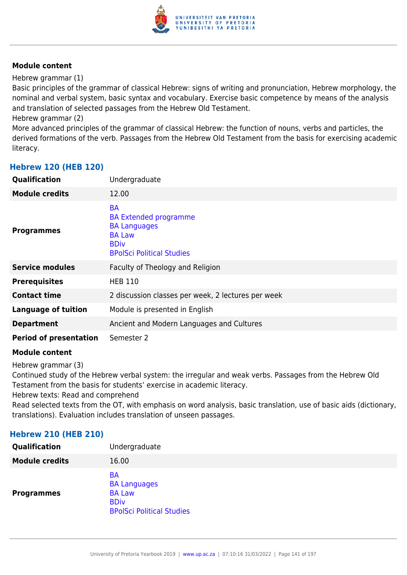

Hebrew grammar (1)

Basic principles of the grammar of classical Hebrew: signs of writing and pronunciation, Hebrew morphology, the nominal and verbal system, basic syntax and vocabulary. Exercise basic competence by means of the analysis and translation of selected passages from the Hebrew Old Testament.

Hebrew grammar (2)

More advanced principles of the grammar of classical Hebrew: the function of nouns, verbs and particles, the derived formations of the verb. Passages from the Hebrew Old Testament from the basis for exercising academic literacy.

### **Hebrew 120 (HEB 120)**

| Qualification                 | Undergraduate                                                                                                                        |
|-------------------------------|--------------------------------------------------------------------------------------------------------------------------------------|
| <b>Module credits</b>         | 12.00                                                                                                                                |
| <b>Programmes</b>             | <b>BA</b><br><b>BA Extended programme</b><br><b>BA Languages</b><br><b>BA Law</b><br><b>BDiv</b><br><b>BPolSci Political Studies</b> |
| <b>Service modules</b>        | Faculty of Theology and Religion                                                                                                     |
| <b>Prerequisites</b>          | <b>HEB 110</b>                                                                                                                       |
| <b>Contact time</b>           | 2 discussion classes per week, 2 lectures per week                                                                                   |
| <b>Language of tuition</b>    | Module is presented in English                                                                                                       |
| <b>Department</b>             | Ancient and Modern Languages and Cultures                                                                                            |
| <b>Period of presentation</b> | Semester 2                                                                                                                           |
|                               |                                                                                                                                      |

#### **Module content**

Hebrew grammar (3)

Continued study of the Hebrew verbal system: the irregular and weak verbs. Passages from the Hebrew Old Testament from the basis for students' exercise in academic literacy.

Hebrew texts: Read and comprehend

Read selected texts from the OT, with emphasis on word analysis, basic translation, use of basic aids (dictionary, translations). Evaluation includes translation of unseen passages.

### **Hebrew 210 (HEB 210)**

| Qualification         | Undergraduate                                                                                        |
|-----------------------|------------------------------------------------------------------------------------------------------|
| <b>Module credits</b> | 16.00                                                                                                |
| <b>Programmes</b>     | <b>BA</b><br><b>BA Languages</b><br><b>BA Law</b><br><b>BDiv</b><br><b>BPolSci Political Studies</b> |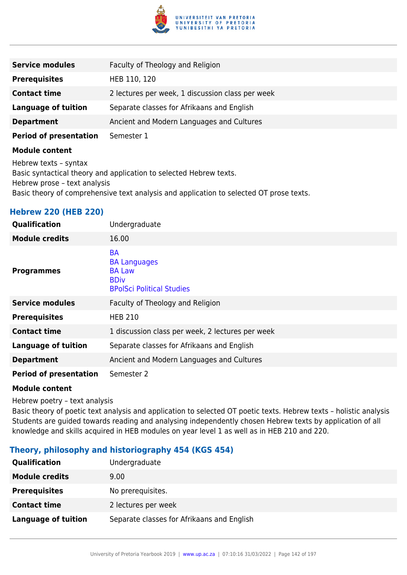

| <b>Service modules</b>        | Faculty of Theology and Religion                 |
|-------------------------------|--------------------------------------------------|
| <b>Prerequisites</b>          | HEB 110, 120                                     |
| <b>Contact time</b>           | 2 lectures per week, 1 discussion class per week |
| <b>Language of tuition</b>    | Separate classes for Afrikaans and English       |
| <b>Department</b>             | Ancient and Modern Languages and Cultures        |
| <b>Period of presentation</b> | Semester 1                                       |

Hebrew texts – syntax Basic syntactical theory and application to selected Hebrew texts. Hebrew prose – text analysis Basic theory of comprehensive text analysis and application to selected OT prose texts.

# **Hebrew 220 (HEB 220)**

| Qualification                 | Undergraduate                                                                                        |
|-------------------------------|------------------------------------------------------------------------------------------------------|
| <b>Module credits</b>         | 16.00                                                                                                |
| <b>Programmes</b>             | <b>BA</b><br><b>BA Languages</b><br><b>BA Law</b><br><b>BDiv</b><br><b>BPolSci Political Studies</b> |
| <b>Service modules</b>        | Faculty of Theology and Religion                                                                     |
| <b>Prerequisites</b>          | <b>HEB 210</b>                                                                                       |
| <b>Contact time</b>           | 1 discussion class per week, 2 lectures per week                                                     |
| Language of tuition           | Separate classes for Afrikaans and English                                                           |
| <b>Department</b>             | Ancient and Modern Languages and Cultures                                                            |
| <b>Period of presentation</b> | Semester 2                                                                                           |

#### **Module content**

Hebrew poetry – text analysis

Basic theory of poetic text analysis and application to selected OT poetic texts. Hebrew texts – holistic analysis Students are guided towards reading and analysing independently chosen Hebrew texts by application of all knowledge and skills acquired in HEB modules on year level 1 as well as in HEB 210 and 220.

### **Theory, philosophy and historiography 454 (KGS 454)**

| Qualification              | Undergraduate                              |
|----------------------------|--------------------------------------------|
| <b>Module credits</b>      | 9.00                                       |
| <b>Prerequisites</b>       | No prerequisites.                          |
| <b>Contact time</b>        | 2 lectures per week                        |
| <b>Language of tuition</b> | Separate classes for Afrikaans and English |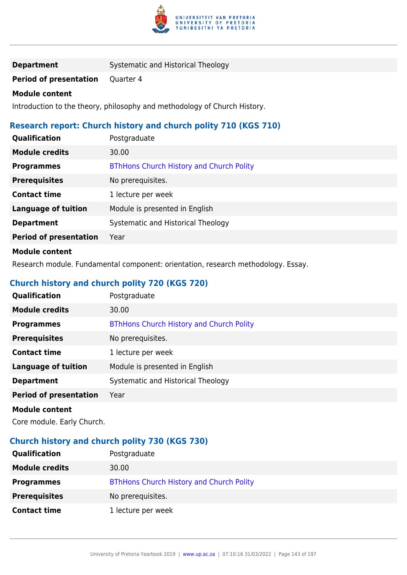

| <b>Department</b> | Systematic and Historical Theology |
|-------------------|------------------------------------|
|-------------------|------------------------------------|

**Period of presentation** Quarter 4

#### **Module content**

Introduction to the theory, philosophy and methodology of Church History.

# **Research report: Church history and church polity 710 (KGS 710)**

| Qualification                 | Postgraduate                                    |
|-------------------------------|-------------------------------------------------|
| <b>Module credits</b>         | 30.00                                           |
| <b>Programmes</b>             | <b>BThHons Church History and Church Polity</b> |
| <b>Prerequisites</b>          | No prerequisites.                               |
| <b>Contact time</b>           | 1 lecture per week                              |
| <b>Language of tuition</b>    | Module is presented in English                  |
| <b>Department</b>             | Systematic and Historical Theology              |
| <b>Period of presentation</b> | Year                                            |
| .                             |                                                 |

### **Module content**

Research module. Fundamental component: orientation, research methodology. Essay.

# **Church history and church polity 720 (KGS 720)**

| <b>Qualification</b>          | Postgraduate                                    |
|-------------------------------|-------------------------------------------------|
| <b>Module credits</b>         | 30.00                                           |
| <b>Programmes</b>             | <b>BThHons Church History and Church Polity</b> |
| <b>Prerequisites</b>          | No prerequisites.                               |
| <b>Contact time</b>           | 1 lecture per week                              |
| <b>Language of tuition</b>    | Module is presented in English                  |
| <b>Department</b>             | Systematic and Historical Theology              |
| <b>Period of presentation</b> | Year                                            |
| <b>Madula assistant</b>       |                                                 |

### **Module content**

Core module. Early Church.

# **Church history and church polity 730 (KGS 730)**

| <b>Qualification</b>  | Postgraduate                                    |
|-----------------------|-------------------------------------------------|
| <b>Module credits</b> | 30.00                                           |
| <b>Programmes</b>     | <b>BThHons Church History and Church Polity</b> |
| <b>Prerequisites</b>  | No prerequisites.                               |
| <b>Contact time</b>   | 1 lecture per week                              |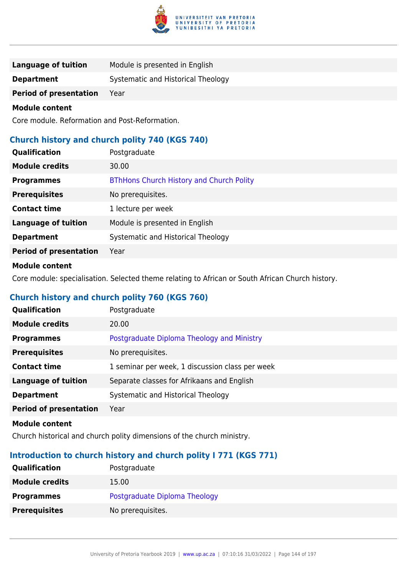

| <b>Language of tuition</b>    | Module is presented in English     |
|-------------------------------|------------------------------------|
| <b>Department</b>             | Systematic and Historical Theology |
| <b>Period of presentation</b> | Year                               |

Core module. Reformation and Post-Reformation.

### **Church history and church polity 740 (KGS 740)**

| Qualification                 | Postgraduate                                    |
|-------------------------------|-------------------------------------------------|
| <b>Module credits</b>         | 30.00                                           |
| <b>Programmes</b>             | <b>BThHons Church History and Church Polity</b> |
| <b>Prerequisites</b>          | No prerequisites.                               |
| <b>Contact time</b>           | 1 lecture per week                              |
| <b>Language of tuition</b>    | Module is presented in English                  |
| <b>Department</b>             | Systematic and Historical Theology              |
| <b>Period of presentation</b> | Year                                            |
|                               |                                                 |

### **Module content**

Core module: specialisation. Selected theme relating to African or South African Church history.

# **Church history and church polity 760 (KGS 760)**

| Qualification                 | Postgraduate                                    |
|-------------------------------|-------------------------------------------------|
| <b>Module credits</b>         | 20.00                                           |
| <b>Programmes</b>             | Postgraduate Diploma Theology and Ministry      |
| <b>Prerequisites</b>          | No prerequisites.                               |
| <b>Contact time</b>           | 1 seminar per week, 1 discussion class per week |
| <b>Language of tuition</b>    | Separate classes for Afrikaans and English      |
| <b>Department</b>             | Systematic and Historical Theology              |
| <b>Period of presentation</b> | Year                                            |
|                               |                                                 |

#### **Module content**

Church historical and church polity dimensions of the church ministry.

# **Introduction to church history and church polity I 771 (KGS 771)**

| <b>Qualification</b>  | Postgraduate                  |
|-----------------------|-------------------------------|
| <b>Module credits</b> | 15.00                         |
| <b>Programmes</b>     | Postgraduate Diploma Theology |
| <b>Prerequisites</b>  | No prerequisites.             |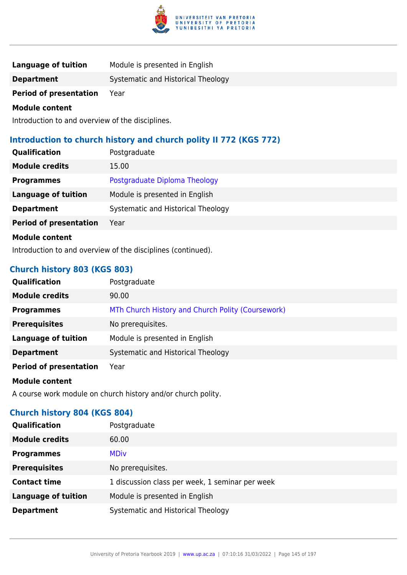

| <b>Language of tuition</b>    | Module is presented in English     |
|-------------------------------|------------------------------------|
| <b>Department</b>             | Systematic and Historical Theology |
| <b>Period of presentation</b> | Year                               |

Introduction to and overview of the disciplines.

# **Introduction to church history and church polity II 772 (KGS 772)**

| <b>Qualification</b>          | Postgraduate                       |
|-------------------------------|------------------------------------|
| <b>Module credits</b>         | 15.00                              |
| <b>Programmes</b>             | Postgraduate Diploma Theology      |
| <b>Language of tuition</b>    | Module is presented in English     |
| <b>Department</b>             | Systematic and Historical Theology |
| <b>Period of presentation</b> | Year                               |
| <b>Module content</b>         |                                    |

Introduction to and overview of the disciplines (continued).

## **Church history 803 (KGS 803)**

| <b>Qualification</b>          | Postgraduate                                      |
|-------------------------------|---------------------------------------------------|
| <b>Module credits</b>         | 90.00                                             |
| <b>Programmes</b>             | MTh Church History and Church Polity (Coursework) |
| <b>Prerequisites</b>          | No prerequisites.                                 |
| <b>Language of tuition</b>    | Module is presented in English                    |
| <b>Department</b>             | Systematic and Historical Theology                |
| <b>Period of presentation</b> | Year                                              |
| <b>Module content</b>         |                                                   |

A course work module on church history and/or church polity.

## **Church history 804 (KGS 804)**

| <b>Qualification</b>       | Postgraduate                                    |  |
|----------------------------|-------------------------------------------------|--|
| <b>Module credits</b>      | 60.00                                           |  |
| <b>Programmes</b>          | <b>MDiv</b>                                     |  |
| <b>Prerequisites</b>       | No prerequisites.                               |  |
| <b>Contact time</b>        | 1 discussion class per week, 1 seminar per week |  |
| <b>Language of tuition</b> | Module is presented in English                  |  |
| <b>Department</b>          | Systematic and Historical Theology              |  |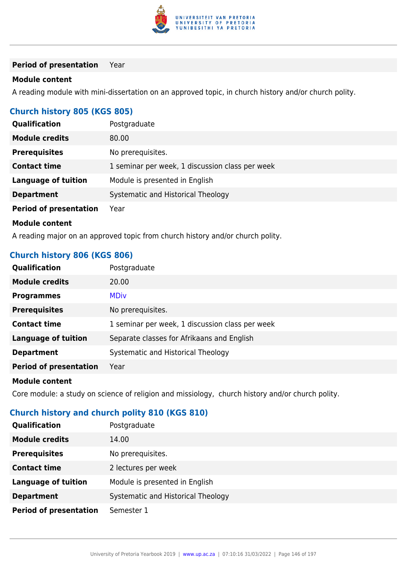

### **Period of presentation** Year

### **Module content**

A reading module with mini-dissertation on an approved topic, in church history and/or church polity.

## **Church history 805 (KGS 805)**

| <b>Qualification</b>          | Postgraduate                                    |
|-------------------------------|-------------------------------------------------|
| <b>Module credits</b>         | 80.00                                           |
| <b>Prerequisites</b>          | No prerequisites.                               |
| <b>Contact time</b>           | 1 seminar per week, 1 discussion class per week |
| <b>Language of tuition</b>    | Module is presented in English                  |
| <b>Department</b>             | Systematic and Historical Theology              |
| <b>Period of presentation</b> | Year                                            |
| <b>Module content</b>         |                                                 |
|                               |                                                 |

A reading major on an approved topic from church history and/or church polity.

## **Church history 806 (KGS 806)**

| Qualification                 | Postgraduate                                    |
|-------------------------------|-------------------------------------------------|
| <b>Module credits</b>         | 20.00                                           |
| <b>Programmes</b>             | <b>MDiv</b>                                     |
| <b>Prerequisites</b>          | No prerequisites.                               |
| <b>Contact time</b>           | 1 seminar per week, 1 discussion class per week |
| <b>Language of tuition</b>    | Separate classes for Afrikaans and English      |
| <b>Department</b>             | Systematic and Historical Theology              |
| <b>Period of presentation</b> | Year                                            |
|                               |                                                 |

### **Module content**

Core module: a study on science of religion and missiology, church history and/or church polity.

# **Church history and church polity 810 (KGS 810)**

| Qualification                 | Postgraduate                       |
|-------------------------------|------------------------------------|
| <b>Module credits</b>         | 14.00                              |
| <b>Prerequisites</b>          | No prerequisites.                  |
| <b>Contact time</b>           | 2 lectures per week                |
| <b>Language of tuition</b>    | Module is presented in English     |
| <b>Department</b>             | Systematic and Historical Theology |
| <b>Period of presentation</b> | Semester 1                         |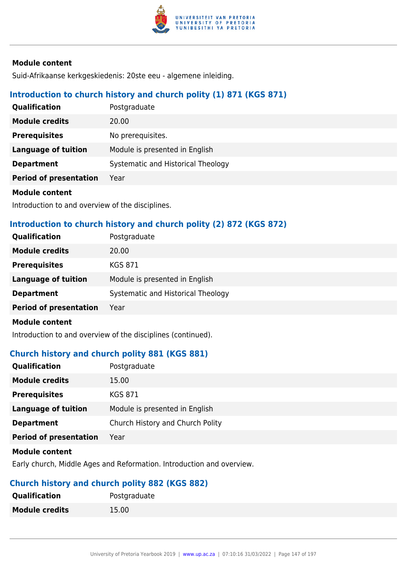

Suid-Afrikaanse kerkgeskiedenis: 20ste eeu - algemene inleiding.

## **Introduction to church history and church polity (1) 871 (KGS 871)**

| <b>Qualification</b>          | Postgraduate                       |
|-------------------------------|------------------------------------|
| <b>Module credits</b>         | 20.00                              |
| <b>Prerequisites</b>          | No prerequisites.                  |
| <b>Language of tuition</b>    | Module is presented in English     |
| <b>Department</b>             | Systematic and Historical Theology |
| <b>Period of presentation</b> | Year                               |
|                               |                                    |

### **Module content**

Introduction to and overview of the disciplines.

## **Introduction to church history and church polity (2) 872 (KGS 872)**

| <b>Qualification</b>          | Postgraduate                       |
|-------------------------------|------------------------------------|
| <b>Module credits</b>         | 20.00                              |
| <b>Prerequisites</b>          | <b>KGS 871</b>                     |
| Language of tuition           | Module is presented in English     |
| <b>Department</b>             | Systematic and Historical Theology |
| <b>Period of presentation</b> | Year                               |
| <b>Module content</b>         |                                    |

Introduction to and overview of the disciplines (continued).

## **Church history and church polity 881 (KGS 881)**

| Qualification                 | Postgraduate                     |
|-------------------------------|----------------------------------|
| <b>Module credits</b>         | 15.00                            |
| <b>Prerequisites</b>          | <b>KGS 871</b>                   |
| <b>Language of tuition</b>    | Module is presented in English   |
| <b>Department</b>             | Church History and Church Polity |
| <b>Period of presentation</b> | Year                             |
| .                             |                                  |

### **Module content**

Early church, Middle Ages and Reformation. Introduction and overview.

## **Church history and church polity 882 (KGS 882)**

| <b>Qualification</b>  | Postgraduate |
|-----------------------|--------------|
| <b>Module credits</b> | 15.00        |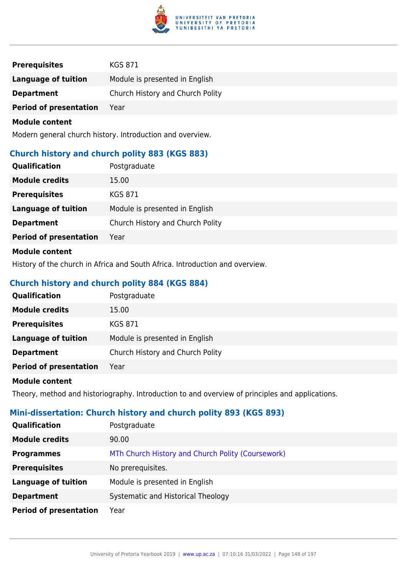

| <b>Prerequisites</b>          | <b>KGS 871</b>                   |
|-------------------------------|----------------------------------|
| Language of tuition           | Module is presented in English   |
| <b>Department</b>             | Church History and Church Polity |
| <b>Period of presentation</b> | Year                             |

Modern general church history. Introduction and overview.

## **Church history and church polity 883 (KGS 883)**

| Qualification                 | Postgraduate                     |
|-------------------------------|----------------------------------|
| <b>Module credits</b>         | 15.00                            |
| <b>Prerequisites</b>          | <b>KGS 871</b>                   |
| <b>Language of tuition</b>    | Module is presented in English   |
| <b>Department</b>             | Church History and Church Polity |
| <b>Period of presentation</b> | Year                             |
| <b>Madula assistant</b>       |                                  |

### **Module content**

History of the church in Africa and South Africa. Introduction and overview.

## **Church history and church polity 884 (KGS 884)**

| Qualification                 | Postgraduate                     |
|-------------------------------|----------------------------------|
| <b>Module credits</b>         | 15.00                            |
| <b>Prerequisites</b>          | KGS 871                          |
| Language of tuition           | Module is presented in English   |
| <b>Department</b>             | Church History and Church Polity |
| <b>Period of presentation</b> | Year                             |

#### **Module content**

Theory, method and historiography. Introduction to and overview of principles and applications.

## **Mini-dissertation: Church history and church polity 893 (KGS 893)**

| <b>Qualification</b>          | Postgraduate                                      |
|-------------------------------|---------------------------------------------------|
| <b>Module credits</b>         | 90.00                                             |
| <b>Programmes</b>             | MTh Church History and Church Polity (Coursework) |
| <b>Prerequisites</b>          | No prerequisites.                                 |
| <b>Language of tuition</b>    | Module is presented in English                    |
| <b>Department</b>             | Systematic and Historical Theology                |
| <b>Period of presentation</b> | Year                                              |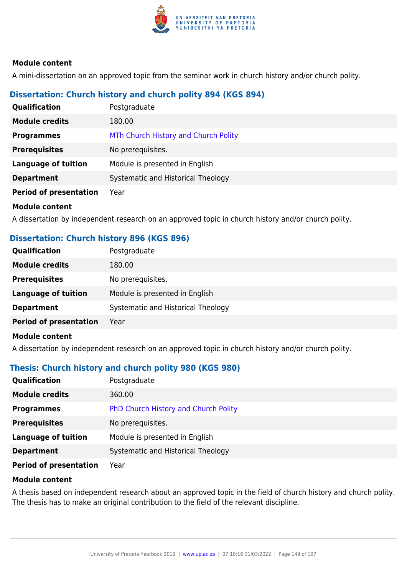

A mini-dissertation on an approved topic from the seminar work in church history and/or church polity.

## **Dissertation: Church history and church polity 894 (KGS 894)**

| Qualification                 | Postgraduate                         |
|-------------------------------|--------------------------------------|
| <b>Module credits</b>         | 180.00                               |
| <b>Programmes</b>             | MTh Church History and Church Polity |
| <b>Prerequisites</b>          | No prerequisites.                    |
| <b>Language of tuition</b>    | Module is presented in English       |
| <b>Department</b>             | Systematic and Historical Theology   |
| <b>Period of presentation</b> | Year                                 |

## **Module content**

A dissertation by independent research on an approved topic in church history and/or church polity.

## **Dissertation: Church history 896 (KGS 896)**

| <b>Qualification</b>          | Postgraduate                       |
|-------------------------------|------------------------------------|
| <b>Module credits</b>         | 180.00                             |
| <b>Prerequisites</b>          | No prerequisites.                  |
| <b>Language of tuition</b>    | Module is presented in English     |
| <b>Department</b>             | Systematic and Historical Theology |
| <b>Period of presentation</b> | Year                               |
|                               |                                    |

### **Module content**

A dissertation by independent research on an approved topic in church history and/or church polity.

## **Thesis: Church history and church polity 980 (KGS 980)**

| <b>Qualification</b>          | Postgraduate                         |
|-------------------------------|--------------------------------------|
| <b>Module credits</b>         | 360.00                               |
| <b>Programmes</b>             | PhD Church History and Church Polity |
| <b>Prerequisites</b>          | No prerequisites.                    |
| <b>Language of tuition</b>    | Module is presented in English       |
| <b>Department</b>             | Systematic and Historical Theology   |
| <b>Period of presentation</b> | Year                                 |

#### **Module content**

A thesis based on independent research about an approved topic in the field of church history and church polity. The thesis has to make an original contribution to the field of the relevant discipline.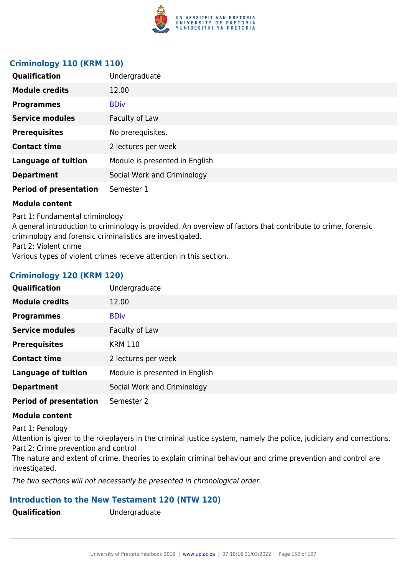

## **Criminology 110 (KRM 110)**

| Qualification                 | Undergraduate                  |
|-------------------------------|--------------------------------|
| <b>Module credits</b>         | 12.00                          |
| <b>Programmes</b>             | <b>BDiv</b>                    |
| <b>Service modules</b>        | Faculty of Law                 |
| <b>Prerequisites</b>          | No prerequisites.              |
| <b>Contact time</b>           | 2 lectures per week            |
| <b>Language of tuition</b>    | Module is presented in English |
| <b>Department</b>             | Social Work and Criminology    |
| <b>Period of presentation</b> | Semester 1                     |

### **Module content**

Part 1: Fundamental criminology

A general introduction to criminology is provided. An overview of factors that contribute to crime, forensic criminology and forensic criminalistics are investigated.

Part 2: Violent crime

Various types of violent crimes receive attention in this section.

## **Criminology 120 (KRM 120)**

| Qualification                 | Undergraduate                  |
|-------------------------------|--------------------------------|
| <b>Module credits</b>         | 12.00                          |
| <b>Programmes</b>             | <b>BDiv</b>                    |
| <b>Service modules</b>        | Faculty of Law                 |
| <b>Prerequisites</b>          | <b>KRM 110</b>                 |
| <b>Contact time</b>           | 2 lectures per week            |
| <b>Language of tuition</b>    | Module is presented in English |
| <b>Department</b>             | Social Work and Criminology    |
| <b>Period of presentation</b> | Semester 2                     |

### **Module content**

Part 1: Penology

Attention is given to the roleplayers in the criminal justice system, namely the police, judiciary and corrections. Part 2: Crime prevention and control

The nature and extent of crime, theories to explain criminal behaviour and crime prevention and control are investigated.

The two sections will not necessarily be presented in chronological order.

## **Introduction to the New Testament 120 (NTW 120)**

**Qualification** Undergraduate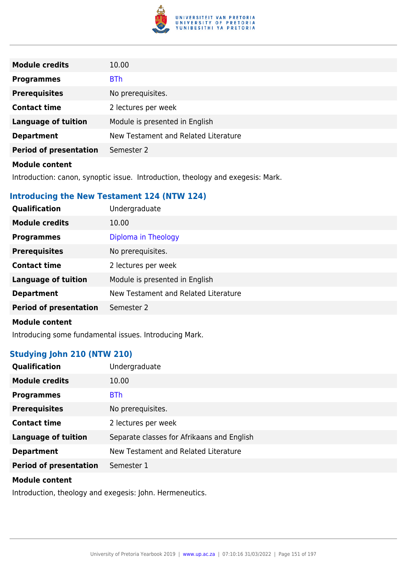

| <b>Module credits</b>         | 10.00                                |
|-------------------------------|--------------------------------------|
| <b>Programmes</b>             | <b>BTh</b>                           |
| <b>Prerequisites</b>          | No prerequisites.                    |
| <b>Contact time</b>           | 2 lectures per week                  |
| <b>Language of tuition</b>    | Module is presented in English       |
| <b>Department</b>             | New Testament and Related Literature |
| <b>Period of presentation</b> | Semester 2                           |
| .                             |                                      |

Introduction: canon, synoptic issue. Introduction, theology and exegesis: Mark.

## **Introducing the New Testament 124 (NTW 124)**

| <b>Qualification</b>          | Undergraduate                        |
|-------------------------------|--------------------------------------|
| <b>Module credits</b>         | 10.00                                |
| <b>Programmes</b>             | Diploma in Theology                  |
| <b>Prerequisites</b>          | No prerequisites.                    |
| <b>Contact time</b>           | 2 lectures per week                  |
| <b>Language of tuition</b>    | Module is presented in English       |
| <b>Department</b>             | New Testament and Related Literature |
| <b>Period of presentation</b> | Semester 2                           |
|                               |                                      |

### **Module content**

Introducing some fundamental issues. Introducing Mark.

## **Studying John 210 (NTW 210)**

| <b>Qualification</b>          | Undergraduate                              |
|-------------------------------|--------------------------------------------|
| <b>Module credits</b>         | 10.00                                      |
| <b>Programmes</b>             | <b>BTh</b>                                 |
| <b>Prerequisites</b>          | No prerequisites.                          |
| <b>Contact time</b>           | 2 lectures per week                        |
| <b>Language of tuition</b>    | Separate classes for Afrikaans and English |
| <b>Department</b>             | New Testament and Related Literature       |
| <b>Period of presentation</b> | Semester 1                                 |

### **Module content**

Introduction, theology and exegesis: John. Hermeneutics.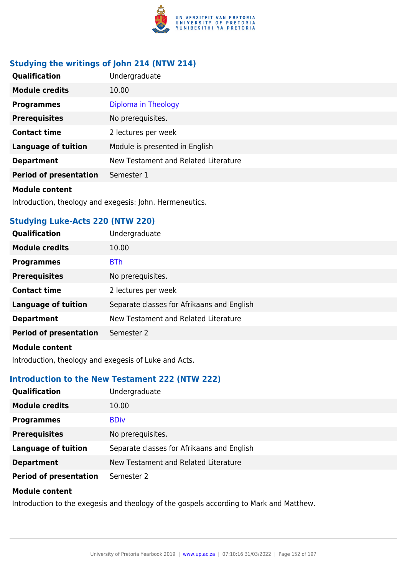

# **Studying the writings of John 214 (NTW 214)**

| <b>Qualification</b>          | Undergraduate                        |
|-------------------------------|--------------------------------------|
| <b>Module credits</b>         | 10.00                                |
| <b>Programmes</b>             | Diploma in Theology                  |
| <b>Prerequisites</b>          | No prerequisites.                    |
| <b>Contact time</b>           | 2 lectures per week                  |
| <b>Language of tuition</b>    | Module is presented in English       |
| <b>Department</b>             | New Testament and Related Literature |
| <b>Period of presentation</b> | Semester 1                           |
|                               |                                      |

#### **Module content**

Introduction, theology and exegesis: John. Hermeneutics.

## **Studying Luke-Acts 220 (NTW 220)**

| Qualification                                                                                                                                                                                                                        | Undergraduate                              |
|--------------------------------------------------------------------------------------------------------------------------------------------------------------------------------------------------------------------------------------|--------------------------------------------|
| <b>Module credits</b>                                                                                                                                                                                                                | 10.00                                      |
| <b>Programmes</b>                                                                                                                                                                                                                    | <b>BTh</b>                                 |
| <b>Prerequisites</b>                                                                                                                                                                                                                 | No prerequisites.                          |
| <b>Contact time</b>                                                                                                                                                                                                                  | 2 lectures per week                        |
| <b>Language of tuition</b>                                                                                                                                                                                                           | Separate classes for Afrikaans and English |
| <b>Department</b>                                                                                                                                                                                                                    | New Testament and Related Literature       |
| <b>Period of presentation</b>                                                                                                                                                                                                        | Semester 2                                 |
| <b>Administration of the contract of the contract of the contract of the contract of the contract of the contract of the contract of the contract of the contract of the contract of the contract of the contract of the contrac</b> |                                            |

#### **Module content**

Introduction, theology and exegesis of Luke and Acts.

## **Introduction to the New Testament 222 (NTW 222)**

| Qualification                 | Undergraduate                              |
|-------------------------------|--------------------------------------------|
| <b>Module credits</b>         | 10.00                                      |
| <b>Programmes</b>             | <b>BDiv</b>                                |
| <b>Prerequisites</b>          | No prerequisites.                          |
| <b>Language of tuition</b>    | Separate classes for Afrikaans and English |
| <b>Department</b>             | New Testament and Related Literature       |
| <b>Period of presentation</b> | Semester 2                                 |
| <b>Module content</b>         |                                            |

Introduction to the exegesis and theology of the gospels according to Mark and Matthew.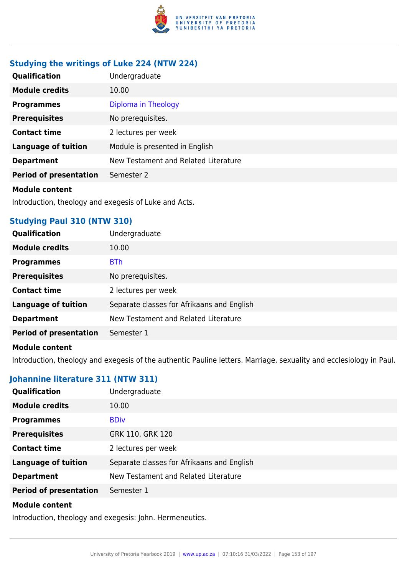

# **Studying the writings of Luke 224 (NTW 224)**

| Qualification                 | Undergraduate                        |
|-------------------------------|--------------------------------------|
| <b>Module credits</b>         | 10.00                                |
| <b>Programmes</b>             | Diploma in Theology                  |
| <b>Prerequisites</b>          | No prerequisites.                    |
| <b>Contact time</b>           | 2 lectures per week                  |
| <b>Language of tuition</b>    | Module is presented in English       |
| <b>Department</b>             | New Testament and Related Literature |
| <b>Period of presentation</b> | Semester 2                           |
|                               |                                      |

#### **Module content**

Introduction, theology and exegesis of Luke and Acts.

## **Studying Paul 310 (NTW 310)**

| Qualification                 | Undergraduate                              |
|-------------------------------|--------------------------------------------|
| <b>Module credits</b>         | 10.00                                      |
| <b>Programmes</b>             | <b>BTh</b>                                 |
| <b>Prerequisites</b>          | No prerequisites.                          |
| <b>Contact time</b>           | 2 lectures per week                        |
| <b>Language of tuition</b>    | Separate classes for Afrikaans and English |
| <b>Department</b>             | New Testament and Related Literature       |
| <b>Period of presentation</b> | Semester 1                                 |
|                               |                                            |

### **Module content**

Introduction, theology and exegesis of the authentic Pauline letters. Marriage, sexuality and ecclesiology in Paul.

## **Johannine literature 311 (NTW 311)**

| Qualification                 | Undergraduate                              |
|-------------------------------|--------------------------------------------|
| <b>Module credits</b>         | 10.00                                      |
| <b>Programmes</b>             | <b>BDiv</b>                                |
| <b>Prerequisites</b>          | GRK 110, GRK 120                           |
| <b>Contact time</b>           | 2 lectures per week                        |
| <b>Language of tuition</b>    | Separate classes for Afrikaans and English |
| <b>Department</b>             | New Testament and Related Literature       |
| <b>Period of presentation</b> | Semester 1                                 |
|                               |                                            |

### **Module content**

Introduction, theology and exegesis: John. Hermeneutics.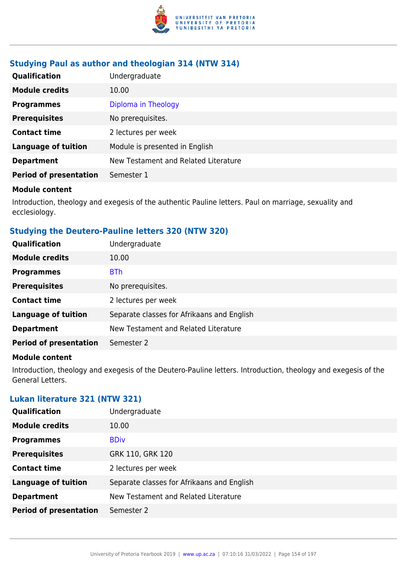

## **Studying Paul as author and theologian 314 (NTW 314)**

| <b>Qualification</b>          | Undergraduate                        |
|-------------------------------|--------------------------------------|
| <b>Module credits</b>         | 10.00                                |
| <b>Programmes</b>             | Diploma in Theology                  |
| <b>Prerequisites</b>          | No prerequisites.                    |
| <b>Contact time</b>           | 2 lectures per week                  |
| <b>Language of tuition</b>    | Module is presented in English       |
| <b>Department</b>             | New Testament and Related Literature |
| <b>Period of presentation</b> | Semester 1                           |

#### **Module content**

Introduction, theology and exegesis of the authentic Pauline letters. Paul on marriage, sexuality and ecclesiology.

## **Studying the Deutero-Pauline letters 320 (NTW 320)**

| Undergraduate                              |
|--------------------------------------------|
| 10.00                                      |
| <b>BTh</b>                                 |
| No prerequisites.                          |
| 2 lectures per week                        |
| Separate classes for Afrikaans and English |
| New Testament and Related Literature       |
| Semester 2                                 |
|                                            |

### **Module content**

Introduction, theology and exegesis of the Deutero-Pauline letters. Introduction, theology and exegesis of the General Letters.

### **Lukan literature 321 (NTW 321)**

| Qualification                 | Undergraduate                              |
|-------------------------------|--------------------------------------------|
| <b>Module credits</b>         | 10.00                                      |
| <b>Programmes</b>             | <b>BDiv</b>                                |
| <b>Prerequisites</b>          | GRK 110, GRK 120                           |
| <b>Contact time</b>           | 2 lectures per week                        |
| <b>Language of tuition</b>    | Separate classes for Afrikaans and English |
| <b>Department</b>             | New Testament and Related Literature       |
| <b>Period of presentation</b> | Semester 2                                 |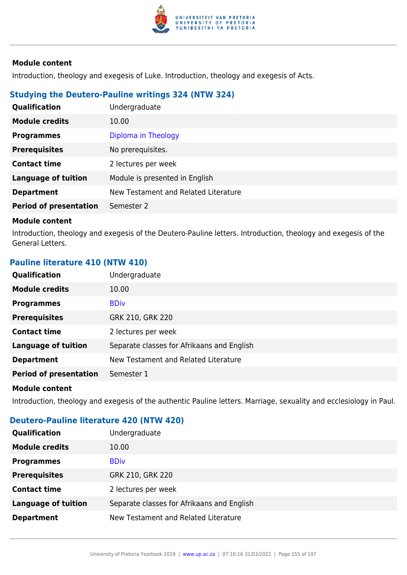

Introduction, theology and exegesis of Luke. Introduction, theology and exegesis of Acts.

### **Studying the Deutero-Pauline writings 324 (NTW 324)**

| <b>Qualification</b>          | Undergraduate                        |
|-------------------------------|--------------------------------------|
| <b>Module credits</b>         | 10.00                                |
| <b>Programmes</b>             | Diploma in Theology                  |
| <b>Prerequisites</b>          | No prerequisites.                    |
| <b>Contact time</b>           | 2 lectures per week                  |
| <b>Language of tuition</b>    | Module is presented in English       |
| <b>Department</b>             | New Testament and Related Literature |
| <b>Period of presentation</b> | Semester 2                           |

#### **Module content**

Introduction, theology and exegesis of the Deutero-Pauline letters. Introduction, theology and exegesis of the General Letters.

### **Pauline literature 410 (NTW 410)**

| Qualification                 | Undergraduate                              |
|-------------------------------|--------------------------------------------|
| <b>Module credits</b>         | 10.00                                      |
| <b>Programmes</b>             | <b>BDiv</b>                                |
| <b>Prerequisites</b>          | GRK 210, GRK 220                           |
| <b>Contact time</b>           | 2 lectures per week                        |
| <b>Language of tuition</b>    | Separate classes for Afrikaans and English |
| <b>Department</b>             | New Testament and Related Literature       |
| <b>Period of presentation</b> | Semester 1                                 |
| <b>Module content</b>         |                                            |

Introduction, theology and exegesis of the authentic Pauline letters. Marriage, sexuality and ecclesiology in Paul.

## **Deutero-Pauline literature 420 (NTW 420)**

| <b>Qualification</b>       | Undergraduate                              |
|----------------------------|--------------------------------------------|
| <b>Module credits</b>      | 10.00                                      |
| <b>Programmes</b>          | <b>BDiv</b>                                |
| <b>Prerequisites</b>       | GRK 210, GRK 220                           |
| <b>Contact time</b>        | 2 lectures per week                        |
| <b>Language of tuition</b> | Separate classes for Afrikaans and English |
| <b>Department</b>          | New Testament and Related Literature       |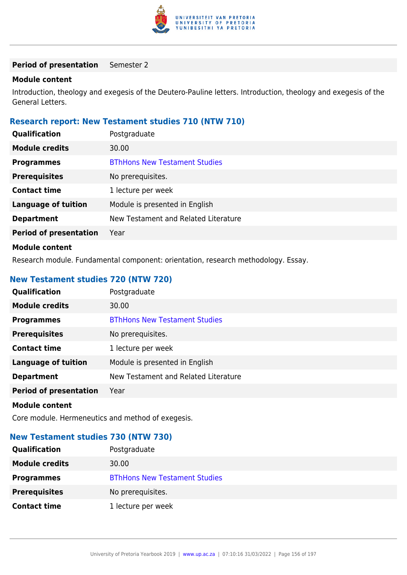

### **Period of presentation** Semester 2

### **Module content**

Introduction, theology and exegesis of the Deutero-Pauline letters. Introduction, theology and exegesis of the General Letters.

## **Research report: New Testament studies 710 (NTW 710)**

| Qualification                 | Postgraduate                         |
|-------------------------------|--------------------------------------|
| <b>Module credits</b>         | 30.00                                |
| <b>Programmes</b>             | <b>BThHons New Testament Studies</b> |
| <b>Prerequisites</b>          | No prerequisites.                    |
| <b>Contact time</b>           | 1 lecture per week                   |
| <b>Language of tuition</b>    | Module is presented in English       |
| <b>Department</b>             | New Testament and Related Literature |
| <b>Period of presentation</b> | Year                                 |
| <b>Module content</b>         |                                      |

Research module. Fundamental component: orientation, research methodology. Essay.

## **New Testament studies 720 (NTW 720)**

| Qualification                 | Postgraduate                         |
|-------------------------------|--------------------------------------|
| <b>Module credits</b>         | 30.00                                |
| <b>Programmes</b>             | <b>BThHons New Testament Studies</b> |
| <b>Prerequisites</b>          | No prerequisites.                    |
| <b>Contact time</b>           | 1 lecture per week                   |
| <b>Language of tuition</b>    | Module is presented in English       |
| <b>Department</b>             | New Testament and Related Literature |
| <b>Period of presentation</b> | Year                                 |
| .                             |                                      |

#### **Module content**

Core module. Hermeneutics and method of exegesis.

### **New Testament studies 730 (NTW 730)**

| <b>Qualification</b>  | Postgraduate                         |
|-----------------------|--------------------------------------|
| <b>Module credits</b> | 30.00                                |
| <b>Programmes</b>     | <b>BThHons New Testament Studies</b> |
| <b>Prerequisites</b>  | No prerequisites.                    |
| <b>Contact time</b>   | 1 lecture per week                   |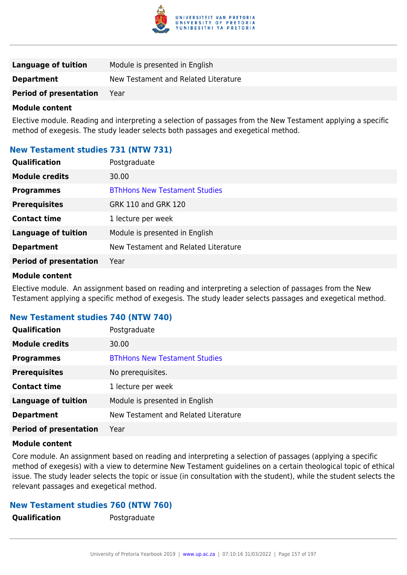

| Language of tuition           | Module is presented in English       |
|-------------------------------|--------------------------------------|
| <b>Department</b>             | New Testament and Related Literature |
| <b>Period of presentation</b> | Year                                 |

Elective module. Reading and interpreting a selection of passages from the New Testament applying a specific method of exegesis. The study leader selects both passages and exegetical method.

## **New Testament studies 731 (NTW 731)**

| Qualification                 | Postgraduate                         |
|-------------------------------|--------------------------------------|
| <b>Module credits</b>         | 30.00                                |
| <b>Programmes</b>             | <b>BThHons New Testament Studies</b> |
| <b>Prerequisites</b>          | GRK 110 and GRK 120                  |
| <b>Contact time</b>           | 1 lecture per week                   |
| <b>Language of tuition</b>    | Module is presented in English       |
| <b>Department</b>             | New Testament and Related Literature |
| <b>Period of presentation</b> | Year                                 |

#### **Module content**

Elective module. An assignment based on reading and interpreting a selection of passages from the New Testament applying a specific method of exegesis. The study leader selects passages and exegetical method.

### **New Testament studies 740 (NTW 740)**

| <b>Qualification</b>          | Postgraduate                         |
|-------------------------------|--------------------------------------|
| <b>Module credits</b>         | 30.00                                |
| <b>Programmes</b>             | <b>BThHons New Testament Studies</b> |
| <b>Prerequisites</b>          | No prerequisites.                    |
| <b>Contact time</b>           | 1 lecture per week                   |
| <b>Language of tuition</b>    | Module is presented in English       |
| <b>Department</b>             | New Testament and Related Literature |
| <b>Period of presentation</b> | Year                                 |

#### **Module content**

Core module. An assignment based on reading and interpreting a selection of passages (applying a specific method of exegesis) with a view to determine New Testament guidelines on a certain theological topic of ethical issue. The study leader selects the topic or issue (in consultation with the student), while the student selects the relevant passages and exegetical method.

### **New Testament studies 760 (NTW 760)**

**Qualification** Postgraduate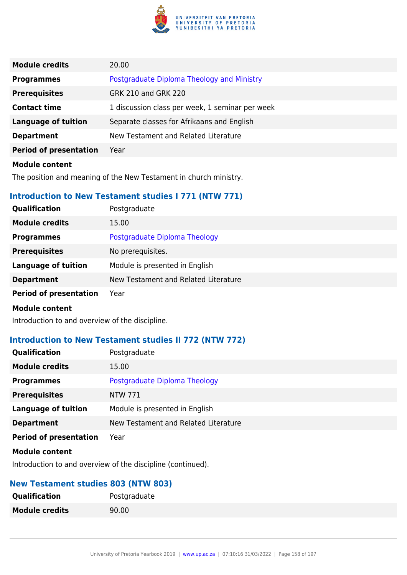

| <b>Module credits</b>         | 20.00                                           |
|-------------------------------|-------------------------------------------------|
| <b>Programmes</b>             | Postgraduate Diploma Theology and Ministry      |
| <b>Prerequisites</b>          | GRK 210 and GRK 220                             |
| <b>Contact time</b>           | 1 discussion class per week, 1 seminar per week |
| <b>Language of tuition</b>    | Separate classes for Afrikaans and English      |
| <b>Department</b>             | New Testament and Related Literature            |
| <b>Period of presentation</b> | Year                                            |
| <b>Module content</b>         |                                                 |

The position and meaning of the New Testament in church ministry.

## **Introduction to New Testament studies I 771 (NTW 771)**

| Qualification                 | Postgraduate                         |
|-------------------------------|--------------------------------------|
| <b>Module credits</b>         | 15.00                                |
| <b>Programmes</b>             | Postgraduate Diploma Theology        |
| <b>Prerequisites</b>          | No prerequisites.                    |
| <b>Language of tuition</b>    | Module is presented in English       |
| <b>Department</b>             | New Testament and Related Literature |
| <b>Period of presentation</b> | Year                                 |
| <b>Module content</b>         |                                      |

Introduction to and overview of the discipline.

## **Introduction to New Testament studies II 772 (NTW 772)**

| Qualification                 | Postgraduate                         |
|-------------------------------|--------------------------------------|
| <b>Module credits</b>         | 15.00                                |
| <b>Programmes</b>             | Postgraduate Diploma Theology        |
| <b>Prerequisites</b>          | NTW 771                              |
| <b>Language of tuition</b>    | Module is presented in English       |
| <b>Department</b>             | New Testament and Related Literature |
| <b>Period of presentation</b> | Year                                 |
| .                             |                                      |

#### **Module content**

Introduction to and overview of the discipline (continued).

## **New Testament studies 803 (NTW 803)**

| <b>Qualification</b>  | Postgraduate |
|-----------------------|--------------|
| <b>Module credits</b> | 90.00        |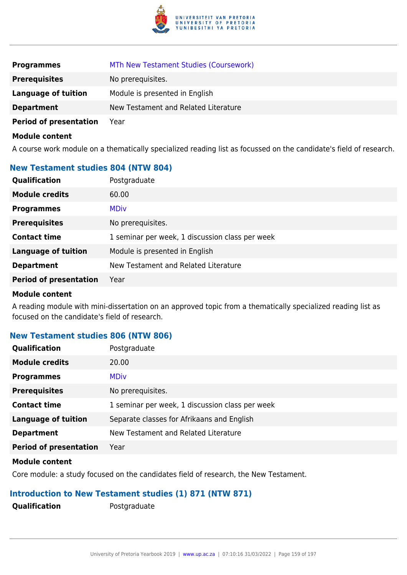

| <b>Programmes</b>             | MTh New Testament Studies (Coursework) |
|-------------------------------|----------------------------------------|
| <b>Prerequisites</b>          | No prerequisites.                      |
| <b>Language of tuition</b>    | Module is presented in English         |
| <b>Department</b>             | New Testament and Related Literature   |
| <b>Period of presentation</b> | Year                                   |

A course work module on a thematically specialized reading list as focussed on the candidate's field of research.

## **New Testament studies 804 (NTW 804)**

| Qualification                 | Postgraduate                                    |
|-------------------------------|-------------------------------------------------|
| <b>Module credits</b>         | 60.00                                           |
| <b>Programmes</b>             | <b>MDiv</b>                                     |
| <b>Prerequisites</b>          | No prerequisites.                               |
| <b>Contact time</b>           | 1 seminar per week, 1 discussion class per week |
| <b>Language of tuition</b>    | Module is presented in English                  |
| <b>Department</b>             | New Testament and Related Literature            |
| <b>Period of presentation</b> | Year                                            |
|                               |                                                 |

#### **Module content**

A reading module with mini-dissertation on an approved topic from a thematically specialized reading list as focused on the candidate's field of research.

### **New Testament studies 806 (NTW 806)**

| <b>Qualification</b>          | Postgraduate                                    |
|-------------------------------|-------------------------------------------------|
| <b>Module credits</b>         | 20.00                                           |
| <b>Programmes</b>             | <b>MDiv</b>                                     |
| <b>Prerequisites</b>          | No prerequisites.                               |
| <b>Contact time</b>           | 1 seminar per week, 1 discussion class per week |
| <b>Language of tuition</b>    | Separate classes for Afrikaans and English      |
| <b>Department</b>             | New Testament and Related Literature            |
| <b>Period of presentation</b> | Year                                            |

#### **Module content**

Core module: a study focused on the candidates field of research, the New Testament.

### **Introduction to New Testament studies (1) 871 (NTW 871)**

**Qualification** Postgraduate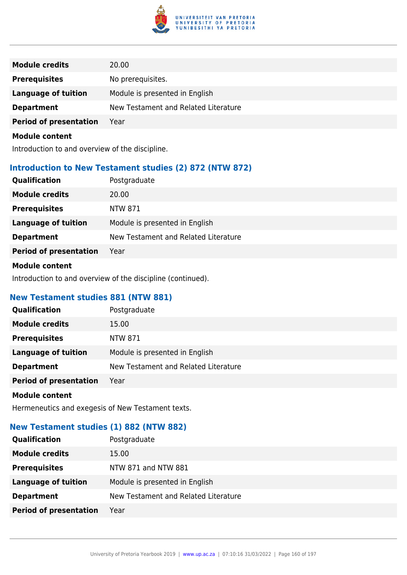

| <b>Module credits</b>         | 20.00                                |
|-------------------------------|--------------------------------------|
| <b>Prerequisites</b>          | No prerequisites.                    |
| <b>Language of tuition</b>    | Module is presented in English       |
| <b>Department</b>             | New Testament and Related Literature |
| <b>Period of presentation</b> | Year                                 |
|                               |                                      |

Introduction to and overview of the discipline.

## **Introduction to New Testament studies (2) 872 (NTW 872)**

| Qualification                 | Postgraduate                         |
|-------------------------------|--------------------------------------|
| <b>Module credits</b>         | 20.00                                |
| <b>Prerequisites</b>          | NTW 871                              |
| Language of tuition           | Module is presented in English       |
| <b>Department</b>             | New Testament and Related Literature |
| <b>Period of presentation</b> | Year                                 |
|                               |                                      |

### **Module content**

Introduction to and overview of the discipline (continued).

## **New Testament studies 881 (NTW 881)**

| Qualification                                                                                                                                                                                                                        | Postgraduate                         |
|--------------------------------------------------------------------------------------------------------------------------------------------------------------------------------------------------------------------------------------|--------------------------------------|
| <b>Module credits</b>                                                                                                                                                                                                                | 15.00                                |
| <b>Prerequisites</b>                                                                                                                                                                                                                 | NTW 871                              |
| Language of tuition                                                                                                                                                                                                                  | Module is presented in English       |
| <b>Department</b>                                                                                                                                                                                                                    | New Testament and Related Literature |
| <b>Period of presentation</b>                                                                                                                                                                                                        | Year                                 |
| <b>Address that the contract of the contract of the contract of the contract of the contract of the contract of the contract of the contract of the contract of the contract of the contract of the contract of the contract of </b> |                                      |

## **Module content**

Hermeneutics and exegesis of New Testament texts.

## **New Testament studies (1) 882 (NTW 882)**

| <b>Qualification</b>          | Postgraduate                         |
|-------------------------------|--------------------------------------|
| <b>Module credits</b>         | 15.00                                |
| <b>Prerequisites</b>          | NTW 871 and NTW 881                  |
| <b>Language of tuition</b>    | Module is presented in English       |
| <b>Department</b>             | New Testament and Related Literature |
| <b>Period of presentation</b> | Year                                 |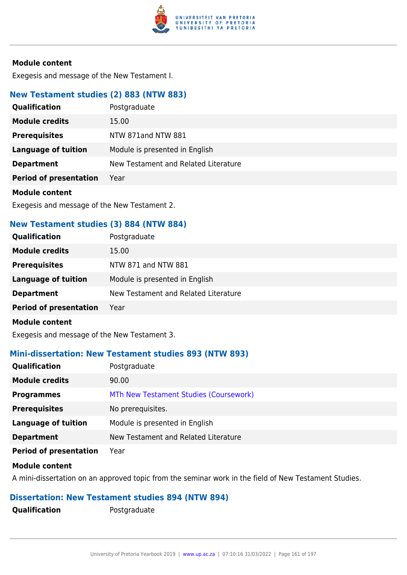

Exegesis and message of the New Testament I.

## **New Testament studies (2) 883 (NTW 883)**

| Qualification                 | Postgraduate                         |
|-------------------------------|--------------------------------------|
| <b>Module credits</b>         | 15.00                                |
| <b>Prerequisites</b>          | NTW 871and NTW 881                   |
| Language of tuition           | Module is presented in English       |
| <b>Department</b>             | New Testament and Related Literature |
| <b>Period of presentation</b> | Year                                 |
|                               |                                      |

### **Module content**

Exegesis and message of the New Testament 2.

## **New Testament studies (3) 884 (NTW 884)**

| <b>Qualification</b>          | Postgraduate                         |
|-------------------------------|--------------------------------------|
| <b>Module credits</b>         | 15.00                                |
| <b>Prerequisites</b>          | NTW 871 and NTW 881                  |
| <b>Language of tuition</b>    | Module is presented in English       |
| <b>Department</b>             | New Testament and Related Literature |
| <b>Period of presentation</b> | Year                                 |
| <b>Module content</b>         |                                      |

Exegesis and message of the New Testament 3.

### **Mini-dissertation: New Testament studies 893 (NTW 893)**

| <b>Qualification</b>          | Postgraduate                           |
|-------------------------------|----------------------------------------|
| <b>Module credits</b>         | 90.00                                  |
| <b>Programmes</b>             | MTh New Testament Studies (Coursework) |
| <b>Prerequisites</b>          | No prerequisites.                      |
| <b>Language of tuition</b>    | Module is presented in English         |
| <b>Department</b>             | New Testament and Related Literature   |
| <b>Period of presentation</b> | Year                                   |

#### **Module content**

A mini-dissertation on an approved topic from the seminar work in the field of New Testament Studies.

### **Dissertation: New Testament studies 894 (NTW 894)**

**Qualification** Postgraduate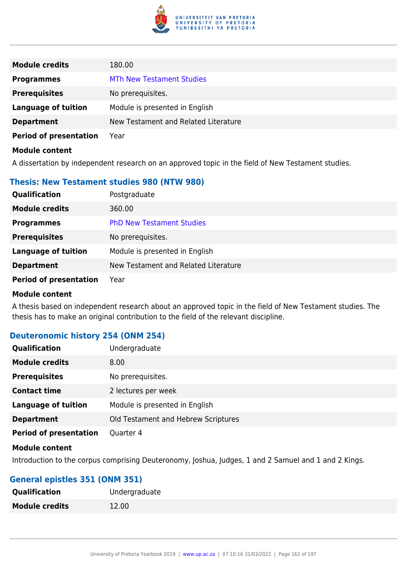

| <b>Module credits</b>         | 180.00                               |
|-------------------------------|--------------------------------------|
| <b>Programmes</b>             | <b>MTh New Testament Studies</b>     |
| <b>Prerequisites</b>          | No prerequisites.                    |
| <b>Language of tuition</b>    | Module is presented in English       |
| <b>Department</b>             | New Testament and Related Literature |
| <b>Period of presentation</b> | Year                                 |
| <b>Module content</b>         |                                      |

A dissertation by independent research on an approved topic in the field of New Testament studies.

### **Thesis: New Testament studies 980 (NTW 980)**

| <b>Qualification</b>          | Postgraduate                         |
|-------------------------------|--------------------------------------|
| <b>Module credits</b>         | 360.00                               |
| <b>Programmes</b>             | <b>PhD New Testament Studies</b>     |
| <b>Prerequisites</b>          | No prerequisites.                    |
| <b>Language of tuition</b>    | Module is presented in English       |
| <b>Department</b>             | New Testament and Related Literature |
| <b>Period of presentation</b> | Year                                 |

#### **Module content**

A thesis based on independent research about an approved topic in the field of New Testament studies. The thesis has to make an original contribution to the field of the relevant discipline.

## **Deuteronomic history 254 (ONM 254)**

| Qualification                 | Undergraduate                       |
|-------------------------------|-------------------------------------|
| <b>Module credits</b>         | 8.00                                |
| <b>Prerequisites</b>          | No prerequisites.                   |
| <b>Contact time</b>           | 2 lectures per week                 |
| <b>Language of tuition</b>    | Module is presented in English      |
| <b>Department</b>             | Old Testament and Hebrew Scriptures |
| <b>Period of presentation</b> | Quarter 4                           |

## **Module content**

Introduction to the corpus comprising Deuteronomy, Joshua, Judges, 1 and 2 Samuel and 1 and 2 Kings.

### **General epistles 351 (ONM 351)**

| <b>Qualification</b>  | Undergraduate |
|-----------------------|---------------|
| <b>Module credits</b> | 12.00         |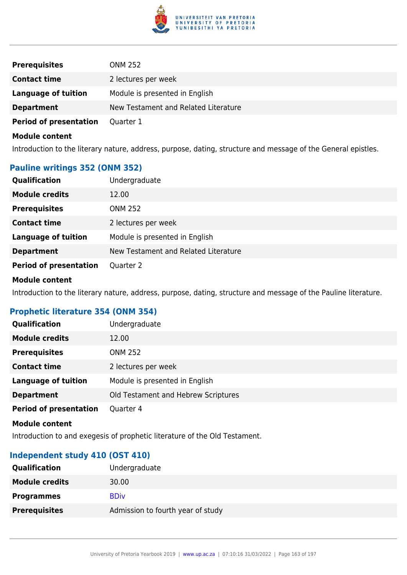

| <b>Prerequisites</b>          | <b>ONM 252</b>                       |
|-------------------------------|--------------------------------------|
| <b>Contact time</b>           | 2 lectures per week                  |
| Language of tuition           | Module is presented in English       |
| <b>Department</b>             | New Testament and Related Literature |
| <b>Period of presentation</b> | Quarter 1                            |

Introduction to the literary nature, address, purpose, dating, structure and message of the General epistles.

## **Pauline writings 352 (ONM 352)**

| <b>Qualification</b>          | Undergraduate                        |
|-------------------------------|--------------------------------------|
| <b>Module credits</b>         | 12.00                                |
| <b>Prerequisites</b>          | <b>ONM 252</b>                       |
| <b>Contact time</b>           | 2 lectures per week                  |
| <b>Language of tuition</b>    | Module is presented in English       |
| <b>Department</b>             | New Testament and Related Literature |
| <b>Period of presentation</b> | Quarter 2                            |

#### **Module content**

Introduction to the literary nature, address, purpose, dating, structure and message of the Pauline literature.

### **Prophetic literature 354 (ONM 354)**

| <b>Qualification</b>          | Undergraduate                       |
|-------------------------------|-------------------------------------|
| <b>Module credits</b>         | 12.00                               |
| <b>Prerequisites</b>          | <b>ONM 252</b>                      |
| <b>Contact time</b>           | 2 lectures per week                 |
| <b>Language of tuition</b>    | Module is presented in English      |
| <b>Department</b>             | Old Testament and Hebrew Scriptures |
| <b>Period of presentation</b> | Quarter 4                           |

#### **Module content**

Introduction to and exegesis of prophetic literature of the Old Testament.

## **Independent study 410 (OST 410)**

| <b>Qualification</b>  | Undergraduate                     |
|-----------------------|-----------------------------------|
| <b>Module credits</b> | 30.00                             |
| <b>Programmes</b>     | <b>BDiv</b>                       |
| <b>Prerequisites</b>  | Admission to fourth year of study |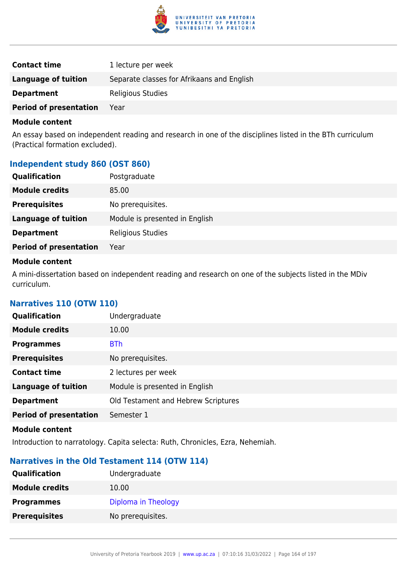

| <b>Contact time</b>           | 1 lecture per week                         |
|-------------------------------|--------------------------------------------|
| Language of tuition           | Separate classes for Afrikaans and English |
| <b>Department</b>             | Religious Studies                          |
| <b>Period of presentation</b> | Year                                       |

An essay based on independent reading and research in one of the disciplines listed in the BTh curriculum (Practical formation excluded).

## **Independent study 860 (OST 860)**

| <b>Qualification</b>          | Postgraduate                   |
|-------------------------------|--------------------------------|
| <b>Module credits</b>         | 85.00                          |
| <b>Prerequisites</b>          | No prerequisites.              |
| <b>Language of tuition</b>    | Module is presented in English |
| <b>Department</b>             | Religious Studies              |
| <b>Period of presentation</b> | Year                           |

### **Module content**

A mini-dissertation based on independent reading and research on one of the subjects listed in the MDiv curriculum.

### **Narratives 110 (OTW 110)**

| Qualification                 | Undergraduate                       |
|-------------------------------|-------------------------------------|
| <b>Module credits</b>         | 10.00                               |
| <b>Programmes</b>             | <b>BTh</b>                          |
| <b>Prerequisites</b>          | No prerequisites.                   |
| <b>Contact time</b>           | 2 lectures per week                 |
| <b>Language of tuition</b>    | Module is presented in English      |
| <b>Department</b>             | Old Testament and Hebrew Scriptures |
| <b>Period of presentation</b> | Semester 1                          |
| .                             |                                     |

#### **Module content**

Introduction to narratology. Capita selecta: Ruth, Chronicles, Ezra, Nehemiah.

## **Narratives in the Old Testament 114 (OTW 114)**

| <b>Qualification</b>  | Undergraduate       |
|-----------------------|---------------------|
| <b>Module credits</b> | 10.00               |
| <b>Programmes</b>     | Diploma in Theology |
| <b>Prerequisites</b>  | No prerequisites.   |
|                       |                     |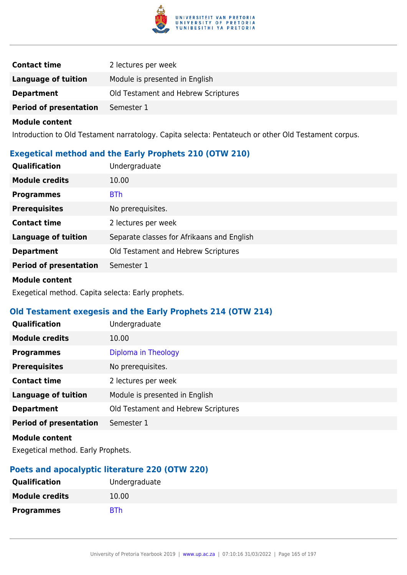

| <b>Contact time</b>           | 2 lectures per week                 |
|-------------------------------|-------------------------------------|
| <b>Language of tuition</b>    | Module is presented in English      |
| <b>Department</b>             | Old Testament and Hebrew Scriptures |
| <b>Period of presentation</b> | Semester 1                          |

Introduction to Old Testament narratology. Capita selecta: Pentateuch or other Old Testament corpus.

## **Exegetical method and the Early Prophets 210 (OTW 210)**

| <b>Qualification</b>          | Undergraduate                              |
|-------------------------------|--------------------------------------------|
| <b>Module credits</b>         | 10.00                                      |
| <b>Programmes</b>             | <b>BTh</b>                                 |
| <b>Prerequisites</b>          | No prerequisites.                          |
| <b>Contact time</b>           | 2 lectures per week                        |
| <b>Language of tuition</b>    | Separate classes for Afrikaans and English |
| <b>Department</b>             | Old Testament and Hebrew Scriptures        |
| <b>Period of presentation</b> | Semester 1                                 |

#### **Module content**

Exegetical method. Capita selecta: Early prophets.

## **Old Testament exegesis and the Early Prophets 214 (OTW 214)**

| Qualification                 | Undergraduate                       |
|-------------------------------|-------------------------------------|
| <b>Module credits</b>         | 10.00                               |
| <b>Programmes</b>             | Diploma in Theology                 |
| <b>Prerequisites</b>          | No prerequisites.                   |
| <b>Contact time</b>           | 2 lectures per week                 |
| <b>Language of tuition</b>    | Module is presented in English      |
| <b>Department</b>             | Old Testament and Hebrew Scriptures |
| <b>Period of presentation</b> | Semester 1                          |
| <b>Module content</b>         |                                     |

Exegetical method. Early Prophets.

### **Poets and apocalyptic literature 220 (OTW 220)**

| <b>Qualification</b>  | Undergraduate |
|-----------------------|---------------|
| <b>Module credits</b> | 10.00         |
| <b>Programmes</b>     | <b>BTh</b>    |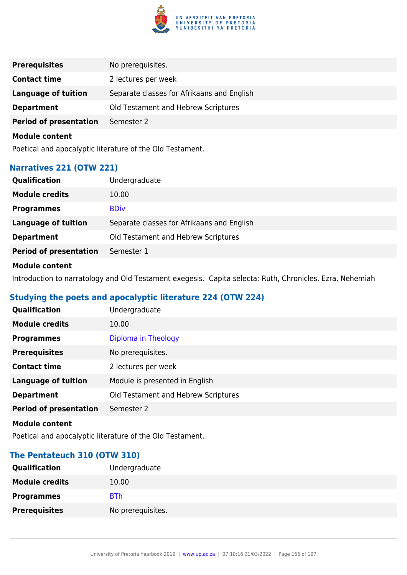

| <b>Prerequisites</b>          | No prerequisites.                          |
|-------------------------------|--------------------------------------------|
| <b>Contact time</b>           | 2 lectures per week                        |
| <b>Language of tuition</b>    | Separate classes for Afrikaans and English |
| <b>Department</b>             | Old Testament and Hebrew Scriptures        |
| <b>Period of presentation</b> | Semester 2                                 |
| <b>Module content</b>         |                                            |

Poetical and apocalyptic literature of the Old Testament.

## **Narratives 221 (OTW 221)**

| <b>Module credits</b><br>10.00                                           |
|--------------------------------------------------------------------------|
|                                                                          |
| <b>BDiv</b><br><b>Programmes</b>                                         |
| <b>Language of tuition</b><br>Separate classes for Afrikaans and English |
| Old Testament and Hebrew Scriptures<br><b>Department</b>                 |
| <b>Period of presentation</b><br>Semester 1                              |

### **Module content**

Introduction to narratology and Old Testament exegesis. Capita selecta: Ruth, Chronicles, Ezra, Nehemiah

# **Studying the poets and apocalyptic literature 224 (OTW 224)**

| Qualification                 | Undergraduate                       |
|-------------------------------|-------------------------------------|
| <b>Module credits</b>         | 10.00                               |
| <b>Programmes</b>             | Diploma in Theology                 |
| <b>Prerequisites</b>          | No prerequisites.                   |
| <b>Contact time</b>           | 2 lectures per week                 |
| <b>Language of tuition</b>    | Module is presented in English      |
| <b>Department</b>             | Old Testament and Hebrew Scriptures |
| <b>Period of presentation</b> | Semester 2                          |
|                               |                                     |

#### **Module content**

Poetical and apocalyptic literature of the Old Testament.

### **The Pentateuch 310 (OTW 310)**

| <b>Qualification</b>  | Undergraduate     |
|-----------------------|-------------------|
| <b>Module credits</b> | 10.00             |
| <b>Programmes</b>     | <b>BTh</b>        |
| <b>Prerequisites</b>  | No prerequisites. |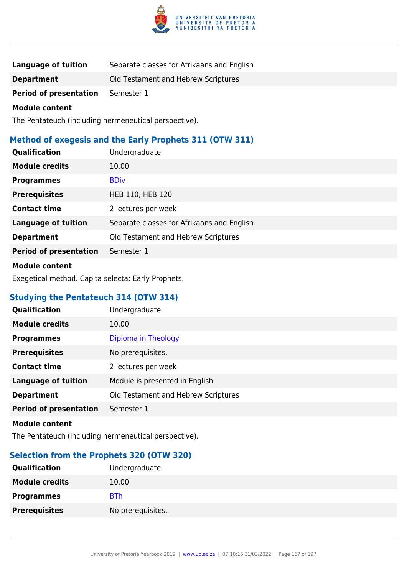

| Language of tuition           | Separate classes for Afrikaans and English |
|-------------------------------|--------------------------------------------|
| <b>Department</b>             | Old Testament and Hebrew Scriptures        |
| <b>Period of presentation</b> | Semester 1                                 |

The Pentateuch (including hermeneutical perspective).

# **Method of exegesis and the Early Prophets 311 (OTW 311)**

| Qualification                 | Undergraduate                              |
|-------------------------------|--------------------------------------------|
| <b>Module credits</b>         | 10.00                                      |
| <b>Programmes</b>             | <b>BDiv</b>                                |
| <b>Prerequisites</b>          | HEB 110, HEB 120                           |
| <b>Contact time</b>           | 2 lectures per week                        |
| <b>Language of tuition</b>    | Separate classes for Afrikaans and English |
| <b>Department</b>             | Old Testament and Hebrew Scriptures        |
| <b>Period of presentation</b> | Semester 1                                 |
|                               |                                            |

### **Module content**

Exegetical method. Capita selecta: Early Prophets.

## **Studying the Pentateuch 314 (OTW 314)**

| <b>Qualification</b>          | Undergraduate                       |
|-------------------------------|-------------------------------------|
| <b>Module credits</b>         | 10.00                               |
| <b>Programmes</b>             | Diploma in Theology                 |
| <b>Prerequisites</b>          | No prerequisites.                   |
| <b>Contact time</b>           | 2 lectures per week                 |
| <b>Language of tuition</b>    | Module is presented in English      |
| <b>Department</b>             | Old Testament and Hebrew Scriptures |
| <b>Period of presentation</b> | Semester 1                          |
|                               |                                     |

#### **Module content**

The Pentateuch (including hermeneutical perspective).

## **Selection from the Prophets 320 (OTW 320)**

| <b>Qualification</b>  | Undergraduate     |
|-----------------------|-------------------|
| <b>Module credits</b> | 10.00             |
| <b>Programmes</b>     | <b>BTh</b>        |
| <b>Prerequisites</b>  | No prerequisites. |
|                       |                   |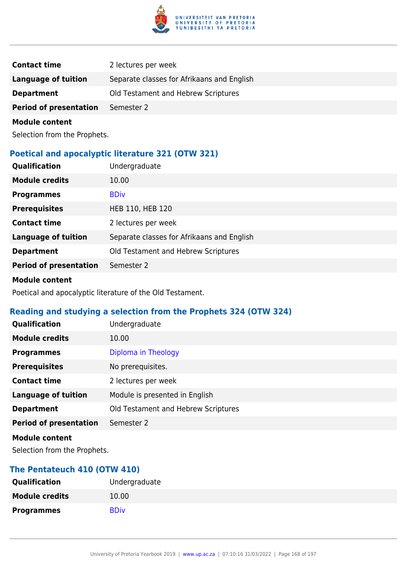

| <b>Contact time</b>           | 2 lectures per week                        |
|-------------------------------|--------------------------------------------|
| Language of tuition           | Separate classes for Afrikaans and English |
| <b>Department</b>             | Old Testament and Hebrew Scriptures        |
| <b>Period of presentation</b> | Semester 2                                 |
|                               |                                            |

Selection from the Prophets.

## **Poetical and apocalyptic literature 321 (OTW 321)**

| <b>Qualification</b>          | Undergraduate                              |
|-------------------------------|--------------------------------------------|
| <b>Module credits</b>         | 10.00                                      |
| <b>Programmes</b>             | <b>BDiv</b>                                |
| <b>Prerequisites</b>          | HEB 110, HEB 120                           |
| <b>Contact time</b>           | 2 lectures per week                        |
| <b>Language of tuition</b>    | Separate classes for Afrikaans and English |
| <b>Department</b>             | Old Testament and Hebrew Scriptures        |
| <b>Period of presentation</b> | Semester 2                                 |

#### **Module content**

Poetical and apocalyptic literature of the Old Testament.

# **Reading and studying a selection from the Prophets 324 (OTW 324)**

| Qualification                 | Undergraduate                       |
|-------------------------------|-------------------------------------|
| <b>Module credits</b>         | 10.00                               |
| <b>Programmes</b>             | Diploma in Theology                 |
| <b>Prerequisites</b>          | No prerequisites.                   |
| <b>Contact time</b>           | 2 lectures per week                 |
| <b>Language of tuition</b>    | Module is presented in English      |
| <b>Department</b>             | Old Testament and Hebrew Scriptures |
| <b>Period of presentation</b> | Semester 2                          |
| <b>Module content</b>         |                                     |

Selection from the Prophets.

### **The Pentateuch 410 (OTW 410)**

| <b>Qualification</b>  | Undergraduate |
|-----------------------|---------------|
| <b>Module credits</b> | 10.00         |
| <b>Programmes</b>     | <b>BDiv</b>   |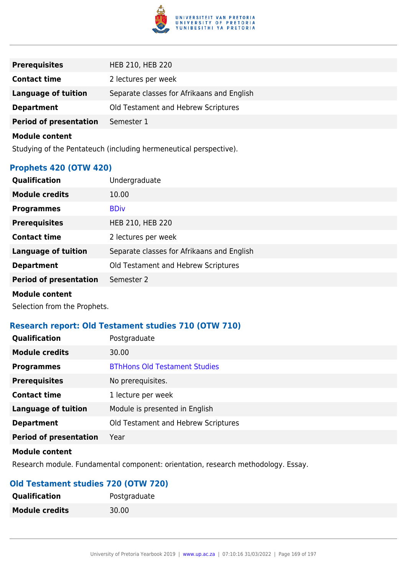

| <b>Prerequisites</b>          | HEB 210, HEB 220                           |
|-------------------------------|--------------------------------------------|
| <b>Contact time</b>           | 2 lectures per week                        |
| <b>Language of tuition</b>    | Separate classes for Afrikaans and English |
| <b>Department</b>             | Old Testament and Hebrew Scriptures        |
| <b>Period of presentation</b> | Semester 1                                 |

Studying of the Pentateuch (including hermeneutical perspective).

## **Prophets 420 (OTW 420)**

| Qualification                 | Undergraduate                              |
|-------------------------------|--------------------------------------------|
| <b>Module credits</b>         | 10.00                                      |
| <b>Programmes</b>             | <b>BDiv</b>                                |
| <b>Prerequisites</b>          | HEB 210, HEB 220                           |
| <b>Contact time</b>           | 2 lectures per week                        |
| <b>Language of tuition</b>    | Separate classes for Afrikaans and English |
| <b>Department</b>             | Old Testament and Hebrew Scriptures        |
| <b>Period of presentation</b> | Semester 2                                 |
| <b>Module content</b>         |                                            |

Selection from the Prophets.

### **Research report: Old Testament studies 710 (OTW 710)**

| <b>Qualification</b>          | Postgraduate                         |
|-------------------------------|--------------------------------------|
| <b>Module credits</b>         | 30.00                                |
| <b>Programmes</b>             | <b>BThHons Old Testament Studies</b> |
| <b>Prerequisites</b>          | No prerequisites.                    |
| <b>Contact time</b>           | 1 lecture per week                   |
| <b>Language of tuition</b>    | Module is presented in English       |
| <b>Department</b>             | Old Testament and Hebrew Scriptures  |
| <b>Period of presentation</b> | Year                                 |
|                               |                                      |

### **Module content**

Research module. Fundamental component: orientation, research methodology. Essay.

# **Old Testament studies 720 (OTW 720)**

| <b>Qualification</b>  | Postgraduate |
|-----------------------|--------------|
| <b>Module credits</b> | 30.00        |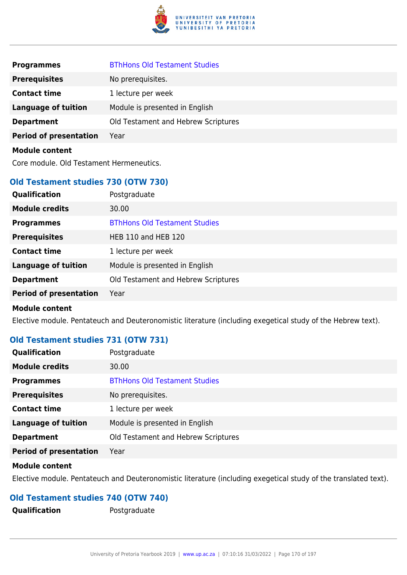

| <b>Programmes</b>                        | <b>BThHons Old Testament Studies</b> |
|------------------------------------------|--------------------------------------|
| <b>Prerequisites</b>                     | No prerequisites.                    |
| <b>Contact time</b>                      | 1 lecture per week                   |
| <b>Language of tuition</b>               | Module is presented in English       |
| <b>Department</b>                        | Old Testament and Hebrew Scriptures  |
| <b>Period of presentation</b>            | Year                                 |
| <b>Module content</b>                    |                                      |
| Core module. Old Testament Hermeneutics. |                                      |

### **Old Testament studies 730 (OTW 730)**

| Qualification                 | Postgraduate                         |
|-------------------------------|--------------------------------------|
| <b>Module credits</b>         | 30.00                                |
| <b>Programmes</b>             | <b>BThHons Old Testament Studies</b> |
| <b>Prerequisites</b>          | <b>HEB 110 and HEB 120</b>           |
| <b>Contact time</b>           | 1 lecture per week                   |
| <b>Language of tuition</b>    | Module is presented in English       |
| <b>Department</b>             | Old Testament and Hebrew Scriptures  |
| <b>Period of presentation</b> | Year                                 |
| <b>Module content</b>         |                                      |

Elective module. Pentateuch and Deuteronomistic literature (including exegetical study of the Hebrew text).

# **Old Testament studies 731 (OTW 731)**

| Qualification                 | Postgraduate                         |
|-------------------------------|--------------------------------------|
| <b>Module credits</b>         | 30.00                                |
| <b>Programmes</b>             | <b>BThHons Old Testament Studies</b> |
| <b>Prerequisites</b>          | No prerequisites.                    |
| <b>Contact time</b>           | 1 lecture per week                   |
| <b>Language of tuition</b>    | Module is presented in English       |
| <b>Department</b>             | Old Testament and Hebrew Scriptures  |
| <b>Period of presentation</b> | Year                                 |

### **Module content**

Elective module. Pentateuch and Deuteronomistic literature (including exegetical study of the translated text).

## **Old Testament studies 740 (OTW 740)**

**Qualification** Postgraduate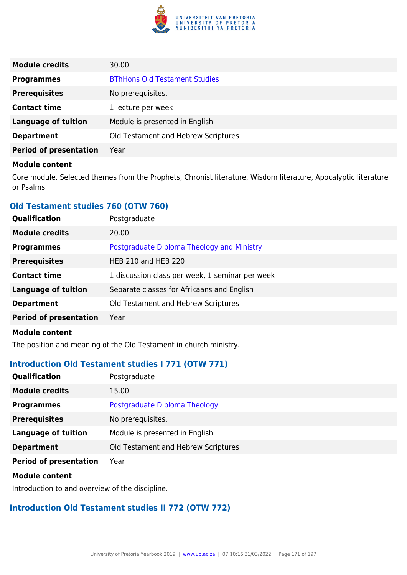

| <b>Module credits</b>         | 30.00                                |
|-------------------------------|--------------------------------------|
| <b>Programmes</b>             | <b>BThHons Old Testament Studies</b> |
| <b>Prerequisites</b>          | No prerequisites.                    |
| <b>Contact time</b>           | 1 lecture per week                   |
| <b>Language of tuition</b>    | Module is presented in English       |
| <b>Department</b>             | Old Testament and Hebrew Scriptures  |
| <b>Period of presentation</b> | Year                                 |

Core module. Selected themes from the Prophets, Chronist literature, Wisdom literature, Apocalyptic literature or Psalms.

## **Old Testament studies 760 (OTW 760)**

| Qualification                 | Postgraduate                                    |
|-------------------------------|-------------------------------------------------|
| <b>Module credits</b>         | 20.00                                           |
| <b>Programmes</b>             | Postgraduate Diploma Theology and Ministry      |
| <b>Prerequisites</b>          | <b>HEB 210 and HEB 220</b>                      |
| <b>Contact time</b>           | 1 discussion class per week, 1 seminar per week |
| <b>Language of tuition</b>    | Separate classes for Afrikaans and English      |
| <b>Department</b>             | Old Testament and Hebrew Scriptures             |
| <b>Period of presentation</b> | Year                                            |
| <b>Module content</b>         |                                                 |

The position and meaning of the Old Testament in church ministry.

### **Introduction Old Testament studies I 771 (OTW 771)**

| Qualification                 | Postgraduate                        |
|-------------------------------|-------------------------------------|
| <b>Module credits</b>         | 15.00                               |
| <b>Programmes</b>             | Postgraduate Diploma Theology       |
| <b>Prerequisites</b>          | No prerequisites.                   |
| <b>Language of tuition</b>    | Module is presented in English      |
| <b>Department</b>             | Old Testament and Hebrew Scriptures |
| <b>Period of presentation</b> | Year                                |

#### **Module content**

Introduction to and overview of the discipline.

## **Introduction Old Testament studies II 772 (OTW 772)**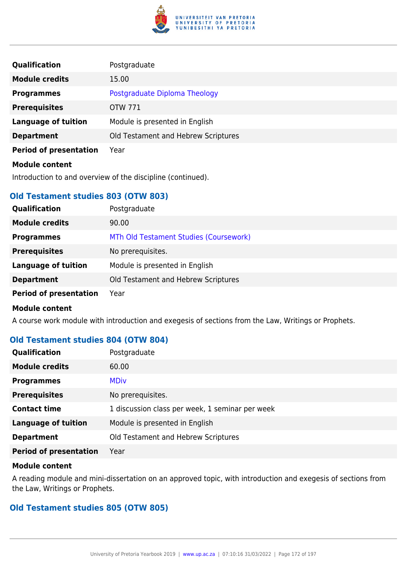

| Qualification                 | Postgraduate                        |
|-------------------------------|-------------------------------------|
| <b>Module credits</b>         | 15.00                               |
| <b>Programmes</b>             | Postgraduate Diploma Theology       |
| <b>Prerequisites</b>          | OTW 771                             |
| <b>Language of tuition</b>    | Module is presented in English      |
| <b>Department</b>             | Old Testament and Hebrew Scriptures |
| <b>Period of presentation</b> | Year                                |
| <b>Module content</b>         |                                     |

Introduction to and overview of the discipline (continued).

## **Old Testament studies 803 (OTW 803)**

| Qualification                 | Postgraduate                           |
|-------------------------------|----------------------------------------|
| <b>Module credits</b>         | 90.00                                  |
| <b>Programmes</b>             | MTh Old Testament Studies (Coursework) |
| <b>Prerequisites</b>          | No prerequisites.                      |
| <b>Language of tuition</b>    | Module is presented in English         |
| <b>Department</b>             | Old Testament and Hebrew Scriptures    |
| <b>Period of presentation</b> | Year                                   |
| <b>Module content</b>         |                                        |

A course work module with introduction and exegesis of sections from the Law, Writings or Prophets.

## **Old Testament studies 804 (OTW 804)**

| Qualification                 | Postgraduate                                    |
|-------------------------------|-------------------------------------------------|
| <b>Module credits</b>         | 60.00                                           |
| <b>Programmes</b>             | <b>MDiv</b>                                     |
| <b>Prerequisites</b>          | No prerequisites.                               |
| <b>Contact time</b>           | 1 discussion class per week, 1 seminar per week |
| <b>Language of tuition</b>    | Module is presented in English                  |
| <b>Department</b>             | Old Testament and Hebrew Scriptures             |
| <b>Period of presentation</b> | Year                                            |

#### **Module content**

A reading module and mini-dissertation on an approved topic, with introduction and exegesis of sections from the Law, Writings or Prophets.

## **Old Testament studies 805 (OTW 805)**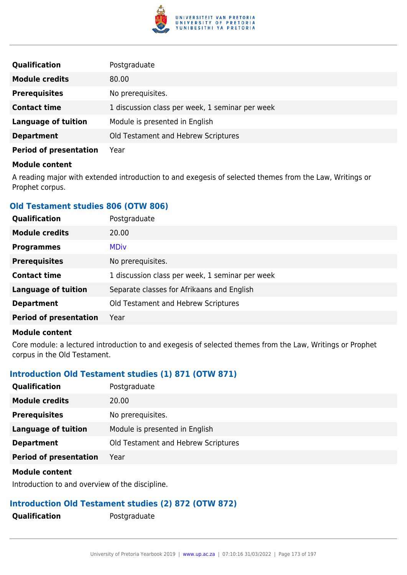

| <b>Qualification</b>          | Postgraduate                                    |
|-------------------------------|-------------------------------------------------|
| <b>Module credits</b>         | 80.00                                           |
| <b>Prerequisites</b>          | No prerequisites.                               |
| <b>Contact time</b>           | 1 discussion class per week, 1 seminar per week |
| <b>Language of tuition</b>    | Module is presented in English                  |
| <b>Department</b>             | Old Testament and Hebrew Scriptures             |
| <b>Period of presentation</b> | Year                                            |

A reading major with extended introduction to and exegesis of selected themes from the Law, Writings or Prophet corpus.

## **Old Testament studies 806 (OTW 806)**

| <b>Qualification</b>          | Postgraduate                                    |
|-------------------------------|-------------------------------------------------|
| <b>Module credits</b>         | 20.00                                           |
| <b>Programmes</b>             | <b>MDiv</b>                                     |
| <b>Prerequisites</b>          | No prerequisites.                               |
| <b>Contact time</b>           | 1 discussion class per week, 1 seminar per week |
| <b>Language of tuition</b>    | Separate classes for Afrikaans and English      |
| <b>Department</b>             | Old Testament and Hebrew Scriptures             |
| <b>Period of presentation</b> | Year                                            |
|                               |                                                 |

#### **Module content**

Core module: a lectured introduction to and exegesis of selected themes from the Law, Writings or Prophet corpus in the Old Testament.

## **Introduction Old Testament studies (1) 871 (OTW 871)**

| <b>Qualification</b>          | Postgraduate                        |
|-------------------------------|-------------------------------------|
| <b>Module credits</b>         | 20.00                               |
| <b>Prerequisites</b>          | No prerequisites.                   |
| Language of tuition           | Module is presented in English      |
| <b>Department</b>             | Old Testament and Hebrew Scriptures |
| <b>Period of presentation</b> | Year                                |

#### **Module content**

Introduction to and overview of the discipline.

### **Introduction Old Testament studies (2) 872 (OTW 872)**

**Qualification** Postgraduate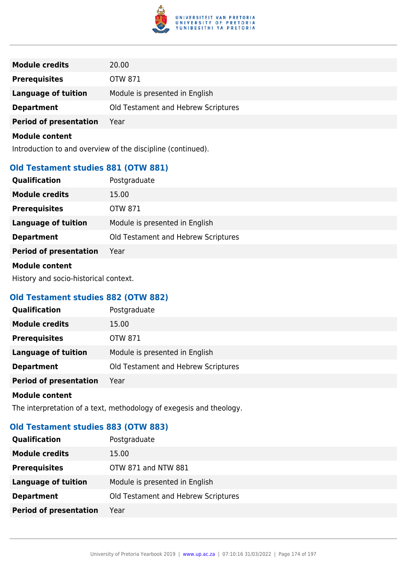

| <b>Module credits</b>         | 20.00                               |
|-------------------------------|-------------------------------------|
| <b>Prerequisites</b>          | OTW 871                             |
| <b>Language of tuition</b>    | Module is presented in English      |
| <b>Department</b>             | Old Testament and Hebrew Scriptures |
| <b>Period of presentation</b> | Year                                |

Introduction to and overview of the discipline (continued).

## **Old Testament studies 881 (OTW 881)**

| Qualification                 | Postgraduate                        |
|-------------------------------|-------------------------------------|
| <b>Module credits</b>         | 15.00                               |
| <b>Prerequisites</b>          | <b>OTW 871</b>                      |
| <b>Language of tuition</b>    | Module is presented in English      |
| <b>Department</b>             | Old Testament and Hebrew Scriptures |
| <b>Period of presentation</b> | Year                                |
|                               |                                     |

### **Module content**

History and socio-historical context.

## **Old Testament studies 882 (OTW 882)**

| Qualification                 | Postgraduate                        |
|-------------------------------|-------------------------------------|
| <b>Module credits</b>         | 15.00                               |
| <b>Prerequisites</b>          | <b>OTW 871</b>                      |
| <b>Language of tuition</b>    | Module is presented in English      |
| <b>Department</b>             | Old Testament and Hebrew Scriptures |
| <b>Period of presentation</b> | Year                                |
| <b>Module content</b>         |                                     |

The interpretation of a text, methodology of exegesis and theology.

## **Old Testament studies 883 (OTW 883)**

| <b>Qualification</b>          | Postgraduate                        |
|-------------------------------|-------------------------------------|
| <b>Module credits</b>         | 15.00                               |
| <b>Prerequisites</b>          | OTW 871 and NTW 881                 |
| <b>Language of tuition</b>    | Module is presented in English      |
| <b>Department</b>             | Old Testament and Hebrew Scriptures |
| <b>Period of presentation</b> | Year                                |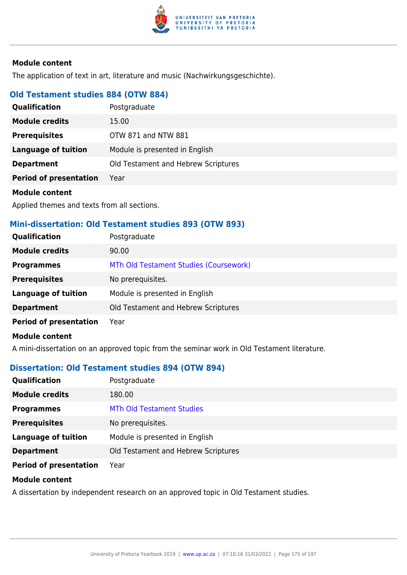

The application of text in art, literature and music (Nachwirkungsgeschichte).

## **Old Testament studies 884 (OTW 884)**

| <b>Qualification</b>          | Postgraduate                        |
|-------------------------------|-------------------------------------|
| <b>Module credits</b>         | 15.00                               |
| <b>Prerequisites</b>          | OTW 871 and NTW 881                 |
| Language of tuition           | Module is presented in English      |
| <b>Department</b>             | Old Testament and Hebrew Scriptures |
| <b>Period of presentation</b> | Year                                |

#### **Module content**

Applied themes and texts from all sections.

### **Mini-dissertation: Old Testament studies 893 (OTW 893)**

| <b>Qualification</b>          | Postgraduate                           |
|-------------------------------|----------------------------------------|
| <b>Module credits</b>         | 90.00                                  |
| <b>Programmes</b>             | MTh Old Testament Studies (Coursework) |
| <b>Prerequisites</b>          | No prerequisites.                      |
| <b>Language of tuition</b>    | Module is presented in English         |
| <b>Department</b>             | Old Testament and Hebrew Scriptures    |
| <b>Period of presentation</b> | Year                                   |

### **Module content**

A mini-dissertation on an approved topic from the seminar work in Old Testament literature.

### **Dissertation: Old Testament studies 894 (OTW 894)**

| <b>Qualification</b>          | Postgraduate                        |
|-------------------------------|-------------------------------------|
| <b>Module credits</b>         | 180.00                              |
| <b>Programmes</b>             | <b>MTh Old Testament Studies</b>    |
| <b>Prerequisites</b>          | No prerequisites.                   |
| <b>Language of tuition</b>    | Module is presented in English      |
| <b>Department</b>             | Old Testament and Hebrew Scriptures |
| <b>Period of presentation</b> | Year                                |

#### **Module content**

A dissertation by independent research on an approved topic in Old Testament studies.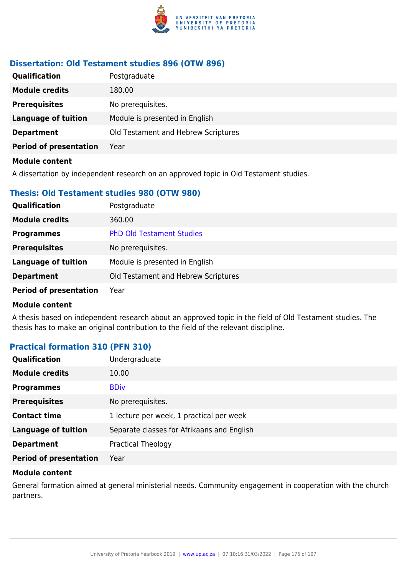

## **Dissertation: Old Testament studies 896 (OTW 896)**

| <b>Qualification</b>          | Postgraduate                        |
|-------------------------------|-------------------------------------|
| <b>Module credits</b>         | 180.00                              |
| <b>Prerequisites</b>          | No prerequisites.                   |
| <b>Language of tuition</b>    | Module is presented in English      |
| <b>Department</b>             | Old Testament and Hebrew Scriptures |
| <b>Period of presentation</b> | Year                                |
| <b>Module content</b>         |                                     |

A dissertation by independent research on an approved topic in Old Testament studies.

### **Thesis: Old Testament studies 980 (OTW 980)**

| <b>Qualification</b>          | Postgraduate                        |
|-------------------------------|-------------------------------------|
| <b>Module credits</b>         | 360.00                              |
| <b>Programmes</b>             | <b>PhD Old Testament Studies</b>    |
| <b>Prerequisites</b>          | No prerequisites.                   |
| <b>Language of tuition</b>    | Module is presented in English      |
| <b>Department</b>             | Old Testament and Hebrew Scriptures |
| <b>Period of presentation</b> | Year                                |

#### **Module content**

A thesis based on independent research about an approved topic in the field of Old Testament studies. The thesis has to make an original contribution to the field of the relevant discipline.

### **Practical formation 310 (PFN 310)**

| Qualification                 | Undergraduate                              |
|-------------------------------|--------------------------------------------|
| <b>Module credits</b>         | 10.00                                      |
| <b>Programmes</b>             | <b>BDiv</b>                                |
| <b>Prerequisites</b>          | No prerequisites.                          |
| <b>Contact time</b>           | 1 lecture per week, 1 practical per week   |
| <b>Language of tuition</b>    | Separate classes for Afrikaans and English |
| <b>Department</b>             | Practical Theology                         |
| <b>Period of presentation</b> | Year                                       |

#### **Module content**

General formation aimed at general ministerial needs. Community engagement in cooperation with the church partners.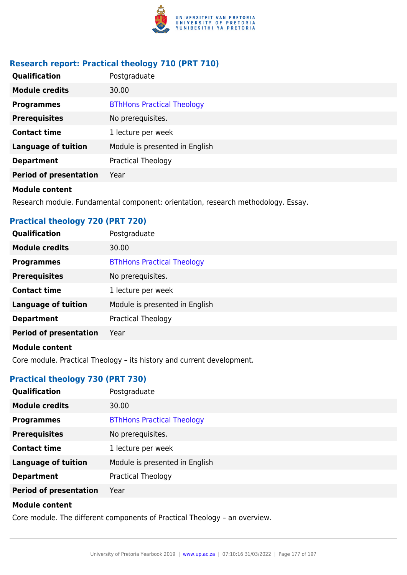

# **Research report: Practical theology 710 (PRT 710)**

| Qualification                 | Postgraduate                      |
|-------------------------------|-----------------------------------|
| <b>Module credits</b>         | 30.00                             |
| <b>Programmes</b>             | <b>BThHons Practical Theology</b> |
| <b>Prerequisites</b>          | No prerequisites.                 |
| <b>Contact time</b>           | 1 lecture per week                |
| <b>Language of tuition</b>    | Module is presented in English    |
| <b>Department</b>             | Practical Theology                |
| <b>Period of presentation</b> | Year                              |

#### **Module content**

Research module. Fundamental component: orientation, research methodology. Essay.

## **Practical theology 720 (PRT 720)**

| Qualification                 | Postgraduate                      |
|-------------------------------|-----------------------------------|
| <b>Module credits</b>         | 30.00                             |
| <b>Programmes</b>             | <b>BThHons Practical Theology</b> |
| <b>Prerequisites</b>          | No prerequisites.                 |
| <b>Contact time</b>           | 1 lecture per week                |
| <b>Language of tuition</b>    | Module is presented in English    |
| <b>Department</b>             | Practical Theology                |
| <b>Period of presentation</b> | Year                              |
| Madula aantant                |                                   |

#### **Module content**

Core module. Practical Theology – its history and current development.

# **Practical theology 730 (PRT 730)**

| Qualification                 | Postgraduate                      |
|-------------------------------|-----------------------------------|
| <b>Module credits</b>         | 30.00                             |
| <b>Programmes</b>             | <b>BThHons Practical Theology</b> |
| <b>Prerequisites</b>          | No prerequisites.                 |
| <b>Contact time</b>           | 1 lecture per week                |
| <b>Language of tuition</b>    | Module is presented in English    |
| <b>Department</b>             | <b>Practical Theology</b>         |
| <b>Period of presentation</b> | Year                              |
|                               |                                   |

### **Module content**

Core module. The different components of Practical Theology – an overview.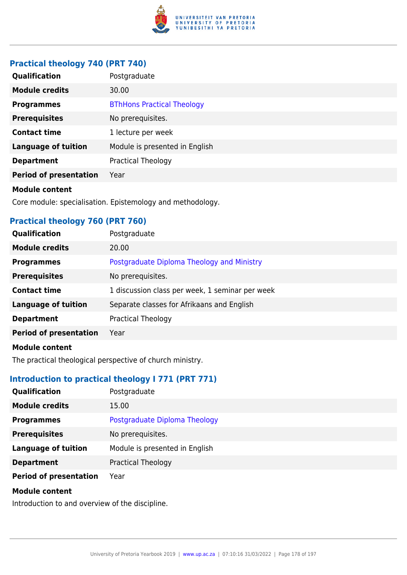

## **Practical theology 740 (PRT 740)**

| Qualification                 | Postgraduate                      |
|-------------------------------|-----------------------------------|
| <b>Module credits</b>         | 30.00                             |
| <b>Programmes</b>             | <b>BThHons Practical Theology</b> |
| <b>Prerequisites</b>          | No prerequisites.                 |
| <b>Contact time</b>           | 1 lecture per week                |
| <b>Language of tuition</b>    | Module is presented in English    |
| <b>Department</b>             | <b>Practical Theology</b>         |
| <b>Period of presentation</b> | Year                              |
| <b>Module content</b>         |                                   |

Core module: specialisation. Epistemology and methodology.

## **Practical theology 760 (PRT 760)**

| <b>Qualification</b>          | Postgraduate                                    |
|-------------------------------|-------------------------------------------------|
| <b>Module credits</b>         | 20.00                                           |
| <b>Programmes</b>             | Postgraduate Diploma Theology and Ministry      |
| <b>Prerequisites</b>          | No prerequisites.                               |
| <b>Contact time</b>           | 1 discussion class per week, 1 seminar per week |
| <b>Language of tuition</b>    | Separate classes for Afrikaans and English      |
| <b>Department</b>             | Practical Theology                              |
| <b>Period of presentation</b> | Year                                            |
|                               |                                                 |

### **Module content**

The practical theological perspective of church ministry.

# **Introduction to practical theology I 771 (PRT 771)**

| Qualification                 | Postgraduate                   |
|-------------------------------|--------------------------------|
| <b>Module credits</b>         | 15.00                          |
| <b>Programmes</b>             | Postgraduate Diploma Theology  |
| <b>Prerequisites</b>          | No prerequisites.              |
| <b>Language of tuition</b>    | Module is presented in English |
| <b>Department</b>             | <b>Practical Theology</b>      |
| <b>Period of presentation</b> | Year                           |
| <b>Module content</b>         |                                |
|                               |                                |

Introduction to and overview of the discipline.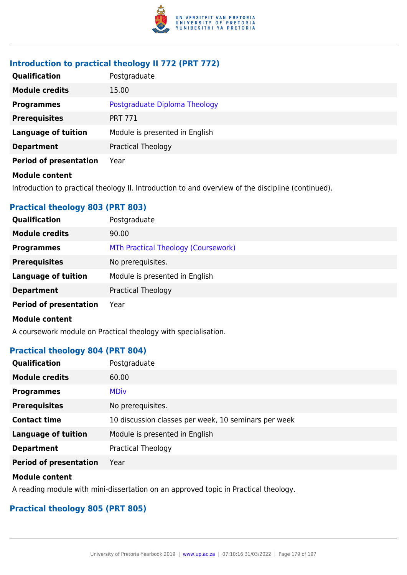

## **Introduction to practical theology II 772 (PRT 772)**

| <b>Qualification</b>          | Postgraduate                   |
|-------------------------------|--------------------------------|
| <b>Module credits</b>         | 15.00                          |
| <b>Programmes</b>             | Postgraduate Diploma Theology  |
| <b>Prerequisites</b>          | <b>PRT 771</b>                 |
| <b>Language of tuition</b>    | Module is presented in English |
| <b>Department</b>             | <b>Practical Theology</b>      |
| <b>Period of presentation</b> | Year                           |
| <b>Module content</b>         |                                |

Introduction to practical theology II. Introduction to and overview of the discipline (continued).

## **Practical theology 803 (PRT 803)**

| Postgraduate                        |
|-------------------------------------|
| 90.00                               |
| MTh Practical Theology (Coursework) |
| No prerequisites.                   |
| Module is presented in English      |
| <b>Practical Theology</b>           |
| Year                                |
|                                     |
|                                     |

A coursework module on Practical theology with specialisation.

## **Practical theology 804 (PRT 804)**

| Qualification                 | Postgraduate                                         |
|-------------------------------|------------------------------------------------------|
| <b>Module credits</b>         | 60.00                                                |
| <b>Programmes</b>             | <b>MDiv</b>                                          |
| <b>Prerequisites</b>          | No prerequisites.                                    |
| <b>Contact time</b>           | 10 discussion classes per week, 10 seminars per week |
| <b>Language of tuition</b>    | Module is presented in English                       |
| <b>Department</b>             | <b>Practical Theology</b>                            |
| <b>Period of presentation</b> | Year                                                 |

### **Module content**

A reading module with mini-dissertation on an approved topic in Practical theology.

## **Practical theology 805 (PRT 805)**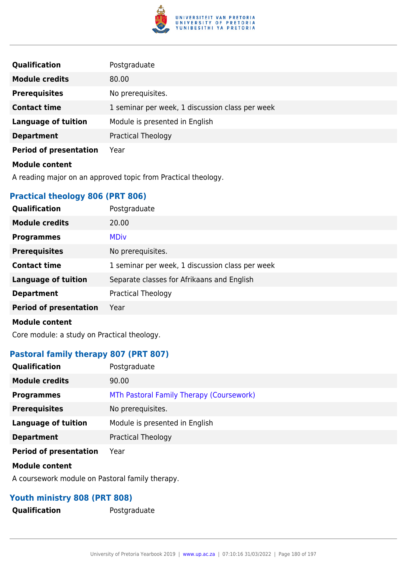

| <b>Qualification</b>          | Postgraduate                                    |
|-------------------------------|-------------------------------------------------|
| <b>Module credits</b>         | 80.00                                           |
| <b>Prerequisites</b>          | No prerequisites.                               |
| <b>Contact time</b>           | 1 seminar per week, 1 discussion class per week |
| <b>Language of tuition</b>    | Module is presented in English                  |
| <b>Department</b>             | Practical Theology                              |
| <b>Period of presentation</b> | Year                                            |
| <b>Module content</b>         |                                                 |

A reading major on an approved topic from Practical theology.

# **Practical theology 806 (PRT 806)**

| Qualification                 | Postgraduate                                    |
|-------------------------------|-------------------------------------------------|
| <b>Module credits</b>         | 20.00                                           |
| <b>Programmes</b>             | <b>MDiv</b>                                     |
| <b>Prerequisites</b>          | No prerequisites.                               |
| <b>Contact time</b>           | 1 seminar per week, 1 discussion class per week |
| <b>Language of tuition</b>    | Separate classes for Afrikaans and English      |
| <b>Department</b>             | Practical Theology                              |
| <b>Period of presentation</b> | Year                                            |
| <b>Module content</b>         |                                                 |

Core module: a study on Practical theology.

## **Pastoral family therapy 807 (PRT 807)**

| <b>Qualification</b>          | Postgraduate                             |
|-------------------------------|------------------------------------------|
| <b>Module credits</b>         | 90.00                                    |
| <b>Programmes</b>             | MTh Pastoral Family Therapy (Coursework) |
| <b>Prerequisites</b>          | No prerequisites.                        |
| <b>Language of tuition</b>    | Module is presented in English           |
| <b>Department</b>             | <b>Practical Theology</b>                |
| <b>Period of presentation</b> | Year                                     |
| <b>Module content</b>         |                                          |

A coursework module on Pastoral family therapy.

# **Youth ministry 808 (PRT 808)**

**Qualification** Postgraduate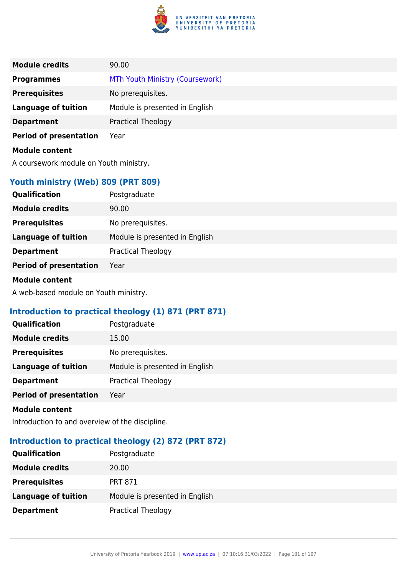

| <b>Module credits</b>                  | 90.00                           |
|----------------------------------------|---------------------------------|
| <b>Programmes</b>                      | MTh Youth Ministry (Coursework) |
| <b>Prerequisites</b>                   | No prerequisites.               |
| <b>Language of tuition</b>             | Module is presented in English  |
| <b>Department</b>                      | <b>Practical Theology</b>       |
| <b>Period of presentation</b>          | Year                            |
| <b>Module content</b>                  |                                 |
| A coursework module on Youth ministry. |                                 |

## **Youth ministry (Web) 809 (PRT 809)**

| Qualification                 | Postgraduate                   |
|-------------------------------|--------------------------------|
| <b>Module credits</b>         | 90.00                          |
| <b>Prerequisites</b>          | No prerequisites.              |
| <b>Language of tuition</b>    | Module is presented in English |
| <b>Department</b>             | <b>Practical Theology</b>      |
| <b>Period of presentation</b> | Year                           |
|                               |                                |

#### **Module content**

A web-based module on Youth ministry.

# **Introduction to practical theology (1) 871 (PRT 871)**

| Qualification                 | Postgraduate                   |
|-------------------------------|--------------------------------|
| <b>Module credits</b>         | 15.00                          |
| <b>Prerequisites</b>          | No prerequisites.              |
| <b>Language of tuition</b>    | Module is presented in English |
| <b>Department</b>             | <b>Practical Theology</b>      |
| <b>Period of presentation</b> | Year                           |

#### **Module content**

Introduction to and overview of the discipline.

# **Introduction to practical theology (2) 872 (PRT 872)**

| <b>Qualification</b>       | Postgraduate                   |
|----------------------------|--------------------------------|
| <b>Module credits</b>      | 20.00                          |
| <b>Prerequisites</b>       | <b>PRT 871</b>                 |
| <b>Language of tuition</b> | Module is presented in English |
| <b>Department</b>          | <b>Practical Theology</b>      |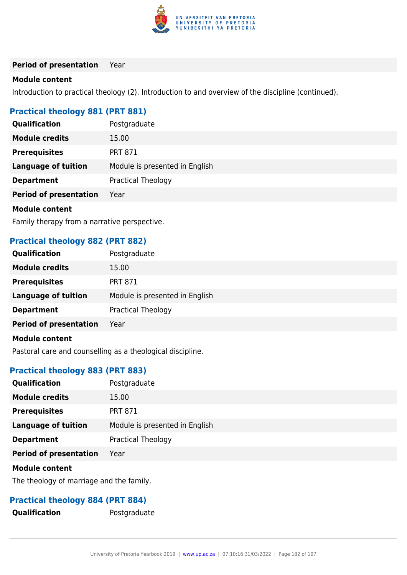

#### **Period of presentation** Year

#### **Module content**

Introduction to practical theology (2). Introduction to and overview of the discipline (continued).

## **Practical theology 881 (PRT 881)**

| Qualification                 | Postgraduate                   |
|-------------------------------|--------------------------------|
| <b>Module credits</b>         | 15.00                          |
| <b>Prerequisites</b>          | <b>PRT 871</b>                 |
| <b>Language of tuition</b>    | Module is presented in English |
| <b>Department</b>             | <b>Practical Theology</b>      |
| <b>Period of presentation</b> | Year                           |
| <b>Module content</b>         |                                |

Family therapy from a narrative perspective.

## **Practical theology 882 (PRT 882)**

| <b>Qualification</b>          | Postgraduate                   |
|-------------------------------|--------------------------------|
| <b>Module credits</b>         | 15.00                          |
| <b>Prerequisites</b>          | <b>PRT 871</b>                 |
| <b>Language of tuition</b>    | Module is presented in English |
| <b>Department</b>             | <b>Practical Theology</b>      |
| <b>Period of presentation</b> | Year                           |
| <b>Module content</b>         |                                |

Pastoral care and counselling as a theological discipline.

## **Practical theology 883 (PRT 883)**

| <b>Qualification</b>          | Postgraduate                   |
|-------------------------------|--------------------------------|
| <b>Module credits</b>         | 15.00                          |
| <b>Prerequisites</b>          | <b>PRT 871</b>                 |
| <b>Language of tuition</b>    | Module is presented in English |
| <b>Department</b>             | <b>Practical Theology</b>      |
| <b>Period of presentation</b> | Year                           |
|                               |                                |

## **Module content**

The theology of marriage and the family.

## **Practical theology 884 (PRT 884)**

**Qualification** Postgraduate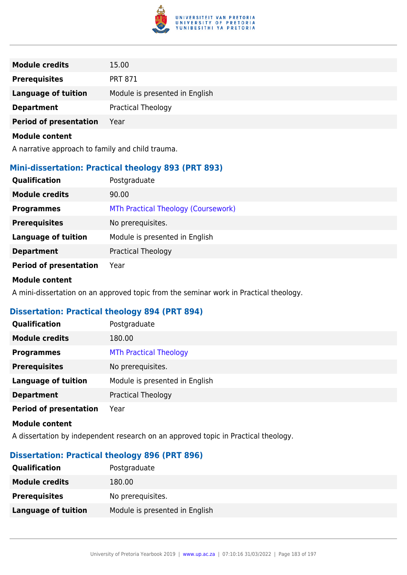

| <b>Module credits</b>         | 15.00                          |
|-------------------------------|--------------------------------|
| <b>Prerequisites</b>          | <b>PRT 871</b>                 |
| <b>Language of tuition</b>    | Module is presented in English |
| <b>Department</b>             | Practical Theology             |
| <b>Period of presentation</b> | Year                           |
| <b>Module content</b>         |                                |

A narrative approach to family and child trauma.

## **Mini-dissertation: Practical theology 893 (PRT 893)**

| <b>Qualification</b>          | Postgraduate                        |
|-------------------------------|-------------------------------------|
| <b>Module credits</b>         | 90.00                               |
| <b>Programmes</b>             | MTh Practical Theology (Coursework) |
| <b>Prerequisites</b>          | No prerequisites.                   |
| <b>Language of tuition</b>    | Module is presented in English      |
| <b>Department</b>             | <b>Practical Theology</b>           |
| <b>Period of presentation</b> | Year                                |

#### **Module content**

A mini-dissertation on an approved topic from the seminar work in Practical theology.

# **Dissertation: Practical theology 894 (PRT 894)**

| <b>Qualification</b>          | Postgraduate                   |
|-------------------------------|--------------------------------|
| <b>Module credits</b>         | 180.00                         |
| <b>Programmes</b>             | <b>MTh Practical Theology</b>  |
| <b>Prerequisites</b>          | No prerequisites.              |
| <b>Language of tuition</b>    | Module is presented in English |
| <b>Department</b>             | <b>Practical Theology</b>      |
| <b>Period of presentation</b> | Year                           |

#### **Module content**

A dissertation by independent research on an approved topic in Practical theology.

## **Dissertation: Practical theology 896 (PRT 896)**

| <b>Qualification</b>  | Postgraduate                   |
|-----------------------|--------------------------------|
| <b>Module credits</b> | 180.00                         |
| <b>Prerequisites</b>  | No prerequisites.              |
| Language of tuition   | Module is presented in English |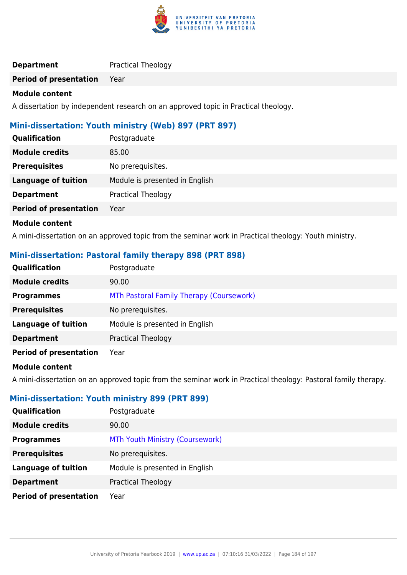

## **Department** Practical Theology

**Period of presentation** Year

#### **Module content**

A dissertation by independent research on an approved topic in Practical theology.

## **Mini-dissertation: Youth ministry (Web) 897 (PRT 897)**

| <b>Qualification</b>          | Postgraduate                   |
|-------------------------------|--------------------------------|
| <b>Module credits</b>         | 85.00                          |
| <b>Prerequisites</b>          | No prerequisites.              |
| <b>Language of tuition</b>    | Module is presented in English |
| <b>Department</b>             | <b>Practical Theology</b>      |
| <b>Period of presentation</b> | Year                           |
| <b>Module content</b>         |                                |

## A mini-dissertation on an approved topic from the seminar work in Practical theology: Youth ministry.

## **Mini-dissertation: Pastoral family therapy 898 (PRT 898)**

| Qualification                 | Postgraduate                             |
|-------------------------------|------------------------------------------|
| <b>Module credits</b>         | 90.00                                    |
| <b>Programmes</b>             | MTh Pastoral Family Therapy (Coursework) |
| <b>Prerequisites</b>          | No prerequisites.                        |
| <b>Language of tuition</b>    | Module is presented in English           |
| <b>Department</b>             | <b>Practical Theology</b>                |
| <b>Period of presentation</b> | Year                                     |
| Madula aantant                |                                          |

#### **Module content**

A mini-dissertation on an approved topic from the seminar work in Practical theology: Pastoral family therapy.

## **Mini-dissertation: Youth ministry 899 (PRT 899)**

| <b>Qualification</b>          | Postgraduate                    |
|-------------------------------|---------------------------------|
| <b>Module credits</b>         | 90.00                           |
| <b>Programmes</b>             | MTh Youth Ministry (Coursework) |
| <b>Prerequisites</b>          | No prerequisites.               |
| <b>Language of tuition</b>    | Module is presented in English  |
| <b>Department</b>             | <b>Practical Theology</b>       |
| <b>Period of presentation</b> | Year                            |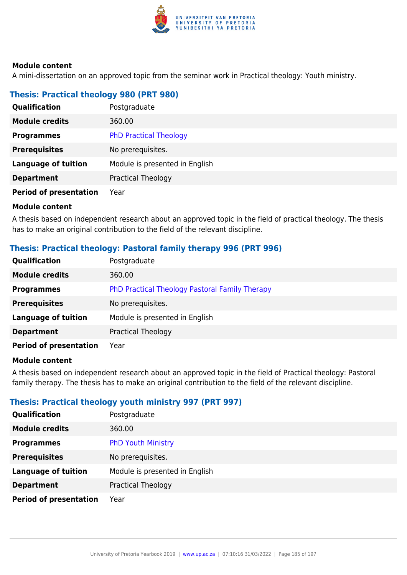

A mini-dissertation on an approved topic from the seminar work in Practical theology: Youth ministry.

## **Thesis: Practical theology 980 (PRT 980)**

| Qualification                 | Postgraduate                   |
|-------------------------------|--------------------------------|
| <b>Module credits</b>         | 360.00                         |
| <b>Programmes</b>             | <b>PhD Practical Theology</b>  |
| <b>Prerequisites</b>          | No prerequisites.              |
| <b>Language of tuition</b>    | Module is presented in English |
| <b>Department</b>             | Practical Theology             |
| <b>Period of presentation</b> | Year                           |

#### **Module content**

A thesis based on independent research about an approved topic in the field of practical theology. The thesis has to make an original contribution to the field of the relevant discipline.

## **Thesis: Practical theology: Pastoral family therapy 996 (PRT 996)**

| <b>Qualification</b>          | Postgraduate                                   |
|-------------------------------|------------------------------------------------|
| <b>Module credits</b>         | 360.00                                         |
| <b>Programmes</b>             | PhD Practical Theology Pastoral Family Therapy |
| <b>Prerequisites</b>          | No prerequisites.                              |
| Language of tuition           | Module is presented in English                 |
| <b>Department</b>             | <b>Practical Theology</b>                      |
| <b>Period of presentation</b> | Year                                           |

#### **Module content**

A thesis based on independent research about an approved topic in the field of Practical theology: Pastoral family therapy. The thesis has to make an original contribution to the field of the relevant discipline.

## **Thesis: Practical theology youth ministry 997 (PRT 997)**

| Qualification                 | Postgraduate                   |
|-------------------------------|--------------------------------|
| <b>Module credits</b>         | 360.00                         |
| <b>Programmes</b>             | <b>PhD Youth Ministry</b>      |
| <b>Prerequisites</b>          | No prerequisites.              |
| <b>Language of tuition</b>    | Module is presented in English |
| <b>Department</b>             | <b>Practical Theology</b>      |
| <b>Period of presentation</b> | Year                           |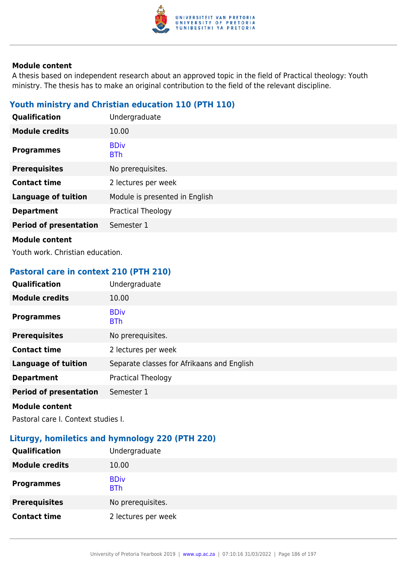

A thesis based on independent research about an approved topic in the field of Practical theology: Youth ministry. The thesis has to make an original contribution to the field of the relevant discipline.

# **Youth ministry and Christian education 110 (PTH 110)**

| Qualification                 | Undergraduate                  |
|-------------------------------|--------------------------------|
| <b>Module credits</b>         | 10.00                          |
| <b>Programmes</b>             | <b>BDiv</b><br><b>BTh</b>      |
| <b>Prerequisites</b>          | No prerequisites.              |
| <b>Contact time</b>           | 2 lectures per week            |
| <b>Language of tuition</b>    | Module is presented in English |
| <b>Department</b>             | Practical Theology             |
| <b>Period of presentation</b> | Semester 1                     |
| <b>Module content</b>         |                                |

Youth work. Christian education.

## **Pastoral care in context 210 (PTH 210)**

| Qualification                 | Undergraduate                              |
|-------------------------------|--------------------------------------------|
| <b>Module credits</b>         | 10.00                                      |
| <b>Programmes</b>             | <b>BDiv</b><br><b>BTh</b>                  |
| <b>Prerequisites</b>          | No prerequisites.                          |
| <b>Contact time</b>           | 2 lectures per week                        |
| <b>Language of tuition</b>    | Separate classes for Afrikaans and English |
| <b>Department</b>             | <b>Practical Theology</b>                  |
| <b>Period of presentation</b> | Semester 1                                 |
| <b>Module content</b>         |                                            |

Pastoral care I. Context studies I.

# **Liturgy, homiletics and hymnology 220 (PTH 220)**

| Qualification         | Undergraduate             |
|-----------------------|---------------------------|
| <b>Module credits</b> | 10.00                     |
| <b>Programmes</b>     | <b>BDiv</b><br><b>BTh</b> |
| <b>Prerequisites</b>  | No prerequisites.         |
| <b>Contact time</b>   | 2 lectures per week       |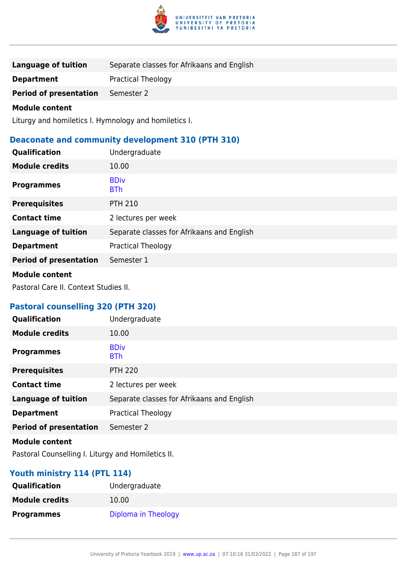

| Language of tuition           | Separate classes for Afrikaans and English |
|-------------------------------|--------------------------------------------|
| <b>Department</b>             | <b>Practical Theology</b>                  |
| <b>Period of presentation</b> | Semester 2                                 |

Liturgy and homiletics I. Hymnology and homiletics I.

# **Deaconate and community development 310 (PTH 310)**

| Qualification                 | Undergraduate                              |
|-------------------------------|--------------------------------------------|
| <b>Module credits</b>         | 10.00                                      |
| <b>Programmes</b>             | <b>BDiv</b><br><b>BTh</b>                  |
| <b>Prerequisites</b>          | <b>PTH 210</b>                             |
| <b>Contact time</b>           | 2 lectures per week                        |
| <b>Language of tuition</b>    | Separate classes for Afrikaans and English |
| <b>Department</b>             | Practical Theology                         |
| <b>Period of presentation</b> | Semester 1                                 |
|                               |                                            |

#### **Module content**

Pastoral Care II. Context Studies II.

## **Pastoral counselling 320 (PTH 320)**

| Qualification                 | Undergraduate                              |
|-------------------------------|--------------------------------------------|
| <b>Module credits</b>         | 10.00                                      |
| <b>Programmes</b>             | <b>BDiv</b><br><b>BTh</b>                  |
| <b>Prerequisites</b>          | <b>PTH 220</b>                             |
| <b>Contact time</b>           | 2 lectures per week                        |
| <b>Language of tuition</b>    | Separate classes for Afrikaans and English |
| <b>Department</b>             | Practical Theology                         |
| <b>Period of presentation</b> | Semester 2                                 |
| <b>Module content</b>         |                                            |

Pastoral Counselling I. Liturgy and Homiletics II.

## **Youth ministry 114 (PTL 114)**

| <b>Qualification</b>  | Undergraduate       |
|-----------------------|---------------------|
| <b>Module credits</b> | 10.00               |
| <b>Programmes</b>     | Diploma in Theology |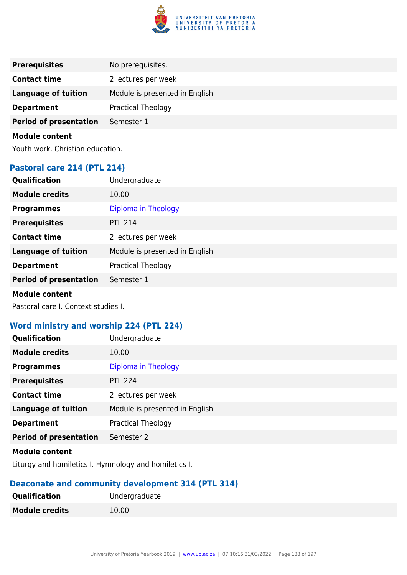

| <b>Prerequisites</b>          | No prerequisites.              |
|-------------------------------|--------------------------------|
| <b>Contact time</b>           | 2 lectures per week            |
| <b>Language of tuition</b>    | Module is presented in English |
| <b>Department</b>             | <b>Practical Theology</b>      |
| <b>Period of presentation</b> | Semester 1                     |

Youth work. Christian education.

## **Pastoral care 214 (PTL 214)**

| <b>Qualification</b>          | Undergraduate                  |
|-------------------------------|--------------------------------|
| <b>Module credits</b>         | 10.00                          |
| <b>Programmes</b>             | Diploma in Theology            |
| <b>Prerequisites</b>          | <b>PTL 214</b>                 |
| <b>Contact time</b>           | 2 lectures per week            |
| <b>Language of tuition</b>    | Module is presented in English |
| <b>Department</b>             | <b>Practical Theology</b>      |
| <b>Period of presentation</b> | Semester 1                     |
| <b>Module content</b>         |                                |

Pastoral care I. Context studies I.

## **Word ministry and worship 224 (PTL 224)**

| Qualification                 | Undergraduate                  |
|-------------------------------|--------------------------------|
| <b>Module credits</b>         | 10.00                          |
| <b>Programmes</b>             | Diploma in Theology            |
| <b>Prerequisites</b>          | <b>PTL 224</b>                 |
| <b>Contact time</b>           | 2 lectures per week            |
| <b>Language of tuition</b>    | Module is presented in English |
| <b>Department</b>             | Practical Theology             |
| <b>Period of presentation</b> | Semester 2                     |
|                               |                                |

## **Module content**

Liturgy and homiletics I. Hymnology and homiletics I.

# **Deaconate and community development 314 (PTL 314)**

| <b>Qualification</b>  | Undergraduate |
|-----------------------|---------------|
| <b>Module credits</b> | 10.00         |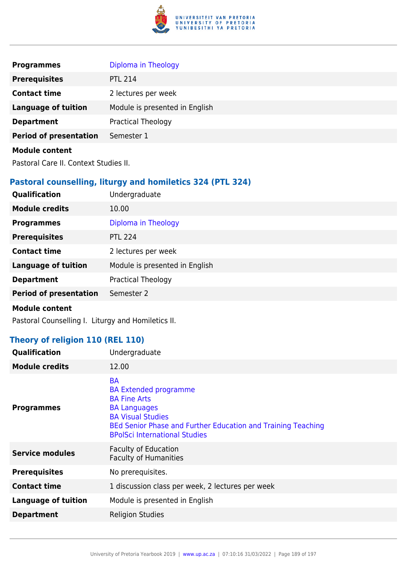

| <b>Programmes</b>             | Diploma in Theology            |
|-------------------------------|--------------------------------|
| <b>Prerequisites</b>          | <b>PTL 214</b>                 |
| <b>Contact time</b>           | 2 lectures per week            |
| <b>Language of tuition</b>    | Module is presented in English |
| <b>Department</b>             | <b>Practical Theology</b>      |
| <b>Period of presentation</b> | Semester 1                     |
| <b>Module content</b>         |                                |

Pastoral Care II. Context Studies II.

## **Pastoral counselling, liturgy and homiletics 324 (PTL 324)**

| Qualification                 | Undergraduate                  |
|-------------------------------|--------------------------------|
| <b>Module credits</b>         | 10.00                          |
| <b>Programmes</b>             | Diploma in Theology            |
| <b>Prerequisites</b>          | <b>PTL 224</b>                 |
| <b>Contact time</b>           | 2 lectures per week            |
| <b>Language of tuition</b>    | Module is presented in English |
| <b>Department</b>             | <b>Practical Theology</b>      |
| <b>Period of presentation</b> | Semester 2                     |
| <b>Module content</b>         |                                |

Pastoral Counselling I. Liturgy and Homiletics II.

## **Theory of religion 110 (REL 110)**

| Qualification              | Undergraduate                                                                                                                                                                                                               |
|----------------------------|-----------------------------------------------------------------------------------------------------------------------------------------------------------------------------------------------------------------------------|
| <b>Module credits</b>      | 12.00                                                                                                                                                                                                                       |
| <b>Programmes</b>          | <b>BA</b><br><b>BA Extended programme</b><br><b>BA Fine Arts</b><br><b>BA Languages</b><br><b>BA Visual Studies</b><br>BEd Senior Phase and Further Education and Training Teaching<br><b>BPolSci International Studies</b> |
| <b>Service modules</b>     | <b>Faculty of Education</b><br><b>Faculty of Humanities</b>                                                                                                                                                                 |
| <b>Prerequisites</b>       | No prerequisites.                                                                                                                                                                                                           |
| <b>Contact time</b>        | 1 discussion class per week, 2 lectures per week                                                                                                                                                                            |
| <b>Language of tuition</b> | Module is presented in English                                                                                                                                                                                              |
| <b>Department</b>          | <b>Religion Studies</b>                                                                                                                                                                                                     |
|                            |                                                                                                                                                                                                                             |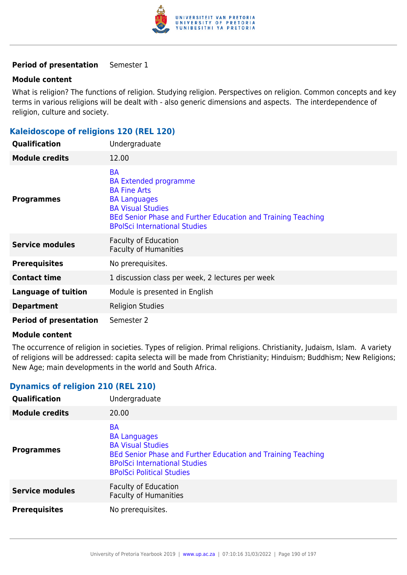

#### **Period of presentation** Semester 1

#### **Module content**

What is religion? The functions of religion. Studying religion. Perspectives on religion. Common concepts and key terms in various religions will be dealt with - also generic dimensions and aspects. The interdependence of religion, culture and society.

## **Kaleidoscope of religions 120 (REL 120)**

| <b>Qualification</b>          | Undergraduate                                                                                                                                                                                                               |
|-------------------------------|-----------------------------------------------------------------------------------------------------------------------------------------------------------------------------------------------------------------------------|
| <b>Module credits</b>         | 12.00                                                                                                                                                                                                                       |
| <b>Programmes</b>             | <b>BA</b><br><b>BA Extended programme</b><br><b>BA Fine Arts</b><br><b>BA Languages</b><br><b>BA Visual Studies</b><br>BEd Senior Phase and Further Education and Training Teaching<br><b>BPolSci International Studies</b> |
| <b>Service modules</b>        | <b>Faculty of Education</b><br><b>Faculty of Humanities</b>                                                                                                                                                                 |
| <b>Prerequisites</b>          | No prerequisites.                                                                                                                                                                                                           |
| <b>Contact time</b>           | 1 discussion class per week, 2 lectures per week                                                                                                                                                                            |
| <b>Language of tuition</b>    | Module is presented in English                                                                                                                                                                                              |
| <b>Department</b>             | <b>Religion Studies</b>                                                                                                                                                                                                     |
| <b>Period of presentation</b> | Semester 2                                                                                                                                                                                                                  |

#### **Module content**

The occurrence of religion in societies. Types of religion. Primal religions. Christianity, Judaism, Islam. A variety of religions will be addressed: capita selecta will be made from Christianity; Hinduism; Buddhism; New Religions; New Age; main developments in the world and South Africa.

## **Dynamics of religion 210 (REL 210)**

| Qualification          | Undergraduate                                                                                                                                                                                            |
|------------------------|----------------------------------------------------------------------------------------------------------------------------------------------------------------------------------------------------------|
| <b>Module credits</b>  | 20.00                                                                                                                                                                                                    |
| <b>Programmes</b>      | <b>BA</b><br><b>BA Languages</b><br><b>BA Visual Studies</b><br>BEd Senior Phase and Further Education and Training Teaching<br><b>BPolSci International Studies</b><br><b>BPolSci Political Studies</b> |
| <b>Service modules</b> | <b>Faculty of Education</b><br><b>Faculty of Humanities</b>                                                                                                                                              |
| <b>Prerequisites</b>   | No prerequisites.                                                                                                                                                                                        |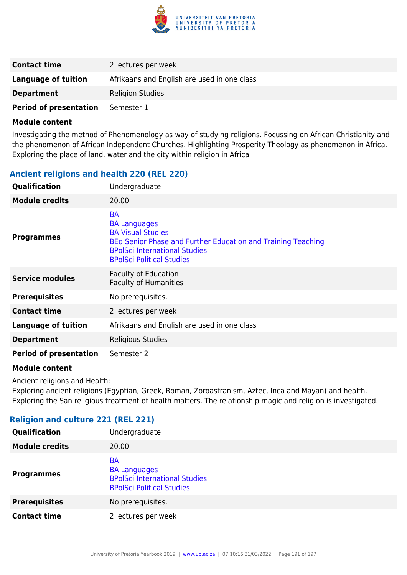

| <b>Contact time</b>           | 2 lectures per week                         |
|-------------------------------|---------------------------------------------|
| Language of tuition           | Afrikaans and English are used in one class |
| <b>Department</b>             | <b>Religion Studies</b>                     |
| <b>Period of presentation</b> | Semester 1                                  |

Investigating the method of Phenomenology as way of studying religions. Focussing on African Christianity and the phenomenon of African Independent Churches. Highlighting Prosperity Theology as phenomenon in Africa. Exploring the place of land, water and the city within religion in Africa

## **Ancient religions and health 220 (REL 220)**

| Qualification                 | Undergraduate                                                                                                                                                                                            |
|-------------------------------|----------------------------------------------------------------------------------------------------------------------------------------------------------------------------------------------------------|
| <b>Module credits</b>         | 20.00                                                                                                                                                                                                    |
| <b>Programmes</b>             | <b>BA</b><br><b>BA Languages</b><br><b>BA Visual Studies</b><br>BEd Senior Phase and Further Education and Training Teaching<br><b>BPolSci International Studies</b><br><b>BPolSci Political Studies</b> |
| <b>Service modules</b>        | <b>Faculty of Education</b><br><b>Faculty of Humanities</b>                                                                                                                                              |
| <b>Prerequisites</b>          | No prerequisites.                                                                                                                                                                                        |
| <b>Contact time</b>           | 2 lectures per week                                                                                                                                                                                      |
| <b>Language of tuition</b>    | Afrikaans and English are used in one class                                                                                                                                                              |
| <b>Department</b>             | Religious Studies                                                                                                                                                                                        |
| <b>Period of presentation</b> | Semester 2                                                                                                                                                                                               |

#### **Module content**

Ancient religions and Health:

Exploring ancient religions (Egyptian, Greek, Roman, Zoroastranism, Aztec, Inca and Mayan) and health. Exploring the San religious treatment of health matters. The relationship magic and religion is investigated.

## **Religion and culture 221 (REL 221)**

| Qualification         | Undergraduate                                                                                                |
|-----------------------|--------------------------------------------------------------------------------------------------------------|
| <b>Module credits</b> | 20.00                                                                                                        |
| <b>Programmes</b>     | <b>BA</b><br><b>BA Languages</b><br><b>BPolSci International Studies</b><br><b>BPolSci Political Studies</b> |
| <b>Prerequisites</b>  | No prerequisites.                                                                                            |
| <b>Contact time</b>   | 2 lectures per week                                                                                          |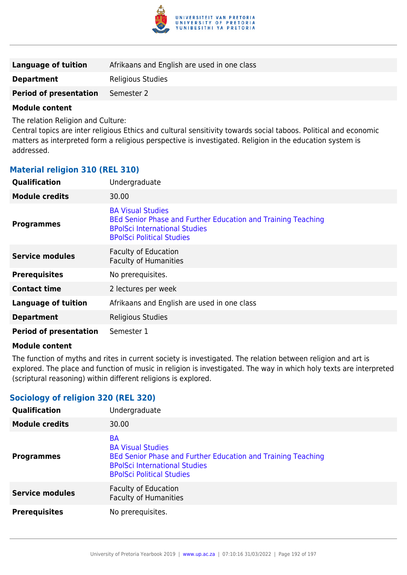

| Language of tuition           | Afrikaans and English are used in one class |
|-------------------------------|---------------------------------------------|
| <b>Department</b>             | Religious Studies                           |
| <b>Period of presentation</b> | Semester 2                                  |

The relation Religion and Culture:

Central topics are inter religious Ethics and cultural sensitivity towards social taboos. Political and economic matters as interpreted form a religious perspective is investigated. Religion in the education system is addressed.

## **Material religion 310 (REL 310)**

| Qualification                 | Undergraduate                                                                                                                                                        |
|-------------------------------|----------------------------------------------------------------------------------------------------------------------------------------------------------------------|
| <b>Module credits</b>         | 30.00                                                                                                                                                                |
| <b>Programmes</b>             | <b>BA Visual Studies</b><br>BEd Senior Phase and Further Education and Training Teaching<br><b>BPolSci International Studies</b><br><b>BPolSci Political Studies</b> |
| <b>Service modules</b>        | <b>Faculty of Education</b><br><b>Faculty of Humanities</b>                                                                                                          |
| <b>Prerequisites</b>          | No prerequisites.                                                                                                                                                    |
| <b>Contact time</b>           | 2 lectures per week                                                                                                                                                  |
| <b>Language of tuition</b>    | Afrikaans and English are used in one class                                                                                                                          |
| <b>Department</b>             | Religious Studies                                                                                                                                                    |
| <b>Period of presentation</b> | Semester 1                                                                                                                                                           |

## **Module content**

The function of myths and rites in current society is investigated. The relation between religion and art is explored. The place and function of music in religion is investigated. The way in which holy texts are interpreted (scriptural reasoning) within different religions is explored.

## **Sociology of religion 320 (REL 320)**

| <b>Qualification</b>   | Undergraduate                                                                                                                                                                     |
|------------------------|-----------------------------------------------------------------------------------------------------------------------------------------------------------------------------------|
| <b>Module credits</b>  | 30.00                                                                                                                                                                             |
| <b>Programmes</b>      | <b>BA</b><br><b>BA Visual Studies</b><br>BEd Senior Phase and Further Education and Training Teaching<br><b>BPolSci International Studies</b><br><b>BPolSci Political Studies</b> |
| <b>Service modules</b> | <b>Faculty of Education</b><br><b>Faculty of Humanities</b>                                                                                                                       |
| <b>Prerequisites</b>   | No prerequisites.                                                                                                                                                                 |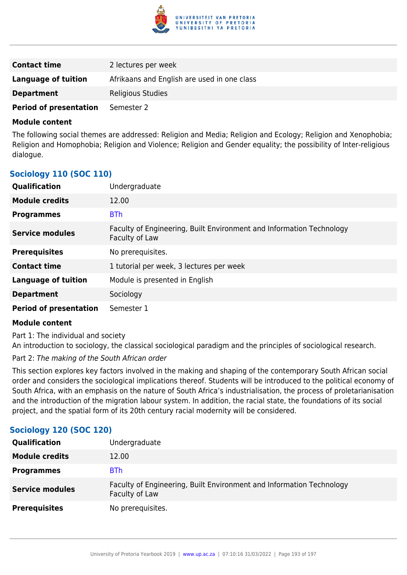

| <b>Contact time</b>           | 2 lectures per week                         |
|-------------------------------|---------------------------------------------|
| Language of tuition           | Afrikaans and English are used in one class |
| <b>Department</b>             | <b>Religious Studies</b>                    |
| <b>Period of presentation</b> | Semester 2                                  |

The following social themes are addressed: Religion and Media; Religion and Ecology; Religion and Xenophobia; Religion and Homophobia; Religion and Violence; Religion and Gender equality; the possibility of Inter-religious dialogue.

| <b>Qualification</b>          | Undergraduate                                                                          |
|-------------------------------|----------------------------------------------------------------------------------------|
| <b>Module credits</b>         | 12.00                                                                                  |
| <b>Programmes</b>             | <b>BTh</b>                                                                             |
| <b>Service modules</b>        | Faculty of Engineering, Built Environment and Information Technology<br>Faculty of Law |
| <b>Prerequisites</b>          | No prerequisites.                                                                      |
| <b>Contact time</b>           | 1 tutorial per week, 3 lectures per week                                               |
| <b>Language of tuition</b>    | Module is presented in English                                                         |
| <b>Department</b>             | Sociology                                                                              |
| <b>Period of presentation</b> | Semester 1                                                                             |

## **Sociology 110 (SOC 110)**

## **Module content**

Part 1: The individual and society

An introduction to sociology, the classical sociological paradigm and the principles of sociological research.

Part 2: The making of the South African order

This section explores key factors involved in the making and shaping of the contemporary South African social order and considers the sociological implications thereof. Students will be introduced to the political economy of South Africa, with an emphasis on the nature of South Africa's industrialisation, the process of proletarianisation and the introduction of the migration labour system. In addition, the racial state, the foundations of its social project, and the spatial form of its 20th century racial modernity will be considered.

## **Sociology 120 (SOC 120)**

| Qualification          | Undergraduate                                                                          |
|------------------------|----------------------------------------------------------------------------------------|
| <b>Module credits</b>  | 12.00                                                                                  |
| <b>Programmes</b>      | <b>BTh</b>                                                                             |
| <b>Service modules</b> | Faculty of Engineering, Built Environment and Information Technology<br>Faculty of Law |
| <b>Prerequisites</b>   | No prerequisites.                                                                      |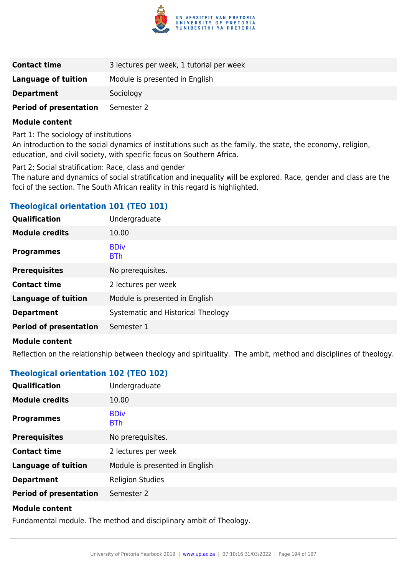

| <b>Contact time</b>           | 3 lectures per week, 1 tutorial per week |
|-------------------------------|------------------------------------------|
| Language of tuition           | Module is presented in English           |
| <b>Department</b>             | Sociology                                |
| <b>Period of presentation</b> | Semester 2                               |

Part 1: The sociology of institutions

An introduction to the social dynamics of institutions such as the family, the state, the economy, religion, education, and civil society, with specific focus on Southern Africa.

Part 2: Social stratification: Race, class and gender

The nature and dynamics of social stratification and inequality will be explored. Race, gender and class are the foci of the section. The South African reality in this regard is highlighted.

# **Theological orientation 101 (TEO 101)**

| Qualification                 | Undergraduate                      |
|-------------------------------|------------------------------------|
| <b>Module credits</b>         | 10.00                              |
| <b>Programmes</b>             | <b>BDiv</b><br><b>BTh</b>          |
| <b>Prerequisites</b>          | No prerequisites.                  |
| <b>Contact time</b>           | 2 lectures per week                |
| <b>Language of tuition</b>    | Module is presented in English     |
| <b>Department</b>             | Systematic and Historical Theology |
| <b>Period of presentation</b> | Semester 1                         |
| <b>Module content</b>         |                                    |

Reflection on the relationship between theology and spirituality. The ambit, method and disciplines of theology.

## **Theological orientation 102 (TEO 102)**

| Qualification                 | Undergraduate                  |
|-------------------------------|--------------------------------|
| <b>Module credits</b>         | 10.00                          |
| <b>Programmes</b>             | <b>BDiv</b><br><b>BTh</b>      |
| <b>Prerequisites</b>          | No prerequisites.              |
| <b>Contact time</b>           | 2 lectures per week            |
| <b>Language of tuition</b>    | Module is presented in English |
| <b>Department</b>             | <b>Religion Studies</b>        |
| <b>Period of presentation</b> | Semester 2                     |
|                               |                                |

#### **Module content**

Fundamental module. The method and disciplinary ambit of Theology.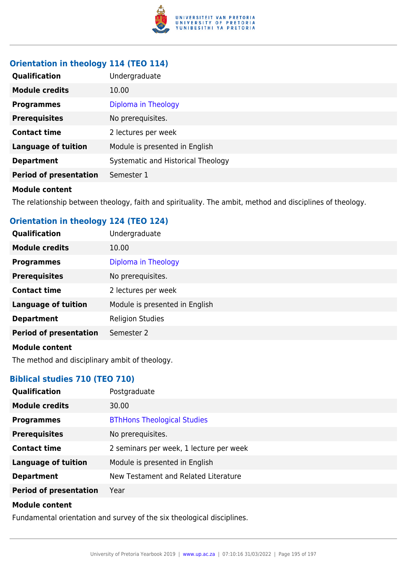

## **Orientation in theology 114 (TEO 114)**

| <b>Qualification</b>          | Undergraduate                      |
|-------------------------------|------------------------------------|
| <b>Module credits</b>         | 10.00                              |
| <b>Programmes</b>             | Diploma in Theology                |
| <b>Prerequisites</b>          | No prerequisites.                  |
| <b>Contact time</b>           | 2 lectures per week                |
| <b>Language of tuition</b>    | Module is presented in English     |
| <b>Department</b>             | Systematic and Historical Theology |
| <b>Period of presentation</b> | Semester 1                         |

#### **Module content**

The relationship between theology, faith and spirituality. The ambit, method and disciplines of theology.

## **Orientation in theology 124 (TEO 124)**

| Qualification                 | Undergraduate                  |
|-------------------------------|--------------------------------|
| <b>Module credits</b>         | 10.00                          |
| <b>Programmes</b>             | Diploma in Theology            |
| <b>Prerequisites</b>          | No prerequisites.              |
| <b>Contact time</b>           | 2 lectures per week            |
| <b>Language of tuition</b>    | Module is presented in English |
| <b>Department</b>             | <b>Religion Studies</b>        |
| <b>Period of presentation</b> | Semester 2                     |
| <b>Module content</b>         |                                |

The method and disciplinary ambit of theology.

## **Biblical studies 710 (TEO 710)**

| <b>Qualification</b>          | Postgraduate                            |
|-------------------------------|-----------------------------------------|
| <b>Module credits</b>         | 30.00                                   |
| <b>Programmes</b>             | <b>BThHons Theological Studies</b>      |
| <b>Prerequisites</b>          | No prerequisites.                       |
| <b>Contact time</b>           | 2 seminars per week, 1 lecture per week |
| <b>Language of tuition</b>    | Module is presented in English          |
| <b>Department</b>             | New Testament and Related Literature    |
| <b>Period of presentation</b> | Year                                    |
|                               |                                         |

#### **Module content**

Fundamental orientation and survey of the six theological disciplines.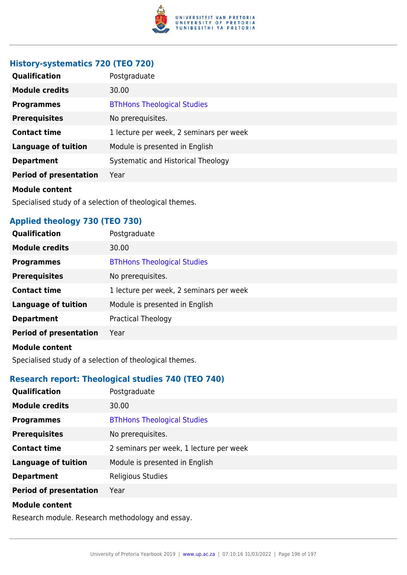

## **History-systematics 720 (TEO 720)**

| <b>Qualification</b>          | Postgraduate                            |
|-------------------------------|-----------------------------------------|
| <b>Module credits</b>         | 30.00                                   |
| <b>Programmes</b>             | <b>BThHons Theological Studies</b>      |
| <b>Prerequisites</b>          | No prerequisites.                       |
| <b>Contact time</b>           | 1 lecture per week, 2 seminars per week |
| <b>Language of tuition</b>    | Module is presented in English          |
| <b>Department</b>             | Systematic and Historical Theology      |
| <b>Period of presentation</b> | Year                                    |
| Madula aantant                |                                         |

#### **Module content**

Specialised study of a selection of theological themes.

# **Applied theology 730 (TEO 730)**

| <b>Qualification</b>          | Postgraduate                            |
|-------------------------------|-----------------------------------------|
| <b>Module credits</b>         | 30.00                                   |
| <b>Programmes</b>             | <b>BThHons Theological Studies</b>      |
| <b>Prerequisites</b>          | No prerequisites.                       |
| <b>Contact time</b>           | 1 lecture per week, 2 seminars per week |
| <b>Language of tuition</b>    | Module is presented in English          |
| <b>Department</b>             | <b>Practical Theology</b>               |
| <b>Period of presentation</b> | Year                                    |
| <b>Madula assista</b>         |                                         |

#### **Module content**

Specialised study of a selection of theological themes.

# **Research report: Theological studies 740 (TEO 740)**

| Qualification                 | Postgraduate                            |
|-------------------------------|-----------------------------------------|
| <b>Module credits</b>         | 30.00                                   |
| <b>Programmes</b>             | <b>BThHons Theological Studies</b>      |
| <b>Prerequisites</b>          | No prerequisites.                       |
| <b>Contact time</b>           | 2 seminars per week, 1 lecture per week |
| <b>Language of tuition</b>    | Module is presented in English          |
| <b>Department</b>             | Religious Studies                       |
| <b>Period of presentation</b> | Year                                    |
|                               |                                         |

#### **Module content**

Research module. Research methodology and essay.